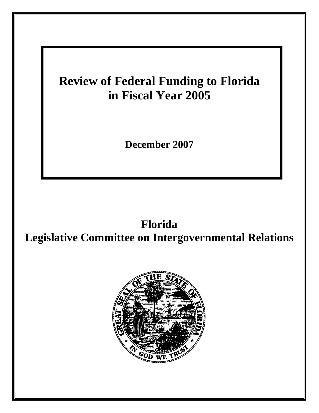# **Review of Federal Funding to Florida in Fiscal Year 2005**

**December 2007** 

# **Florida Legislative Committee on Intergovernmental Relations**

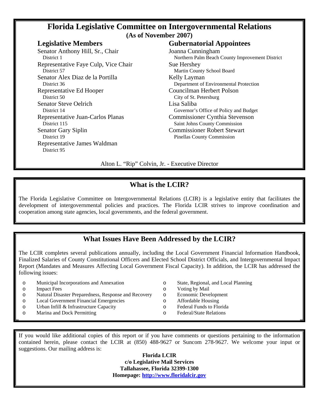# **Florida Legislative Committee on Intergovernmental Relations (As of November 2007)**

Senator Anthony Hill, Sr., Chair Joanna Cunningham Representative Faye Culp, Vice Chair Sue Hershey District 57 Martin County School Board Senator Alex Diaz de la Portilla Kelly Layman Representative Ed Hooper Councilman Herbert Polson District 50 City of St. Petersburg Senator Steve Oelrich Lisa Saliba Representative Juan-Carlos Planas Commissioner Cynthia Stevenson District 115 Saint Johns County Commission Senator Gary Siplin Commissioner Robert Stewart District 19 Pinellas County Commission Representative James Waldman District 95

#### *Cubernatorial Appointees* Gubernatorial Appointees

 District 1 Northern Palm Beach County Improvement District District 36 Department of Environmental Protection District 14 Governor's Office of Policy and Budget

Alton L. "Rip" Colvin, Jr. - Executive Director

# **What is the LCIR?**

The Florida Legislative Committee on Intergovernmental Relations (LCIR) is a legislative entity that facilitates the development of intergovernmental policies and practices. The Florida LCIR strives to improve coordination and cooperation among state agencies, local governments, and the federal government.

# **What Issues Have Been Addressed by the LCIR?**

The LCIR completes several publications annually, including the Local Government Financial Information Handbook, Finalized Salaries of County Constitutional Officers and Elected School District Officials, and Intergovernmental Impact Report (Mandates and Measures Affecting Local Government Fiscal Capacity). In addition, the LCIR has addressed the following issues:

- o Municipal Incorporations and Annexation
- o Impact Fees
- o Natural Disaster Preparedness, Response and Recovery
- o Local Government Financial Emergencies
- o Urban Infill & Infrastructure Capacity
- o Marina and Dock Permitting
- o State, Regional, and Local Planning
- o Voting by Mail
- o Economic Development
- o Affordable Housing
- o Federal Funds to Florida
- o Federal/State Relations

If you would like additional copies of this report or if you have comments or questions pertaining to the information contained herein, please contact the LCIR at (850) 488-9627 or Suncom 278-9627. We welcome your input or suggestions. Our mailing address is:

> **Florida LCIR c/o Legislative Mail Services Tallahassee, Florida 32399-1300 Homepage: http://www.floridalcir.gov**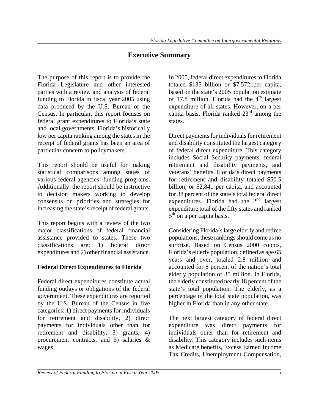# **Executive Summary**

The purpose of this report is to provide the Florida Legislature and other interested parties with a review and analysis of federal funding to Florida in fiscal year 2005 using data produced by the U.S. Bureau of the Census. In particular, this report focuses on federal grant expenditures to Florida's state and local governments. Florida's historically low per capita ranking among the states in the receipt of federal grants has been an area of particular concern to policymakers.

This report should be useful for making statistical comparisons among states of various federal agencies' funding programs. Additionally, the report should be instructive to decision makers working to develop consensus on priorities and strategies for increasing the state's receipt of federal grants.

This report begins with a review of the two major classifications of federal financial assistance provided to states. These two classifications are: 1) federal direct expenditures and 2) other financial assistance.

# **Federal Direct Expenditures to Florida**

Federal direct expenditures constitute actual funding outlays or obligations of the federal government. These expenditures are reported by the U.S. Bureau of the Census in five categories: 1) direct payments for individuals for retirement and disability, 2) direct payments for individuals other than for retirement and disability, 3) grants, 4) procurement contracts, and 5) salaries & wages.

In 2005, federal direct expenditures to Florida totaled \$135 billion or \$7,572 per capita, based on the state's 2005 population estimate of 17.8 million. Florida had the  $4<sup>th</sup>$  largest expenditure of all states. However, on a per capita basis, Florida ranked  $23<sup>rd</sup>$  among the states.

Direct payments for individuals for retirement and disability constituted the largest category of federal direct expenditure. This category includes Social Security payments, federal retirement and disability payments, and veterans' benefits. Florida's direct payments for retirement and disability totaled \$50.5 billion, or \$2,841 per capita, and accounted for 38 percent of the state's total federal direct expenditures. Florida had the  $2<sup>nd</sup>$  largest expenditure total of the fifty states and ranked  $5<sup>th</sup>$  on a per capita basis.

Considering Florida's large elderly and retiree populations, these rankings should come as no surprise. Based on Census 2000 counts, Florida's elderly population, defined as age 65 years and over, totaled 2.8 million and accounted for 8 percent of the nation's total elderly population of 35 million. In Florida, the elderly constituted nearly 18 percent of the state's total population. The elderly, as a percentage of the total state population, was higher in Florida than in any other state.

The next largest category of federal direct expenditure was direct payments for individuals other than for retirement and disability. This category includes such items as Medicare benefits, Excess Earned Income Tax Credits, Unemployment Compensation,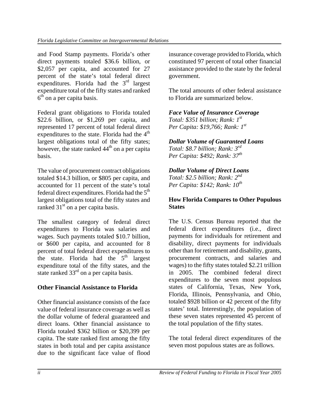and Food Stamp payments. Florida's other direct payments totaled \$36.6 billion, or \$2,057 per capita, and accounted for 27 percent of the state's total federal direct expenditures. Florida had the  $3<sup>rd</sup>$  largest expenditure total of the fifty states and ranked  $6<sup>th</sup>$  on a per capita basis.

Federal grant obligations to Florida totaled \$22.6 billion, or \$1,269 per capita, and represented 17 percent of total federal direct expenditures to the state. Florida had the  $4<sup>th</sup>$ largest obligations total of the fifty states; however, the state ranked 44<sup>th</sup> on a per capita basis.

The value of procurement contract obligations totaled \$14.3 billion, or \$805 per capita, and accounted for 11 percent of the state's total federal direct expenditures. Florida had the  $5<sup>th</sup>$ largest obligations total of the fifty states and ranked  $31<sup>st</sup>$  on a per capita basis.

The smallest category of federal direct expenditures to Florida was salaries and wages. Such payments totaled \$10.7 billion, or \$600 per capita, and accounted for 8 percent of total federal direct expenditures to the state. Florida had the  $5<sup>th</sup>$  largest expenditure total of the fifty states, and the state ranked  $33<sup>rd</sup>$  on a per capita basis.

# **Other Financial Assistance to Florida**

Other financial assistance consists of the face value of federal insurance coverage as well as the dollar volume of federal guaranteed and direct loans. Other financial assistance to Florida totaled \$362 billion or \$20,399 per capita. The state ranked first among the fifty states in both total and per capita assistance due to the significant face value of flood

insurance coverage provided to Florida, which constituted 97 percent of total other financial assistance provided to the state by the federal government.

The total amounts of other federal assistance to Florida are summarized below.

# *Face Value of Insurance Coverage*

*Total: \$351 billion; Rank: 1st Per Capita: \$19,766; Rank: 1st*

#### *Dollar Volume of Guaranteed Loans*

*Total: \$8.7 billion; Rank: 3rd Per Capita: \$492; Rank: 37th*

#### *Dollar Volume of Direct Loans*

*Total: \$2.5 billion; Rank: 2nd Per Capita: \$142; Rank: 10<sup>th</sup>* 

#### **How Florida Compares to Other Populous States**

The U.S. Census Bureau reported that the federal direct expenditures (i.e., direct payments for individuals for retirement and disability, direct payments for individuals other than for retirement and disability, grants, procurement contracts, and salaries and wages) to the fifty states totaled \$2.21 trillion in 2005. The combined federal direct expenditures to the seven most populous states of California, Texas, New York, Florida, Illinois, Pennsylvania, and Ohio, totaled \$928 billion or 42 percent of the fifty states' total. Interestingly, the population of these seven states represented 45 percent of the total population of the fifty states.

The total federal direct expenditures of the seven most populous states are as follows.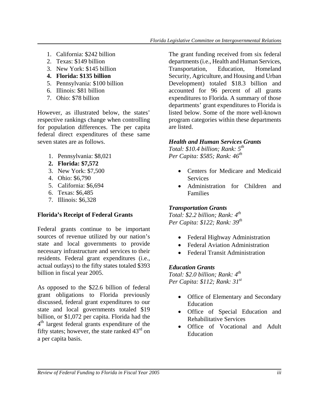- 1. California: \$242 billion
- 2. Texas: \$149 billion
- 3. New York: \$145 billion
- **4. Florida: \$135 billion**
- 5. Pennsylvania: \$100 billion
- 6. Illinois: \$81 billion
- 7. Ohio: \$78 billion

However, as illustrated below, the states' respective rankings change when controlling for population differences. The per capita federal direct expenditures of these same seven states are as follows.

- 1. Pennsylvania: \$8,021
- **2. Florida: \$7,572**
- 3. New York: \$7,500
- 4. Ohio: \$6,790
- 5. California: \$6,694
- 6. Texas: \$6,485
- 7. Illinois: \$6,328

# **Florida's Receipt of Federal Grants**

Federal grants continue to be important sources of revenue utilized by our nation's state and local governments to provide necessary infrastructure and services to their residents. Federal grant expenditures (i.e., actual outlays) to the fifty states totaled \$393 billion in fiscal year 2005.

As opposed to the \$22.6 billion of federal grant obligations to Florida previously discussed, federal grant expenditures to our state and local governments totaled \$19 billion, or \$1,072 per capita. Florida had the 4<sup>th</sup> largest federal grants expenditure of the fifty states; however, the state ranked  $43<sup>rd</sup>$  on a per capita basis.

The grant funding received from six federal departments (i.e., Health and Human Services, Transportation, Education, Homeland Security, Agriculture, and Housing and Urban Development) totaled \$18.3 billion and accounted for 96 percent of all grants expenditures to Florida. A summary of those departments' grant expenditures to Florida is listed below. Some of the more well-known program categories within these departments are listed.

# *Health and Human Services Grants*

*Total: \$10.4 billion; Rank: 5th Per Capita: \$585; Rank: 46th*

- Centers for Medicare and Medicaid **Services**
- Administration for Children and Families

# *Transportation Grants*

*Total: \$2.2 billion; Rank: 4th Per Capita: \$122; Rank: 39th*

- Federal Highway Administration
- Federal Aviation Administration
- Federal Transit Administration

# *Education Grants*

*Total: \$2.0 billion; Rank: 4th Per Capita: \$112; Rank: 31st*

- Office of Elementary and Secondary Education
- Office of Special Education and Rehabilitative Services
- Office of Vocational and Adult Education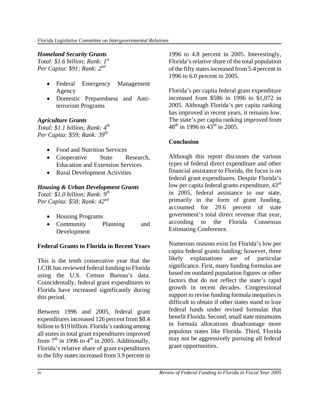# *Homeland Security Grants*

*Total: \$1.6 billion; Rank: 1st Per Capita: \$91; Rank: 2nd*

- Federal Emergency Management Agency
- Domestic Preparedness and Antiterrorism Programs

#### *Agriculture Grants*

*Total: \$1.1 billion; Rank: 4th Per Capita: \$59; Rank: 39th*

- Food and Nutrition Services
- Cooperative State Research, Education and Extension Services
- Rural Development Activities

# *Housing & Urban Development Grants*

*Total: \$1.0 billion; Rank: 9th Per Capita: \$58; Rank: 42nd*

- Housing Programs
- Community Planning and Development

# **Federal Grants to Florida in Recent Years**

This is the tenth consecutive year that the LCIR has reviewed federal funding to Florida using the U.S. Census Bureau's data. Coincidentally, federal grant expenditures to Florida have increased significantly during this period.

Between 1996 and 2005, federal grant expenditures increased 126 percent from \$8.4 billion to \$19 billion. Florida's ranking among all states in total grant expenditures improved from  $7<sup>th</sup>$  in 1996 to  $4<sup>th</sup>$  in 2005. Additionally, Florida's relative share of grant expenditures to the fifty states increased from 3.9 percent in

1996 to 4.8 percent in 2005. Interestingly, Florida's relative share of the total population of the fifty states increased from 5.4 percent in 1996 to 6.0 percent in 2005.

Florida's per capita federal grant expenditure increased from \$586 in 1996 to \$1,072 in 2005. Although Florida's per capita ranking has improved in recent years, it remains low. The state's per capita ranking improved from  $48^{\text{th}}$  in 1996 to  $43^{\text{rd}}$  in 2005.

# **Conclusion**

Although this report discusses the various types of federal direct expenditure and other financial assistance to Florida, the focus is on federal grant expenditures. Despite Florida's low per capita federal grants expenditure,  $43^{\text{rd}}$ in 2005, federal assistance to our state, primarily in the form of grant funding, accounted for 29.6 percent of state government's total direct revenue that year, according to the Florida Consensus Estimating Conference.

Numerous reasons exist for Florida's low per capita federal grants funding; however, three likely explanations are of particular significance. First, many funding formulas are based on outdated population figures or other factors that do not reflect the state's rapid growth in recent decades. Congressional support to revise funding formula inequities is difficult to obtain if other states stand to lose federal funds under revised formulas that benefit Florida. Second, small state minimums in formula allocations disadvantage more populous states like Florida. Third, Florida may not be aggressively pursuing all federal grant opportunities.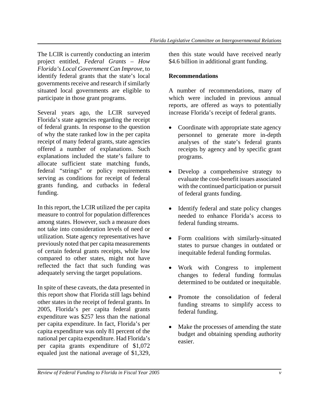The LCIR is currently conducting an interim project entitled, *Federal Grants – How Florida's Local Government Can Improve*, to identify federal grants that the state's local governments receive and research if similarly situated local governments are eligible to participate in those grant programs.

Several years ago, the LCIR surveyed Florida's state agencies regarding the receipt of federal grants. In response to the question of why the state ranked low in the per capita receipt of many federal grants, state agencies offered a number of explanations. Such explanations included the state's failure to allocate sufficient state matching funds, federal "strings" or policy requirements serving as conditions for receipt of federal grants funding, and cutbacks in federal funding.

In this report, the LCIR utilized the per capita measure to control for population differences among states. However, such a measure does not take into consideration levels of need or utilization. State agency representatives have previously noted that per capita measurements of certain federal grants receipts, while low compared to other states, might not have reflected the fact that such funding was adequately serving the target populations.

In spite of these caveats, the data presented in this report show that Florida still lags behind other states in the receipt of federal grants. In 2005, Florida's per capita federal grants expenditure was \$257 less than the national per capita expenditure. In fact, Florida's per capita expenditure was only 81 percent of the national per capita expenditure. Had Florida's per capita grants expenditure of \$1,072 equaled just the national average of \$1,329,

then this state would have received nearly \$4.6 billion in additional grant funding.

# **Recommendations**

A number of recommendations, many of which were included in previous annual reports, are offered as ways to potentially increase Florida's receipt of federal grants.

- Coordinate with appropriate state agency personnel to generate more in-depth analyses of the state's federal grants receipts by agency and by specific grant programs.
- Develop a comprehensive strategy to evaluate the cost-benefit issues associated with the continued participation or pursuit of federal grants funding.
- Identify federal and state policy changes needed to enhance Florida's access to federal funding streams.
- Form coalitions with similarly-situated states to pursue changes in outdated or inequitable federal funding formulas.
- Work with Congress to implement changes to federal funding formulas determined to be outdated or inequitable.
- Promote the consolidation of federal funding streams to simplify access to federal funding.
- Make the processes of amending the state budget and obtaining spending authority easier.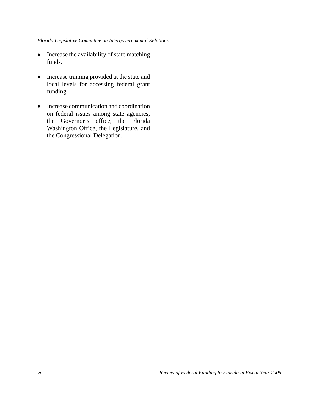- Increase the availability of state matching funds.
- Increase training provided at the state and local levels for accessing federal grant funding.
- Increase communication and coordination on federal issues among state agencies, the Governor's office, the Florida Washington Office, the Legislature, and the Congressional Delegation.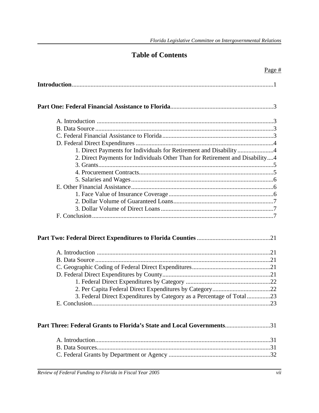# **Table of Contents**

| Page #                                                                       |
|------------------------------------------------------------------------------|
|                                                                              |
|                                                                              |
|                                                                              |
|                                                                              |
|                                                                              |
|                                                                              |
|                                                                              |
| 2. Direct Payments for Individuals Other Than for Retirement and Disability4 |
|                                                                              |
|                                                                              |
|                                                                              |
|                                                                              |
|                                                                              |
|                                                                              |
|                                                                              |
|                                                                              |
|                                                                              |
|                                                                              |
|                                                                              |
|                                                                              |
|                                                                              |
|                                                                              |
|                                                                              |
|                                                                              |
| 3. Federal Direct Expenditures by Category as a Percentage of Total23        |
|                                                                              |
| Part Three: Federal Grants to Florida's State and Local Governments31        |
|                                                                              |
|                                                                              |
|                                                                              |
|                                                                              |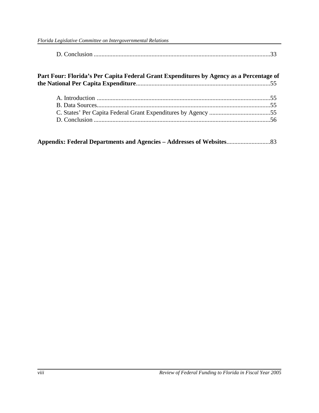|--|--|

| Part Four: Florida's Per Capita Federal Grant Expenditures by Agency as a Percentage of |  |
|-----------------------------------------------------------------------------------------|--|
|                                                                                         |  |
|                                                                                         |  |
|                                                                                         |  |
|                                                                                         |  |
|                                                                                         |  |
|                                                                                         |  |

```
Appendix: Federal Departments and Agencies – Addresses of Websites............................83
```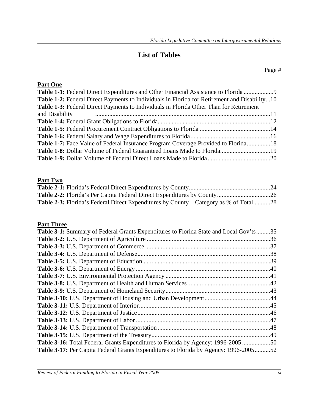# **List of Tables**

# Page #

| <b>Part One</b>                                                                                     |  |
|-----------------------------------------------------------------------------------------------------|--|
| Table 1-1: Federal Direct Expenditures and Other Financial Assistance to Florida                    |  |
| <b>Table 1-2:</b> Federal Direct Payments to Individuals in Florida for Retirement and Disability10 |  |
| Table 1-3: Federal Direct Payments to Individuals in Florida Other Than for Retirement              |  |
|                                                                                                     |  |
|                                                                                                     |  |
|                                                                                                     |  |
|                                                                                                     |  |
| <b>Table 1-7:</b> Face Value of Federal Insurance Program Coverage Provided to Florida18            |  |
|                                                                                                     |  |
|                                                                                                     |  |

# **Part Two**

| <b>Table 2-3:</b> Florida's Federal Direct Expenditures by County – Category as % of Total 28 |  |
|-----------------------------------------------------------------------------------------------|--|

# **Part Three**

| Table 3-1: Summary of Federal Grants Expenditures to Florida State and Local Gov'ts35 |  |
|---------------------------------------------------------------------------------------|--|
|                                                                                       |  |
|                                                                                       |  |
|                                                                                       |  |
|                                                                                       |  |
|                                                                                       |  |
|                                                                                       |  |
|                                                                                       |  |
|                                                                                       |  |
|                                                                                       |  |
|                                                                                       |  |
|                                                                                       |  |
|                                                                                       |  |
|                                                                                       |  |
|                                                                                       |  |
| Table 3-16: Total Federal Grants Expenditures to Florida by Agency: 1996-2005 50      |  |
| Table 3-17: Per Capita Federal Grants Expenditures to Florida by Agency: 1996-200552  |  |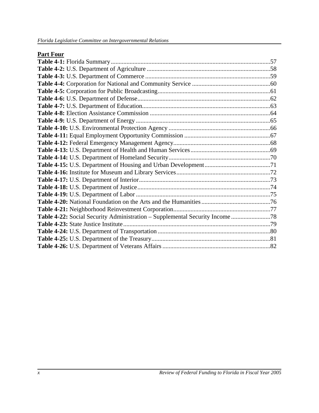#### **Part Four**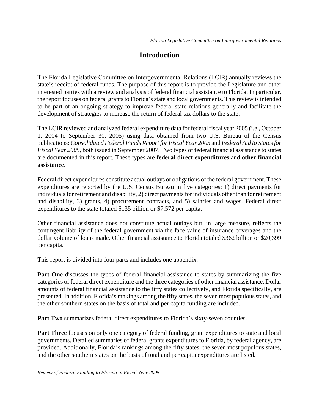# **Introduction**

The Florida Legislative Committee on Intergovernmental Relations (LCIR) annually reviews the state's receipt of federal funds. The purpose of this report is to provide the Legislature and other interested parties with a review and analysis of federal financial assistance to Florida. In particular, the report focuses on federal grants to Florida's state and local governments. This review is intended to be part of an ongoing strategy to improve federal-state relations generally and facilitate the development of strategies to increase the return of federal tax dollars to the state.

The LCIR reviewed and analyzed federal expenditure data for federal fiscal year 2005 (i.e., October 1, 2004 to September 30, 2005) using data obtained from two U.S. Bureau of the Census publications: *Consolidated Federal Funds Report for Fiscal Year 2005* and *Federal Aid to States for Fiscal Year 2005*, both issued in September 2007. Two types of federal financial assistance to states are documented in this report. These types are **federal direct expenditures** and **other financial assistance**.

Federal direct expenditures constitute actual outlays or obligations of the federal government. These expenditures are reported by the U.S. Census Bureau in five categories: 1) direct payments for individuals for retirement and disability, 2) direct payments for individuals other than for retirement and disability, 3) grants, 4) procurement contracts, and 5) salaries and wages. Federal direct expenditures to the state totaled \$135 billion or \$7,572 per capita.

Other financial assistance does not constitute actual outlays but, in large measure, reflects the contingent liability of the federal government via the face value of insurance coverages and the dollar volume of loans made. Other financial assistance to Florida totaled \$362 billion or \$20,399 per capita.

This report is divided into four parts and includes one appendix.

Part One discusses the types of federal financial assistance to states by summarizing the five categories of federal direct expenditure and the three categories of other financial assistance. Dollar amounts of federal financial assistance to the fifty states collectively, and Florida specifically, are presented. In addition, Florida's rankings among the fifty states, the seven most populous states, and the other southern states on the basis of total and per capita funding are included.

**Part Two** summarizes federal direct expenditures to Florida's sixty-seven counties.

**Part Three** focuses on only one category of federal funding, grant expenditures to state and local governments. Detailed summaries of federal grants expenditures to Florida, by federal agency, are provided. Additionally, Florida's rankings among the fifty states, the seven most populous states, and the other southern states on the basis of total and per capita expenditures are listed.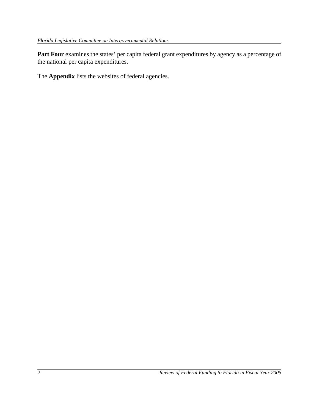Part Four examines the states' per capita federal grant expenditures by agency as a percentage of the national per capita expenditures.

The **Appendix** lists the websites of federal agencies.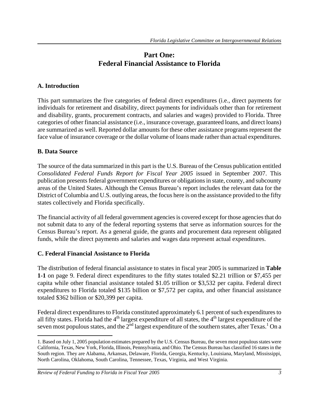# **Part One: Federal Financial Assistance to Florida**

#### **A. Introduction**

This part summarizes the five categories of federal direct expenditures (i.e., direct payments for individuals for retirement and disability, direct payments for individuals other than for retirement and disability, grants, procurement contracts, and salaries and wages) provided to Florida. Three categories of other financial assistance (i.e., insurance coverage, guaranteed loans, and direct loans) are summarized as well. Reported dollar amounts for these other assistance programs represent the face value of insurance coverage or the dollar volume of loans made rather than actual expenditures.

#### **B. Data Source**

<u>.</u>

The source of the data summarized in this part is the U.S. Bureau of the Census publication entitled *Consolidated Federal Funds Report for Fiscal Year 2005* issued in September 2007. This publication presents federal government expenditures or obligations in state, county, and subcounty areas of the United States. Although the Census Bureau's report includes the relevant data for the District of Columbia and U.S. outlying areas, the focus here is on the assistance provided to the fifty states collectively and Florida specifically.

The financial activity of all federal government agencies is covered except for those agencies that do not submit data to any of the federal reporting systems that serve as information sources for the Census Bureau's report. As a general guide, the grants and procurement data represent obligated funds, while the direct payments and salaries and wages data represent actual expenditures.

#### **C. Federal Financial Assistance to Florida**

The distribution of federal financial assistance to states in fiscal year 2005 is summarized in **Table 1-1** on page 9. Federal direct expenditures to the fifty states totaled \$2.21 trillion or \$7,455 per capita while other financial assistance totaled \$1.05 trillion or \$3,532 per capita. Federal direct expenditures to Florida totaled \$135 billion or \$7,572 per capita, and other financial assistance totaled \$362 billion or \$20,399 per capita.

Federal direct expenditures to Florida constituted approximately 6.1 percent of such expenditures to all fifty states. Florida had the  $4<sup>th</sup>$  largest expenditure of all states, the  $4<sup>th</sup>$  largest expenditure of the seven most populous states, and the  $2^{nd}$  largest expenditure of the southern states, after Texas.<sup>1</sup> On a

<sup>1.</sup> Based on July 1, 2005 population estimates prepared by the U.S. Census Bureau, the seven most populous states were California, Texas, New York, Florida, Illinois, Pennsylvania, and Ohio. The Census Bureau has classified 16 states in the South region. They are Alabama, Arkansas, Delaware, Florida, Georgia, Kentucky, Louisiana, Maryland, Mississippi, North Carolina, Oklahoma, South Carolina, Tennessee, Texas, Virginia, and West Virginia.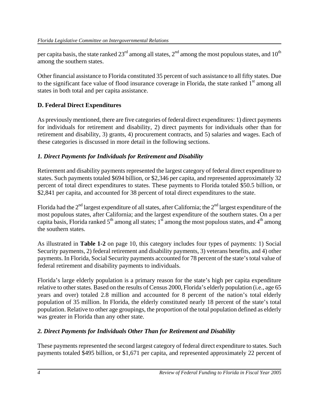per capita basis, the state ranked  $23<sup>rd</sup>$  among all states,  $2<sup>nd</sup>$  among the most populous states, and  $10<sup>th</sup>$ among the southern states.

Other financial assistance to Florida constituted 35 percent of such assistance to all fifty states. Due to the significant face value of flood insurance coverage in Florida, the state ranked 1<sup>st</sup> among all states in both total and per capita assistance.

# **D. Federal Direct Expenditures**

As previously mentioned, there are five categories of federal direct expenditures: 1) direct payments for individuals for retirement and disability, 2) direct payments for individuals other than for retirement and disability, 3) grants, 4) procurement contracts, and 5) salaries and wages. Each of these categories is discussed in more detail in the following sections.

# *1. Direct Payments for Individuals for Retirement and Disability*

Retirement and disability payments represented the largest category of federal direct expenditure to states. Such payments totaled \$694 billion, or \$2,346 per capita, and represented approximately 32 percent of total direct expenditures to states. These payments to Florida totaled \$50.5 billion, or \$2,841 per capita, and accounted for 38 percent of total direct expenditures to the state.

Florida had the  $2<sup>nd</sup>$  largest expenditure of all states, after California; the  $2<sup>nd</sup>$  largest expenditure of the most populous states, after California; and the largest expenditure of the southern states. On a per capita basis, Florida ranked  $5<sup>th</sup>$  among all states;  $1<sup>st</sup>$  among the most populous states, and  $4<sup>th</sup>$  among the southern states.

As illustrated in **Table 1-2** on page 10, this category includes four types of payments: 1) Social Security payments, 2) federal retirement and disability payments, 3) veterans benefits, and 4) other payments. In Florida, Social Security payments accounted for 78 percent of the state's total value of federal retirement and disability payments to individuals.

Florida's large elderly population is a primary reason for the state's high per capita expenditure relative to other states. Based on the results of Census 2000, Florida's elderly population (i.e., age 65 years and over) totaled 2.8 million and accounted for 8 percent of the nation's total elderly population of 35 million. In Florida, the elderly constituted nearly 18 percent of the state's total population. Relative to other age groupings, the proportion of the total population defined as elderly was greater in Florida than any other state.

# *2. Direct Payments for Individuals Other Than for Retirement and Disability*

These payments represented the second largest category of federal direct expenditure to states. Such payments totaled \$495 billion, or \$1,671 per capita, and represented approximately 22 percent of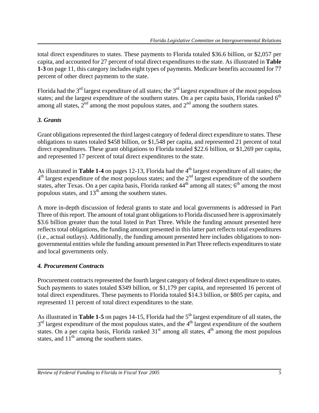total direct expenditures to states. These payments to Florida totaled \$36.6 billion, or \$2,057 per capita, and accounted for 27 percent of total direct expenditures to the state. As illustrated in **Table 1-3** on page 11, this category includes eight types of payments. Medicare benefits accounted for 77 percent of other direct payments to the state.

Florida had the  $3<sup>rd</sup>$  largest expenditure of all states; the  $3<sup>rd</sup>$  largest expenditure of the most populous states; and the largest expenditure of the southern states. On a per capita basis, Florida ranked  $6<sup>th</sup>$ among all states,  $2<sup>nd</sup>$  among the most populous states, and  $2<sup>nd</sup>$  among the southern states.

# *3. Grants*

Grant obligations represented the third largest category of federal direct expenditure to states. These obligations to states totaled \$458 billion, or \$1,548 per capita, and represented 21 percent of total direct expenditures. These grant obligations to Florida totaled \$22.6 billion, or \$1,269 per capita, and represented 17 percent of total direct expenditures to the state.

As illustrated in **Table 1-4** on pages 12-13, Florida had the 4<sup>th</sup> largest expenditure of all states; the  $4<sup>th</sup>$  largest expenditure of the most populous states; and the  $2<sup>nd</sup>$  largest expenditure of the southern states, after Texas. On a per capita basis, Florida ranked  $44<sup>th</sup>$  among all states;  $6<sup>th</sup>$  among the most populous states, and  $13<sup>th</sup>$  among the southern states.

A more in-depth discussion of federal grants to state and local governments is addressed in Part Three of this report. The amount of total grant obligations to Florida discussed here is approximately \$3.6 billion greater than the total listed in Part Three. While the funding amount presented here reflects total obligations, the funding amount presented in this latter part reflects total expenditures (i.e., actual outlays). Additionally, the funding amount presented here includes obligations to nongovernmental entities while the funding amount presented in Part Three reflects expenditures to state and local governments only.

# *4. Procurement Contracts*

Procurement contracts represented the fourth largest category of federal direct expenditure to states. Such payments to states totaled \$349 billion, or \$1,179 per capita, and represented 16 percent of total direct expenditures. These payments to Florida totaled \$14.3 billion, or \$805 per capita, and represented 11 percent of total direct expenditures to the state.

As illustrated in **Table 1-5** on pages 14-15, Florida had the 5<sup>th</sup> largest expenditure of all states, the  $3<sup>rd</sup>$  largest expenditure of the most populous states, and the  $4<sup>th</sup>$  largest expenditure of the southern states. On a per capita basis, Florida ranked  $31<sup>st</sup>$  among all states,  $4<sup>th</sup>$  among the most populous states, and  $11<sup>th</sup>$  among the southern states.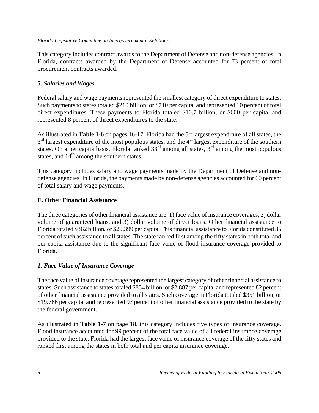This category includes contract awards to the Department of Defense and non-defense agencies. In Florida, contracts awarded by the Department of Defense accounted for 73 percent of total procurement contracts awarded.

# *5. Salaries and Wages*

Federal salary and wage payments represented the smallest category of direct expenditure to states. Such payments to states totaled \$210 billion, or \$710 per capita, and represented 10 percent of total direct expenditures. These payments to Florida totaled \$10.7 billion, or \$600 per capita, and represented 8 percent of direct expenditures to the state.

As illustrated in **Table 1-6** on pages 16-17, Florida had the 5<sup>th</sup> largest expenditure of all states, the  $3<sup>rd</sup>$  largest expenditure of the most populous states, and the  $4<sup>th</sup>$  largest expenditure of the southern states. On a per capita basis, Florida ranked  $33<sup>rd</sup>$  among all states,  $3<sup>rd</sup>$  among the most populous states, and  $14<sup>th</sup>$  among the southern states.

This category includes salary and wage payments made by the Department of Defense and nondefense agencies. In Florida, the payments made by non-defense agencies accounted for 60 percent of total salary and wage payments.

# **E. Other Financial Assistance**

The three categories of other financial assistance are: 1) face value of insurance coverages, 2) dollar volume of guaranteed loans, and 3) dollar volume of direct loans. Other financial assistance to Florida totaled \$362 billion, or \$20,399 per capita. This financial assistance to Florida constituted 35 percent of such assistance to all states. The state ranked first among the fifty states in both total and per capita assistance due to the significant face value of flood insurance coverage provided to Florida.

# *1. Face Value of Insurance Coverage*

The face value of insurance coverage represented the largest category of other financial assistance to states. Such assistance to states totaled \$854 billion, or \$2,887 per capita, and represented 82 percent of other financial assistance provided to all states. Such coverage in Florida totaled \$351 billion, or \$19,766 per capita, and represented 97 percent of other financial assistance provided to the state by the federal government.

As illustrated in **Table 1-7** on page 18, this category includes five types of insurance coverage. Flood insurance accounted for 99 percent of the total face value of all federal insurance coverage provided to the state. Florida had the largest face value of insurance coverage of the fifty states and ranked first among the states in both total and per capita insurance coverage.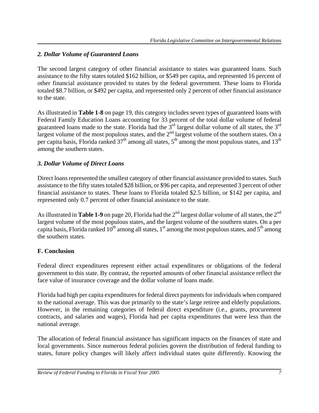# *2. Dollar Volume of Guaranteed Loans*

The second largest category of other financial assistance to states was guaranteed loans. Such assistance to the fifty states totaled \$162 billion, or \$549 per capita, and represented 16 percent of other financial assistance provided to states by the federal government. These loans to Florida totaled \$8.7 billion, or \$492 per capita, and represented only 2 percent of other financial assistance to the state.

As illustrated in **Table 1-8** on page 19, this category includes seven types of guaranteed loans with Federal Family Education Loans accounting for 33 percent of the total dollar volume of federal guaranteed loans made to the state. Florida had the  $3<sup>rd</sup>$  largest dollar volume of all states, the  $3<sup>rd</sup>$ largest volume of the most populous states, and the  $2<sup>nd</sup>$  largest volume of the southern states. On a per capita basis, Florida ranked  $37<sup>th</sup>$  among all states,  $5<sup>th</sup>$  among the most populous states, and  $13<sup>th</sup>$ among the southern states.

# *3. Dollar Volume of Direct Loans*

Direct loans represented the smallest category of other financial assistance provided to states. Such assistance to the fifty states totaled \$28 billion, or \$96 per capita, and represented 3 percent of other financial assistance to states. These loans to Florida totaled \$2.5 billion, or \$142 per capita, and represented only 0.7 percent of other financial assistance to the state.

As illustrated in **Table 1-9** on page 20, Florida had the 2<sup>nd</sup> largest dollar volume of all states, the 2<sup>nd</sup> largest volume of the most populous states, and the largest volume of the southern states. On a per capita basis, Florida ranked  $10^{th}$  among all states,  $1^{st}$  among the most populous states, and  $5^{th}$  among the southern states.

# **F. Conclusion**

Federal direct expenditures represent either actual expenditures or obligations of the federal government to this state. By contrast, the reported amounts of other financial assistance reflect the face value of insurance coverage and the dollar volume of loans made.

Florida had high per capita expenditures for federal direct payments for individuals when compared to the national average. This was due primarily to the state's large retiree and elderly populations. However, in the remaining categories of federal direct expenditure (i.e., grants, procurement contracts, and salaries and wages), Florida had per capita expenditures that were less than the national average.

The allocation of federal financial assistance has significant impacts on the finances of state and local governments. Since numerous federal policies govern the distribution of federal funding to states, future policy changes will likely affect individual states quite differently. Knowing the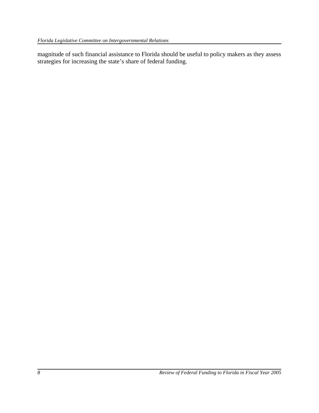magnitude of such financial assistance to Florida should be useful to policy makers as they assess strategies for increasing the state's share of federal funding.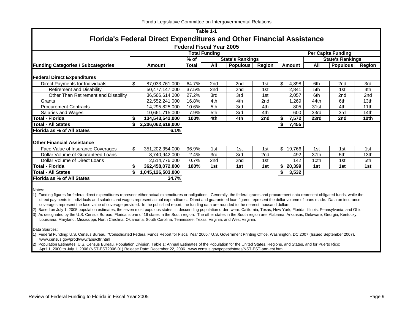|                                                                                                                                                                                                                                                                                                                                      |                                                                             |                   |        | Table 1-1            |                         |                 |    |          |                  |                           |                  |
|--------------------------------------------------------------------------------------------------------------------------------------------------------------------------------------------------------------------------------------------------------------------------------------------------------------------------------------|-----------------------------------------------------------------------------|-------------------|--------|----------------------|-------------------------|-----------------|----|----------|------------------|---------------------------|------------------|
|                                                                                                                                                                                                                                                                                                                                      | <b>Florida's Federal Direct Expenditures and Other Financial Assistance</b> |                   |        |                      |                         |                 |    |          |                  |                           |                  |
|                                                                                                                                                                                                                                                                                                                                      |                                                                             |                   |        |                      |                         |                 |    |          |                  |                           |                  |
| <b>Federal Fiscal Year 2005</b>                                                                                                                                                                                                                                                                                                      |                                                                             |                   |        |                      |                         |                 |    |          |                  |                           |                  |
|                                                                                                                                                                                                                                                                                                                                      |                                                                             |                   |        | <b>Total Funding</b> |                         |                 |    |          |                  | <b>Per Capita Funding</b> |                  |
|                                                                                                                                                                                                                                                                                                                                      |                                                                             |                   | $%$ of |                      | <b>State's Rankings</b> |                 |    |          |                  | <b>State's Rankings</b>   |                  |
| <b>Funding Categories / Subcategories</b>                                                                                                                                                                                                                                                                                            |                                                                             | Amount            | Total  | All                  | <b>Populous</b>         | Region          |    | Amount   | All              | <b>Populous</b>           | <b>Region</b>    |
|                                                                                                                                                                                                                                                                                                                                      |                                                                             |                   |        |                      |                         |                 |    |          |                  |                           |                  |
| <b>Federal Direct Expenditures</b>                                                                                                                                                                                                                                                                                                   |                                                                             |                   |        |                      |                         |                 |    |          |                  |                           |                  |
| Direct Payments for Individuals                                                                                                                                                                                                                                                                                                      | \$                                                                          | 87,033,761,000    | 64.7%  | 2 <sub>nd</sub>      | 2nd                     | 1st             | \$ | 4,898    | 6th              | 2 <sub>nd</sub>           | 3rd              |
| <b>Retirement and Disability</b>                                                                                                                                                                                                                                                                                                     |                                                                             | 50,477,147,000    | 37.5%  | 2 <sub>nd</sub>      | 2 <sub>nd</sub>         | 1st             |    | 2,841    | 5th              | 1st                       | 4th              |
| Other Than Retirement and Disability                                                                                                                                                                                                                                                                                                 |                                                                             | 36,566,614,000    | 27.2%  | 3rd                  | 3rd                     | 1st             |    | 2,057    | 6th              | 2 <sub>nd</sub>           | 2 <sub>nd</sub>  |
| Grants                                                                                                                                                                                                                                                                                                                               |                                                                             | 22,552,241,000    | 16.8%  | 4th                  | 4th                     | 2 <sub>nd</sub> |    | 1,269    | 44th             | 6th                       | 13th             |
| <b>Procurement Contracts</b>                                                                                                                                                                                                                                                                                                         |                                                                             | 14,295,825,000    | 10.6%  | 5th                  | 3rd                     | 4th             |    | 805      | 31st             | 4th                       | 11th             |
| Salaries and Wages                                                                                                                                                                                                                                                                                                                   |                                                                             | 10.661.715.000    | 7.9%   | 5th                  | 3rd                     | 4th             |    | 600      | 33rd             | 3rd                       | 14th             |
| Total - Florida                                                                                                                                                                                                                                                                                                                      | S                                                                           | 134,543,542,000   | 100%   | 4th                  | 4th                     | 2nd             | \$ | 7,572    | 23rd             | 2nd                       | 10 <sub>th</sub> |
| <b>Total - All States</b>                                                                                                                                                                                                                                                                                                            |                                                                             | 2,206,062,618,000 |        |                      |                         |                 | \$ | 7,455    |                  |                           |                  |
| Florida as % of All States                                                                                                                                                                                                                                                                                                           |                                                                             | 6.1%              |        |                      |                         |                 |    |          |                  |                           |                  |
|                                                                                                                                                                                                                                                                                                                                      |                                                                             |                   |        |                      |                         |                 |    |          |                  |                           |                  |
| <b>Other Financial Assistance</b>                                                                                                                                                                                                                                                                                                    |                                                                             |                   |        |                      |                         |                 |    |          |                  |                           |                  |
| Face Value of Insurance Coverages                                                                                                                                                                                                                                                                                                    | \$                                                                          | 351,202,354,000   | 96.9%  | 1st                  | 1st                     | 1st             |    | \$19,766 | 1st              | 1st                       | 1st              |
| Dollar Volume of Guaranteed Loans                                                                                                                                                                                                                                                                                                    |                                                                             | 8,740,942,000     | 2.4%   | 3rd                  | 3rd                     | 2nd             |    | 492      | 37th             | 5th                       | 13 <sub>th</sub> |
| Dollar Volume of Direct Loans                                                                                                                                                                                                                                                                                                        |                                                                             | 2,514,776,000     | 0.7%   | 2 <sub>nd</sub>      | 2 <sub>nd</sub>         | 1st             |    | 142      | 10 <sub>th</sub> | 1st                       | 5th              |
| Total - Florida                                                                                                                                                                                                                                                                                                                      | \$                                                                          | 362,458,072,000   | 100%   | 1st                  | 1st                     | 1st             | \$ | 20,399   | 1st              | 1st                       | 1st              |
| <b>Total - All States</b>                                                                                                                                                                                                                                                                                                            | \$                                                                          | 1,045,126,503,000 |        |                      |                         |                 | \$ | 3,532    |                  |                           |                  |
| <b>Florida as % of All States</b>                                                                                                                                                                                                                                                                                                    |                                                                             | 34.7%             |        |                      |                         |                 |    |          |                  |                           |                  |
|                                                                                                                                                                                                                                                                                                                                      |                                                                             |                   |        |                      |                         |                 |    |          |                  |                           |                  |
| Notes:                                                                                                                                                                                                                                                                                                                               |                                                                             |                   |        |                      |                         |                 |    |          |                  |                           |                  |
| 1) Funding figures for federal direct expenditures represent either actual expenditures or obligations. Generally, the federal grants and procurement data represent obligated funds, while the                                                                                                                                      |                                                                             |                   |        |                      |                         |                 |    |          |                  |                           |                  |
| direct payments to individuals and salaries and wages represent actual expenditures. Direct and guaranteed loan figures represent the dollar volume of loans made. Data on insurance<br>overage represent the free value of coverage provided. In the publiched report, the funding data are reunded to the pegreat thousand dellars |                                                                             |                   |        |                      |                         |                 |    |          |                  |                           |                  |

 coverages represent the face value of coverage provided. In the published report, the funding data are rounded to the nearest thousand dollars. 2) Based on July 1, 2005 population estimates, the seven most populous states, in descending population order, were: California, Texas, New York, Florida, Illinois, Pennsylvania, and Ohio.

3) As designated by the U.S. Census Bureau, Florida is one of 16 states in the South region. The other states in the South region are: Alabama, Arkansas, Delaware, Georgia, Kentucky, Louisiana, Maryland, Mississippi, North Carolina, Oklahoma, South Carolina, Tennessee, Texas, Virginia, and West Virginia.

Data Sources:

1) Federal Funding: U.S. Census Bureau, "Consolidated Federal Funds Report for Fiscal Year 2005," U.S. Government Printing Office, Washington, DC 2007 (Issued September 2007). www.census.gov/prod/www/abs/cffr.html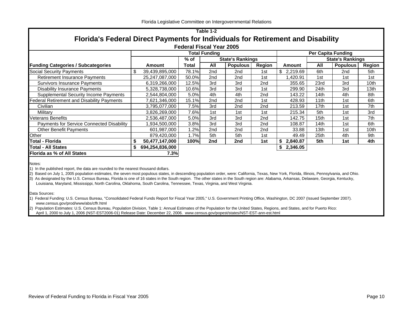|                                                   | Table 1-2                                                                       |                 |                           |                 |                         |               |                |                  |                         |                  |  |
|---------------------------------------------------|---------------------------------------------------------------------------------|-----------------|---------------------------|-----------------|-------------------------|---------------|----------------|------------------|-------------------------|------------------|--|
|                                                   | Florida's Federal Direct Payments for Individuals for Retirement and Disability |                 |                           |                 |                         |               |                |                  |                         |                  |  |
| <b>Federal Fiscal Year 2005</b>                   |                                                                                 |                 |                           |                 |                         |               |                |                  |                         |                  |  |
|                                                   |                                                                                 |                 | <b>Per Capita Funding</b> |                 |                         |               |                |                  |                         |                  |  |
|                                                   |                                                                                 |                 | $%$ of                    |                 | <b>State's Rankings</b> |               |                |                  | <b>State's Rankings</b> |                  |  |
| <b>Funding Categories / Subcategories</b>         |                                                                                 | <b>Amount</b>   | Total                     | All             | <b>Populous</b>         | <b>Region</b> | Amount         | All              | <b>Populous</b>         | Region           |  |
| <b>Social Security Payments</b>                   | \$                                                                              | 39,439,895,000  | 78.1%                     | 2 <sub>nd</sub> | 2nd                     | 1st           | \$2,219.69     | 6th              | 2nd                     | 5th              |  |
| Retirement Insurance Payments                     |                                                                                 | 25,247,087,000  | 50.0%                     | 2 <sub>nd</sub> | 2nd                     | 1st           | ,420.91        | 1st              | 1st                     | 1st              |  |
| <b>Survivors Insurance Payments</b>               |                                                                                 | 6,319,266,000   | 12.5%                     | 3rd             | 3rd                     | 2nd           | 355.65         | 23rd             | 3rd                     | 10th             |  |
| Disability Insurance Payments                     |                                                                                 | 5,328,738,000   | 10.6%                     | 3rd             | 3rd                     | 1st           | 299.90         | 24th             | 3rd                     | 13th             |  |
| Supplemental Security Income Payments             |                                                                                 | 2,544,804,000   | 5.0%                      | 4th             | 4th                     | 2nd           | 143.22         | 14th             | 4th                     | 8th              |  |
| <b>Federal Retirement and Disability Payments</b> |                                                                                 | 7,621,346,000   | 15.1%                     | 2 <sub>nd</sub> | 2nd                     | 1st           | 428.93         | 11th             | 1st                     | 6th              |  |
| Civilian                                          |                                                                                 | 3,795,077,000   | 7.5%                      | 3rd             | 2nd                     | 2nd           | 213.59         | 17th             | 1st                     | 7th              |  |
| Military                                          |                                                                                 | 3,826,269,000   | 7.6%                      | 1st             | 1st                     | 1st           | 215.34         | 5th              | 1st                     | 3rd              |  |
| <b>Veterans Benefits</b>                          |                                                                                 | 2,536,487,000   | 5.0%                      | 3rd             | 3rd                     | 2nd           | 142.75         | 15th             | 1st                     | 7th              |  |
| Payments for Service Connected Disability         |                                                                                 | .934,500,000    | 3.8%                      | 3rd             | 3rd                     | 2nd           | 108.87         | 14 <sub>th</sub> | 1st                     | 6th              |  |
| <b>Other Benefit Payments</b>                     |                                                                                 | 601,987,000     | 1.2%                      | 2 <sub>nd</sub> | 2nd                     | 2nd           | 33.88          | 13 <sub>th</sub> | 1st                     | 10 <sub>th</sub> |  |
| Other                                             |                                                                                 | 879,420,000     | 1.7%                      | 5th             | 5th                     | 1st           | 49.49          | 25th             | 4th                     | 9th              |  |
| <b>Total - Florida</b>                            | \$                                                                              | 50,477,147,000  | 100%                      | 2nd             | 2nd                     | 1st           | 2,840.87       | 5th              | 1st                     | 4th              |  |
| <b>Total - All States</b>                         |                                                                                 | 694,254,836,000 |                           |                 |                         |               | 2,346.05<br>\$ |                  |                         |                  |  |
| Florida as % of All States                        |                                                                                 | 7.3%            |                           |                 |                         |               |                |                  |                         |                  |  |

1) In the published report, the data are rounded to the nearest thousand dollars.

2) Based on July 1, 2005 population estimates, the seven most populous states, in descending population order, were: California, Texas, New York, Florida, Illinois, Pennsylvania, and Ohio.

3) As designated by the U.S. Census Bureau, Florida is one of 16 states in the South region. The other states in the South region are: Alabama, Arkansas, Delaware, Georgia, Kentucky, Louisiana, Maryland, Mississippi, North Carolina, Oklahoma, South Carolina, Tennessee, Texas, Virginia, and West Virginia.

Data Sources:

1) Federal Funding: U.S. Census Bureau, "Consolidated Federal Funds Report for Fiscal Year 2005," U.S. Government Printing Office, Washington, DC 2007 (Issued September 2007). www.census.gov/prod/www/abs/cffr.html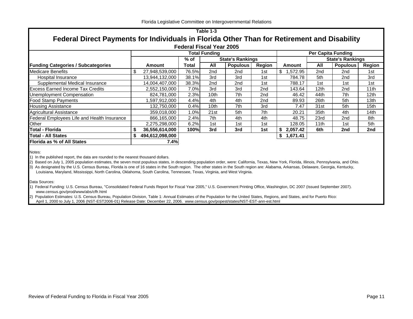|                                             |                                                                                             |                 |         | Table 1-3     |                         |                 |                |                  |                         |                  |  |
|---------------------------------------------|---------------------------------------------------------------------------------------------|-----------------|---------|---------------|-------------------------|-----------------|----------------|------------------|-------------------------|------------------|--|
|                                             | Federal Direct Payments for Individuals in Florida Other Than for Retirement and Disability |                 |         |               |                         |                 |                |                  |                         |                  |  |
| <b>Federal Fiscal Year 2005</b>             |                                                                                             |                 |         |               |                         |                 |                |                  |                         |                  |  |
|                                             |                                                                                             |                 |         | Total Funding |                         |                 |                |                  | Per Capita Funding      |                  |  |
|                                             |                                                                                             |                 | $%$ of  |               | <b>State's Rankings</b> |                 |                |                  | <b>State's Rankings</b> |                  |  |
| <b>Funding Categories / Subcategories</b>   |                                                                                             | Amount          | Total   | All           | <b>Populous</b>         | Region          | Amount         | All              | <b>Populous</b>         | Region           |  |
| Medicare Benefits                           | \$                                                                                          | 27,948,539,000  | 76.5%   | 2nd           | 2nd                     | 1st             | .572.95<br>\$. | 2nd              | 2nd                     | 1st              |  |
| Hospital Insurance                          |                                                                                             | 13,944,132,000  | 38.1%   | 3rd           | 3rd                     | 1st             | 784.78         | 5th              | 2nd                     | 3rd              |  |
| Supplemental Medical Insurance              |                                                                                             | 14,004,407,000  | 38.3%   | 2nd           | 2nd                     | 1st             | 788.17         | 1st              | 1st                     | 1st              |  |
| Excess Earned Income Tax Credits            |                                                                                             | 2,552,150,000   | 7.0%    | 3rd           | 3rd                     | 2 <sub>nd</sub> | 143.64         | 12 <sub>th</sub> | 2 <sub>nd</sub>         | 11th             |  |
| Unemployment Compensation                   |                                                                                             | 824.781.000     | 2.3%    | 10th          | 7th                     | 2 <sub>nd</sub> | 46.42          | 44th             | 7th                     | 12 <sub>th</sub> |  |
| Food Stamp Payments                         |                                                                                             | .597,912,000    | 4.4%    | 4th           | 4th                     | 2 <sub>nd</sub> | 89.93          | 26th             | 5th                     | 13th             |  |
| Housing Assistance                          |                                                                                             | 132,750,000     | 0.4%    | 10th          | 7th                     | 3rd             | 7.47           | 31st             | 5th                     | 15 <sub>th</sub> |  |
| Agricultural Assistance                     |                                                                                             | 359,018,000     | $1.0\%$ | 21st          | 5th                     | 7th             | 20.21          | 35th             | 4th                     | 14th             |  |
| Federal Employees Life and Health Insurance |                                                                                             | 866,165,000     | 2.4%    | 7th           | 4th                     | 4th             | 48.75          | 23rd             | 2nd                     | 8th              |  |
| Other                                       |                                                                                             | 2,275,298,000   | 6.2%    | 1st           | 1st                     | 1st             | 128.05         | 11th             | 1st                     | 5th              |  |
| Total - Florida                             | \$                                                                                          | 36,556,614,000  | 100%    | 3rd           | 3rd                     | 1st             | 2,057.42<br>S. | 6th              | 2nd                     | 2nd              |  |
| Total - All States                          | S                                                                                           | 494,612,098,000 |         |               |                         |                 | 1,671.41<br>\$ |                  |                         |                  |  |
| Florida as % of All States                  |                                                                                             | 7.4%            |         |               |                         |                 |                |                  |                         |                  |  |

1) In the published report, the data are rounded to the nearest thousand dollars.

2) Based on July 1, 2005 population estimates, the seven most populous states, in descending population order, were: California, Texas, New York, Florida, Illinois, Pennsylvania, and Ohio.

3) As designated by the U.S. Census Bureau, Florida is one of 16 states in the South region. The other states in the South region are: Alabama, Arkansas, Delaware, Georgia, Kentucky, Louisiana, Maryland, Mississippi, North Carolina, Oklahoma, South Carolina, Tennessee, Texas, Virginia, and West Virginia.

Data Sources:

1) Federal Funding: U.S. Census Bureau, "Consolidated Federal Funds Report for Fiscal Year 2005," U.S. Government Printing Office, Washington, DC 2007 (Issued September 2007). www.census.gov/prod/www/abs/cffr.html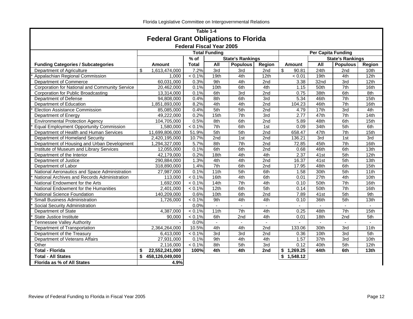| Table 1-4                                      |                       |                    |                                 |                         |                |                |                           |                         |                  |  |
|------------------------------------------------|-----------------------|--------------------|---------------------------------|-------------------------|----------------|----------------|---------------------------|-------------------------|------------------|--|
| <b>Federal Grant Obligations to Florida</b>    |                       |                    |                                 |                         |                |                |                           |                         |                  |  |
|                                                |                       |                    | <b>Federal Fiscal Year 2005</b> |                         |                |                |                           |                         |                  |  |
|                                                |                       |                    | <b>Total Funding</b>            |                         |                |                | <b>Per Capita Funding</b> |                         |                  |  |
|                                                |                       | $\overline{\%}$ of |                                 | <b>State's Rankings</b> |                |                |                           | <b>State's Rankings</b> |                  |  |
| <b>Funding Categories / Subcategories</b>      | <b>Amount</b>         | <b>Total</b>       | All                             | <b>Populous</b>         | Region         | <b>Amount</b>  | All                       | <b>Populous</b>         | Region           |  |
| Department of Agriculture                      | \$<br>1,613,474,000   | 7.2%               | 3rd                             | 3rd                     | 2nd            | \$<br>90.81    | 24th                      | 2nd                     | 10 <sub>th</sub> |  |
| Appalachian Regional Commission                | 1.000                 | $< 0.1\%$          | 19th                            | 4th                     | 12th           | < 0.01         | 19 <sub>th</sub>          | 4th                     | 12th             |  |
| Department of Commerce                         | 60,031,000            | 0.3%               | 9th                             | 4th                     | 2nd            | 3.38           | 32nd                      | 3rd                     | 12th             |  |
| Corporation for National and Community Service | 20,462,000            | 0.1%               | 10th                            | 6th                     | 4th            | 1.15           | 50th                      | 7th                     | 16th             |  |
| Corporation for Public Broadcasting            | 13,314,000            | 0.1%               | 6th                             | 3rd                     | 2nd            | 0.75           | 38th                      | 6th                     | 8th              |  |
| Department of Defense                          | 94,808,000            | 0.4%               | 8th                             | 6th                     | 3rd            | 5.34           | 46th                      | 7th                     | 15th             |  |
| Department of Education                        | 1,851,893,000         | 8.2%               | 4th                             | 4th                     | 2nd            | 104.23         | 46th                      | 7th                     | 16th             |  |
| <b>Election Assistance Commission</b>          | 85,085,000            | 0.4%               | 5th                             | 5th                     | 2nd            | 4.79           | 17th                      | 3rd                     | 4th              |  |
| Department of Energy                           | 49,222,000            | 0.2%               | 15th                            | 7th                     | 3rd            | 2.77           | 47th                      | 7th                     | 14th             |  |
| <b>Environmental Protection Agency</b>         | 104,705,000           | 0.5%               | 8th                             | 6th                     | 2nd            | 5.89           | 48th                      | 6th                     | 15th             |  |
| <b>Equal Employment Opportunity Commission</b> | 1,580,000             | $< 0.1\%$          | 7th                             | 6th                     | 1st            | 0.09           | 34th                      | 5th                     | 6th              |  |
| Department of Health and Human Services        | 11,699,806,000        | 51.9%              | 5th                             | 5th                     | 2nd            | 658.47         | 47th                      | 7th                     | 15th             |  |
| Department of Homeland Security                | 2,420,195,000         | 10.7%              | 2nd                             | $\overline{1}$ st       | 2nd            | 136.21         | 3rd                       | $\overline{1}$ st       | 3rd              |  |
| Department of Housing and Urban Development    | 1,294,327,000         | 5.7%               | 8th                             | 7th                     | 2nd            | 72.85          | 45th                      | 7th                     | 16th             |  |
| Institute of Museum and Library Services       | 12,055,000            | 0.1%               | 6th                             | 6th                     | 2nd            | 0.68           | 46th                      | 6th                     | 13 <sub>th</sub> |  |
| Department of the Interior                     | 42,179,000            | 0.2%               | 18th                            | 4th                     | 4th            | 2.37           | 41st                      | 5th                     | 12th             |  |
| Department of Justice                          | 290,884,000           | 1.3%               | 4th                             | 4th                     | 2nd            | 16.37          | 41st                      | 5th                     | 13 <sub>th</sub> |  |
| Department of Labor                            | 318,890,000           | 1.4%               | 7th                             | 6th                     | 2nd            | 17.95          | 48th                      | 6th                     | 15th             |  |
| National Aeronautics and Space Administration  | 27,987,000            | 0.1%               | 11th                            | 5th                     | 6th            | 1.58           | 30th                      | 5th                     | 11th             |  |
| National Archives and Records Administration   | 113,000               | $< 0.1\%$          | 16th                            | 4th                     | 6th            | 0.01           | 27th                      | 4th                     | 10th             |  |
| National Endowment for the Arts                | 1,692,000             | $< 0.1\%$          | 14th                            | 7th                     | 4th            | 0.10           | 50th                      | 7th                     | 16th             |  |
| National Endowment for the Humanities          | 2,401,000             | $< 0.1\%$          | 12th                            | 6th                     | 5th            | 0.14           | 50th                      | 7th                     | 16th             |  |
| National Science Foundation                    | 140,209,000           | 0.6%               | 10th                            | 6th                     | 2nd            | 7.89           | 41st                      | 5th                     | 9th              |  |
| Small Business Administration                  | 1.726.000             | $< 0.1\%$          | 9th                             | 4th                     | 4th            | 0.10           | 36th                      | 5th                     | 13th             |  |
| Social Security Administration                 |                       | 0.0%               | $\blacksquare$                  | $\blacksquare$          | $\blacksquare$ | $\sim$         | $\blacksquare$            | $\sim$                  | $\blacksquare$   |  |
| Department of State                            | 4,387,000             | $< 0.1\%$          | 11th                            | 7th                     | 4th            | 0.25           | 48th                      | $\overline{7}$ th       | 15 <sub>th</sub> |  |
| State Justice Institute                        | 90,000                | $< 0.1\%$          | 6th                             | 2nd                     | 4th            | 0.01           | 18th                      | 2nd                     | 5th              |  |
| Tennessee Valley Authority                     |                       | 0.0%               | $\blacksquare$                  | $\blacksquare$          | $\sim$         | $\sim$         | $\mathbf{r}$              | $\omega$                | $\mathbf{r}$     |  |
| Department of Transportation                   | 2,364,264,000         | 10.5%              | 4th                             | 4th                     | 2nd            | 133.06         | 30th                      | 3rd                     | 11th             |  |
| Department of the Treasury                     | 6,413,000             | $< 0.1\%$          | 3rd                             | 3rd                     | 2nd            | 0.36           | 10th                      | 3rd                     | 5th              |  |
| Department of Veterans Affairs                 | 27,931,000            | 0.1%               | 9th                             | 4th                     | 4th            | 1.57           | 37th                      | 3rd                     | 10th             |  |
| Other                                          | 2,116,000             | $< 0.1\%$          | 8th                             | 5th                     | 3rd            | 0.12           | 40th                      | 5th                     | 12th             |  |
| <b>Total - Florida</b>                         | \$<br>22,552,241,000  | 100%               | 4th                             | 4th                     | 2nd            | 1,269.25<br>\$ | 44th                      | 6th                     | 13 <sub>th</sub> |  |
| <b>Total - All States</b>                      | \$<br>458,126,049,000 |                    |                                 |                         |                | 1,548.12<br>\$ |                           |                         |                  |  |
| Florida as % of All States                     | 4.9%                  |                    |                                 |                         |                |                |                           |                         |                  |  |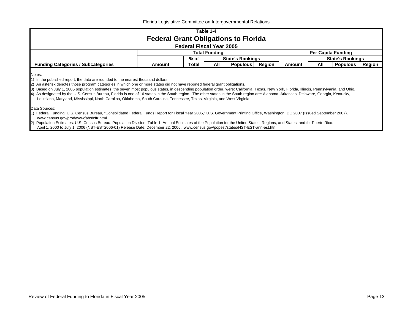| Table 1-4<br><b>Federal Grant Obligations to Florida</b>                                                                                                                                                                    |                                            |       |     |                         |        |        |                         |                 |        |  |  |
|-----------------------------------------------------------------------------------------------------------------------------------------------------------------------------------------------------------------------------|--------------------------------------------|-------|-----|-------------------------|--------|--------|-------------------------|-----------------|--------|--|--|
| <b>Federal Fiscal Year 2005</b>                                                                                                                                                                                             |                                            |       |     |                         |        |        |                         |                 |        |  |  |
|                                                                                                                                                                                                                             | <b>Total Funding</b><br>Per Capita Funding |       |     |                         |        |        |                         |                 |        |  |  |
|                                                                                                                                                                                                                             |                                            | % of  |     | <b>State's Rankings</b> |        |        | <b>State's Rankings</b> |                 |        |  |  |
| <b>Funding Categories / Subcategories</b>                                                                                                                                                                                   | Amount                                     | Total | All | <b>Populous</b>         | Region | Amount | All                     | <b>Populous</b> | Region |  |  |
| Notes:<br>1) In the published report, the data are rounded to the nearest thousand dollars.<br>2) An asterisk denotes those program categories in which one or more states did not have reported federal grant obligations. |                                            |       |     |                         |        |        |                         |                 |        |  |  |

3) Based on July 1, 2005 population estimates, the seven most populous states, in descending population order, were: California, Texas, New York, Florida, Illinois, Pennsylvania, and Ohio.

4) As designated by the U.S. Census Bureau, Florida is one of 16 states in the South region. The other states in the South region are: Alabama, Arkansas, Delaware, Georgia, Kentucky, Louisiana, Maryland, Mississippi, North Carolina, Oklahoma, South Carolina, Tennessee, Texas, Virginia, and West Virginia.

Data Sources:

1) Federal Funding: U.S. Census Bureau, "Consolidated Federal Funds Report for Fiscal Year 2005," U.S. Government Printing Office, Washington, DC 2007 (Issued September 2007). www.census.gov/prod/www/abs/cffr.html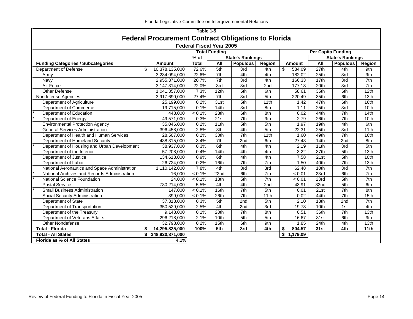| Table 1-5                                                  |                       |              |                         |                   |                           |                          |                  |                   |                   |  |  |
|------------------------------------------------------------|-----------------------|--------------|-------------------------|-------------------|---------------------------|--------------------------|------------------|-------------------|-------------------|--|--|
| <b>Federal Procurement Contract Obligations to Florida</b> |                       |              |                         |                   |                           |                          |                  |                   |                   |  |  |
|                                                            |                       |              |                         |                   |                           |                          |                  |                   |                   |  |  |
| <b>Federal Fiscal Year 2005</b>                            |                       |              |                         |                   |                           |                          |                  |                   |                   |  |  |
|                                                            |                       |              | <b>Total Funding</b>    |                   | <b>Per Capita Funding</b> |                          |                  |                   |                   |  |  |
|                                                            |                       |              | <b>State's Rankings</b> |                   |                           |                          |                  |                   |                   |  |  |
| <b>Funding Categories / Subcategories</b>                  | Amount                | <b>Total</b> | <b>All</b>              | <b>Populous</b>   | Region                    | Amount                   | All              | <b>Populous</b>   | <b>Region</b>     |  |  |
| Department of Defense                                      | \$<br>10,378,135,000  | 72.6%        | 5th                     | 3rd               | 4th                       | $\mathfrak{s}$<br>584.09 | 27th             | 4th               | 9th               |  |  |
| Army                                                       | 3,234,094,000         | 22.6%        | $\overline{7}$ th       | 4th               | 4th                       | 182.02                   | 25th             | 3rd               | 9th               |  |  |
| Navy                                                       | 2,955,371,000         | 20.7%        | 7th                     | 3rd               | 4th                       | 166.33                   | 17th             | 3rd               | $\overline{7}$ th |  |  |
| Air Force                                                  | 3,147,314,000         | 22.0%        | 3rd                     | 3rd               | 2nd                       | 177.13                   | 20th             | 3rd               | 7th               |  |  |
| Other Defense                                              | 1,041,357,000         | 7.3%         | 12th                    | 5th               | 6th                       | 58.61                    | 35th             | 6th               | 12th              |  |  |
| Nondefense Agencies                                        | 3,917,690,000         | 27.4%        | 7th                     | 3rd               | 5th                       | 220.49                   | 35th             | 6th               | 13th              |  |  |
| Department of Agriculture                                  | 25,199,000            | 0.2%         | 31st                    | 5th               | 11th                      | 1.42                     | 47th             | 6th               | 16th              |  |  |
| Department of Commerce                                     | 19,715,000            | 0.1%         | 14th                    | 3rd               | 8th                       | 1.11                     | 25th             | 3rd               | 10th              |  |  |
| Department of Education                                    | 443,000               | $< 0.1\%$    | 28th                    | 6th               | 8th                       | 0.02                     | 44th             | 7th               | 14th              |  |  |
| Department of Energy                                       | 49,571,000            | 0.3%         | 21st                    | 7th               | 9th                       | 2.79                     | 26th             | 7th               | 10th              |  |  |
| <b>Environmental Protection Agency</b>                     | 35,046,000            | 0.2%         | 11th                    | 5th               | 5th                       | 1.97                     | 19th             | 4th               | 6th               |  |  |
| <b>General Services Administration</b>                     | 396,458,000           | 2.8%         | 8th                     | 4th               | 5th                       | 22.31                    | 25th             | 3rd               | 11th              |  |  |
| Department of Health and Human Services                    | 28,507,000            | 0.2%         | 30th                    | 7th               | 11th                      | 1.60                     | 49th             | 7th               | 16th              |  |  |
| Department of Homeland Security                            | 488,315,000           | 3.4%         | 7th                     | 2nd               | 6th                       | 27.48                    | 14th             | 2nd               | 8th               |  |  |
| Department of Housing and Urban Development                | 38,937,000            | 0.3%         | 6th                     | 4th               | 4th                       | 2.19                     | 11th             | 3rd               | 5th               |  |  |
| Department of the Interior                                 | 57,208,000            | 0.4%         | 14th                    | 4th               | 4th                       | 3.22                     | 37th             | 5th               | 13 <sub>th</sub>  |  |  |
| Department of Justice                                      | 134,613,000           | 0.9%         | 6th                     | 4th               | 4th                       | 7.58                     | 21st             | 5th               | 10th              |  |  |
| Department of Labor                                        | 26,724,000            | 0.2%         | 16th                    | 7th               | $\overline{7}$ th         | 1.50                     | 40th             | 7th               | 13th              |  |  |
| National Aeronautics and Space Administration              | 1,110,142,000         | 7.8%         | 4th                     | 3rd               | 3rd                       | 62.48                    | 10th             | 3rd               | 7th               |  |  |
| National Archives and Records Administration               | 16.000                | $< 0.1\%$    | 22 <sub>nd</sub>        | 6th               | $\overline{7}$ th         | < 0.01                   | 23rd             | 6th               | 7th               |  |  |
| <b>National Science Foundation</b>                         | 24,000                | $< 0.1\%$    | 18th                    | 5th               | 7th                       | < 0.01                   | 23rd             | 5th               | $\overline{7}$ th |  |  |
| <b>Postal Service</b>                                      | 780,214,000           | 5.5%         | 4th                     | 4th               | 2nd                       | 43.91                    | 32 <sub>nd</sub> | 5th               | 6th               |  |  |
| <b>Small Business Administration</b>                       | 147.000               | $< 0.1\%$    | 16th                    | 7th               | 5th                       | 0.01                     | 21st             | 7th               | 8th               |  |  |
| Social Security Administration                             | 399.000               | $< 0.1\%$    | 26th                    | 7th               | 11th                      | 0.02                     | 44th             | 7th               | 15th              |  |  |
| Department of State                                        | 37,318,000            | 0.3%         | 5th                     | 2 <sub>nd</sub>   | 5th                       | 2.10                     | 13th             | 2nd               | 7th               |  |  |
| Department of Transportation                               | 350,529,000           | 2.5%         | 4th                     | 2nd               | 3rd                       | 19.73                    | 10th             | 1st               | 4th               |  |  |
| Department of the Treasury                                 | 9,148,000             | 0.1%         | 20th                    | $\overline{7}$ th | 8th                       | 0.51                     | 36th             | $\overline{7}$ th | 13th              |  |  |
| Department of Veterans Affairs                             | 296,218,000           | 2.1%         | 10th                    | 5th               | 5th                       | 16.67                    | 31st             | 6th               | 9th               |  |  |
| Other Nondefense                                           | 32,798,000            | 0.2%         | 15th                    | 6th               | 9th                       | 1.85                     | 24th             | 4th               | 13th              |  |  |
| <b>Total - Florida</b>                                     | 14,295,825,000<br>\$  | 100%         | 5th                     | 3rd               | 4th                       | 804.57<br>\$             | 31st             | 4th               | 11th              |  |  |
| <b>Total - All States</b>                                  | 348,920,871,000<br>\$ |              |                         |                   |                           | \$<br>1,179.09           |                  |                   |                   |  |  |
| Florida as % of All States                                 | 4.1%                  |              |                         |                   |                           |                          |                  |                   |                   |  |  |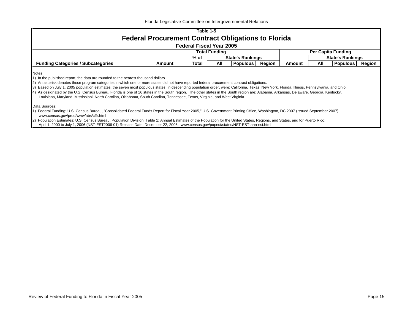| Table 1-5                                                                                                                                                                                                                                                                                                                                                                                                                                                                                                                                                                                                                                                                                                                                                                 |        |       |     |          |        |        |     |          |        |
|---------------------------------------------------------------------------------------------------------------------------------------------------------------------------------------------------------------------------------------------------------------------------------------------------------------------------------------------------------------------------------------------------------------------------------------------------------------------------------------------------------------------------------------------------------------------------------------------------------------------------------------------------------------------------------------------------------------------------------------------------------------------------|--------|-------|-----|----------|--------|--------|-----|----------|--------|
| <b>Federal Procurement Contract Obligations to Florida</b>                                                                                                                                                                                                                                                                                                                                                                                                                                                                                                                                                                                                                                                                                                                |        |       |     |          |        |        |     |          |        |
| <b>Federal Fiscal Year 2005</b>                                                                                                                                                                                                                                                                                                                                                                                                                                                                                                                                                                                                                                                                                                                                           |        |       |     |          |        |        |     |          |        |
| <b>Per Capita Funding</b><br><b>Total Funding</b>                                                                                                                                                                                                                                                                                                                                                                                                                                                                                                                                                                                                                                                                                                                         |        |       |     |          |        |        |     |          |        |
| % of<br><b>State's Rankings</b><br><b>State's Rankings</b>                                                                                                                                                                                                                                                                                                                                                                                                                                                                                                                                                                                                                                                                                                                |        |       |     |          |        |        |     |          |        |
| <b>Funding Categories / Subcategories</b>                                                                                                                                                                                                                                                                                                                                                                                                                                                                                                                                                                                                                                                                                                                                 | Amount | Total | All | Populous | Region | Amount | All | Populous | Region |
| 1) In the published report, the data are rounded to the nearest thousand dollars.<br>2) An asterisk denotes those program categories in which one or more states did not have reported federal procurement contract obligations.<br>3) Based on July 1, 2005 population estimates, the seven most populous states, in descending population order, were: California, Texas, New York, Florida, Illinois, Pennsylvania, and Ohio.<br>4) As designated by the U.S. Census Bureau, Florida is one of 16 states in the South region. The other states in the South region are: Alabama, Arkansas, Delaware, Georgia, Kentucky,<br>Louisiana, Maryland, Mississippi, North Carolina, Oklahoma, South Carolina, Tennessee, Texas, Virginia, and West Virginia.<br>Data Sources: |        |       |     |          |        |        |     |          |        |
| 1) Federal Funding: U.S. Census Bureau, "Consolidated Federal Funds Report for Fiscal Year 2005," U.S. Government Printing Office, Washington, DC 2007 (Issued September 2007).<br>www.census.gov/prod/www/abs/cffr.html                                                                                                                                                                                                                                                                                                                                                                                                                                                                                                                                                  |        |       |     |          |        |        |     |          |        |
| 2) Population Estimates: U.S. Census Bureau, Population Division, Table 1: Annual Estimates of the Population for the United States, Regions, and States, and for Puerto Rico:<br>April 1, 2000 to July 1, 2006 (NST-EST2006-01) Release Date: December 22, 2006. www.census.gov/popest/states/NST-EST-ann-est.html                                                                                                                                                                                                                                                                                                                                                                                                                                                       |        |       |     |          |        |        |     |          |        |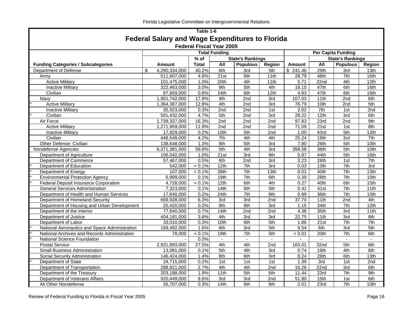| Table 1-6                                              |                     |                  |                                 |                         |            |                           |                         |                   |                   |  |
|--------------------------------------------------------|---------------------|------------------|---------------------------------|-------------------------|------------|---------------------------|-------------------------|-------------------|-------------------|--|
| <b>Federal Salary and Wage Expenditures to Florida</b> |                     |                  |                                 |                         |            |                           |                         |                   |                   |  |
|                                                        |                     |                  | <b>Federal Fiscal Year 2005</b> |                         |            |                           |                         |                   |                   |  |
|                                                        |                     |                  | <b>Total Funding</b>            |                         |            | <b>Per Capita Funding</b> |                         |                   |                   |  |
|                                                        |                     | $\frac{1}{6}$ of |                                 | <b>State's Rankings</b> |            |                           | <b>State's Rankings</b> |                   |                   |  |
| <b>Funding Categories / Subcategories</b>              | <b>Amount</b>       | <b>Total</b>     | All                             | <b>Populous</b>         | Region     | <b>Amount</b>             | All                     | <b>Populous</b>   | Region            |  |
| Department of Defense                                  | \$<br>4,290,334,000 | 40.2%            | 6th                             | 3rd                     | 5th        | $\overline{$}$ 241.46     | 29th                    | 3rd               | 13th              |  |
| Army                                                   | 511,607,000         | 4.8%             | 21st                            | 6th                     | 11th       | 28.79                     | 48th                    | 7th               | 16th              |  |
| <b>Active Military</b>                                 | 101,475,000         | 1.0%             | 20th                            | 4th                     | 11th       | 5.71                      | 22n <sub>d</sub>        | 4th               | 12th              |  |
| <b>Inactive Military</b>                               | 322,463,000         | 3.0%             | 9th                             | 5th                     | 4th        | 18.15                     | 47th                    | 6th               | 16th              |  |
| Civilian                                               | 87,669,000          | 0.8%             | 24th                            | 6th                     | 12th       | 4.93                      | 47th                    | 6th               | 16th              |  |
| Navy                                                   | 1,901,742,000       | 17.8%            | 4th                             | 2nd                     | 3rd        | 107.03                    | 11th                    | 2nd               | 6th               |  |
| <b>Active Military</b>                                 | 1,364,387,000       | 12.8%            | 4th                             | 2nd                     | 3rd        | 76.79                     | 10th                    | 2nd               | 5th               |  |
| <b>Inactive Military</b>                               | 35,923,000          | 0.3%             | 2nd                             | 2nd                     | 1st        | 2.02                      | 7th                     | 1st               | 2nd               |  |
| Civilian                                               | 501,432,000         | 4.7%             | 5th                             | 2nd                     | 3rd        | 28.22                     | 12th                    | 3rd               | 6th               |  |
| Air Force                                              | 1,738,337,000       | 16.3%            | 2nd                             | 2nd                     | 2nd        | 97.83                     | 23rd                    | 2nd               | 9th               |  |
| <b>Active Military</b>                                 | 1,271,959,000       | 11.9%            | 2nd                             | 2nd                     | 2nd        | 71.59                     | 21st                    | $\overline{1}$ st | 8th               |  |
| <b>Inactive Military</b>                               | 17,829,000          | 0.2%             | 10th                            | 5th                     | 2nd        | 1.00                      | 43rd                    | 5th               | 12th              |  |
| Civilian                                               | 448,549,000         | 4.2%             | 7th                             | 4th                     | 4th        | 25.24                     | 19th                    | 3rd               | 7th               |  |
| Other Defense: Civilian                                | 138,648,000         | 1.3%             | 8th                             | 5th                     | 3rd        | 7.80                      | 26th                    | 5th               | 10th              |  |
| Nondefense Agencies                                    | 6,371,381,000       | 59.8%            | 5th                             | 4th                     | 3rd        | 358.58                    | 36th                    | 5th               | 10th              |  |
| Department of Agriculture                              | 106,042,000         | 1.0%             | 21st                            | 3rd                     | 9th        | 5.97                      | 44th                    | 5th               | 16th              |  |
| Department of Commerce                                 | 57,467,000          | 0.5%             | 6th                             | 2nd                     | 3rd        | 3.23                      | 26th                    | 1st               | 7th               |  |
| Department of Education                                | 542,000             | $< 0.1\%$        | 12th                            | 7th                     | 3rd        | 0.03                      | 13 <sub>th</sub>        | 7th               | 3rd               |  |
| Department of Energy                                   | 107,000             | $< 0.1\%$        | 39th                            | 7th                     | 13th       | 0.01                      | 40th                    | 7th               | 13th              |  |
| <b>Environmental Protection Agency</b>                 | 6,999,000           | 0.1%             | 19th                            | $\overline{7}$ th       | 6th        | 0.39                      | 28th                    | $\overline{7}$ th | 10th              |  |
| Federal Deposit Insurance Corporation                  | 4,728,000           | $< 0.1\%$        | 12th                            | 6th                     | 4th        | 0.27                      | 40th                    | 6th               | 15th              |  |
| General Services Administration                        | 7,323,000           | 0.1%             | 14th                            | 6th                     | 5th        | 0.41                      | 41st                    | 7th               | 11th              |  |
| Department of Health and Human Services                | 17,640,000          | 0.2%             | 24th                            | 7th                     | 8th        | 0.99                      | 36th                    | 7th               | 10th              |  |
| Department of Homeland Security                        | 669,928,000         | 6.3%             | 3rd                             | 3rd                     | 2nd        | 37.70                     | 11th                    | 2nd               | 4th               |  |
| Department of Housing and Urban Development            | 20,420,000          | 0.2%             | 8th                             | 6th                     | 3rd        | 1.15                      | 34th                    | 7th               | 12th              |  |
| Department of the Interior                             | 77,840,000          | 0.7%             | 14th                            | 2nd                     | 2nd        | 4.38                      | 35th                    | 3rd               | 11th              |  |
| Department of Justice                                  | 404,181,000         | 3.8%             | 4th                             | 3rd                     | 3rd        | 22.75                     | 11th                    | 3rd               | 8th               |  |
| Department of Labor                                    | 33,010,000          | 0.3%             | 10th                            | 6th                     | 5th        | 1.86                      | 21st                    | 7th               | $\overline{7}$ th |  |
| National Aeronautics and Space Administration          | 169,492,000         | 1.6%             | 6th                             | 3rd                     | 5th        | 9.54                      | 6th                     | 3rd               | 5th               |  |
| National Archives and Records Administration           | 78,000              | $< 0.1\%$        | 19th                            | 7th                     | 5th        | < 0.01                    | 20th                    | 7th               | 6th               |  |
| National Science Foundation                            |                     | 0.0%             | $\mathcal{L}_{\mathcal{A}}$     | $\mathbf{r}$            | $\omega$ . | $\sim$                    | $\mathbf{r}$            | $\mathbf{r}$      | $\mathbf{r}$      |  |
| <b>Postal Service</b>                                  | 2,931,893,000       | 27.5%            | 4th                             | 4th                     | 2nd        | 165.01                    | 32nd                    | 5th               | 6th               |  |
| <b>Small Business Administration</b>                   | 13,081,000          | 0.1%             | 5th                             | 4th                     | 3rd        | 0.74                      | 19th                    | 4th               | 6th               |  |
| Social Security Administration                         | 146,424,000         | 1.4%             | 8th                             | 6th                     | 3rd        | 8.24                      | 28th                    | 6th               | 13 <sub>th</sub>  |  |
| Department of State                                    | 24,715,000          | 0.2%             | 1st                             | 1st                     | 1st        | 1.39                      | 3rd                     | 1st               | 2nd               |  |
| Department of Transportation                           | 288,921,000         | 2.7%             | 4th                             | 4th                     | 2nd        | 16.26                     | 22n <sub>d</sub>        | 3rd               | 6th               |  |
| Department of the Treasury                             | 203,188,000         | 1.9%             | 11th                            | 5th                     | 6th        | 11.44                     | 23rd                    | 7th               | 9th               |  |
| Department of Veterans Affairs                         | 920,449,000         | 8.6%             | 3rd                             | 3rd                     | 2nd        | 51.80                     | 15th                    | 1st               | 6th               |  |
| All Other Nondefense                                   | 35,707,000          | 0.3%             | 14th                            | 6th                     | 8th        | 2.01                      | 23rd                    | 7th               | 10th              |  |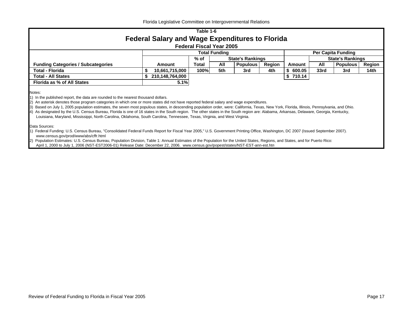| Table 1-6                                                                                                                                                                                    |                                                                                                                                         |                 |       |     |                         |               |          |      |                         |               |
|----------------------------------------------------------------------------------------------------------------------------------------------------------------------------------------------|-----------------------------------------------------------------------------------------------------------------------------------------|-----------------|-------|-----|-------------------------|---------------|----------|------|-------------------------|---------------|
| <b>Federal Salary and Wage Expenditures to Florida</b>                                                                                                                                       |                                                                                                                                         |                 |       |     |                         |               |          |      |                         |               |
|                                                                                                                                                                                              |                                                                                                                                         |                 |       |     |                         |               |          |      |                         |               |
| <b>Federal Fiscal Year 2005</b>                                                                                                                                                              |                                                                                                                                         |                 |       |     |                         |               |          |      |                         |               |
| <b>Total Funding</b><br>Per Capita Funding                                                                                                                                                   |                                                                                                                                         |                 |       |     |                         |               |          |      |                         |               |
|                                                                                                                                                                                              |                                                                                                                                         |                 | % of  |     | <b>State's Rankings</b> |               |          |      | <b>State's Rankings</b> |               |
| <b>Funding Categories / Subcategories</b>                                                                                                                                                    |                                                                                                                                         | Amount          | Total | All | <b>Populous</b>         | <b>Region</b> | Amount   | All  | <b>Populous</b>         | <b>Region</b> |
| Total - Florida                                                                                                                                                                              |                                                                                                                                         | 10,661,715,000  | 100%  | 5th | 3rd                     | 4th           | 600.05   | 33rd | 3rd                     | 14th          |
| <b>Total - All States</b>                                                                                                                                                                    |                                                                                                                                         | 210,148,764,000 |       |     |                         |               | \$710.14 |      |                         |               |
| Florida as % of All States                                                                                                                                                                   |                                                                                                                                         | 5.1%            |       |     |                         |               |          |      |                         |               |
|                                                                                                                                                                                              |                                                                                                                                         |                 |       |     |                         |               |          |      |                         |               |
| Notes:                                                                                                                                                                                       |                                                                                                                                         |                 |       |     |                         |               |          |      |                         |               |
|                                                                                                                                                                                              | 1) In the published report, the data are rounded to the nearest thousand dollars.                                                       |                 |       |     |                         |               |          |      |                         |               |
|                                                                                                                                                                                              | 2) An asterisk denotes those program categories in which one or more states did not have reported federal salary and wage expenditures. |                 |       |     |                         |               |          |      |                         |               |
| 3) Based on July 1, 2005 population estimates, the seven most populous states, in descending population order, were: California, Texas, New York, Florida, Illinois, Pennsylvania, and Ohio. |                                                                                                                                         |                 |       |     |                         |               |          |      |                         |               |

4) As designated by the U.S. Census Bureau, Florida is one of 16 states in the South region. The other states in the South region are: Alabama, Arkansas, Delaware, Georgia, Kentucky,

Louisiana, Maryland, Mississippi, North Carolina, Oklahoma, South Carolina, Tennessee, Texas, Virginia, and West Virginia.

Data Sources:

1) Federal Funding: U.S. Census Bureau, "Consolidated Federal Funds Report for Fiscal Year 2005," U.S. Government Printing Office, Washington, DC 2007 (Issued September 2007). www.census.gov/prod/www/abs/cffr.html

2) Population Estimates: U.S. Census Bureau, Population Division, Table 1: Annual Estimates of the Population for the United States, Regions, and States, and for Puerto Rico:

April 1, 2000 to July 1, 2006 (NST-EST2006-01) Release Date: December 22, 2006. www.census.gov/popest/states/NST-EST-ann-est.htm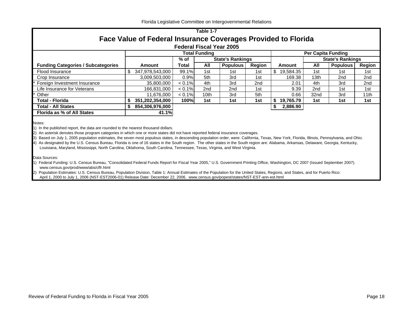| Table 1-7                                                     |                      |           |      |                         |        |           |                  |                         |                 |  |  |  |
|---------------------------------------------------------------|----------------------|-----------|------|-------------------------|--------|-----------|------------------|-------------------------|-----------------|--|--|--|
| Face Value of Federal Insurance Coverages Provided to Florida |                      |           |      |                         |        |           |                  |                         |                 |  |  |  |
| <b>Federal Fiscal Year 2005</b>                               |                      |           |      |                         |        |           |                  |                         |                 |  |  |  |
| <b>Per Capita Funding</b><br><b>Total Funding</b>             |                      |           |      |                         |        |           |                  |                         |                 |  |  |  |
|                                                               |                      | $%$ of    |      | <b>State's Rankings</b> |        |           |                  | <b>State's Rankings</b> |                 |  |  |  |
| <b>Funding Categories / Subcategories</b>                     | Amount               | Total     | All  | <b>Populous</b>         | Region | Amount    | All              | <b>Populous</b>         | Region          |  |  |  |
| Flood Insurance                                               | 347,978,543,000      | 99.1%     | 1st  | 1st                     | 1st    | 19,584.35 | 1st              | 1st                     | 1st             |  |  |  |
| Crop Insurance                                                | 3.009.503.000        | 0.9%      | 5th  | 3rd                     | 1st    | 169.38    | 13 <sub>th</sub> | 2nd                     | 2 <sub>nd</sub> |  |  |  |
| Foreign Investment Insurance                                  | 35,800,000           | $< 0.1\%$ | 4th  | 3rd                     | 2nd    | 2.01      | 4th              | 3rd                     | 2nd             |  |  |  |
| Life Insurance for Veterans                                   | 166,831,000          | $< 0.1\%$ | 2nd  | 2nd                     | 1st    | 9.39      | 2nd              | 1st                     | 1st             |  |  |  |
| Other                                                         | 11.676.000           | $< 0.1\%$ | 10th | 3rd                     | 5th    | 0.66      | 32nd             | 3rd                     | 11th            |  |  |  |
| <b>Total - Florida</b>                                        | 351,202,354,000<br>ъ | 100%      | 1st  | 1st                     | 1st    | 19,765.79 | 1st              | 1st                     | 1st             |  |  |  |
| <b>Total - All States</b>                                     | 854,306,976,000<br>S |           |      |                         |        | 2,886.90  |                  |                         |                 |  |  |  |
| Florida as % of All States                                    | 41.1%                |           |      |                         |        |           |                  |                         |                 |  |  |  |

1) In the published report, the data are rounded to the nearest thousand dollars.

2) An asterisk denotes those program categories in which one or more states did not have reported federal insurance coverages.

3) Based on July 1, 2005 population estimates, the seven most populous states, in descending population order, were: California, Texas, New York, Florida, Illinois, Pennsylvania, and Ohio.

4) As designated by the U.S. Census Bureau, Florida is one of 16 states in the South region. The other states in the South region are: Alabama, Arkansas, Delaware, Georgia, Kentucky, Louisiana, Maryland, Mississippi, North Carolina, Oklahoma, South Carolina, Tennessee, Texas, Virginia, and West Virginia.

Data Sources:

1) Federal Funding: U.S. Census Bureau, "Consolidated Federal Funds Report for Fiscal Year 2005," U.S. Government Printing Office, Washington, DC 2007 (Issued September 2007). www.census.gov/prod/www/abs/cffr.html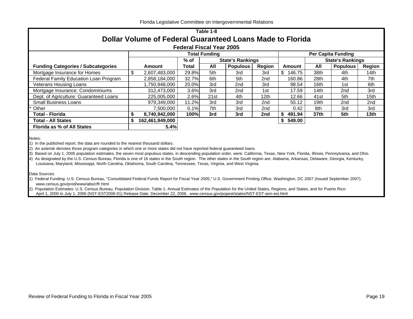| Table 1-8                                                 |  |                 |        |                      |                         |                  |               |                  |                           |                  |
|-----------------------------------------------------------|--|-----------------|--------|----------------------|-------------------------|------------------|---------------|------------------|---------------------------|------------------|
| Dollar Volume of Federal Guaranteed Loans Made to Florida |  |                 |        |                      |                         |                  |               |                  |                           |                  |
| <b>Federal Fiscal Year 2005</b>                           |  |                 |        |                      |                         |                  |               |                  |                           |                  |
|                                                           |  |                 |        | <b>Total Funding</b> |                         |                  |               |                  | <b>Per Capita Funding</b> |                  |
|                                                           |  |                 | $%$ of |                      | <b>State's Rankings</b> |                  |               |                  | <b>State's Rankings</b>   |                  |
| <b>Funding Categories / Subcategories</b>                 |  | Amount          | Total  | All                  | <b>Populous</b>         | Region           | Amount        | All              | <b>Populous</b>           | Region           |
| Mortgage Insurance for Homes                              |  | 2,607,483,000   | 29.8%  | 5th                  | 3rd                     | 3rd              | \$<br>146.75  | 38th             | 4th                       | 14th             |
| Federal Family Education Loan Program                     |  | 2,858,184,000   | 32.7%  | 6th                  | 5th                     | 2nd              | 160.86        | 28th             | 4th                       | 7th              |
| <b>Veterans Housing Loans</b>                             |  | ,750,948,000    | 20.0%  | 3rd                  | 2nd                     | 3rd              | 98.54         | 16th             | 1st                       | 6th              |
| Mortgage Insurance: Condominiums                          |  | 312,473,000     | 3.6%   | 3rd                  | 2nd                     | 1st              | 17.59         | 14th             | 2nd                       | 3rd              |
| Dept. of Agriculture: Guaranteed Loans                    |  | 225,005,000     | 2.6%   | 21st                 | 4th                     | 12 <sub>th</sub> | 12.66         | 41st             | 5th                       | 15 <sub>th</sub> |
| <b>Small Business Loans</b>                               |  | 979.349.000     | 11.2%  | 3rd                  | 3rd                     | 2nd              | 55.12         | 19 <sub>th</sub> | 2nd                       | 2 <sub>nd</sub>  |
| Other                                                     |  | 7.500.000       | 0.1%   | 7th                  | 3rd                     | 2 <sub>nd</sub>  | 0.42          | 8th              | 3rd                       | 3rd              |
| <b>Total - Florida</b>                                    |  | 8,740,942,000   | 100%   | 3rd                  | 3rd                     | 2nd              | \$.<br>491.94 | 37th             | 5th                       | 13 <sub>th</sub> |
| <b>Total - All States</b>                                 |  | 162,461,949,000 |        |                      |                         |                  | 549.00<br>\$  |                  |                           |                  |
| Florida as % of All States                                |  | 5.4%            |        |                      |                         |                  |               |                  |                           |                  |

1) In the published report, the data are rounded to the nearest thousand dollars.

2) An asterisk denotes those program categories in which one or more states did not have reported federal guaranteed loans.

3) Based on July 1, 2005 population estimates, the seven most populous states, in descending population order, were: California, Texas, New York, Florida, Illinois, Pennsylvania, and Ohio.

4) As designated by the U.S. Census Bureau, Florida is one of 16 states in the South region. The other states in the South region are: Alabama, Arkansas, Delaware, Georgia, Kentucky, Louisiana, Maryland, Mississippi, North Carolina, Oklahoma, South Carolina, Tennessee, Texas, Virginia, and West Virginia.

Data Sources:

1) Federal Funding: U.S. Census Bureau, "Consolidated Federal Funds Report for Fiscal Year 2005," U.S. Government Printing Office, Washington, DC 2007 (Issued September 2007). www.census.gov/prod/www/abs/cffr.html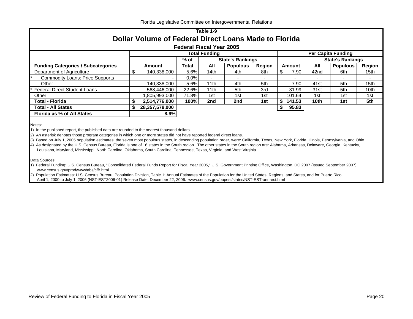| Table 1-9<br>Dollar Volume of Federal Direct Loans Made to Florida |    |                |         |                      |                          |        |        |                  |                           |                         |  |  |
|--------------------------------------------------------------------|----|----------------|---------|----------------------|--------------------------|--------|--------|------------------|---------------------------|-------------------------|--|--|
| <b>Federal Fiscal Year 2005</b>                                    |    |                |         |                      |                          |        |        |                  |                           |                         |  |  |
|                                                                    |    |                |         | <b>Total Funding</b> |                          |        |        |                  | <b>Per Capita Funding</b> |                         |  |  |
|                                                                    |    |                | $%$ of  |                      | <b>State's Rankings</b>  |        |        |                  |                           | <b>State's Rankings</b> |  |  |
| <b>Funding Categories / Subcategories</b>                          |    | Amount         | Total   | All                  | <b>Populous</b>          | Region | Amount | All              | <b>Populous</b>           | Region                  |  |  |
| Department of Agriculture                                          | \$ | 140.338.000    | 5.6%    | 14th                 | 4th                      | 8th    | 7.90   | 42nd             | 6th                       | 15th                    |  |  |
| <b>Commodity Loans: Price Supports</b>                             |    | $\sim$         | $0.0\%$ | $\blacksquare$       | $\overline{\phantom{a}}$ |        |        |                  |                           |                         |  |  |
| Other                                                              |    | 140,338,000    | 5.6%    | 11th                 | 4th                      | 5th    | 7.90   | 41 <sub>st</sub> | 5th                       | 15th                    |  |  |
| <b>Federal Direct Student Loans</b>                                |    | 568,446,000    | 22.6%   | 11th                 | 5th                      | 3rd    | 31.99  | 31st             | 5th                       | 10th                    |  |  |
| Other                                                              |    | 1.805.993.000  | 71.8%   | 1st                  | 1st                      | 1st    | 101.64 | 1st              | 1st                       | 1st                     |  |  |
| <b>Total - Florida</b>                                             |    | 2.514.776.000  | 100%    | 2nd                  | 2nd                      | 1st    | 141.53 | 10th             | 1st                       | 5th                     |  |  |
| <b>Total - All States</b>                                          |    | 28,357,578,000 |         |                      |                          |        | 95.83  |                  |                           |                         |  |  |
| Florida as % of All States                                         |    | 8.9%           |         |                      |                          |        |        |                  |                           |                         |  |  |

1) In the published report, the published data are rounded to the nearest thousand dollars.

2) An asterisk denotes those program categories in which one or more states did not have reported federal direct loans.

3) Based on July 1, 2005 population estimates, the seven most populous states, in descending population order, were: California, Texas, New York, Florida, Illinois, Pennsylvania, and Ohio.

4) As designated by the U.S. Census Bureau, Florida is one of 16 states in the South region. The other states in the South region are: Alabama, Arkansas, Delaware, Georgia, Kentucky, Louisiana, Maryland, Mississippi, North Carolina, Oklahoma, South Carolina, Tennessee, Texas, Virginia, and West Virginia.

Data Sources:

1) Federal Funding: U.S. Census Bureau, "Consolidated Federal Funds Report for Fiscal Year 2005," U.S. Government Printing Office, Washington, DC 2007 (Issued September 2007). www.census.gov/prod/www/abs/cffr.html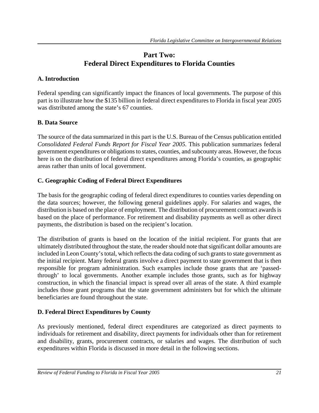# **Part Two: Federal Direct Expenditures to Florida Counties**

# **A. Introduction**

Federal spending can significantly impact the finances of local governments. The purpose of this part is to illustrate how the \$135 billion in federal direct expenditures to Florida in fiscal year 2005 was distributed among the state's 67 counties.

# **B. Data Source**

The source of the data summarized in this part is the U.S. Bureau of the Census publication entitled *Consolidated Federal Funds Report for Fiscal Year 2005*. This publication summarizes federal government expenditures or obligations to states, counties, and subcounty areas. However, the focus here is on the distribution of federal direct expenditures among Florida's counties, as geographic areas rather than units of local government.

# **C. Geographic Coding of Federal Direct Expenditures**

The basis for the geographic coding of federal direct expenditures to counties varies depending on the data sources; however, the following general guidelines apply. For salaries and wages, the distribution is based on the place of employment. The distribution of procurement contract awards is based on the place of performance. For retirement and disability payments as well as other direct payments, the distribution is based on the recipient's location.

The distribution of grants is based on the location of the initial recipient. For grants that are ultimately distributed throughout the state, the reader should note that significant dollar amounts are included in Leon County's total, which reflects the data coding of such grants to state government as the initial recipient. Many federal grants involve a direct payment to state government that is then responsible for program administration. Such examples include those grants that are 'passedthrough' to local governments. Another example includes those grants, such as for highway construction, in which the financial impact is spread over all areas of the state. A third example includes those grant programs that the state government administers but for which the ultimate beneficiaries are found throughout the state.

# **D. Federal Direct Expenditures by County**

As previously mentioned, federal direct expenditures are categorized as direct payments to individuals for retirement and disability, direct payments for individuals other than for retirement and disability, grants, procurement contracts, or salaries and wages. The distribution of such expenditures within Florida is discussed in more detail in the following sections.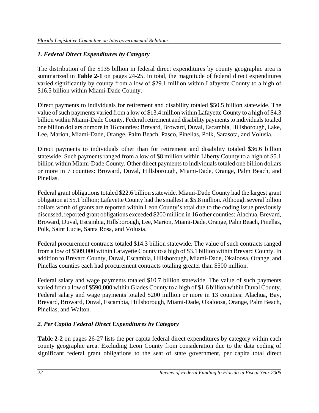# *1. Federal Direct Expenditures by Category*

The distribution of the \$135 billion in federal direct expenditures by county geographic area is summarized in **Table 2-1** on pages 24-25. In total, the magnitude of federal direct expenditures varied significantly by county from a low of \$29.1 million within Lafayette County to a high of \$16.5 billion within Miami-Dade County.

Direct payments to individuals for retirement and disability totaled \$50.5 billion statewide. The value of such payments varied from a low of \$13.4 million within Lafayette County to a high of \$4.3 billion within Miami-Dade County. Federal retirement and disability payments to individuals totaled one billion dollars or more in 16 counties: Brevard, Broward, Duval, Escambia, Hillsborough, Lake, Lee, Marion, Miami-Dade, Orange, Palm Beach, Pasco, Pinellas, Polk, Sarasota, and Volusia.

Direct payments to individuals other than for retirement and disability totaled \$36.6 billion statewide. Such payments ranged from a low of \$8 million within Liberty County to a high of \$5.1 billion within Miami-Dade County. Other direct payments to individuals totaled one billion dollars or more in 7 counties: Broward, Duval, Hillsborough, Miami-Dade, Orange, Palm Beach, and Pinellas.

Federal grant obligations totaled \$22.6 billion statewide. Miami-Dade County had the largest grant obligation at \$5.1 billion; Lafayette County had the smallest at \$5.8 million. Although several billion dollars worth of grants are reported within Leon County's total due to the coding issue previously discussed, reported grant obligations exceeded \$200 million in 16 other counties: Alachua, Brevard, Broward, Duval, Escambia, Hillsborough, Lee, Marion, Miami-Dade, Orange, Palm Beach, Pinellas, Polk, Saint Lucie, Santa Rosa, and Volusia.

Federal procurement contracts totaled \$14.3 billion statewide. The value of such contracts ranged from a low of \$309,000 within Lafayette County to a high of \$3.1 billion within Brevard County. In addition to Brevard County, Duval, Escambia, Hillsborough, Miami-Dade, Okaloosa, Orange, and Pinellas counties each had procurement contracts totaling greater than \$500 million.

Federal salary and wage payments totaled \$10.7 billion statewide. The value of such payments varied from a low of \$590,000 within Glades County to a high of \$1.6 billion within Duval County. Federal salary and wage payments totaled \$200 million or more in 13 counties: Alachua, Bay, Brevard, Broward, Duval, Escambia, Hillsborough, Miami-Dade, Okaloosa, Orange, Palm Beach, Pinellas, and Walton.

# *2. Per Capita Federal Direct Expenditures by Category*

**Table 2-2** on pages 26-27 lists the per capita federal direct expenditures by category within each county geographic area. Excluding Leon County from consideration due to the data coding of significant federal grant obligations to the seat of state government, per capita total direct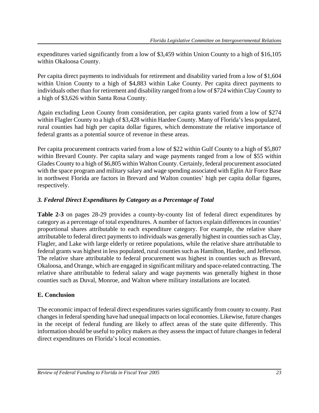expenditures varied significantly from a low of \$3,459 within Union County to a high of \$16,105 within Okaloosa County.

Per capita direct payments to individuals for retirement and disability varied from a low of \$1,604 within Union County to a high of \$4,883 within Lake County. Per capita direct payments to individuals other than for retirement and disability ranged from a low of \$724 within Clay County to a high of \$3,626 within Santa Rosa County.

Again excluding Leon County from consideration, per capita grants varied from a low of \$274 within Flagler County to a high of \$3,428 within Hardee County. Many of Florida's less populated, rural counties had high per capita dollar figures, which demonstrate the relative importance of federal grants as a potential source of revenue in these areas.

Per capita procurement contracts varied from a low of \$22 within Gulf County to a high of \$5,807 within Brevard County. Per capita salary and wage payments ranged from a low of \$55 within Glades County to a high of \$6,805 within Walton County. Certainly, federal procurement associated with the space program and military salary and wage spending associated with Eglin Air Force Base in northwest Florida are factors in Brevard and Walton counties' high per capita dollar figures, respectively.

# *3. Federal Direct Expenditures by Category as a Percentage of Total*

**Table 2-3** on pages 28-29 provides a county-by-county list of federal direct expenditures by category as a percentage of total expenditures. A number of factors explain differences in counties' proportional shares attributable to each expenditure category. For example, the relative share attributable to federal direct payments to individuals was generally highest in counties such as Clay, Flagler, and Lake with large elderly or retiree populations, while the relative share attributable to federal grants was highest in less populated, rural counties such as Hamilton, Hardee, and Jefferson. The relative share attributable to federal procurement was highest in counties such as Brevard, Okaloosa, and Orange, which are engaged in significant military and space-related contracting. The relative share attributable to federal salary and wage payments was generally highest in those counties such as Duval, Monroe, and Walton where military installations are located.

# **E. Conclusion**

The economic impact of federal direct expenditures varies significantly from county to county. Past changes in federal spending have had unequal impacts on local economies. Likewise, future changes in the receipt of federal funding are likely to affect areas of the state quite differently. This information should be useful to policy makers as they assess the impact of future changes in federal direct expenditures on Florida's local economies.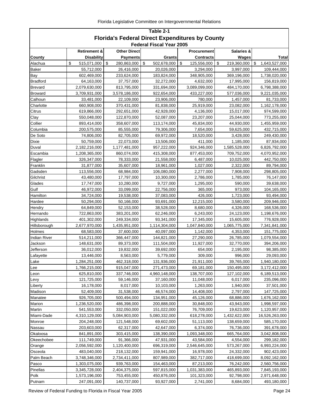| Table 2-1           |                              |                            |                                 |                                                        |                          |                                |  |  |  |  |
|---------------------|------------------------------|----------------------------|---------------------------------|--------------------------------------------------------|--------------------------|--------------------------------|--|--|--|--|
|                     |                              |                            | <b>Federal Fiscal Year 2005</b> | <b>Florida's Federal Direct Expenditures by County</b> |                          |                                |  |  |  |  |
|                     | <b>Retirement &amp;</b>      | <b>Other Direct</b>        |                                 | Procurement                                            | Salaries &               |                                |  |  |  |  |
| <b>County</b>       | <b>Disability</b>            | <b>Payments</b>            | Grants                          | <b>Contracts</b>                                       | <b>Wages</b>             | Total                          |  |  |  |  |
| Alachua             | \$<br>515,071,000            | \$<br>280,863,000          | \$<br>502,678,000               | \$<br>125,556,000                                      | \$<br>219,360,000        | 1,643,527,000<br>\$            |  |  |  |  |
| Baker               | 55,712,000                   | 26,416,000                 | 20,026,000                      | 3,294,000                                              | 3,997,000                | 109,444,000                    |  |  |  |  |
| Bay                 | 602,469,000                  | 233,624,000                | 183,824,000                     | 348,905,000                                            | 369,196,000              | 1,738,020,000                  |  |  |  |  |
| <b>Bradford</b>     | 64,163,000                   | 37,757,000                 | 32,272,000                      | 4,632,000                                              | 17,995,000               | 156,819,000                    |  |  |  |  |
| <b>Brevard</b>      | 2,079,630,000                | 813,795,000                | 331,694,000                     | 3,089,099,000                                          | 484,170,000              | 6,798,388,000                  |  |  |  |  |
| <b>Broward</b>      | 3,709,931,000                | 3,578,186,000              | 922,654,000                     | 433,227,000                                            | 577,036,000              | 9,221,035,000                  |  |  |  |  |
| Calhoun             | 33,481,000                   | 22,109,000                 | 23,906,000                      | 780,000                                                | 1,457,000                | 81,733,000                     |  |  |  |  |
| Charlotte           | 660,908,000                  | 370,431,000                | 81,838,000                      | 25,919,000                                             | 23,082,000               | 1,162,178,000                  |  |  |  |  |
| Citrus              | 619,866,000                  | 292,651,000                | 42,928,000                      | 4,136,000                                              | 15,017,000               | 974,599,000                    |  |  |  |  |
| Clay                | 550,048,000                  | 122,870,000                | 52,087,000                      | 23,207,000                                             | 25,044,000               | 773,255,000                    |  |  |  |  |
| Collier             | 893,414,000                  | 358,607,000                | 113,174,000                     | 45,834,000                                             | 44,930,000               | 1,455,959,000                  |  |  |  |  |
| Columbia            | 200,575,000                  | 85,555,000                 | 79,306,000                      | 7,654,000                                              | 59,625,000               | 432,715,000                    |  |  |  |  |
| De Soto             | 74,806,000                   | 82,705,000                 | 69,972,000                      | 18,520,000                                             | 3,428,000                | 249,430,000                    |  |  |  |  |
| Dixie               | 50,759,000                   | 22,073,000                 | 13,506,000                      | 411,000                                                | 1,185,000                | 87,934,000                     |  |  |  |  |
| Duval               | 2,182,216,000                | 1,177,481,000              | 957,222,000                     | 924,346,000                                            | 1,585,528,000            | 6,826,792,000                  |  |  |  |  |
| Escambia            | 1,208,365,000                | 860,074,000                | 415,308,000                     | 877,453,000                                            | 709,752,000              | 4,070,952,000                  |  |  |  |  |
| Flagler             | 326,347,000                  | 78,333,000                 | 21,558,000                      | 6,487,000                                              | 10,025,000               | 442,750,000                    |  |  |  |  |
| Franklin            | 31,877,000                   | 35,607,000                 | 18,961,000                      | 1,027,000                                              | 2,322,000                | 89,794,000                     |  |  |  |  |
| Gadsden             | 113,556,000                  | 68,984,000                 | 106,080,000                     | 2,277,000                                              | 7,908,000                | 298,805,000                    |  |  |  |  |
| Gilchrist           | 43,480,000                   | 17,797,000                 | 10,300,000                      | 2,786,000                                              | 1,785,000                | 76,147,000                     |  |  |  |  |
| Glades              | 17,747,000                   | 10,280,000                 | 9,727,000                       | 1,295,000                                              | 590,000                  | 39,638,000                     |  |  |  |  |
| Gulf                | 46,972,000                   | 33,099,000                 | 22,756,000                      | 365,000                                                | 973,000                  | 104,165,000                    |  |  |  |  |
| Hamilton            | 34,724,000                   | 19,538,000                 | 37,083,000                      | 426,000                                                | 1,723,000                | 93,494,000                     |  |  |  |  |
| Hardee              | 50,294,000                   | 50,166,000                 | 93,691,000                      | 12,215,000                                             | 3,580,000                | 209,946,000                    |  |  |  |  |
| Hendry              | 64,849,000                   | 52,153,000                 | 38,528,000                      | 8,680,000                                              | 4,326,000                | 168,536,000                    |  |  |  |  |
| Hernando            | 722,863,000                  | 383,201,000                | 62,246,000                      | 6,243,000                                              | 24,123,000               | 1,198,676,000                  |  |  |  |  |
| Highlands           | 401,302,000                  | 249,334,000                | 93,341,000                      | 17,345,000                                             | 15,605,000               | 776,928,000                    |  |  |  |  |
| Hillsborough        | 2,677,970,000                | 1,435,951,000              | 1,114,304,000                   | 1,047,840,000                                          | 1,065,775,000            | 7,341,841,000                  |  |  |  |  |
| Holmes              | 68,583,000                   | 37,600,000                 | 40,097,000                      | 1,142,000                                              | 4,353,000                | 151,775,000                    |  |  |  |  |
| <b>Indian River</b> | 514,211,000                  | 366,447,000                | 144,821,000                     | 27,290,000                                             | 26,785,000               | 1,079,554,000                  |  |  |  |  |
| Jackson             | 148,631,000                  | 89,373,000                 | 111,504,000                     | 11,927,000                                             | 32,770,000               | 394,206,000                    |  |  |  |  |
| Jefferson           | 36,012,000                   | 19,832,000                 | 39,692,000                      | 654,000                                                | 2,195,000                | 98,385,000                     |  |  |  |  |
| Lafayette           | 13,446,000                   | 8,563,000                  | 5,779,000                       | 309,000                                                | 996,000                  | 29,093,000                     |  |  |  |  |
| Lake                | 1,284,251,000                | 462,318,000                | 131,936,000                     | 21,911,000                                             | 39,765,000               | 1,940,180,000                  |  |  |  |  |
| Lee                 | 1,766,215,000                | 915,047,000                | 271,473,000                     | 69,181,000                                             | 150,495,000              | 3,172,412,000                  |  |  |  |  |
| Leon                | 625,810,000                  | 337,746,000                | 4,960,148,000                   | 138,707,000                                            | 127,102,000              | 6,189,513,000                  |  |  |  |  |
| Levy                | 121,725,000                  | 59,146,000                 | 37,160,000                      | 11,048,000                                             | 6,017,000                | 235,096,000                    |  |  |  |  |
| Liberty             | 16,178,000                   | 8,017,000                  | 10,103,000                      | 1,263,000                                              | 1,940,000                | 37,501,000                     |  |  |  |  |
| Madison             | 52,409,000<br>926,705,000    | 31,538,000                 | 46,574,000                      | 14,408,000                                             | 2,797,000                | 147,725,000                    |  |  |  |  |
| Manatee             |                              | 500,494,000<br>486,398,000 | 134,951,000                     | 45,126,000                                             | 68,886,000               | 1,676,162,000                  |  |  |  |  |
| Marion<br>Martin    | 1,236,520,000<br>541,553,000 | 332,050,000                | 200,888,000<br>151,022,000      | 30,848,000<br>76,709,000                               | 43,943,000<br>19,623,000 | 1,998,597,000<br>1,120,957,000 |  |  |  |  |
| Miami-Dade          | 4,310,129,000                | 5,084,903,000              | 5,080,332,000                   | 618,278,000                                            | 1,432,622,000            | 16,526,263,000                 |  |  |  |  |
| Monroe              | 204,248,000                  | 121,548,000                | 69,602,000                      | 51,113,000                                             | 138,659,000              | 585,170,000                    |  |  |  |  |
| Nassau              | 203,603,000                  | 62,317,000                 | 42,647,000                      | 6,374,000                                              | 76,736,000               | 391,678,000                    |  |  |  |  |
| Okaloosa            | 841,891,000                  | 303,415,000                | 138,390,000                     | 1,093,348,000                                          | 665,764,000              | 3,042,808,000                  |  |  |  |  |
| Okeechobee          | 111,749,000                  | 91,366,000                 | 47,931,000                      | 43,584,000                                             | 4,554,000                | 299,182,000                    |  |  |  |  |
| Orange              | 2,056,592,000                | 1,120,400,000              | 696,319,000                     | 2,546,645,000                                          | 573,267,000              | 6,993,224,000                  |  |  |  |  |
| Osceola             | 483,040,000                  | 218,132,000                | 159,941,000                     | 16,978,000                                             | 24,332,000               | 902,423,000                    |  |  |  |  |
| Palm Beach          | 3,748,346,000                | 2,734,411,000              | 807,989,000                     | 382,717,000                                            | 418,699,000              | 8,092,162,000                  |  |  |  |  |
| Pasco               | 1,303,075,000                | 939,763,000                | 154,463,000                     | 87,213,000                                             | 76,242,000               | 2,560,756,000                  |  |  |  |  |
| Pinellas            | 3,345,728,000                | 2,404,375,000              | 597,815,000                     | 1,031,383,000                                          | 465,893,000              | 7,845,193,000                  |  |  |  |  |
| Polk                | 1,573,196,000                | 753,455,000                | 450,876,000                     | 101,323,000                                            | 92,798,000               | 2,971,648,000                  |  |  |  |  |
| Putnam              | 247,091,000                  | 140,737,000                | 93,927,000                      | 2,741,000                                              | 8,684,000                | 493,180,000                    |  |  |  |  |

Review of Federal Funding to Florida in Fiscal Year 2005 **Page 24** Page 24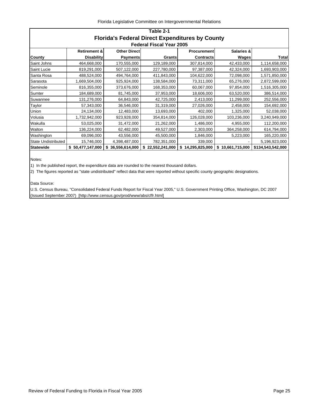|                                 |                                                        |                      | Table 2-1        |                      |                  |                   |  |  |  |  |  |
|---------------------------------|--------------------------------------------------------|----------------------|------------------|----------------------|------------------|-------------------|--|--|--|--|--|
|                                 | <b>Florida's Federal Direct Expenditures by County</b> |                      |                  |                      |                  |                   |  |  |  |  |  |
| <b>Federal Fiscal Year 2005</b> |                                                        |                      |                  |                      |                  |                   |  |  |  |  |  |
|                                 | <b>Retirement &amp;</b>                                | <b>Other Direct</b>  |                  | Procurement          | Salaries &       |                   |  |  |  |  |  |
| <b>County</b>                   | <b>Disability</b>                                      | <b>Payments</b>      | Grants           | <b>Contracts</b>     | Wages            | Total             |  |  |  |  |  |
| Saint Johns                     | 464,668,000                                            | 170,555,000          | 129,189,000      | 307,814,000          | 42,433,000       | 1,114,658,000     |  |  |  |  |  |
| Saint Lucie                     | 819,291,000                                            | 507,122,000          | 227,780,000      | 97,387,000           | 42,324,000       | 1,693,903,000     |  |  |  |  |  |
| Santa Rosa                      | 488,524,000                                            | 494,764,000          | 411,843,000      | 104,622,000          | 72,098,000       | 1,571,850,000     |  |  |  |  |  |
| Sarasota                        | 1,669,504,000                                          | 925,924,000          | 138,584,000      | 73,311,000           | 65,276,000       | 2,872,599,000     |  |  |  |  |  |
| Seminole                        | 816,355,000                                            | 373,676,000          | 168,353,000      | 60,067,000           | 97,854,000       | 1,516,305,000     |  |  |  |  |  |
| Sumter                          | 184,689,000                                            | 81,745,000           | 37,953,000       | 18,606,000           | 63,520,000       | 386,514,000       |  |  |  |  |  |
| Suwannee                        | 131,276,000                                            | 64,843,000           | 42,725,000       | 2,413,000            | 11,299,000       | 252,556,000       |  |  |  |  |  |
| Taylor                          | 57,343,000                                             | 36,546,000           | 31,319,000       | 27,026,000           | 2,458,000        | 154,692,000       |  |  |  |  |  |
| Union                           | 24,134,000                                             | 12,483,000           | 13,693,000       | 402,000              | 1,325,000        | 52,038,000        |  |  |  |  |  |
| Volusia                         | 1,732,942,000                                          | 923,928,000          | 354,814,000      | 126,028,000          | 103,236,000      | 3,240,949,000     |  |  |  |  |  |
| Wakulla                         | 53,025,000                                             | 31,472,000           | 21,262,000       | 1,486,000            | 4,955,000        | 112,200,000       |  |  |  |  |  |
| Walton                          | 136,224,000                                            | 62,482,000           | 49,527,000       | 2,303,000            | 364,258,000      | 614,794,000       |  |  |  |  |  |
| Washington                      | 69,096,000                                             | 43,556,000           | 45,500,000       | 1,846,000            | 5,223,000        | 165,220,000       |  |  |  |  |  |
| <b>State Undistributed</b>      | 15,746,000                                             | 4,398,487,000        | 782,351,000      | 339,000              |                  | 5,196,923,000     |  |  |  |  |  |
| Statewide                       | 50,477,147,000<br>\$                                   | \$<br>36,556,614,000 | \$22,552,241,000 | 14,295,825,000<br>\$ | \$10,661,715,000 | \$134,543,542,000 |  |  |  |  |  |

Notes:

1) In the published report, the expenditure data are rounded to the nearest thousand dollars.

2) The figures reported as "state undistributed" reflect data that were reported without specific county geographic designations.

Data Source:

U.S. Census Bureau, "Consolidated Federal Funds Report for Fiscal Year 2005," U.S. Government Printing Office, Washington, DC 2007 (Issued September 2007) [http://www.census.gov/prod/www/abs/cffr.html]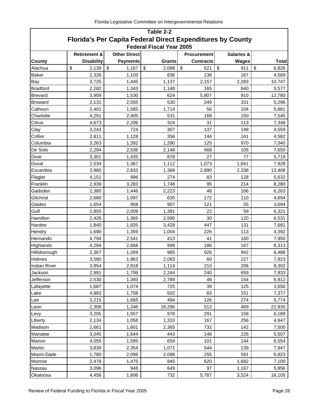|                                                                   | Table 2-2               |                                  |                                 |                    |                                |              |  |  |  |  |  |  |
|-------------------------------------------------------------------|-------------------------|----------------------------------|---------------------------------|--------------------|--------------------------------|--------------|--|--|--|--|--|--|
| <b>Florida's Per Capita Federal Direct Expenditures by County</b> |                         |                                  |                                 |                    |                                |              |  |  |  |  |  |  |
|                                                                   |                         |                                  | <b>Federal Fiscal Year 2005</b> |                    |                                |              |  |  |  |  |  |  |
|                                                                   | <b>Retirement &amp;</b> | <b>Other Direct</b>              |                                 | <b>Procurement</b> | Salaries &                     |              |  |  |  |  |  |  |
| <b>County</b>                                                     | <b>Disability</b>       | <b>Payments</b>                  | <b>Grants</b>                   | <b>Contracts</b>   | <b>Wages</b>                   | <b>Total</b> |  |  |  |  |  |  |
| Alachua                                                           | \$<br>2,139             | $\sqrt[6]{\frac{1}{2}}$<br>1,167 | \$<br>2,088                     | \$<br>521          | $\sqrt[6]{\frac{1}{2}}$<br>911 | \$<br>6,826  |  |  |  |  |  |  |
| <b>Baker</b>                                                      | 2,326                   | 1,103                            | 836                             | 138                | 167                            | 4,569        |  |  |  |  |  |  |
| Bay                                                               | 3,725                   | 1,445                            | 1,137                           | 2,157              | 2,283                          | 10,747       |  |  |  |  |  |  |
| <b>Bradford</b>                                                   | 2,282                   | 1,343                            | 1,148                           | 165                | 640                            | 5,577        |  |  |  |  |  |  |
| <b>Brevard</b>                                                    | 3,909                   | 1,530                            | 624                             | 5,807              | 910                            | 12,780       |  |  |  |  |  |  |
| <b>Broward</b>                                                    | 2,131                   | 2,055                            | 530                             | 249                | 331                            | 5,296        |  |  |  |  |  |  |
| Calhoun                                                           | 2,401                   | 1,585                            | 1,714                           | 56                 | 104                            | 5,861        |  |  |  |  |  |  |
| Charlotte                                                         | 4,291                   | 2,405                            | 531                             | 168                | 150                            | 7,545        |  |  |  |  |  |  |
| Citrus                                                            | 4,673                   | 2,206                            | 324                             | 31                 | 113                            | 7,348        |  |  |  |  |  |  |
| Clay                                                              | 3,243                   | 724                              | 307                             | 137                | 148                            | 4,559        |  |  |  |  |  |  |
| Collier                                                           | 2,811                   | 1,128                            | 356                             | 144                | 141                            | 4,582        |  |  |  |  |  |  |
| Columbia                                                          | 3,263                   | 1,392                            | 1,290                           | 125                | 970                            | 7,040        |  |  |  |  |  |  |
| De Soto                                                           | 2,294                   | 2,536                            | 2,146                           | 568                | 105                            | 7,650        |  |  |  |  |  |  |
| <b>Dixie</b>                                                      | 3,301                   | 1,435                            | 878                             | 27                 | 77                             | 5,719        |  |  |  |  |  |  |
| Duval                                                             | 2,534                   | 1,367                            | 1,112                           | 1,073              | 1,841                          | 7,928        |  |  |  |  |  |  |
| Escambia                                                          | 3,980                   | 2,833                            | 1,368                           | 2,890              | 2,338                          | 13,408       |  |  |  |  |  |  |
| Flagler                                                           | 4,151                   | 996                              | 274                             | 83                 | 128                            | 5,632        |  |  |  |  |  |  |
| Franklin                                                          | 2,939                   | 3,283                            | 1,748                           | 95                 | 214                            | 8,280        |  |  |  |  |  |  |
| Gadsden                                                           | 2,380                   | 1,446                            | 2,223                           | 48                 | 166                            | 6,263        |  |  |  |  |  |  |
| Gilchrist                                                         | 2,680                   | 1,097                            | 635                             | 172                | 110                            | 4,694        |  |  |  |  |  |  |
| Glades                                                            | 1,654                   | 958                              | 907                             | 121                | 55                             | 3,694        |  |  |  |  |  |  |
| Gulf                                                              | 2,850                   | 2,009                            | 1,381                           | 22                 | 59                             | 6,321        |  |  |  |  |  |  |
| Hamilton                                                          | 2,426                   | 1,365                            | 2,590                           | 30                 | 120                            | 6,531        |  |  |  |  |  |  |
| Hardee                                                            | 1,840                   | 1,835                            | 3,428                           | 447                | 131                            | 7,681        |  |  |  |  |  |  |
| Hendry                                                            | 1,690                   | 1,359                            | 1,004                           | 226                | 113                            | 4,392        |  |  |  |  |  |  |
| Hernando                                                          | 4,794                   | 2,541                            | 413                             | 41                 | 160                            | 7,950        |  |  |  |  |  |  |
| Highlands                                                         | 4,294                   | 2,668                            | 999                             | 186                | 167                            | 8,313        |  |  |  |  |  |  |
| Hillsborough                                                      | 2,367                   | 1,269                            | 985                             | 926                | 942                            | 6,488        |  |  |  |  |  |  |
| Holmes                                                            | 3,580                   | 1,963                            | 2,093                           | 60                 | 227                            | 7,923        |  |  |  |  |  |  |
| <b>Indian River</b>                                               | 3,954                   | 2,818                            | 1,114                           | 210                | 206                            | 8,302        |  |  |  |  |  |  |
| Jackson                                                           | 2,991                   | 1,799                            | 2,244                           | 240                | 659                            | 7,933        |  |  |  |  |  |  |
| Jefferson                                                         | 2,530                   | 1,393                            | 2,789                           | 46                 | 154                            | 6,912        |  |  |  |  |  |  |
| Lafayette                                                         | 1,687                   | 1,074                            | 725                             | 39                 | 125                            | 3,650        |  |  |  |  |  |  |
| Lake                                                              | 4,883                   | 1,758                            | 502                             | 83                 | 151                            | 7,377        |  |  |  |  |  |  |
| Lee                                                               | 3,215                   | 1,665                            | 494                             | 126                | 274                            | 5,774        |  |  |  |  |  |  |
| Leon                                                              | 2,308                   | 1,246                            | 18,296                          | 512                | 469                            | 22,830       |  |  |  |  |  |  |
| Levy                                                              | 3,205                   | 1,557                            | 978                             | 291                | 158                            | 6,189        |  |  |  |  |  |  |
| Liberty                                                           | 2,134                   | 1,058                            | 1,333                           | 167                | 256                            | 4,947        |  |  |  |  |  |  |
| Madison                                                           | 2,661                   | 1,601                            | 2,365                           | 732                | 142                            | 7,500        |  |  |  |  |  |  |
| Manatee                                                           | 3,045                   | 1,644                            | 443                             | 148                | 226                            | 5,507        |  |  |  |  |  |  |
| Marion                                                            | 4,055                   | 1,595                            | 659                             | 101                | 144                            | 6,554        |  |  |  |  |  |  |
| Martin                                                            | 3,839                   | 2,354                            | 1,071                           | 544                | 139                            | 7,947        |  |  |  |  |  |  |
| Miami-Dade                                                        | 1,780                   | 2,099                            | 2,098                           | 255                | 591                            | 6,823        |  |  |  |  |  |  |
| Monroe                                                            | 2,478                   | 1,475                            | 845                             | 620                | 1,682                          | 7,100        |  |  |  |  |  |  |
| Nassau                                                            | 3,096                   | 948                              | 649                             | 97                 | 1,167                          | 5,956        |  |  |  |  |  |  |
| Okaloosa                                                          | 4,456                   | 1,606                            | 732                             | 5,787              | 3,524                          | 16,105       |  |  |  |  |  |  |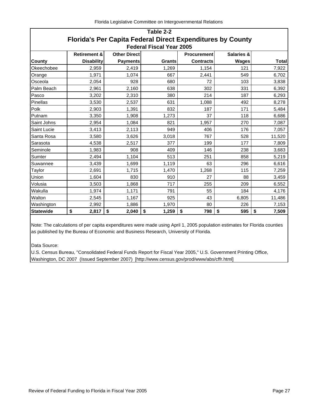|                  | $\overline{\mathsf{T}}$ able 2-2                                  |                     |                                 |                    |              |              |  |  |  |  |  |  |
|------------------|-------------------------------------------------------------------|---------------------|---------------------------------|--------------------|--------------|--------------|--|--|--|--|--|--|
|                  | <b>Florida's Per Capita Federal Direct Expenditures by County</b> |                     |                                 |                    |              |              |  |  |  |  |  |  |
|                  |                                                                   |                     | <b>Federal Fiscal Year 2005</b> |                    |              |              |  |  |  |  |  |  |
|                  | <b>Retirement &amp;</b>                                           | <b>Other Direct</b> |                                 | <b>Procurement</b> | Salaries &   |              |  |  |  |  |  |  |
| <b>County</b>    | <b>Disability</b>                                                 | <b>Payments</b>     | <b>Grants</b>                   | <b>Contracts</b>   | <b>Wages</b> | <b>Total</b> |  |  |  |  |  |  |
| Okeechobee       | 2,959                                                             | 2,419               | 1.269                           | 1,154              | 121          | 7,922        |  |  |  |  |  |  |
| Orange           | 1,971                                                             | 1,074               | 667                             | 2,441              | 549          | 6,702        |  |  |  |  |  |  |
| Osceola          | 2,054                                                             | 928                 | 680                             | 72                 | 103          | 3,838        |  |  |  |  |  |  |
| Palm Beach       | 2,961                                                             | 2,160               | 638                             | 302                | 331          | 6,392        |  |  |  |  |  |  |
| Pasco            | 3,202                                                             | 2,310               | 380                             | 214                | 187          | 6,293        |  |  |  |  |  |  |
| Pinellas         | 3,530                                                             | 2,537               | 631                             | 1,088              | 492          | 8,278        |  |  |  |  |  |  |
| Polk             | 2,903                                                             | 1,391               | 832                             | 187                | 171          | 5,484        |  |  |  |  |  |  |
| Putnam           | 3,350                                                             | 1,908               | 1,273                           | 37                 | 118          | 6,686        |  |  |  |  |  |  |
| Saint Johns      | 2,954                                                             | 1,084               | 821                             | 1,957              | 270          | 7,087        |  |  |  |  |  |  |
| Saint Lucie      | 3,413                                                             | 2.113               | 949                             | 406                | 176          | 7,057        |  |  |  |  |  |  |
| Santa Rosa       | 3,580                                                             | 3,626               | 3,018                           | 767                | 528          | 11,520       |  |  |  |  |  |  |
| Sarasota         | 4,538                                                             | 2,517               | 377                             | 199                | 177          | 7,809        |  |  |  |  |  |  |
| Seminole         | 1,983                                                             | 908                 | 409                             | 146                | 238          | 3,683        |  |  |  |  |  |  |
| Sumter           | 2,494                                                             | 1,104               | 513                             | 251                | 858          | 5,219        |  |  |  |  |  |  |
| Suwannee         | 3,439                                                             | 1,699               | 1,119                           | 63                 | 296          | 6,616        |  |  |  |  |  |  |
| Taylor           | 2,691                                                             | 1,715               | 1,470                           | 1,268              | 115          | 7,259        |  |  |  |  |  |  |
| Union            | 1,604                                                             | 830                 | 910                             | 27                 | 88           | 3,459        |  |  |  |  |  |  |
| Volusia          | 3,503                                                             | 1,868               | 717                             | 255                | 209          | 6,552        |  |  |  |  |  |  |
| Wakulla          | 1,974                                                             | 1,171               | 791                             | 55                 | 184          | 4,176        |  |  |  |  |  |  |
| Walton           | 2,545                                                             | 1,167               | 925                             | 43                 | 6,805        | 11,486       |  |  |  |  |  |  |
| Washington       | 2,992                                                             | 1,886               | 1,970                           | 80                 | 226          | 7,153        |  |  |  |  |  |  |
| <b>Statewide</b> | \$<br>2,817                                                       | \$<br>2,040         | \$<br>1,259                     | \$<br>798          | \$<br>595    | \$<br>7,509  |  |  |  |  |  |  |

Note: The calculations of per capita expenditures were made using April 1, 2005 population estimates for Florida counties as published by the Bureau of Economic and Business Research, University of Florida.

Data Source:

U.S. Census Bureau, "Consolidated Federal Funds Report for Fiscal Year 2005," U.S. Government Printing Office, Washington, DC 2007 (Issued September 2007) [http://www.census.gov/prod/www/abs/cffr.html]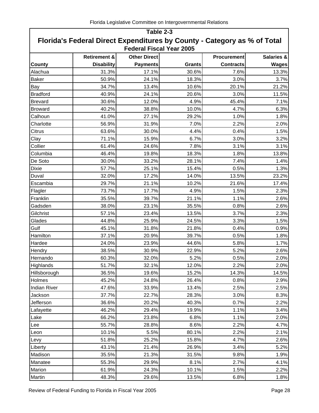|                     | Florida's Federal Direct Expenditures by County - Category as % of Total | Table 2-3                       |               |                    |              |
|---------------------|--------------------------------------------------------------------------|---------------------------------|---------------|--------------------|--------------|
|                     |                                                                          | <b>Federal Fiscal Year 2005</b> |               |                    |              |
|                     | <b>Retirement &amp;</b>                                                  | <b>Other Direct</b>             |               | <b>Procurement</b> | Salaries &   |
| <b>County</b>       | <b>Disability</b>                                                        | <b>Payments</b>                 | <b>Grants</b> | <b>Contracts</b>   | <b>Wages</b> |
| Alachua             | 31.3%                                                                    | 17.1%                           | 30.6%         | 7.6%               | 13.3%        |
| <b>Baker</b>        | 50.9%                                                                    | 24.1%                           | 18.3%         | 3.0%               | 3.7%         |
| Bay                 | 34.7%                                                                    | 13.4%                           | 10.6%         | 20.1%              | 21.2%        |
| <b>Bradford</b>     | 40.9%                                                                    | 24.1%                           | 20.6%         | 3.0%               | 11.5%        |
| <b>Brevard</b>      | 30.6%                                                                    | 12.0%                           | 4.9%          | 45.4%              | 7.1%         |
| <b>Broward</b>      | 40.2%                                                                    | 38.8%                           | 10.0%         | 4.7%               | 6.3%         |
| Calhoun             | 41.0%                                                                    | 27.1%                           | 29.2%         | 1.0%               | 1.8%         |
| Charlotte           | 56.9%                                                                    | 31.9%                           | 7.0%          | 2.2%               | 2.0%         |
| Citrus              | 63.6%                                                                    | 30.0%                           | 4.4%          | 0.4%               | 1.5%         |
| Clay                | 71.1%                                                                    | 15.9%                           | 6.7%          | 3.0%               | 3.2%         |
| Collier             | 61.4%                                                                    | 24.6%                           | 7.8%          | 3.1%               | 3.1%         |
| Columbia            | 46.4%                                                                    | 19.8%                           | 18.3%         | 1.8%               | 13.8%        |
| De Soto             | 30.0%                                                                    | 33.2%                           | 28.1%         | 7.4%               | 1.4%         |
| <b>Dixie</b>        | 57.7%                                                                    | 25.1%                           | 15.4%         | 0.5%               | 1.3%         |
| Duval               | 32.0%                                                                    | 17.2%                           | 14.0%         | 13.5%              | 23.2%        |
| Escambia            | 29.7%                                                                    | 21.1%                           | 10.2%         | 21.6%              | 17.4%        |
| Flagler             | 73.7%                                                                    | 17.7%                           | 4.9%          | 1.5%               | 2.3%         |
| Franklin            | 35.5%                                                                    | 39.7%                           | 21.1%         | 1.1%               | 2.6%         |
| Gadsden             | 38.0%                                                                    | 23.1%                           | 35.5%         | 0.8%               | 2.6%         |
| Gilchrist           | 57.1%                                                                    | 23.4%                           | 13.5%         | 3.7%               | 2.3%         |
| Glades              | 44.8%                                                                    | 25.9%                           | 24.5%         | 3.3%               | 1.5%         |
| Gulf                | 45.1%                                                                    | 31.8%                           | 21.8%         | 0.4%               | 0.9%         |
| Hamilton            | 37.1%                                                                    | 20.9%                           | 39.7%         | 0.5%               | 1.8%         |
| Hardee              | 24.0%                                                                    | 23.9%                           | 44.6%         | 5.8%               | 1.7%         |
| Hendry              | 38.5%                                                                    | 30.9%                           | 22.9%         | 5.2%               | 2.6%         |
| Hernando            | 60.3%                                                                    | 32.0%                           | 5.2%          | 0.5%               | 2.0%         |
| Highlands           | 51.7%                                                                    | 32.1%                           | 12.0%         | 2.2%               | 2.0%         |
| Hillsborough        | 36.5%                                                                    | 19.6%                           | 15.2%         | 14.3%              | 14.5%        |
| Holmes              | 45.2%                                                                    | 24.8%                           | 26.4%         | 0.8%               | 2.9%         |
| <b>Indian River</b> | 47.6%                                                                    | 33.9%                           | 13.4%         | 2.5%               | 2.5%         |
| Jackson             | 37.7%                                                                    | 22.7%                           | 28.3%         | 3.0%               | 8.3%         |
| Jefferson           | 36.6%                                                                    | 20.2%                           | 40.3%         | 0.7%               | 2.2%         |
| Lafayette           | 46.2%                                                                    | 29.4%                           | 19.9%         | 1.1%               | 3.4%         |
| Lake                | 66.2%                                                                    | 23.8%                           | 6.8%          | 1.1%               | 2.0%         |
| Lee                 | 55.7%                                                                    | 28.8%                           | 8.6%          | 2.2%               | 4.7%         |
| Leon                | 10.1%                                                                    | 5.5%                            | 80.1%         | 2.2%               | 2.1%         |
| Levy                | 51.8%                                                                    | 25.2%                           | 15.8%         | 4.7%               | 2.6%         |
| Liberty             | 43.1%                                                                    | 21.4%                           | 26.9%         | 3.4%               | 5.2%         |
| Madison             | 35.5%                                                                    | 21.3%                           | 31.5%         | 9.8%               | 1.9%         |
| Manatee             | 55.3%                                                                    | 29.9%                           | 8.1%          | 2.7%               | 4.1%         |
| Marion              | 61.9%                                                                    | 24.3%                           | 10.1%         | 1.5%               | 2.2%         |
| Martin              | 48.3%                                                                    | 29.6%                           | 13.5%         | 6.8%               | 1.8%         |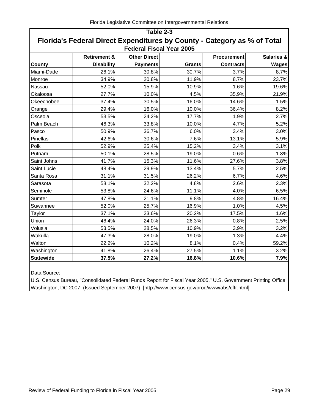|                  | Table 2-3                                                                |                                 |               |                    |              |  |  |  |  |  |  |  |
|------------------|--------------------------------------------------------------------------|---------------------------------|---------------|--------------------|--------------|--|--|--|--|--|--|--|
|                  | Florida's Federal Direct Expenditures by County - Category as % of Total |                                 |               |                    |              |  |  |  |  |  |  |  |
|                  |                                                                          | <b>Federal Fiscal Year 2005</b> |               |                    |              |  |  |  |  |  |  |  |
|                  | <b>Retirement &amp;</b>                                                  | <b>Other Direct</b>             |               | <b>Procurement</b> | Salaries &   |  |  |  |  |  |  |  |
| <b>County</b>    | <b>Disability</b>                                                        | <b>Payments</b>                 | <b>Grants</b> | <b>Contracts</b>   | <b>Wages</b> |  |  |  |  |  |  |  |
| Miami-Dade       | 26.1%                                                                    | 30.8%                           | 30.7%         | 3.7%               | 8.7%         |  |  |  |  |  |  |  |
| Monroe           | 34.9%                                                                    | 20.8%                           | 11.9%         | 8.7%               | 23.7%        |  |  |  |  |  |  |  |
| Nassau           | 52.0%                                                                    | 15.9%                           | 10.9%         | 1.6%               | 19.6%        |  |  |  |  |  |  |  |
| Okaloosa         | 27.7%                                                                    | 10.0%                           | 4.5%          | 35.9%              | 21.9%        |  |  |  |  |  |  |  |
| Okeechobee       | 37.4%                                                                    | 30.5%                           | 16.0%         | 14.6%              | 1.5%         |  |  |  |  |  |  |  |
| Orange           | 29.4%                                                                    | 16.0%                           | 10.0%         | 36.4%              | 8.2%         |  |  |  |  |  |  |  |
| Osceola          | 53.5%                                                                    | 24.2%                           | 17.7%         | 1.9%               | 2.7%         |  |  |  |  |  |  |  |
| Palm Beach       | 46.3%                                                                    | 33.8%                           | 10.0%         | 4.7%               | 5.2%         |  |  |  |  |  |  |  |
| Pasco            | 50.9%                                                                    | 36.7%                           | 6.0%          | 3.4%               | 3.0%         |  |  |  |  |  |  |  |
| Pinellas         | 42.6%                                                                    | 30.6%                           | 7.6%          | 13.1%              | 5.9%         |  |  |  |  |  |  |  |
| Polk             | 52.9%                                                                    | 25.4%                           | 15.2%         | 3.4%               | 3.1%         |  |  |  |  |  |  |  |
| Putnam           | 50.1%                                                                    | 28.5%                           | 19.0%         | 0.6%               | 1.8%         |  |  |  |  |  |  |  |
| Saint Johns      | 41.7%                                                                    | 15.3%                           | 11.6%         | 27.6%              | 3.8%         |  |  |  |  |  |  |  |
| Saint Lucie      | 48.4%                                                                    | 29.9%                           | 13.4%         | 5.7%               | 2.5%         |  |  |  |  |  |  |  |
| Santa Rosa       | 31.1%                                                                    | 31.5%                           | 26.2%         | 6.7%               | 4.6%         |  |  |  |  |  |  |  |
| Sarasota         | 58.1%                                                                    | 32.2%                           | 4.8%          | 2.6%               | 2.3%         |  |  |  |  |  |  |  |
| Seminole         | 53.8%                                                                    | 24.6%                           | 11.1%         | 4.0%               | 6.5%         |  |  |  |  |  |  |  |
| Sumter           | 47.8%                                                                    | 21.1%                           | 9.8%          | 4.8%               | 16.4%        |  |  |  |  |  |  |  |
| Suwannee         | 52.0%                                                                    | 25.7%                           | 16.9%         | 1.0%               | 4.5%         |  |  |  |  |  |  |  |
| Taylor           | 37.1%                                                                    | 23.6%                           | 20.2%         | 17.5%              | 1.6%         |  |  |  |  |  |  |  |
| Union            | 46.4%                                                                    | 24.0%                           | 26.3%         | 0.8%               | 2.5%         |  |  |  |  |  |  |  |
| Volusia          | 53.5%                                                                    | 28.5%                           | 10.9%         | 3.9%               | 3.2%         |  |  |  |  |  |  |  |
| Wakulla          | 47.3%                                                                    | 28.0%                           | 19.0%         | 1.3%               | 4.4%         |  |  |  |  |  |  |  |
| Walton           | 22.2%                                                                    | 10.2%                           | 8.1%          | 0.4%               | 59.2%        |  |  |  |  |  |  |  |
| Washington       | 41.8%                                                                    | 26.4%                           | 27.5%         | 1.1%               | 3.2%         |  |  |  |  |  |  |  |
| <b>Statewide</b> | 37.5%                                                                    | 27.2%                           | 16.8%         | 10.6%              | 7.9%         |  |  |  |  |  |  |  |

Data Source:

U.S. Census Bureau, "Consolidated Federal Funds Report for Fiscal Year 2005," U.S. Government Printing Office, Washington, DC 2007 (Issued September 2007) [http://www.census.gov/prod/www/abs/cffr.html]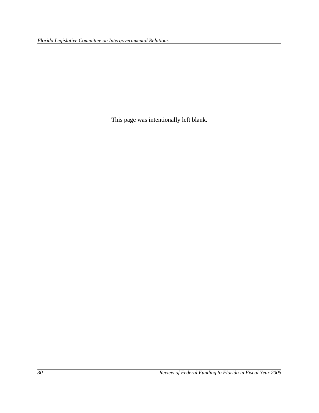This page was intentionally left blank.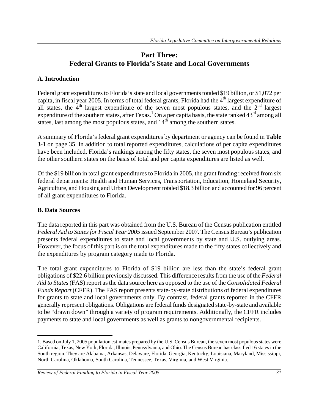# **Part Three: Federal Grants to Florida's State and Local Governments**

# **A. Introduction**

Federal grant expenditures to Florida's state and local governments totaled \$19 billion, or \$1,072 per capita, in fiscal year 2005. In terms of total federal grants, Florida had the 4<sup>th</sup> largest expenditure of all states, the  $4<sup>th</sup>$  largest expenditure of the seven most populous states, and the  $2<sup>nd</sup>$  largest expenditure of the southern states, after Texas.<sup>1</sup> On a per capita basis, the state ranked  $43^{rd}$  among all states, last among the most populous states, and  $14<sup>th</sup>$  among the southern states.

A summary of Florida's federal grant expenditures by department or agency can be found in **Table 3-1** on page 35. In addition to total reported expenditures, calculations of per capita expenditures have been included. Florida's rankings among the fifty states, the seven most populous states, and the other southern states on the basis of total and per capita expenditures are listed as well.

Of the \$19 billion in total grant expenditures to Florida in 2005, the grant funding received from six federal departments: Health and Human Services, Transportation, Education, Homeland Security, Agriculture, and Housing and Urban Development totaled \$18.3 billion and accounted for 96 percent of all grant expenditures to Florida.

## **B. Data Sources**

<u>.</u>

The data reported in this part was obtained from the U.S. Bureau of the Census publication entitled *Federal Aid to States for Fiscal Year 2005* issued September 2007. The Census Bureau's publication presents federal expenditures to state and local governments by state and U.S. outlying areas. However, the focus of this part is on the total expenditures made to the fifty states collectively and the expenditures by program category made to Florida.

The total grant expenditures to Florida of \$19 billion are less than the state's federal grant obligations of \$22.6 billion previously discussed. This difference results from the use of the *Federal Aid to States* (FAS) report as the data source here as opposed to the use of the *Consolidated Federal Funds Report* (CFFR). The FAS report presents state-by-state distributions of federal expenditures for grants to state and local governments only. By contrast, federal grants reported in the CFFR generally represent obligations. Obligations are federal funds designated state-by-state and available to be "drawn down" through a variety of program requirements. Additionally, the CFFR includes payments to state and local governments as well as grants to nongovernmental recipients.

<sup>1.</sup> Based on July 1, 2005 population estimates prepared by the U.S. Census Bureau, the seven most populous states were California, Texas, New York, Florida, Illinois, Pennsylvania, and Ohio. The Census Bureau has classified 16 states in the South region. They are Alabama, Arkansas, Delaware, Florida, Georgia, Kentucky, Louisiana, Maryland, Mississippi, North Carolina, Oklahoma, South Carolina, Tennessee, Texas, Virginia, and West Virginia.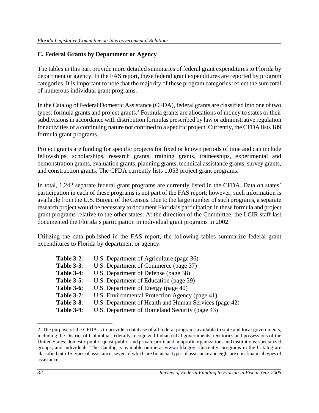### **C. Federal Grants by Department or Agency**

The tables in this part provide more detailed summaries of federal grant expenditures to Florida by department or agency. In the FAS report, these federal grant expenditures are reported by program categories. It is important to note that the majority of these program categories reflect the sum total of numerous individual grant programs.

In the Catalog of Federal Domestic Assistance (CFDA), federal grants are classified into one of two types: formula grants and project grants.<sup>2</sup> Formula grants are allocations of money to states or their subdivisions in accordance with distribution formulas prescribed by law or administrative regulation for activities of a continuing nature not confined to a specific project. Currently, the CFDA lists 189 formula grant programs.

Project grants are funding for specific projects for fixed or known periods of time and can include fellowships, scholarships, research grants, training grants, traineeships, experimental and demonstration grants, evaluation grants, planning grants, technical assistance grants, survey grants, and construction grants. The CFDA currently lists 1,053 project grant programs.

In total, 1,242 separate federal grant programs are currently listed in the CFDA. Data on states' participation in each of these programs is not part of the FAS report; however, such information is available from the U.S. Bureau of the Census. Due to the large number of such programs, a separate research project would be necessary to document Florida's participation in these formula and project grant programs relative to the other states. At the direction of the Committee, the LCIR staff last documented the Florida's participation in individual grant programs in 2002.

Utilizing the data published in the FAS report, the following tables summarize federal grant expenditures to Florida by department or agency.

| <b>Table 3-2:</b><br>U.S. Department of Agriculture (page 36)               |  |
|-----------------------------------------------------------------------------|--|
| <b>Table 3-3:</b><br>U.S. Department of Commerce (page 37)                  |  |
| <b>Table 3-4:</b><br>U.S. Department of Defense (page 38)                   |  |
| U.S. Department of Education (page 39)<br><b>Table 3-5:</b>                 |  |
| <b>Table 3-6:</b><br>U.S. Department of Energy (page 40)                    |  |
| <b>Table 3-7:</b><br>U.S. Environmental Protection Agency (page 41)         |  |
| <b>Table 3-8:</b><br>U.S. Department of Health and Human Services (page 42) |  |
| <b>Table 3-9:</b><br>U.S. Department of Homeland Security (page 43)         |  |

<sup>2.</sup> The purpose of the CFDA is to provide a database of all federal programs available to state and local governments, including the District of Columbia; federally-recognized Indian tribal governments; territories and possessions of the United States; domestic public, quasi-public, and private profit and nonprofit organizations and institutions; specialized groups; and individuals. The Catalog is available online at www.cfda.gov. Currently, programs in the Catalog are classified into 15 types of assistance, seven of which are financial types of assistance and eight are non-financial types of assistance.

 $\overline{a}$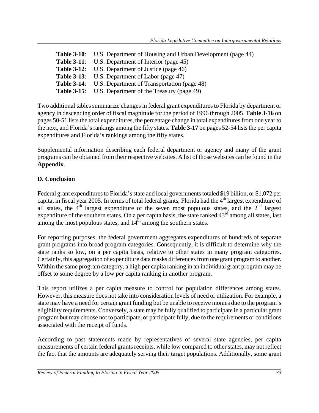**Table 3-10**: U.S. Department of Housing and Urban Development (page 44) **Table 3-11**: U.S. Department of Interior (page 45) **Table 3-12:** U.S. Department of Justice (page 46) **Table 3-13**: U.S. Department of Labor (page 47) **Table 3-14**: U.S. Department of Transportation (page 48) **Table 3-15**: U.S. Department of the Treasury (page 49)

Two additional tables summarize changes in federal grant expenditures to Florida by department or agency in descending order of fiscal magnitude for the period of 1996 through 2005. **Table 3-16** on pages 50-51 lists the total expenditures, the percentage change in total expenditures from one year to the next, and Florida's rankings among the fifty states. **Table 3-17** on pages 52-54 lists the per capita expenditures and Florida's rankings among the fifty states.

Supplemental information describing each federal department or agency and many of the grant programs can be obtained from their respective websites. A list of those websites can be found in the **Appendix**.

# **D. Conclusion**

Federal grant expenditures to Florida's state and local governments totaled \$19 billion, or \$1,072 per capita, in fiscal year 2005. In terms of total federal grants, Florida had the  $4<sup>th</sup>$  largest expenditure of all states, the  $4<sup>th</sup>$  largest expenditure of the seven most populous states, and the  $2<sup>nd</sup>$  largest expenditure of the southern states. On a per capita basis, the state ranked 43<sup>rd</sup> among all states, last among the most populous states, and  $14^{\text{th}}$  among the southern states.

For reporting purposes, the federal government aggregates expenditures of hundreds of separate grant programs into broad program categories. Consequently, it is difficult to determine why the state ranks so low, on a per capita basis, relative to other states in many program categories. Certainly, this aggregation of expenditure data masks differences from one grant program to another. Within the same program category, a high per capita ranking in an individual grant program may be offset to some degree by a low per capita ranking in another program.

This report utilizes a per capita measure to control for population differences among states. However, this measure does not take into consideration levels of need or utilization. For example, a state may have a need for certain grant funding but be unable to receive monies due to the program's eligibility requirements. Conversely, a state may be fully qualified to participate in a particular grant program but may choose not to participate, or participate fully, due to the requirements or conditions associated with the receipt of funds.

According to past statements made by representatives of several state agencies, per capita measurements of certain federal grants receipts, while low compared to other states, may not reflect the fact that the amounts are adequately serving their target populations. Additionally, some grant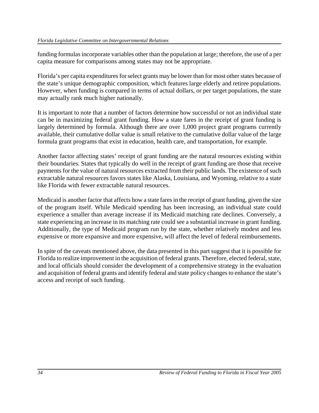funding formulas incorporate variables other than the population at large; therefore, the use of a per capita measure for comparisons among states may not be appropriate.

Florida's per capita expenditures for select grants may be lower than for most other states because of the state's unique demographic composition, which features large elderly and retiree populations. However, when funding is compared in terms of actual dollars, or per target populations, the state may actually rank much higher nationally.

It is important to note that a number of factors determine how successful or not an individual state can be in maximizing federal grant funding. How a state fares in the receipt of grant funding is largely determined by formula. Although there are over 1,000 project grant programs currently available, their cumulative dollar value is small relative to the cumulative dollar value of the large formula grant programs that exist in education, health care, and transportation, for example.

Another factor affecting states' receipt of grant funding are the natural resources existing within their boundaries. States that typically do well in the receipt of grant funding are those that receive payments for the value of natural resources extracted from their public lands. The existence of such extractable natural resources favors states like Alaska, Louisiana, and Wyoming, relative to a state like Florida with fewer extractable natural resources.

Medicaid is another factor that affects how a state fares in the receipt of grant funding, given the size of the program itself. While Medicaid spending has been increasing, an individual state could experience a smaller than average increase if its Medicaid matching rate declines. Conversely, a state experiencing an increase in its matching rate could see a substantial increase in grant funding. Additionally, the type of Medicaid program run by the state, whether relatively modest and less expensive or more expansive and more expensive, will affect the level of federal reimbursements.

In spite of the caveats mentioned above, the data presented in this part suggest that it is possible for Florida to realize improvement in the acquisition of federal grants. Therefore, elected federal, state, and local officials should consider the development of a comprehensive strategy in the evaluation and acquisition of federal grants and identify federal and state policy changes to enhance the state's access and receipt of such funding.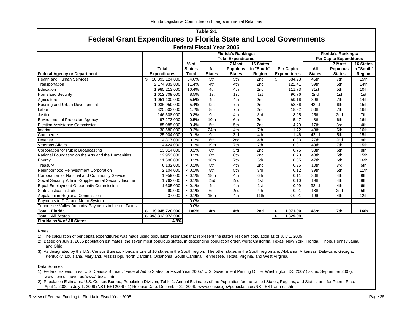|                                                                          |                      |                   | Table 3-1                       |                                     |                                |                                   |                  |                                |                                |
|--------------------------------------------------------------------------|----------------------|-------------------|---------------------------------|-------------------------------------|--------------------------------|-----------------------------------|------------------|--------------------------------|--------------------------------|
| <b>Federal Grant Expenditures to Florida State and Local Governments</b> |                      |                   |                                 |                                     |                                |                                   |                  |                                |                                |
|                                                                          |                      |                   |                                 |                                     |                                |                                   |                  |                                |                                |
|                                                                          |                      |                   | <b>Federal Fiscal Year 2005</b> |                                     |                                |                                   |                  |                                |                                |
|                                                                          |                      |                   |                                 | <b>Florida's Rankings:</b>          |                                |                                   |                  | <b>Florida's Rankings:</b>     |                                |
|                                                                          |                      |                   |                                 | <b>Total Expenditures</b><br>7 Most |                                |                                   |                  | <b>Per Capita Expenditures</b> |                                |
|                                                                          | Total                | $%$ of<br>State's | All                             |                                     | <b>16 States</b><br>in "South" |                                   | All              | 7 Most<br><b>Populous</b>      | <b>16 States</b><br>in "South" |
| <b>Federal Agency or Department</b>                                      | <b>Expenditures</b>  | <b>Total</b>      | <b>States</b>                   | <b>Populous</b><br><b>States</b>    | Region                         | Per Capita<br><b>Expenditures</b> | <b>States</b>    | <b>States</b>                  | Region                         |
| <b>Health and Human Services</b>                                         | 10,393,124,000<br>\$ | 54.6%             | 5th                             | 5th                                 | 2nd                            | \$<br>584.93                      | 46th             | 7th                            | 15th                           |
| Transportation                                                           | 2,174,939,000        | 11.4%             | 4th                             | 4th                                 | 2nd                            | 122.41                            | 39th             | 5th                            | 14th                           |
| Education                                                                | 1,985,213,000        | 10.4%             | 4th                             | 4th                                 | 2nd                            | 111.73                            | 31st             | 5th                            | 10th                           |
| <b>Homeland Security</b>                                                 | 1,612,709,000        | 8.5%              | 1st                             | 1st                                 | 1st                            | 90.76                             | 2nd              | 1st                            | 1st                            |
| Agriculture                                                              | 1,051,130,000        | 5.5%              | 4th                             | 4th                                 | 2nd                            | 59.16                             | 39th             | 7th                            | 14th                           |
| Housing and Urban Development                                            | 1,036,959,000        | 5.4%              | 9th                             | 7th                                 | 2nd                            | 58.36                             | 42nd             | 6th                            | 15th                           |
| Labor                                                                    | 325,503,000          | 1.7%              | 8th                             | 7th                                 | 2nd                            | 18.32                             | 50th             | 7th                            | 16th                           |
| Justice                                                                  | 146,508,000          | 0.8%              | 9th                             | 4th                                 | 3rd                            | 8.25                              | 25th             | 2 <sub>nd</sub>                | 7th                            |
| <b>Environmental Protection Agency</b>                                   | 97,273,000           | 0.5%              | 10th                            | 6th                                 | 2nd                            | 5.47                              | 48th             | 6th                            | 16th                           |
| Election Assistance Commission                                           | 85,085,000           | 0.4%              | 5th                             | 5th                                 | 2nd                            | 4.79                              | 17th             | 3rd                            | 4th                            |
| Interior                                                                 | 30,580,000           | 0.2%              | 24th                            | 4th                                 | $\overline{7}$ th              | 1.72                              | 48th             | 6th                            | 16th                           |
| Commerce                                                                 | 25,904,000           | 0.1%              | 9th                             | 3rd                                 | 4th                            | 1.46                              | 42nd             | 5th                            | 15th                           |
| Defense                                                                  | 14,817,000           | 0.1%              | 6th                             | 2 <sub>nd</sub>                     | 4th                            | 0.83                              | 27th             | 2 <sub>nd</sub>                | 9th                            |
| <b>Veterans Affairs</b>                                                  | 14,424,000           | 0.1%              | 19th                            | 7th                                 | 7th                            | 0.81                              | 49th             | 7th                            | 15th                           |
| Corporation for Public Broadcasting                                      | 13,314,000           | 0.1%              | 6th                             | 3rd                                 | 2nd                            | 0.75                              | 38th             | 6th                            | 8th                            |
| National Foundation on the Arts and the Humanities                       | 12,953,000           | 0.1%              | 6th                             | 6th                                 | 2nd                            | 0.73                              | 48th             | 5th                            | 15th                           |
| Energy                                                                   | 11,596,000           | 0.1%              | 16th                            | $\overline{7}$ th                   | 5th                            | 0.65                              | 47th             | 6th                            | 16th                           |
| Treasury                                                                 | 6,132,000            | $< 0.1\%$         | 5th                             | 4th                                 | 2nd                            | 0.35                              | 10th             | 3rd                            | 5th                            |
| Neighborhood Reinvestment Corporation                                    | 2,104,000            | $< 0.1\%$         | 8th                             | 5th                                 | 3rd                            | 0.12                              | 39th             | 5th                            | 11th                           |
| Corporation for National and Community Service                           | 1,959,000            | $< 0.1\%$         | 18th                            | 4th                                 | 6th                            | 0.11                              | 30th             | 4th                            | 9th                            |
| Social Security Admin.-Supplemental Security Income                      | 1,762,000            | $< 0.1\%$         | 2nd                             | 2 <sub>nd</sub>                     | 1st                            | 0.10                              | 19th             | 4th                            | 8th                            |
| Equal Employment Opportunity Commission                                  | 1,605,000            | $< 0.1\%$         | 4th                             | 4th                                 | 1st                            | 0.09                              | 32nd             | 4th                            | 6th                            |
| State Justice Institute                                                  | 90,000               | $< 0.1\%$         | 6th                             | 2nd                                 | 4th                            | 0.01                              | 18th             | 2 <sub>nd</sub>                | 5th                            |
| Appalachian Regional Commission                                          | 37,000               | $< 0.1\%$         | 15th                            | 4th                                 | 11th                           | < 0.01                            | 19 <sub>th</sub> | 4th                            | 12th                           |
| Payments to D.C. and Metro System                                        |                      | 0.0%              |                                 |                                     |                                |                                   |                  |                                |                                |
| Tennessee Valley Authority-Payments in Lieu of Taxes                     |                      | 0.0%              |                                 |                                     |                                |                                   |                  |                                |                                |
| <b>Total - Florida</b>                                                   | 19,045,720,000<br>\$ | 100%              | 4th                             | 4th                                 | 2nd                            | 1,071.90<br>-\$                   | 43rd             | 7th                            | 14 <sub>th</sub>               |
| <b>Total - All States</b>                                                | \$393,312,072,000    |                   |                                 |                                     |                                | \$<br>1,329.09                    |                  |                                |                                |
| Florida as % of All States                                               | 4.8%                 |                   |                                 |                                     |                                |                                   |                  |                                |                                |

Notes:

1) The calculation of per capita expenditures was made using population estimates that represent the state's resident population as of July 1, 2005.

2) Based on July 1, 2005 population estimates, the seven most populous states, in descending population order, were: California, Texas, New York, Florida, Illinois, Pennsylvania, and Ohio.

3) As designated by the U.S. Census Bureau, Florida is one of 16 states in the South region. The other states in the South region are: Alabama, Arkansas, Delaware, Georgia, Kentucky, Louisiana, Maryland, Mississippi, North Carolina, Oklahoma, South Carolina, Tennessee, Texas, Virginia, and West Virginia.

Data Sources:

1) Federal Expenditures: U.S. Census Bureau, "Federal Aid to States for Fiscal Year 2005," U.S. Government Printing Office, Washington, DC 2007 (Issued September 2007). www.census.gov/prod/www/abs/fas.html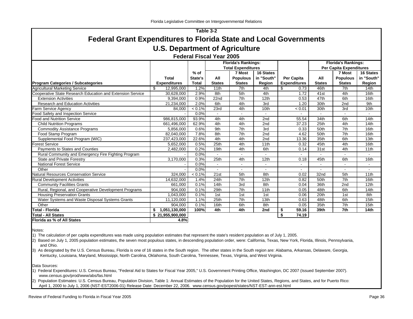| Table 3-2                                                                                                                                                                            |                                                                          |           |                                |                            |                  |             |      |                            |                  |  |  |  |                                                                                                                                                                                                 |
|--------------------------------------------------------------------------------------------------------------------------------------------------------------------------------------|--------------------------------------------------------------------------|-----------|--------------------------------|----------------------------|------------------|-------------|------|----------------------------|------------------|--|--|--|-------------------------------------------------------------------------------------------------------------------------------------------------------------------------------------------------|
|                                                                                                                                                                                      | <b>Federal Grant Expenditures to Florida State and Local Governments</b> |           |                                |                            |                  |             |      |                            |                  |  |  |  |                                                                                                                                                                                                 |
|                                                                                                                                                                                      |                                                                          |           |                                |                            |                  |             |      |                            |                  |  |  |  |                                                                                                                                                                                                 |
|                                                                                                                                                                                      | <b>U.S. Department of Agriculture</b>                                    |           |                                |                            |                  |             |      |                            |                  |  |  |  |                                                                                                                                                                                                 |
|                                                                                                                                                                                      | <b>Federal Fiscal Year 2005</b>                                          |           |                                |                            |                  |             |      |                            |                  |  |  |  |                                                                                                                                                                                                 |
|                                                                                                                                                                                      |                                                                          |           |                                | <b>Florida's Rankings:</b> |                  |             |      | <b>Florida's Rankings:</b> |                  |  |  |  |                                                                                                                                                                                                 |
|                                                                                                                                                                                      |                                                                          |           | <b>Per Capita Expenditures</b> |                            |                  |             |      |                            |                  |  |  |  |                                                                                                                                                                                                 |
| $%$ of<br>7 Most<br><b>16 States</b><br><b>16 States</b><br>7 Most<br>in "South"<br>in "South"<br>State's<br>Per Capita<br>All<br><b>Populous</b><br>Total<br>All<br><b>Populous</b> |                                                                          |           |                                |                            |                  |             |      |                            |                  |  |  |  |                                                                                                                                                                                                 |
|                                                                                                                                                                                      |                                                                          |           |                                |                            |                  |             |      |                            |                  |  |  |  | <b>Expenditures</b><br><b>Total</b><br><b>States</b><br><b>Expenditures</b><br><b>States</b><br><b>Program Categories / Subcategories</b><br><b>States</b><br>Region<br><b>States</b><br>Region |
| <b>Agricultural Marketing Service</b>                                                                                                                                                | 12,995,000<br>\$.                                                        | 1.2%      | 11th                           | 7th                        | 4th              | \$<br>0.73  | 46th | 7th                        | 14th             |  |  |  |                                                                                                                                                                                                 |
| Cooperative State Research Education and Extension Service                                                                                                                           | 30,628,000                                                               | 2.9%      | 8th                            | 5th                        | 4th              | 1.72        | 41st | 4th                        | 16th             |  |  |  |                                                                                                                                                                                                 |
| <b>Extension Activities</b>                                                                                                                                                          | 9,394,000                                                                | 0.9%      | 22 <sub>nd</sub>               | $\overline{7}$ th          | 12th             | 0.53        | 47th | 6th                        | 16th             |  |  |  |                                                                                                                                                                                                 |
| <b>Research and Education Activities</b>                                                                                                                                             | 21,234,000                                                               | 2.0%      | 6th                            | 4th                        | 3rd              | 1.20        | 30th | 2 <sub>nd</sub>            | 9th              |  |  |  |                                                                                                                                                                                                 |
| Farm Service Agency                                                                                                                                                                  | 84,000                                                                   | $< 0.1\%$ | 23rd                           | 4th                        | 10th             | < 0.01      | 30th | 3rd                        | 10th             |  |  |  |                                                                                                                                                                                                 |
| Food Safety and Inspection Service                                                                                                                                                   |                                                                          | 0.0%      |                                | $\overline{a}$             |                  |             |      | $\blacksquare$             |                  |  |  |  |                                                                                                                                                                                                 |
| <b>Food and Nutrition Service</b>                                                                                                                                                    | 986.815.000                                                              | 93.9%     | 4th                            | 4th                        | 2nd              | 55.54       | 34th | 6th                        | 14th             |  |  |  |                                                                                                                                                                                                 |
| <b>Child Nutrition Programs</b>                                                                                                                                                      | 661,496,000                                                              | 62.9%     | 4th                            | 4th                        | 2nd              | 37.23       | 25th | 4th                        | 14th             |  |  |  |                                                                                                                                                                                                 |
| <b>Commodity Assistance Programs</b>                                                                                                                                                 | 5.856.000                                                                | 0.6%      | 9th                            | 7th                        | 3rd              | 0.33        | 50th | 7th                        | 16th             |  |  |  |                                                                                                                                                                                                 |
| Food Stamp Program                                                                                                                                                                   | 82,040,000                                                               | 7.8%      | 8th                            | 7th                        | 2nd              | 4.62        | 50th | 7th                        | 16th             |  |  |  |                                                                                                                                                                                                 |
| Supplemental Food Program (WIC)                                                                                                                                                      | 237,423,000                                                              | 22.6%     | 4th                            | 4th                        | 2nd              | 13.36       | 35th | 6th                        | 13 <sub>th</sub> |  |  |  |                                                                                                                                                                                                 |
| <b>Forest Service</b>                                                                                                                                                                | 5,652,000                                                                | 0.5%      | 25th                           | 4th                        | 11th             | 0.32        | 45th | 4th                        | 16th             |  |  |  |                                                                                                                                                                                                 |
| Payments to States and Counties                                                                                                                                                      | 2,482,000                                                                | 0.2%      | 19th                           | 4th                        | 6th              | 0.14        | 31st | 4th                        | 11th             |  |  |  |                                                                                                                                                                                                 |
| Rural Community and Emergency Fire Fighting Program                                                                                                                                  |                                                                          | 0.0%      |                                |                            |                  |             |      |                            |                  |  |  |  |                                                                                                                                                                                                 |
| <b>State and Private Forestry</b>                                                                                                                                                    | 3,170,000                                                                | 0.3%      | 25th                           | 4th                        | 12th             | 0.18        | 45th | 6th                        | 16th             |  |  |  |                                                                                                                                                                                                 |
| <b>National Forest Service</b>                                                                                                                                                       |                                                                          | 0.0%      |                                | $\blacksquare$             |                  |             |      | $\blacksquare$             |                  |  |  |  |                                                                                                                                                                                                 |
| Other                                                                                                                                                                                |                                                                          | 0.0%      |                                |                            |                  |             |      |                            |                  |  |  |  |                                                                                                                                                                                                 |
| <b>Natural Resources Conservation Service</b>                                                                                                                                        | 324,000                                                                  | $< 0.1\%$ | 21st                           | 5th                        | 8th              | 0.02        | 32nd | 5th                        | 11th             |  |  |  |                                                                                                                                                                                                 |
| <b>Rural Development Activities</b>                                                                                                                                                  | 14,632,000                                                               | 1.4%      | 24th                           | $\overline{7}$ th          | 12th             | 0.82        | 50th | $\overline{7}$ th          | 16th             |  |  |  |                                                                                                                                                                                                 |
| <b>Community Facilities Grants</b>                                                                                                                                                   | 661,000                                                                  | 0.1%      | 14th                           | 3rd                        | 8th              | 0.04        | 36th | 2nd                        | 12th             |  |  |  |                                                                                                                                                                                                 |
| Rural, Regional, and Cooperative Development Programs                                                                                                                                | 904,000                                                                  | 0.1%      | 29th                           | 7th                        | 11th             | 0.05        | 48th | 6th                        | 14th             |  |  |  |                                                                                                                                                                                                 |
| <b>Housing Preservation Grants</b>                                                                                                                                                   | 1,043,000                                                                | 0.1%      | 1st                            | 1st                        | 1st              | 0.06        | 20th | 1st                        | 8th              |  |  |  |                                                                                                                                                                                                 |
| Water Systems and Waste Disposal Systems Grants                                                                                                                                      | 11,120,000                                                               | 1.1%      | 25th                           | 7th                        | 13 <sub>th</sub> | 0.63        | 48th | 6th                        | 15th             |  |  |  |                                                                                                                                                                                                 |
| Other                                                                                                                                                                                | 904,000                                                                  | 0.1%      | 16th                           | 6th                        | 8th              | 0.05        | 35th | 7th                        | 15th             |  |  |  |                                                                                                                                                                                                 |
| <b>Total - Florida</b>                                                                                                                                                               | 1,051,130,000<br>S                                                       | 100%      | 4th                            | 4th                        | 2nd              | 59.16<br>\$ | 39th | 7th                        | 14th             |  |  |  |                                                                                                                                                                                                 |
| <b>Total - All States</b>                                                                                                                                                            | \$21,955,900,000                                                         |           |                                |                            |                  | \$<br>74.19 |      |                            |                  |  |  |  |                                                                                                                                                                                                 |
| Florida as % of All States                                                                                                                                                           | 4.8%                                                                     |           |                                |                            |                  |             |      |                            |                  |  |  |  |                                                                                                                                                                                                 |

Notes:

1) The calculation of per capita expenditures was made using population estimates that represent the state's resident population as of July 1, 2005.

2) Based on July 1, 2005 population estimates, the seven most populous states, in descending population order, were: California, Texas, New York, Florida, Illinois, Pennsylvania, and Ohio.

3) As designated by the U.S. Census Bureau, Florida is one of 16 states in the South region. The other states in the South region are: Alabama, Arkansas, Delaware, Georgia, Kentucky, Louisiana, Maryland, Mississippi, North Carolina, Oklahoma, South Carolina, Tennessee, Texas, Virginia, and West Virginia.

Data Sources:

1) Federal Expenditures: U.S. Census Bureau, "Federal Aid to States for Fiscal Year 2005," U.S. Government Printing Office, Washington, DC 2007 (Issued September 2007). www.census.gov/prod/www/abs/fas.html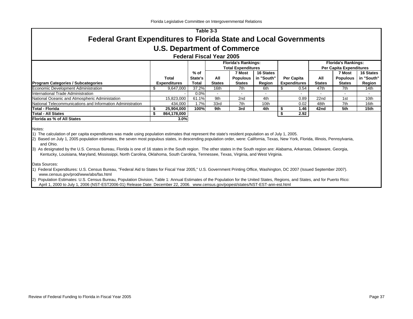# **Table 3-3U.S. Department of Commerce Federal Grant Expenditures to Florida State and Local Governments**

### **Federal Fiscal Year 2005**

|                                                            |                     |         |               | <b>Florida's Rankings:</b> |                  |  |                     | <b>Florida's Rankings:</b>     |                 |            |  |
|------------------------------------------------------------|---------------------|---------|---------------|----------------------------|------------------|--|---------------------|--------------------------------|-----------------|------------|--|
|                                                            |                     |         |               | <b>Total Expenditures</b>  |                  |  |                     | <b>Per Capita Expenditures</b> |                 |            |  |
|                                                            |                     | $%$ of  |               | 7 Most                     | <b>16 States</b> |  |                     |                                | 7 Most          | 16 States  |  |
|                                                            | Total               | State's | All           | <b>Populous</b>            | in "South"       |  | <b>Per Capita</b>   | All                            | <b>Populous</b> | in "South" |  |
| <b>Program Categories / Subcategories</b>                  | <b>Expenditures</b> | Total   | <b>States</b> | <b>States</b>              | Region           |  | <b>Expenditures</b> | <b>States</b>                  | <b>States</b>   | Region     |  |
| Economic Development Administration                        | 9,647,000           | 37.2%   | 16th          | 7th                        | 6th              |  | 0.54                | 47th                           | 7th             | 14th       |  |
| International Trade Administration                         |                     | 0.0%    |               |                            |                  |  |                     |                                |                 |            |  |
| National Oceanic and Atmospheric Administation             | 15.823.000          | 61.1%   | 9th           | 2 <sub>nd</sub>            | 4th              |  | 0.89                | 22nd                           | 1st             | 10th       |  |
| National Telecommunications and Information Administration | 434,000             | $.7\%$  | 33rd          | 7th                        | 10th             |  | 0.02                | 48th                           | 7th             | 16th       |  |
| <b>Total - Florida</b>                                     | 25.904.000          | 100%    | 9th           | 3rd                        | 4th              |  | 1.46                | 42nd                           | 5th             | 15th       |  |
| <b>Total - All States</b>                                  | 864.178.000         |         |               |                            |                  |  | 2.92                |                                |                 |            |  |
| Florida as % of All States                                 | 3.0%                |         |               |                            |                  |  |                     |                                |                 |            |  |

Notes:

1) The calculation of per capita expenditures was made using population estimates that represent the state's resident population as of July 1, 2005.

2) Based on July 1, 2005 population estimates, the seven most populous states, in descending population order, were: California, Texas, New York, Florida, Illinois, Pennsylvania, and Ohio.

3) As designated by the U.S. Census Bureau, Florida is one of 16 states in the South region. The other states in the South region are: Alabama, Arkansas, Delaware, Georgia, Kentucky, Louisiana, Maryland, Mississippi, North Carolina, Oklahoma, South Carolina, Tennessee, Texas, Virginia, and West Virginia.

Data Sources:

1) Federal Expenditures: U.S. Census Bureau, "Federal Aid to States for Fiscal Year 2005," U.S. Government Printing Office, Washington, DC 2007 (Issued September 2007). www.census.gov/prod/www/abs/fas.html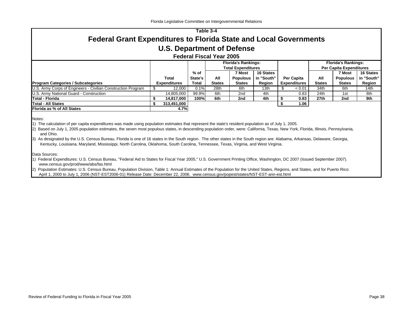# **Table 3-4U.S. Department of Defense Federal Grant Expenditures to Florida State and Local Governments**

#### **Federal Fiscal Year 2005**

|                                                              |                              |                          | <b>Florida's Rankings:</b><br><b>Total Expenditures</b> |                                            |                                     |  |                                   | <b>Florida's Rankings:</b><br><b>Per Capita Expenditures</b> |                                            |                                   |  |
|--------------------------------------------------------------|------------------------------|--------------------------|---------------------------------------------------------|--------------------------------------------|-------------------------------------|--|-----------------------------------|--------------------------------------------------------------|--------------------------------------------|-----------------------------------|--|
| <b>Program Categories / Subcategories</b>                    | Total<br><b>Expenditures</b> | % of<br>State's<br>Total | All<br><b>States</b>                                    | 7 Most<br><b>Populous</b><br><b>States</b> | 16 States<br>l in "South"<br>Region |  | Per Capita<br><b>Expenditures</b> | All<br><b>States</b>                                         | 7 Most<br><b>Populous</b><br><b>States</b> | 16 States<br>in "South"<br>Region |  |
| U.S. Army Corps of Engineers - Civilian Construction Program | 12.000                       | 0.1%                     | 28th                                                    | 6th                                        | 13th                                |  | < 0.01                            | 34th                                                         | 6th                                        | 14th                              |  |
| U.S. Army National Guard - Construction                      | 14.805.000                   | 99.9%                    | 6th                                                     | 2 <sub>nd</sub>                            | 4th                                 |  | 0.83                              | 24th                                                         | 1st                                        | 8th                               |  |
| Total - Florida                                              | 14.817.000                   | 100%                     | 6th                                                     | 2nd                                        | 4th                                 |  | 0.83                              | 27 <sub>th</sub>                                             | 2nd                                        | 9th                               |  |
| Total - All States                                           | 313.451.000                  |                          |                                                         |                                            |                                     |  | 1.06                              |                                                              |                                            |                                   |  |
| Florida as % of All States                                   | 4.7%                         |                          |                                                         |                                            |                                     |  |                                   |                                                              |                                            |                                   |  |

Notes:

1) The calculation of per capita expenditures was made using population estimates that represent the state's resident population as of July 1, 2005.

2) Based on July 1, 2005 population estimates, the seven most populous states, in descending population order, were: California, Texas, New York, Florida, Illinois, Pennsylvania, and Ohio.

3) As designated by the U.S. Census Bureau, Florida is one of 16 states in the South region. The other states in the South region are: Alabama, Arkansas, Delaware, Georgia, Kentucky, Louisiana, Maryland, Mississippi, North Carolina, Oklahoma, South Carolina, Tennessee, Texas, Virginia, and West Virginia.

Data Sources:

1) Federal Expenditures: U.S. Census Bureau, "Federal Aid to States for Fiscal Year 2005," U.S. Government Printing Office, Washington, DC 2007 (Issued September 2007). www.census.gov/prod/www/abs/fas.html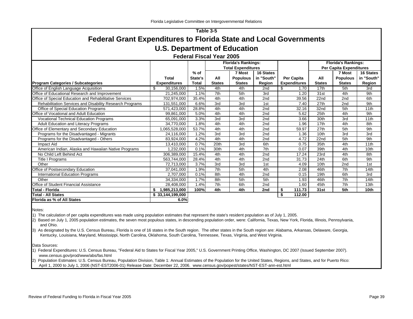| Table 3-5                                                                                                             |                                                                    |              |               |                            |                 |                     |                  |                            |        |  |  |  |
|-----------------------------------------------------------------------------------------------------------------------|--------------------------------------------------------------------|--------------|---------------|----------------------------|-----------------|---------------------|------------------|----------------------------|--------|--|--|--|
|                                                                                                                       |                                                                    |              |               |                            |                 |                     |                  |                            |        |  |  |  |
| <b>Federal Grant Expenditures to Florida State and Local Governments</b>                                              |                                                                    |              |               |                            |                 |                     |                  |                            |        |  |  |  |
| <b>U.S. Department of Education</b>                                                                                   |                                                                    |              |               |                            |                 |                     |                  |                            |        |  |  |  |
| <b>Federal Fiscal Year 2005</b>                                                                                       |                                                                    |              |               |                            |                 |                     |                  |                            |        |  |  |  |
|                                                                                                                       |                                                                    |              |               | <b>Florida's Rankings:</b> |                 |                     |                  | <b>Florida's Rankings:</b> |        |  |  |  |
| <b>Total Expenditures</b><br><b>Per Capita Expenditures</b>                                                           |                                                                    |              |               |                            |                 |                     |                  |                            |        |  |  |  |
|                                                                                                                       | $%$ of<br>7 Most<br><b>16 States</b><br>7 Most<br><b>16 States</b> |              |               |                            |                 |                     |                  |                            |        |  |  |  |
| in "South"<br>in "South"<br>Total<br>State's<br>All<br><b>Populous</b><br><b>Per Capita</b><br>All<br><b>Populous</b> |                                                                    |              |               |                            |                 |                     |                  |                            |        |  |  |  |
| <b>Program Categories / Subcategories</b>                                                                             | <b>Expenditures</b>                                                | <b>Total</b> | <b>States</b> | <b>States</b>              | Region          | <b>Expenditures</b> | <b>States</b>    | <b>States</b>              | Region |  |  |  |
| Office of English Language Acquisition                                                                                | \$<br>30,156,000                                                   | 1.5%         | 4th           | 4th                        | 2nd             | \$<br>1.70          | 17th             | 5th                        | 3rd    |  |  |  |
| Office of Educational Research and Improvement                                                                        | 21,245,000                                                         | 1.1%         | 7th           | 5th                        | 3rd             | 1.20                | 31st             | 4th                        | 9th    |  |  |  |
| Office of Special Education and Rehabilitative Services                                                               | 702,974,000                                                        | 35.4%        | 4th           | 4th                        | 2 <sub>nd</sub> | 39.56               | 22 <sub>nd</sub> | 2 <sub>nd</sub>            | 6th    |  |  |  |
| Rehabilitation Services and Disability Research Programs                                                              | 131,551,000                                                        | 6.6%         | 3rd           | 3rd                        | 1st             | 7.40                | 27th             | 2 <sub>nd</sub>            | 9th    |  |  |  |
| Office of Special Education Programs                                                                                  | 571,423,000                                                        | 28.8%        | 4th           | 4th                        | 2nd             | 32.16               | 32nd             | 5th                        | 11th   |  |  |  |
| Office of Vocational and Adult Education                                                                              | 99,861,000                                                         | 5.0%         | 4th           | 4th                        | 2nd             | 5.62                | 25th             | 4th                        | 9th    |  |  |  |
| <b>Vocational Technical Education Programs</b>                                                                        | 65.091.000                                                         | 3.3%         | 3rd           | 3rd                        | 2nd             | 3.66                | 30th             | 3rd                        | 11th   |  |  |  |
| <b>Adult Education and Literacy Programs</b>                                                                          | 34,770,000                                                         | 1.8%         | 4th           | 4th                        | 2nd             | 1.96                | 17th             | 4th                        | 8th    |  |  |  |
| Office of Elementary and Secondary Education                                                                          | 1,065,528,000                                                      | 53.7%        | 4th           | 4th                        | 2nd             | 59.97               | 27th             | 5th                        | 9th    |  |  |  |
| Programs for the Disadvantaged - Migrants                                                                             | 24,116,000                                                         | 1.2%         | 3rd           | 3rd                        | 2nd             | 1.36                | 10th             | 3rd                        | 3rd    |  |  |  |
| Programs for the Disadvantaged - Others                                                                               | 83,924,000                                                         | 4.2%         | 4th           | 4th                        | 2nd             | 4.72                | 22 <sub>nd</sub> | 5th                        | 9th    |  |  |  |
| Impact Aid                                                                                                            | 13,410,000                                                         | 0.7%         | 20th          | 3rd                        | 6th             | 0.75                | 35th             | 4th                        | 11th   |  |  |  |
| American Indian, Alaska and Hawaiian Native Programs                                                                  | 1,232,000                                                          | 0.1%         | 30th          | 4th                        | 7th             | 0.07                | 39th             | 4th                        | 10th   |  |  |  |
| No Child Left Behind Act                                                                                              | 306,389,000                                                        | 15.4%        | 4th           | 4th                        | 2nd             | 17.24               | 23rd             | 4th                        | 8th    |  |  |  |
| Title I Programs                                                                                                      | 563,744,000                                                        | 28.4%        | 4th           | 4th                        | 2 <sub>nd</sub> | 31.73               | 24th             | 6th                        | 9th    |  |  |  |
| Other                                                                                                                 | 72,713,000                                                         | 3.7%         | 3rd           | 3rd                        | 1st             | 4.09                | 10th             | 2 <sub>nd</sub>            | 1st    |  |  |  |
| Office of Postsecondary Education                                                                                     | 37,041,000                                                         | 1.9%         | 7th           | 5th                        | 4th             | 2.08                | 46th             | 7th                        | 14th   |  |  |  |
| <b>International Education Programs</b>                                                                               | 2.707.000                                                          | 0.1%         | 8th           | 4th                        | 2nd             | 0.15                | 19th             | 6th                        | 3rd    |  |  |  |
| Other                                                                                                                 | 34,334,000                                                         | 1.7%         | 8th           | 5th                        | 5th             | 1.93                | 46th             | 7th                        | 14th   |  |  |  |
| Office of Student Financial Assistance                                                                                | 28,408,000                                                         | 1.4%         | 7th           | 6th                        | 2 <sub>nd</sub> | 1.60                | 45th             | 7th                        | 13th   |  |  |  |
| <b>Total - Florida</b>                                                                                                | \$1,985,213,000                                                    | 100%         | 4th           | 4th                        | 2nd             | 111.73<br>\$        | 31st             | 5th                        | 10th   |  |  |  |
| <b>Total - All States</b>                                                                                             | \$33,144,199,000                                                   |              |               |                            |                 | \$<br>112.00        |                  |                            |        |  |  |  |
| Florida as % of All States                                                                                            | 6.0%                                                               |              |               |                            |                 |                     |                  |                            |        |  |  |  |

Notes:

1) The calculation of per capita expenditures was made using population estimates that represent the state's resident population as of July 1, 2005.

2) Based on July 1, 2005 population estimates, the seven most populous states, in descending population order, were: California, Texas, New York, Florida, Illinois, Pennsylvania, and Ohio.

3) As designated by the U.S. Census Bureau, Florida is one of 16 states in the South region. The other states in the South region are: Alabama, Arkansas, Delaware, Georgia, Kentucky, Louisiana, Maryland, Mississippi, North Carolina, Oklahoma, South Carolina, Tennessee, Texas, Virginia, and West Virginia.

Data Sources:

1) Federal Expenditures: U.S. Census Bureau, "Federal Aid to States for Fiscal Year 2005," U.S. Government Printing Office, Washington, DC 2007 (Issued September 2007). www.census.gov/prod/www/abs/fas.html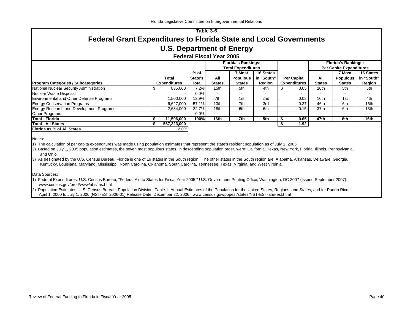# **Table 3-6U.S. Department of Energy Federal Grant Expenditures to Florida State and Local Governments**

### **Federal Fiscal Year 2005**

|                                                 |                     |         |                  | <b>Florida's Rankings:</b> |                          |  |                     | <b>Florida's Rankings:</b>     |                 |            |
|-------------------------------------------------|---------------------|---------|------------------|----------------------------|--------------------------|--|---------------------|--------------------------------|-----------------|------------|
|                                                 |                     |         |                  | <b>Total Expenditures</b>  |                          |  |                     | <b>Per Capita Expenditures</b> |                 |            |
|                                                 |                     | $%$ of  |                  | 7 Most                     | <b>16 States</b>         |  |                     |                                | 7 Most          | 16 States  |
|                                                 | Total               | State's | All              | <b>Populous</b>            | in "South"               |  | <b>Per Capita</b>   | All                            | <b>Populous</b> | in "South" |
| <b>Program Categories / Subcategories</b>       | <b>Expenditures</b> | Total   | <b>States</b>    | <b>States</b>              | Region                   |  | <b>Expenditures</b> | <b>States</b>                  | <b>States</b>   | Region     |
| National Nuclear Security Administration        | 835.000             | $7.2\%$ | 15 <sub>th</sub> | 5th                        | 4th                      |  | 0.05                | 20th                           | 5th             | 5th        |
| Nuclear Waste Disposal                          |                     | 0.0%    |                  |                            | $\overline{\phantom{a}}$ |  |                     |                                |                 |            |
| <b>Environmental and Other Defense Programs</b> | 1,500,000           | 12.9%   | 7th              | 1st                        | 2nd                      |  | 0.08                | 10 <sub>th</sub>               | 1st             | 4th        |
| <b>Energy Conservation Programs</b>             | 6.627.000           | 57.1%   | 13 <sub>th</sub> | 7th                        | 3rd                      |  | 0.37                | 46th                           | 6th             | 16th       |
| <b>Energy Research and Development Programs</b> | 2,634,000           | 22.7%   | 18 <sub>th</sub> | 6th                        | 6th                      |  | 0.15                | 37th                           | 6th             | 13th       |
| <b>Other Programs</b>                           |                     | 0.0%    |                  | $\overline{\phantom{a}}$   | $\overline{\phantom{a}}$ |  | $\sim$              |                                |                 |            |
| <b>Total - Florida</b>                          | 11.596.000          | 100%    | 16th             | 7th                        | 5th                      |  | 0.65                | 47th                           | 6th             | 16th       |
| <b>Total - All States</b>                       | 567,223,000         |         |                  |                            |                          |  | 1.92                |                                |                 |            |
| Florida as % of All States                      | 2.0%                |         |                  |                            |                          |  |                     |                                |                 |            |

Notes:

1) The calculation of per capita expenditures was made using population estimates that represent the state's resident population as of July 1, 2005.

2) Based on July 1, 2005 population estimates, the seven most populous states, in descending population order, were: California, Texas, New York, Florida, Illinois, Pennsylvania, and Ohio.

3) As designated by the U.S. Census Bureau, Florida is one of 16 states in the South region. The other states in the South region are: Alabama, Arkansas, Delaware, Georgia, Kentucky, Louisiana, Maryland, Mississippi, North Carolina, Oklahoma, South Carolina, Tennessee, Texas, Virginia, and West Virginia.

Data Sources:

1) Federal Expenditures: U.S. Census Bureau, "Federal Aid to States for Fiscal Year 2005," U.S. Government Printing Office, Washington, DC 2007 (Issued September 2007). www.census.gov/prod/www/abs/fas.html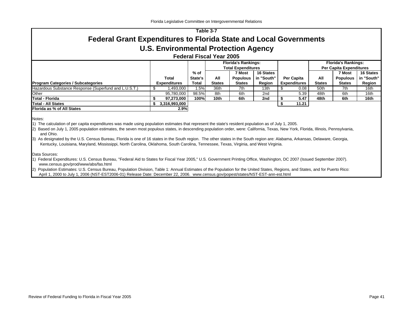# **U.S. Environmental Protection Agency Federal Grant Expenditures to Florida State and Local Governments**

#### **Federal Fiscal Year 2005**

|                                                       |                     |         |               | <b>Florida's Rankings:</b> |                  |  |                     |                                | <b>Florida's Rankings:</b> |            |
|-------------------------------------------------------|---------------------|---------|---------------|----------------------------|------------------|--|---------------------|--------------------------------|----------------------------|------------|
|                                                       |                     |         |               | <b>Total Expenditures</b>  |                  |  |                     | <b>Per Capita Expenditures</b> |                            |            |
|                                                       |                     | % of    |               | 7 Most                     | <b>16 States</b> |  |                     |                                | 7 Most                     | 16 States  |
|                                                       | Total               | State's | All           | <b>Populous</b>            | in "South"       |  | Per Capita          | All                            | <b>Populous</b>            | in "South" |
| <b>Program Categories / Subcategories</b>             | <b>Expenditures</b> | Total   | <b>States</b> | <b>States</b>              | Region           |  | <b>Expenditures</b> | <b>States</b>                  | <b>States</b>              | Region     |
| Hazardous Substance Response (Superfund and L.U.S.T.) | .493.000            | .5%     | 36th          | 7th                        | 13th             |  | 0.08                | 50th                           | 7th                        | 16th       |
| Other                                                 | 95,780,000          | 98.5%   | 8th           | 6th                        | 2nd              |  | 5.39                | 48th                           | 6th                        | 16th       |
| Total - Florida                                       | 97.273.000          | 100%    | 10th          | 6th                        | 2nd              |  | 5.47                | 48th                           | 6th                        | 16th       |
| <b>Total - All States</b>                             | 3,316,993,000       |         |               |                            |                  |  | 11.21               |                                |                            |            |
| Florida as % of All States                            | 2.9%                |         |               |                            |                  |  |                     |                                |                            |            |

Notes:

1) The calculation of per capita expenditures was made using population estimates that represent the state's resident population as of July 1, 2005.

2) Based on July 1, 2005 population estimates, the seven most populous states, in descending population order, were: California, Texas, New York, Florida, Illinois, Pennsylvania, and Ohio.

3) As designated by the U.S. Census Bureau, Florida is one of 16 states in the South region. The other states in the South region are: Alabama, Arkansas, Delaware, Georgia, Kentucky, Louisiana, Maryland, Mississippi, North Carolina, Oklahoma, South Carolina, Tennessee, Texas, Virginia, and West Virginia.

Data Sources:

1) Federal Expenditures: U.S. Census Bureau, "Federal Aid to States for Fiscal Year 2005," U.S. Government Printing Office, Washington, DC 2007 (Issued September 2007). www.census.gov/prod/www/abs/fas.html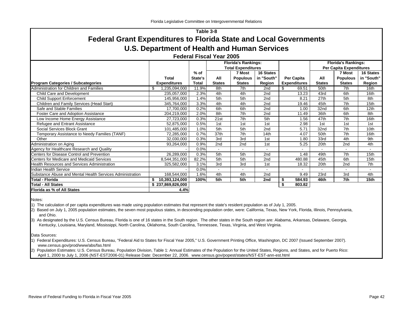# **Table 3-8U.S. Department of Health and Human Services Federal Grant Expenditures to Florida State and Local Governments**

#### **Federal Fiscal Year 2005**

|                                                           |                     |              | 1 GUGLU 1 1900 1900 ZUUD   |                           |                  |                     |               |                                |                          |
|-----------------------------------------------------------|---------------------|--------------|----------------------------|---------------------------|------------------|---------------------|---------------|--------------------------------|--------------------------|
|                                                           |                     |              | <b>Florida's Rankings:</b> |                           |                  |                     |               |                                |                          |
|                                                           |                     |              |                            | <b>Total Expenditures</b> |                  |                     |               | <b>Per Capita Expenditures</b> |                          |
|                                                           |                     | $%$ of       |                            | 7 Most                    | 16 States        |                     |               | 7 Most                         | 16 States                |
|                                                           | Total               | State's      | All                        | <b>Populous</b>           | in "South"       | Per Capita          | All           | <b>Populous</b>                | in "South"               |
| <b>Program Categories / Subcategories</b>                 | <b>Expenditures</b> | <b>Total</b> | <b>States</b>              | <b>States</b>             | Region           | <b>Expenditures</b> | <b>States</b> | <b>States</b>                  | Region                   |
| Administration for Children and Families                  | 1,235,094,000<br>\$ | 11.9%        | 8th                        | 7th                       | 2 <sub>nd</sub>  | \$<br>69.51         | 50th          | 7th                            | 16th                     |
| Child Care and Development                                | 235,057,000         | 2.3%         | 4th                        | 4th                       | 2 <sub>nd</sub>  | 13.23               | 43rd          | 6th                            | 16th                     |
| <b>Child Support Enforcement</b>                          | 145,956,000         | 1.4%         | 5th                        | 5th                       | 2 <sub>nd</sub>  | 8.21                | 27th          | 5th                            | 8th                      |
| Children and Family Services (Head Start)                 | 345,764,000         | 3.3%         | 4th                        | 4th                       | 2nd              | 19.46               | 45th          | 7th                            | 15th                     |
| Safe and Stable Families                                  | 17,700,000          | 0.2%         | 6th                        | 6th                       | 2 <sub>nd</sub>  | 1.00                | 32nd          | 6th                            | 12 <sub>th</sub>         |
| Foster Care and Adoption Assistance                       | 204,219,000         | 2.0%         | 8th                        | 7th                       | 2 <sub>nd</sub>  | 11.49               | 36th          | 6th                            | 8th                      |
| Low Income Home Energy Assistance                         | 27,723,000          | 0.3%         | 21st                       | 7th                       | 5th              | 1.56                | 47th          | 7th                            | 16th                     |
| Refugee and Entrant Assistance                            | 52,875,000          | 0.5%         | 1st                        | 1st                       | 1st              | 2.98                | 1st           | 1st                            | 1st                      |
| Social Services Block Grant                               | 101,485,000         | 1.0%         | 5th                        | 5th                       | 2 <sub>nd</sub>  | 5.71                | 32nd          | 7th                            | 10th                     |
| Temporary Assistance to Needy Families (TANF)             | 72,285,000          | 0.7%         | 37th                       | 7th                       | 14 <sub>th</sub> | 4.07                | 50th          | 7th                            | 16th                     |
| Other                                                     | 32,030,000          | 0.3%         | 3rd                        | 3rd                       | 1st              | 1.80                | 33rd          | 4th                            | 9th                      |
| Administration on Aging                                   | 93,264,000          | 0.9%         | 2 <sub>nd</sub>            | 2nd                       | 1st              | 5.25                | 20th          | 2 <sub>nd</sub>                | 4th                      |
| Agency for Healthcare Research and Quality                |                     | 0.0%         |                            |                           |                  |                     |               |                                |                          |
| Centers for Disease Control and Prevention                | 26,289,000          | 0.3%         | 5th                        | 5th                       | 2 <sub>nd</sub>  | 1.48                | 49th          | 7th                            | 15th                     |
| Centers for Medicare and Medicaid Services                | 8,544,351,000       | 82.2%        | 5th                        | 5th                       | 2nd              | 480.88              | 45th          | 6th                            | 15th                     |
| <b>Health Resources and Services Administration</b>       | 325,582,000         | 3.1%         | 3rd                        | 3rd                       | 1st              | 18.32               | 20th          | 2nd                            | 7th                      |
| <b>Indian Health Service</b>                              |                     | 0.0%         | $\blacksquare$             | $\blacksquare$            |                  |                     |               | $\blacksquare$                 | $\overline{\phantom{a}}$ |
| Substance Abuse and Mental Health Services Administration | 168,544,000         | 1.6%         | 4th                        | 4th                       | 2nd              | 9.49                | 23rd          | 3rd                            | 4th                      |
| Total - Florida                                           | 10,393,124,000      | 100%         | 5th                        | 5th                       | 2nd              | 584.93              | 46th          | 7th                            | 15th                     |
| <b>Total - All States</b>                                 | 237,869,826,000     |              |                            |                           |                  | \$<br>803.82        |               |                                |                          |
| Florida as % of All States                                | 4.4%                |              |                            |                           |                  |                     |               |                                |                          |

Notes:

1) The calculation of per capita expenditures was made using population estimates that represent the state's resident population as of July 1, 2005.

2) Based on July 1, 2005 population estimates, the seven most populous states, in descending population order, were: California, Texas, New York, Florida, Illinois, Pennsylvania, and Ohio.

3) As designated by the U.S. Census Bureau, Florida is one of 16 states in the South region. The other states in the South region are: Alabama, Arkansas, Delaware, Georgia, Kentucky, Louisiana, Maryland, Mississippi, North Carolina, Oklahoma, South Carolina, Tennessee, Texas, Virginia, and West Virginia.

#### Data Sources:

1) Federal Expenditures: U.S. Census Bureau, "Federal Aid to States for Fiscal Year 2005," U.S. Government Printing Office, Washington, DC 2007 (Issued September 2007). www.census.gov/prod/www/abs/fas.html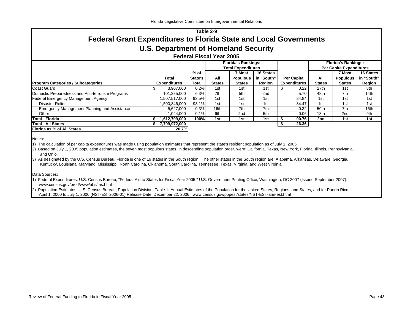# **Table 3-9U.S. Department of Homeland Security Federal Grant Expenditures to Florida State and Local Governments**

#### **Federal Fiscal Year 2005**

|                                                   |                     |         | <b>Florida's Rankings:</b> |                           |                  | <b>Florida's Rankings:</b> |               |                                |            |
|---------------------------------------------------|---------------------|---------|----------------------------|---------------------------|------------------|----------------------------|---------------|--------------------------------|------------|
|                                                   |                     |         |                            | <b>Total Expenditures</b> |                  |                            |               | <b>Per Capita Expenditures</b> |            |
|                                                   |                     | $%$ of  |                            | 7 Most                    | <b>16 States</b> |                            |               | 7 Most                         | 16 States  |
|                                                   | Total               | State's | All                        | <b>Populous</b>           | in "South"       | <b>Per Capita</b>          | All           | <b>Populous</b>                | in "South" |
| <b>Program Categories / Subcategories</b>         | <b>Expenditures</b> | Total   | <b>States</b>              | <b>States</b>             | Region           | <b>Expenditures</b>        | <b>States</b> | <b>States</b>                  | Region     |
| <b>Coast Guard</b>                                | 3.907.000           | 0.2%    | 1st                        | 1st                       | 1st              | 0.22                       | 27th          | 1st                            | 8th        |
| Domestic Preparedness and Anti-terrorism Programs | 101.285.000         | 6.3%    | 7th                        | 5th                       | 2nd              | 5.70                       | 48th          | 7th                            | 14th       |
| <b>Federal Emergency Management Agency</b>        | 1,507,517,000       | 93.5%   | 1st                        | 1st                       | 1st              | 84.84                      | 1st           | 1st                            | 1st        |
| Disaster Relief                                   | 1.500.846.000       | 93.1%   | 1st                        | 1st                       | 1st              | 84.47                      | 1st           | 1st                            | 1st        |
| Emergency Management Planning and Assistance      | 5.627.000           | 0.3%    | 16th                       | 7th                       | 7th              | 0.32                       | 50th          | 7th                            | 16th       |
| Other                                             | .044.000            | 0.1%    | 6th                        | 2 <sub>nd</sub>           | 5th              | 0.06                       | 18th          | 2 <sub>nd</sub>                | 9th        |
| Total - Florida                                   | 1.612.709.000       | 100%    | 1st                        | 1st                       | 1st              | 90.76                      | 2nd           | 1st                            | 1st        |
| Total - All States                                | 7,799,972,000       |         |                            |                           |                  | 26.36                      |               |                                |            |
| <b>IFlorida as % of All States</b>                | 20.7%               |         |                            |                           |                  |                            |               |                                |            |

Notes:

1) The calculation of per capita expenditures was made using population estimates that represent the state's resident population as of July 1, 2005.

2) Based on July 1, 2005 population estimates, the seven most populous states, in descending population order, were: California, Texas, New York, Florida, Illinois, Pennsylvania, and Ohio.

3) As designated by the U.S. Census Bureau, Florida is one of 16 states in the South region. The other states in the South region are: Alabama, Arkansas, Delaware, Georgia, Kentucky, Louisiana, Maryland, Mississippi, North Carolina, Oklahoma, South Carolina, Tennessee, Texas, Virginia, and West Virginia.

Data Sources:

1) Federal Expenditures: U.S. Census Bureau, "Federal Aid to States for Fiscal Year 2005," U.S. Government Printing Office, Washington, DC 2007 (Issued September 2007). www.census.gov/prod/www/abs/fas.html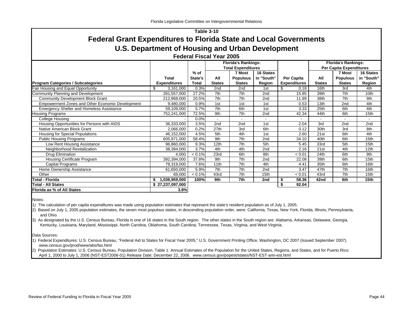# **Table 3-10U.S. Department of Housing and Urban Development Federal Grant Expenditures to Florida State and Local Governments**

#### **Federal Fiscal Year 2005**

|                                                         |                     |           |                  | <b>Florida's Rankings:</b> |                 |                     |                  | <b>Florida's Rankings:</b> |                  |
|---------------------------------------------------------|---------------------|-----------|------------------|----------------------------|-----------------|---------------------|------------------|----------------------------|------------------|
|                                                         |                     |           |                  | <b>Total Expenditures</b>  |                 |                     |                  | Per Capita Expenditures    |                  |
|                                                         |                     | $%$ of    |                  | 7 Most                     | 16 States       |                     |                  | 7 Most                     | 16 States        |
|                                                         | Total               | State's   | All              | <b>Populous</b>            | in "South"      | Per Capita          | All              | <b>Populous</b>            | in "South"       |
| Program Categories / Subcategories                      | <b>Expenditures</b> | Total     | <b>States</b>    | <b>States</b>              | Region          | <b>Expenditures</b> | <b>States</b>    | <b>States</b>              | Region           |
| Fair Housing and Equal Opportunity                      | \$<br>3,161,000     | 0.3%      | 2nd              | 2nd                        | 1st             | 0.18                | 16th             | 3rd                        | 4th              |
| Community Planning and Development                      | 281,557,000         | 27.2%     | 7th              | 7th                        | 2 <sub>nd</sub> | 15.85               | 39th             | 7th                        | 10th             |
| <b>Community Development Block Grant</b>                | 212,968,000         | 20.5%     | 7th              | 7th                        | 2nd             | 11.99               | 38th             | 7th                        | 9th              |
| <b>Empowerment Zones and Other Economic Development</b> | 9,480,000           | 0.9%      | 1st              | 1st                        | 1st             | 0.53                | 13 <sub>th</sub> | 2 <sub>nd</sub>            | 4th              |
| <b>Emergency Shelter and Homeless Assistance</b>        | 59,109,000          | 5.7%      | 7th              | 6th                        | 1st             | 3.33                | 25th             | 6th                        | 4th              |
| <b>Housing Programs</b>                                 | 752,241,000         | 72.5%     | 9th              | 7th                        | 2nd             | 42.34               | 44th             | 6th                        | 15th             |
| College Housing                                         |                     | 0.0%      |                  |                            |                 |                     |                  |                            |                  |
| Housing Opportunities for Persons with AIDS             | 36,333,000          | 3.5%      | 2 <sub>nd</sub>  | 2nd                        | 1st             | 2.04                | 3rd              | 2 <sub>nd</sub>            | 2nd              |
| Native American Block Grant                             | 2,066,000           | 0.2%      | 27th             | 3rd                        | 6th             | 0.12                | 30th             | 3rd                        | 8th              |
| Housing for Special Populations                         | 46,152,000          | 4.5%      | 5th              | 4th                        | 1st             | 2.60                | 21st             | 6th                        | 4th              |
| <b>Public Housing Programs</b>                          | 605,971,000         | 58.4%     | 9th              | 7th                        | 2nd             | 34.10               | 40th             | 6th                        | 15th             |
| Low Rent Housing Assistance                             | 96,860,000          | 9.3%      | 12 <sub>th</sub> | 7th                        | 5th             | 5.45                | 33rd             | 5th                        | 15 <sub>th</sub> |
| Neighborhood Revitalization                             | 38,394,000          | 3.7%      | 4th              | 4th                        | 2nd             | 2.16                | 21st             | 4th                        | 12th             |
| Drug Elimination                                        | 4,000               | $< 0.1\%$ | 23rd             | 6th                        | 8th             | < 0.01              | 24th             | 6th                        | 9th              |
| <b>Housing Certificate Program</b>                      | 392,394,000         | 37.8%     | 9th              | 7th                        | 2nd             | 22.08               | 39th             | 6th                        | 15th             |
| Capital Programs                                        | 78,319,000          | 7.6%      | 11th             | 7th                        | 4th             | 4.41                | 35th             | 6th                        | 16th             |
| Home Ownership Assistance                               | 61,650,000          | 5.9%      | 7th              | 7th                        | 2nd             | 3.47                | 47th             | 7th                        | 16th             |
| Other                                                   | 69,000              | $< 0.1\%$ | 43rd             | 7th                        | 15th            | < 0.01              | 43rd             | 7th                        | 15th             |
| <b>Total - Florida</b>                                  | 1,036,959,000       | 100%      | 9th              | 7th                        | 2nd             | 58.36               | 42nd             | 6th                        | 15th             |
| <b>Total - All States</b>                               | \$27,237,097,000    |           |                  |                            |                 | 92.04               |                  |                            |                  |
| Florida as % of All States                              | 3.8%                |           |                  |                            |                 |                     |                  |                            |                  |

Notes:

1) The calculation of per capita expenditures was made using population estimates that represent the state's resident population as of July 1, 2005.

2) Based on July 1, 2005 population estimates, the seven most populous states, in descending population order, were: California, Texas, New York, Florida, Illinois, Pennsylvania, and Ohio.

3) As designated by the U.S. Census Bureau, Florida is one of 16 states in the South region. The other states in the South region are: Alabama, Arkansas, Delaware, Georgia, Kentucky, Louisiana, Maryland, Mississippi, North Carolina, Oklahoma, South Carolina, Tennessee, Texas, Virginia, and West Virginia.

#### Data Sources:

1) Federal Expenditures: U.S. Census Bureau, "Federal Aid to States for Fiscal Year 2005," U.S. Government Printing Office, Washington, DC 2007 (Issued September 2007). www.census.gov/prod/www/abs/fas.html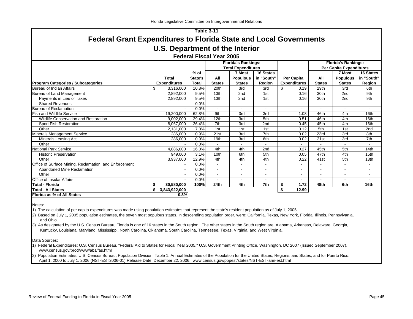| Table 3-11                                                                                                                           |                                                                                                                      |              |                                 |                            |                  |                     |                |                                |                  |  |  |  |  |  |
|--------------------------------------------------------------------------------------------------------------------------------------|----------------------------------------------------------------------------------------------------------------------|--------------|---------------------------------|----------------------------|------------------|---------------------|----------------|--------------------------------|------------------|--|--|--|--|--|
| <b>Federal Grant Expenditures to Florida State and Local Governments</b>                                                             |                                                                                                                      |              |                                 |                            |                  |                     |                |                                |                  |  |  |  |  |  |
|                                                                                                                                      |                                                                                                                      |              |                                 |                            |                  |                     |                |                                |                  |  |  |  |  |  |
|                                                                                                                                      | U.S. Department of the Interior                                                                                      |              |                                 |                            |                  |                     |                |                                |                  |  |  |  |  |  |
|                                                                                                                                      |                                                                                                                      |              | <b>Federal Fiscal Year 2005</b> |                            |                  |                     |                |                                |                  |  |  |  |  |  |
|                                                                                                                                      |                                                                                                                      |              |                                 | <b>Florida's Rankings:</b> |                  |                     |                | <b>Florida's Rankings:</b>     |                  |  |  |  |  |  |
|                                                                                                                                      |                                                                                                                      |              |                                 | <b>Total Expenditures</b>  |                  |                     |                | <b>Per Capita Expenditures</b> |                  |  |  |  |  |  |
|                                                                                                                                      |                                                                                                                      | $%$ of       |                                 | 7 Most                     | <b>16 States</b> |                     |                | 7 Most                         | 16 States        |  |  |  |  |  |
|                                                                                                                                      | Total                                                                                                                | State's      | All                             | <b>Populous</b>            | in "South"       | Per Capita          | All            | <b>Populous</b>                | in "South"       |  |  |  |  |  |
| <b>Program Categories / Subcategories</b>                                                                                            | <b>Expenditures</b>                                                                                                  | <b>Total</b> | <b>States</b>                   | <b>States</b>              | Region           | <b>Expenditures</b> | <b>States</b>  | <b>States</b>                  | Region           |  |  |  |  |  |
| <b>Bureau of Indian Affairs</b>                                                                                                      | 3,316,000                                                                                                            | 10.8%        | 20 <sub>th</sub>                | 3rd                        | 3rd              | 0.19<br>\$          | 29th           | 3rd                            | 6th              |  |  |  |  |  |
| <b>Bureau of Land Management</b>                                                                                                     | 2,892,000                                                                                                            | 9.5%         | 13th                            | 2nd                        | 1st              | 0.16                | 30th           | 2nd                            | 9th              |  |  |  |  |  |
| 9.5%<br>13th<br>30th<br>Payments in Lieu of Taxes<br>2,892,000<br>2nd<br>1st<br>0.16<br>2nd<br>9th<br><b>Shared Revenues</b><br>0.0% |                                                                                                                      |              |                                 |                            |                  |                     |                |                                |                  |  |  |  |  |  |
|                                                                                                                                      |                                                                                                                      |              |                                 |                            |                  |                     |                |                                |                  |  |  |  |  |  |
| Bureau of Reclamation<br>0.0%<br>$\blacksquare$                                                                                      |                                                                                                                      |              |                                 |                            |                  |                     |                |                                |                  |  |  |  |  |  |
| <b>Fish and Wildlife Service</b>                                                                                                     | 19,200,000                                                                                                           | 62.8%        | 9th                             | 3rd                        | 3rd              | 1.08                | 46th           | 4th                            | 16th             |  |  |  |  |  |
| <b>Wildlife Conservation and Restoration</b>                                                                                         | 9,002,000                                                                                                            | 29.4%        | 12th                            | 3rd                        | 5th              | 0.51                | 46th           | 4th                            | 16th             |  |  |  |  |  |
| Sport Fish Restoration                                                                                                               | 8,067,000                                                                                                            | 26.4%        | 7th                             | 3rd                        | 2 <sub>nd</sub>  | 0.45                | 45th           | 4th                            | 16th             |  |  |  |  |  |
| Other                                                                                                                                | 2,131,000                                                                                                            | 7.0%         | 1 <sub>st</sub>                 | 1st                        | 1st              | 0.12                | 5th            | 1st                            | 2nd              |  |  |  |  |  |
| <b>Minerals Management Service</b>                                                                                                   | 286.000                                                                                                              | 0.9%         | 21st                            | 3rd                        | 7th              | 0.02                | 23rd           | 3rd                            | 8th              |  |  |  |  |  |
| Minerals Leasing Act                                                                                                                 | 286.000                                                                                                              | 0.9%         | 19th                            | 3rd                        | 6th              | 0.02                | 21st           | 3rd                            | 7th              |  |  |  |  |  |
| Other                                                                                                                                |                                                                                                                      | 0.0%         |                                 |                            |                  |                     |                |                                |                  |  |  |  |  |  |
| <b>National Park Service</b>                                                                                                         | 4,886,000                                                                                                            | 16.0%        | 4th                             | 4th                        | 2nd              | 0.27                | 45th           | 5th                            | 14th             |  |  |  |  |  |
| <b>Historic Preservation</b>                                                                                                         | 949.000                                                                                                              | 3.1%         | 10th                            | 6th                        | 5th              | 0.05                | 47th           | 4th                            | 15th             |  |  |  |  |  |
| Other                                                                                                                                | 3,937,000                                                                                                            | 12.9%        | 4th                             | 4th                        | 4th              | 0.22                | 41st           | 5th                            | 13 <sub>th</sub> |  |  |  |  |  |
| Office of Surface Mining, Reclamation, and Enforcement                                                                               |                                                                                                                      | 0.0%         | $\blacksquare$                  | $\blacksquare$             |                  |                     |                | $\blacksquare$                 |                  |  |  |  |  |  |
| <b>Abandoned Mine Reclamation</b>                                                                                                    |                                                                                                                      | 0.0%         | $\overline{a}$                  | ٠                          |                  | $\sim$              | $\overline{a}$ |                                |                  |  |  |  |  |  |
| Other                                                                                                                                |                                                                                                                      | 0.0%         |                                 |                            |                  |                     |                |                                |                  |  |  |  |  |  |
| <b>Office of Insular Affairs</b>                                                                                                     | 0.0%<br>$\overline{\phantom{a}}$<br>$\overline{\phantom{a}}$<br>$\overline{\phantom{a}}$<br>$\overline{\phantom{a}}$ |              |                                 |                            |                  |                     |                |                                |                  |  |  |  |  |  |
| <b>Total - Florida</b>                                                                                                               | 30,580,000<br>\$                                                                                                     | 100%         | 24 <sub>th</sub>                | 4th                        | 7th              | 1.72<br>\$          | 48th           | 6th                            | 16th             |  |  |  |  |  |
| <b>Total - All States</b>                                                                                                            | \$<br>3,843,922,000                                                                                                  |              |                                 |                            |                  | \$<br>12.99         |                |                                |                  |  |  |  |  |  |
| <b>IFlorida as % of All States</b>                                                                                                   | 0.8%                                                                                                                 |              |                                 |                            |                  |                     |                |                                |                  |  |  |  |  |  |

Notes:

1) The calculation of per capita expenditures was made using population estimates that represent the state's resident population as of July 1, 2005.

2) Based on July 1, 2005 population estimates, the seven most populous states, in descending population order, were: California, Texas, New York, Florida, Illinois, Pennsylvania, and Ohio.

3) As designated by the U.S. Census Bureau, Florida is one of 16 states in the South region. The other states in the South region are: Alabama, Arkansas, Delaware, Georgia, Kentucky, Louisiana, Maryland, Mississippi, North Carolina, Oklahoma, South Carolina, Tennessee, Texas, Virginia, and West Virginia.

Data Sources:

1) Federal Expenditures: U.S. Census Bureau, "Federal Aid to States for Fiscal Year 2005," U.S. Government Printing Office, Washington, DC 2007 (Issued September 2007). www.census.gov/prod/www/abs/fas.html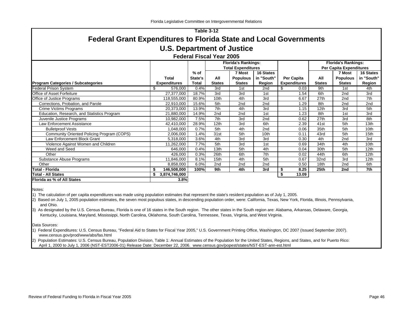| Table 3-12                                                               |  |
|--------------------------------------------------------------------------|--|
| <b>Federal Grant Expenditures to Florida State and Local Governments</b> |  |
| <b>U.S. Department of Justice</b>                                        |  |

#### **Federal Fiscal Year 2005**

|                                             |                     |         | <b>Florida's Rankings:</b><br><b>Total Expenditures</b> |                 |                  |                     |               | <b>Florida's Rankings:</b>     |                  |
|---------------------------------------------|---------------------|---------|---------------------------------------------------------|-----------------|------------------|---------------------|---------------|--------------------------------|------------------|
|                                             |                     |         |                                                         |                 |                  |                     |               | <b>Per Capita Expenditures</b> |                  |
|                                             |                     | $%$ of  |                                                         | 7 Most          | <b>16 States</b> |                     |               | 7 Most                         | 16 States        |
|                                             | Total               | State's | All                                                     | <b>Populous</b> | in "South"       | Per Capita          | All           | <b>Populous</b>                | in "South"       |
| <b>Program Categories / Subcategories</b>   | <b>Expenditures</b> | Total   | <b>States</b>                                           | <b>States</b>   | Region           | <b>Expenditures</b> | <b>States</b> | <b>States</b>                  | Region           |
| <b>Federal Prison System</b>                | 576,000<br>\$       | 0.4%    | 3rd                                                     | 1st             | 2 <sub>nd</sub>  | 0.03<br>£.          | 9th           | 1st                            | 4th              |
| Office of Asset Forfeiture                  | 27,377,000          | 18.7%   | 3rd                                                     | 3rd             | 1st              | 1.54                | 6th           | 2 <sub>nd</sub>                | 3rd              |
| Office of Justice Programs                  | 118,555,000         | 80.9%   | 10th                                                    | 4th             | 3rd              | 6.67                | 27th          | 2 <sub>nd</sub>                | 7th              |
| Corrections, Probation, and Parole          | 22,910,000          | 15.6%   | 5th                                                     | 2nd             | 2nd              | 1.29                | 8th           | 2nd                            | 2nd              |
| Crime Victims Programs                      | 20,373,000          | 13.9%   | 7th                                                     | 4th             | 3rd              | 1.15                | 12th          | 3rd                            | 5th              |
| Education, Research, and Statistics Program | 21,880,000          | 14.9%   | 2nd                                                     | 2nd             | 1 <sub>st</sub>  | 1.23                | 8th           | 1st                            | 3rd              |
| Juvenile Justice Programs                   | 10,982,000          | 7.5%    | 7th                                                     | 3rd             | 2nd              | 0.62                | 27th          | 3rd                            | 8th              |
| Law Enforcement Assistance                  | 42,410,000          | 28.9%   | 12th                                                    | 3rd             | 6th              | 2.39                | 41st          | 5th                            | 13 <sub>th</sub> |
| <b>Bulletproof Vests</b>                    | 1,048,000           | 0.7%    | 5th                                                     | 4th             | 2 <sub>nd</sub>  | 0.06                | 35th          | 5th                            | 10th             |
| Community Oriented Policing Program (COPS)  | 2,006,000           | 1.4%    | 31st                                                    | 5th             | 10 <sub>th</sub> | 0.11                | 43rd          | 5th                            | 15th             |
| Law Enforcement Block Grant                 | 5,318,000           | 3.6%    | 4th                                                     | 3rd             | 3rd              | 0.30                | 4th           | 2 <sub>nd</sub>                | 3rd              |
| Violence Against Women and Children         | 11,262,000          | 7.7%    | 5th                                                     | 3rd             | 1st              | 0.69                | 34th          | 4th                            | 10th             |
| Weed and Seed                               | 646,000             | 0.4%    | 13th                                                    | 5th             | 4th              | 0.04                | 30th          | 5th                            | 12 <sub>th</sub> |
| Other                                       | 426.000             | 0.3%    | 26th                                                    | 6th             | 7th              | 0.02                | 44th          | 6th                            | 12th             |
| Substance Abuse Programs                    | 11,846,000          | 8.1%    | 15th                                                    | 4th             | 5th              | 0.67                | 32nd          | 3rd                            | 12th             |
| Other                                       | 8,858,000           | 6.0%    | 2 <sub>nd</sub>                                         | 2 <sub>nd</sub> | 2 <sub>nd</sub>  | 0.50                | 18th          | 2 <sub>nd</sub>                | 6th              |
| Total - Florida                             | S<br>146,508,000    | 100%    | 9th                                                     | 4th             | 3rd              | 8.25                | 25th          | 2nd                            | 7th              |
| <b>Total - All States</b>                   | 3,874,746,000       |         |                                                         |                 |                  | 13.09<br>\$         |               |                                |                  |
| <b>Florida as % of All States</b>           | 3.8%                |         |                                                         |                 |                  |                     |               |                                |                  |

Notes:

1) The calculation of per capita expenditures was made using population estimates that represent the state's resident population as of July 1, 2005.

2) Based on July 1, 2005 population estimates, the seven most populous states, in descending population order, were: California, Texas, New York, Florida, Illinois, Pennsylvania, and Ohio.

3) As designated by the U.S. Census Bureau, Florida is one of 16 states in the South region. The other states in the South region are: Alabama, Arkansas, Delaware, Georgia, Kentucky, Louisiana, Maryland, Mississippi, North Carolina, Oklahoma, South Carolina, Tennessee, Texas, Virginia, and West Virginia.

Data Sources:

1) Federal Expenditures: U.S. Census Bureau, "Federal Aid to States for Fiscal Year 2005," U.S. Government Printing Office, Washington, DC 2007 (Issued September 2007). www.census.gov/prod/www/abs/fas.html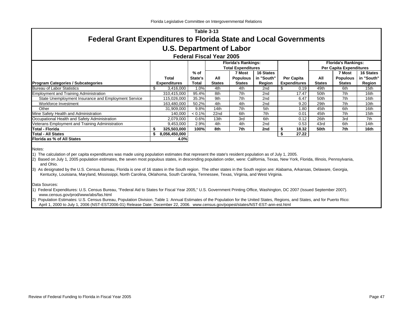# **Table 3-13U.S. Department of Labor Federal Grant Expenditures to Florida State and Local Governments**

### **Federal Fiscal Year 2005**

|                                                     |                     |           |                  | <b>Florida's Rankings:</b> |                  |                     | <b>Florida's Rankings:</b> |                                |                  |  |  |
|-----------------------------------------------------|---------------------|-----------|------------------|----------------------------|------------------|---------------------|----------------------------|--------------------------------|------------------|--|--|
|                                                     |                     |           |                  | <b>Total Expenditures</b>  |                  |                     |                            | <b>Per Capita Expenditures</b> |                  |  |  |
|                                                     |                     | $%$ of    |                  | 7 Most                     | <b>16 States</b> |                     |                            | 7 Most                         | 16 States        |  |  |
|                                                     | Total               | State's   | All              | <b>Populous</b>            | in "South"       | Per Capita          | All                        | <b>Populous</b>                | in "South"       |  |  |
| <b>Program Categories / Subcategories</b>           | <b>Expenditures</b> | Total     | <b>States</b>    | <b>States</b>              | Region           | <b>Expenditures</b> | <b>States</b>              | <b>States</b>                  | Region           |  |  |
| Bureau of Labor Statistics                          | 3.416.000           | 1.0%      | 4th              | 4th                        | 2nd              | 0.19                | 49th                       | 6th                            | 15th             |  |  |
| <b>Employment and Training Administration</b>       | 310.415.000         | 95.4%     | 8th              | 7th                        | 2nd              | 17.47               | 50th                       | 7th                            | 16th             |  |  |
| State Unemployment Insurance and Employment Service | 115.026.000         | 35.3%     | 9th              | 7th                        | 2nd              | 6.47                | 50th                       | 7th                            | 16th             |  |  |
| Workforce Investment                                | 163,480,000         | 50.2%     | 4th              | 4th                        | 2nd              | 9.20                | 29th                       | 7th                            | 10th             |  |  |
| Other                                               | 31.909.000          | 9.8%      | 14th             | 7th                        | 5th              | 1.80                | 45th                       | 6th                            | 16th             |  |  |
| Mine Safety Health and Administration               | 140.000             | $< 0.1\%$ | 22nd             | 6th                        | 7th              | 0.01                | 45th                       | 7th                            | 15 <sub>th</sub> |  |  |
| Occupational Health and Safety Administration       | 2.079.000           | 0.6%      | 13 <sub>th</sub> | 3rd                        | 6th              | 0.12                | 26th                       | 3rd                            | 7th              |  |  |
| Veterans Employment and Training Administration     | 9.453.000           | 2.9%      | 4th              | 4th                        | 2 <sub>nd</sub>  | 0.53                | 43rd                       | 6th                            | 14 <sub>th</sub> |  |  |
| Total - Florida                                     | 325.503.000         | 100%      | 8th              | 7th                        | 2nd              | 18.32               | 50th                       | 7th                            | 16th             |  |  |
| Total - All States                                  | 8,056,450,000       |           |                  |                            |                  | 27.22               |                            |                                |                  |  |  |
| <b>IFlorida as % of All States</b>                  | 4.0%                |           |                  |                            |                  |                     |                            |                                |                  |  |  |

Notes:

1) The calculation of per capita expenditures was made using population estimates that represent the state's resident population as of July 1, 2005.

2) Based on July 1, 2005 population estimates, the seven most populous states, in descending population order, were: California, Texas, New York, Florida, Illinois, Pennsylvania, and Ohio.

3) As designated by the U.S. Census Bureau, Florida is one of 16 states in the South region. The other states in the South region are: Alabama, Arkansas, Delaware, Georgia, Kentucky, Louisiana, Maryland, Mississippi, North Carolina, Oklahoma, South Carolina, Tennessee, Texas, Virginia, and West Virginia.

Data Sources:

1) Federal Expenditures: U.S. Census Bureau, "Federal Aid to States for Fiscal Year 2005," U.S. Government Printing Office, Washington, DC 2007 (Issued September 2007). www.census.gov/prod/www/abs/fas.html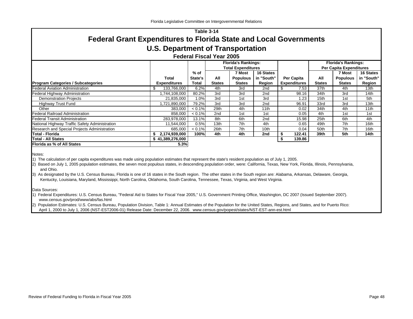# **Table 3-14U.S. Department of Transportation Federal Grant Expenditures to Florida State and Local Governments**

### **Federal Fiscal Year 2005**

|                                                |                     |           |                  | <b>Florida's Rankings:</b> |                  |                     |                  | <b>Florida's Rankings:</b>     |                  |
|------------------------------------------------|---------------------|-----------|------------------|----------------------------|------------------|---------------------|------------------|--------------------------------|------------------|
|                                                |                     |           |                  | <b>Total Expenditures</b>  |                  |                     |                  | <b>Per Capita Expenditures</b> |                  |
|                                                |                     | $%$ of    |                  | 7 Most                     | <b>16 States</b> |                     |                  | 7 Most                         | 16 States        |
|                                                | Total               | State's   | All              | <b>Populous</b>            | in "South"       | Per Capita          | All              | <b>Populous</b>                | in "South"       |
| <b>Program Categories / Subcategories</b>      | <b>Expenditures</b> | Total     | <b>States</b>    | <b>States</b>              | Region           | <b>Expenditures</b> | <b>States</b>    | <b>States</b>                  | Region           |
| <b>Federal Aviation Administration</b>         | 133.766.000         | 6.2%      | 4th              | 3rd                        | 2nd              | 7.53                | 37th             | 4th                            | 13th             |
| Federal Highway Administration                 | 1.744.108.000       | 80.2%     | 3rd              | 3rd                        | 2 <sub>nd</sub>  | 98.16               | 34th             | 3rd                            | 14th             |
| <b>Demonstration Projects</b>                  | 21,835,000          | 1.0%      | 3rd              | 1st                        | 3rd              | 1.23                | 15 <sub>th</sub> | 1st                            | 5th              |
| <b>Highway Trust Fund</b>                      | 1.721.890.000       | 79.2%     | 3rd              | 3rd                        | 2nd              | 96.91               | 33rd             | 3rd                            | 13 <sub>th</sub> |
| Other                                          | 383,000             | $< 0.1\%$ | 29th             | 4th                        | 11th             | 0.02                | 34th             | 4th                            | 11th             |
| <b>Federal Railroad Administration</b>         | 858,000             | $< 0.1\%$ | 2nd              | 1st                        | 1st              | 0.05                | 4th              | 1st                            | 1st              |
| <b>Federal Transit Administration</b>          | 283,978,000         | 13.1%     | 8th              | 6th                        | 2 <sub>nd</sub>  | 15.98               | 25th             | 6th                            | 4th              |
| National Highway Traffic Safety Administration | 11.544.000          | 0.5%      | 13 <sub>th</sub> | 7th                        | 4th              | 0.65                | 49th             | 7th                            | 16th             |
| Research and Special Projects Administration   | 685,000             | $< 0.1\%$ | 26th             | 7th                        | 10th             | 0.04                | 50th             | 7th                            | 16th             |
| Total - Florida                                | 2,174,939,000       | 100%      | 4th              | 4th                        | 2nd              | 122.41              | 39th             | 5th                            | 14th             |
| Total - All States                             | 41,389,276,000      |           |                  |                            |                  | 139.86              |                  |                                |                  |
| <b>IFlorida as % of All States</b>             | 5.3%                |           |                  |                            |                  |                     |                  |                                |                  |

Notes:

1) The calculation of per capita expenditures was made using population estimates that represent the state's resident population as of July 1, 2005.

2) Based on July 1, 2005 population estimates, the seven most populous states, in descending population order, were: California, Texas, New York, Florida, Illinois, Pennsylvania, and Ohio.

3) As designated by the U.S. Census Bureau, Florida is one of 16 states in the South region. The other states in the South region are: Alabama, Arkansas, Delaware, Georgia, Kentucky, Louisiana, Maryland, Mississippi, North Carolina, Oklahoma, South Carolina, Tennessee, Texas, Virginia, and West Virginia.

Data Sources:

1) Federal Expenditures: U.S. Census Bureau, "Federal Aid to States for Fiscal Year 2005," U.S. Government Printing Office, Washington, DC 2007 (Issued September 2007). www.census.gov/prod/www/abs/fas.html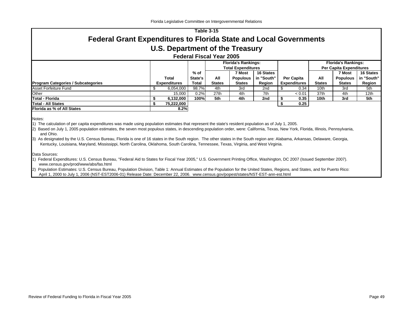# **Table 3-15U.S. Department of the Treasury Federal Grant Expenditures to Florida State and Local Governments**

#### **Federal Fiscal Year 2005**

|                                           | <b>Florida's Rankings:</b><br><b>Total Expenditures</b> |                              |                            |                      |                                            |                                     |  |                                          |                      | <b>Florida's Rankings:</b><br><b>Per Capita Expenditures</b> |                                   |
|-------------------------------------------|---------------------------------------------------------|------------------------------|----------------------------|----------------------|--------------------------------------------|-------------------------------------|--|------------------------------------------|----------------------|--------------------------------------------------------------|-----------------------------------|
| <b>Program Categories / Subcategories</b> |                                                         | Total<br><b>Expenditures</b> | $%$ of<br>State's<br>Total | All<br><b>States</b> | 7 Most<br><b>Populous</b><br><b>States</b> | 16 States<br>l in "South"<br>Region |  | <b>Per Capita</b><br><b>Expenditures</b> | All<br><b>States</b> | 7 Most<br><b>Populous</b><br><b>States</b>                   | 16 States<br>in "South"<br>Region |
| Asset Forfeiture Fund                     |                                                         | 6,054,000                    | 98.7%                      | 4th                  | 3rd                                        | 2 <sub>nd</sub>                     |  | 0.34                                     | 10th                 | 3rd                                                          | 5th                               |
| Other                                     |                                                         | 15.000                       | 0.2%                       | 27 <sub>th</sub>     | 4th                                        | 7th                                 |  | < 0.01                                   | 37th                 | 4th                                                          | 12th                              |
| Total - Florida                           |                                                         | 6.132.000                    | 100%                       | 5th                  | 4th                                        | 2nd                                 |  | 0.35                                     | 10th                 | 3rd                                                          | 5th                               |
| Total - All States                        |                                                         | 75.222.000                   |                            |                      |                                            |                                     |  | 0.25                                     |                      |                                                              |                                   |
| Florida as % of All States                |                                                         | 8.2%                         |                            |                      |                                            |                                     |  |                                          |                      |                                                              |                                   |

Notes:

1) The calculation of per capita expenditures was made using population estimates that represent the state's resident population as of July 1, 2005.

2) Based on July 1, 2005 population estimates, the seven most populous states, in descending population order, were: California, Texas, New York, Florida, Illinois, Pennsylvania, and Ohio.

3) As designated by the U.S. Census Bureau, Florida is one of 16 states in the South region. The other states in the South region are: Alabama, Arkansas, Delaware, Georgia, Kentucky, Louisiana, Maryland, Mississippi, North Carolina, Oklahoma, South Carolina, Tennessee, Texas, Virginia, and West Virginia.

Data Sources:

1) Federal Expenditures: U.S. Census Bureau, "Federal Aid to States for Fiscal Year 2005," U.S. Government Printing Office, Washington, DC 2007 (Issued September 2007). www.census.gov/prod/www/abs/fas.html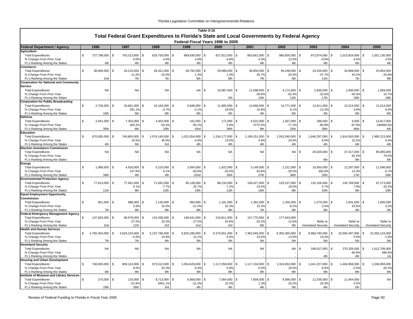|                                                                                                                                          |                |                      |                |                                 |          |                               |      |                                                                                                                                  | Table 3-16 |                                           |              |                                |                |                               |                |                                      |              |                                      |     |                                      |
|------------------------------------------------------------------------------------------------------------------------------------------|----------------|----------------------|----------------|---------------------------------|----------|-------------------------------|------|----------------------------------------------------------------------------------------------------------------------------------|------------|-------------------------------------------|--------------|--------------------------------|----------------|-------------------------------|----------------|--------------------------------------|--------------|--------------------------------------|-----|--------------------------------------|
|                                                                                                                                          |                |                      |                |                                 |          |                               |      | Total Federal Grant Expenditures to Florida's State and Local Governments by Federal Agency<br>Federal Fiscal Years 1996 to 2005 |            |                                           |              |                                |                |                               |                |                                      |              |                                      |     |                                      |
| <b>Federal Department / Agency</b>                                                                                                       |                | 1996                 |                | 1997                            |          | 1998                          |      | 1999                                                                                                                             |            | 2000                                      |              | 2001                           |                | 2002                          |                | 2003                                 |              | 2004                                 |     | 2005                                 |
| Agriculture<br><b>Total Expenditures</b><br>% Change From Prior Year                                                                     | \$             | 727,798,000          | \$             | 793,313,000<br>9.0%             | \$       | 829,750,000<br>4.6%           | \$   | 869,936,000<br>4.8%                                                                                                              | \$         | 827,812,000<br>$-4.8%$                    | \$           | 863,661,000<br>4.3%            | \$             | 980,605,000<br>13.5%          | \$             | 972,874,000<br>$-0.8%$               | \$           | 1,015,824,000<br>4.4%                | \$  | 1,051,130,000<br>3.5%                |
| FL's Ranking Among the States<br>ommerce<br><b>Total Expenditures</b>                                                                    | \$             | 4th<br>38,660,000    | $\mathfrak{s}$ | 4th<br>34,210,000               | <b>S</b> | 4th<br>28,421,000             | \$   | 4th<br>28,792,000                                                                                                                | \$.        | 4th<br>29,088,000                         | \$           | 4th<br>36,850,000              | $\mathfrak{L}$ | 4th<br>46,248,000             | \$             | 4th<br>24,205,000                    | $\mathbf{s}$ | 4th<br>34,898,000                    | \$. | 4th<br>25,904,000                    |
| % Change From Prior Year<br>FL's Ranking Among the States<br>Corporation for National and Community                                      |                | 2nd                  |                | $-11.5%$<br>7th                 |          | $-16.9%$<br>7th               |      | 1.3%<br>6th                                                                                                                      |            | 1.0%<br>8th                               |              | 26.7%<br>7th                   |                | 25.5%<br>5th                  |                | $-47.7%$<br>11th                     |              | 44.2%<br>7th                         |     | $-25.8%$<br>9th                      |
| <b>Service</b><br><b>Total Expenditures</b><br>% Change From Prior Year<br>FL's Ranking Among the States                                 |                | <b>NA</b>            |                | <b>NA</b>                       |          | <b>NA</b>                     |      | <b>NA</b>                                                                                                                        | \$.        | 15,987,000<br>5th                         | $\mathbf{s}$ | 11,098,000<br>$-30.69$<br>10th | \$.            | 4,172,000<br>$-62.4%$<br>12th | <b>S</b>       | 2,835,000<br>$-32.0%$<br>17th        | \$           | 1,693,000<br>$-40.3%$<br>18th        | \$  | 1,959,000<br>15.7%<br>18th           |
| orporation for Public Broadcasting<br><b>Total Expenditures</b><br>% Change From Prior Year                                              | \$             | 2,726,000            | \$             | 10,661,000<br>291.1%            | - \$     | 10,163,000<br>$-4.7%$         | \$   | 9,848,000<br>$-3.1%$                                                                                                             | \$         | 11,805,000<br>19.9%                       | \$           | 13,666,000<br>15.8%            | \$.            | 14,771,000<br>8.1%            | <b>S</b>       | 12,811,000<br>$-13.3%$               | \$           | 13,314,000<br>3.9%                   | s.  | 13,314,000<br>0.0%                   |
| FL's Ranking Among the States<br>Defense<br><b>Total Expenditures</b><br>% Change From Prior Year                                        | $\mathfrak{L}$ | 15th<br>2,041,000    | \$             | 5th<br>7,453,000<br>265.2%      | <b>S</b> | 6th<br>3,402,000<br>$-54.4%$  | - \$ | 6th<br>162,000<br>$-95.2%$                                                                                                       | \$         | 5th<br>171,000<br>5.6%                    | l S          | 4th<br>6,622,000<br>3772.5%    | \$             | 5th<br>1,507,000<br>$-77.2%$  | \$             | 4th<br>289,000<br>$-80.8%$           | \$           | 6th<br>6,000<br>$-97.99$             | \$  | 6th<br>14,817,000<br>246850.0%       |
| FL's Ranking Among the States<br>ducation<br><b>Total Expenditures</b>                                                                   | \$             | 35th<br>670,655,000  | $\mathfrak{s}$ | 8th<br>740,893,000              | S        | 20th<br>1,074,145,000         | - \$ | 43rd<br>1,021,054,000                                                                                                            | \$.        | 36th<br>1,154,177,000                     | \$           | 8th<br>1,199,151,000           | $\mathfrak{L}$ | 25th<br>1,553,340,000         | <b>S</b>       | 39th<br>1,646,297,000                | \$.          | 46th<br>1,814,563,000                | s.  | 6th<br>1,985,213,000                 |
| % Change From Prior Year<br>FL's Ranking Among the States<br>lection Assistance Commission                                               |                | 4th                  |                | 10.5%<br>5th                    |          | 45.0%<br>3rd                  |      | $-4.9%$<br>4th                                                                                                                   |            | 13.0%<br>4th                              |              | 3.9%<br>4th                    |                | 29.5%<br>4th                  |                | 6.0%<br>4th                          |              | 10.2%<br>4th                         |     | 9.4%<br>4th                          |
| <b>Total Expenditures</b><br>% Change From Prior Year<br>FL's Ranking Among the States                                                   |                | <b>NA</b>            |                | <b>NA</b>                       |          | <b>NA</b>                     |      | <b>NA</b>                                                                                                                        |            | <b>NA</b>                                 |              | <b>NA</b>                      |                | <b>NA</b>                     | <b>S</b>       | 26,029,000<br>6th                    | \$           | 47,417,000<br>82.2%<br>9th           | \$  | 85,085,000<br>79.4%<br>5th           |
| nergy<br><b>Total Expenditures</b><br>% Change From Prior Year<br>FL's Ranking Among the States                                          | \$             | 1,986,000<br>34th    | \$             | 4,918,000<br>147.6%<br>4th      | Ŝ.       | 5,216,000<br>6.1%<br>4th      | \$   | 2,564,000<br>$-50.8%$<br>22nd                                                                                                    | \$         | 1,922,000<br>$-25.0%$<br>35th             | \$           | 3,149,000<br>63.8%<br>27th     | \$             | 2,221,000<br>$-29.5%$<br>36th | <b>S</b>       | 10,950,000<br>393.0%<br>20th         | \$           | 12,297,000<br>12.3%<br>17th          | \$. | 11,596,000<br>$-5.7%$<br>16th        |
| <b>Invironmental Protection Agency</b><br><b>Total Expenditures</b><br>% Change From Prior Year                                          | \$             | 77,613,000<br>11th   | $\mathfrak{s}$ | 77,661,000<br>0.1%<br>9th       | <b>S</b> | 71,691,000<br>$-7.7%$<br>12th | \$   | 95,128,000<br>32.7%<br>10th                                                                                                      | \$         | 88,232,000<br>$-7.2%$<br>12 <sub>th</sub> | l \$         | 109,427,000<br>24.0%<br>10th   | $\mathfrak{L}$ | 129,107,000<br>18.0%<br>8th   | <b>S</b>       | 135,156,000<br>4.7%<br>10th          | \$           | 145,769,000<br>7.9%<br>9th           | s.  | 97,273,000<br>$-33.3%$               |
| FL's Ranking Among the States<br>qual Employment Opportunity<br>Commission<br><b>Total Expenditures</b>                                  | \$             | 951,000              | \$             | 988,000                         | - \$     | 1,136,000                     | -\$  | 893,000                                                                                                                          | \$         | 1,181,000                                 | $\mathbf{s}$ | 1,362,000                      | \$.            | 1,250,000                     | \$             | 1,275,000                            | \$           | 1,601,000                            | S.  | 10th<br>1,605,000                    |
| % Change From Prior Year<br>FL's Ranking Among the States<br>ederal Emergency Management Agency                                          |                | 7th                  |                | 3.9%<br>9th                     |          | 15.0%<br>9th                  |      | $-21.4%$<br>8th                                                                                                                  |            | 32.3%<br>8th                              |              | 15.3%<br>7th                   |                | $-8.2%$<br>9th                |                | 2.0%<br>9th                          |              | 25.6%<br>4th                         |     | 0.2%<br>4th                          |
| <b>Total Expenditures</b><br>% Change From Prior Year<br>FL's Ranking Among the States                                                   | \$             | 137,820,000<br>2nd   | \$.            | 99,978,000<br>$-27.5%$<br>11th  | \$       | 132,458,000<br>32.5%<br>3rd   | - \$ | 168,941,000<br>27.5%<br>2nd                                                                                                      | \$.        | 210,811,000<br>24.8%<br>3rd               | S.           | 157,770,000<br>$-25.29$<br>6th | \$.            | 177,643,000<br>12.6%<br>4th   |                | Refer to<br><b>Homeland Security</b> |              | Refer to<br><b>Homeland Security</b> |     | Refer to<br><b>Homeland Security</b> |
| lealth and Human Services<br><b>Total Expenditures</b><br>% Change From Prior Year<br>FL's Ranking Among the States                      | \$             | 4,765,354,000<br>7th | \$             | 4,529,224,000<br>$-5.0%$<br>7th | \$       | 5,197,789,000<br>14.8%<br>6th | - \$ | 5,825,280,000<br>12.1%<br>5th                                                                                                    | \$         | 6,370,651,000<br>9.4%<br>5th              | \$           | 7,362,945,000<br>15.6%<br>5th  | \$             | 8,355,365,000<br>13.5%<br>5th | - \$           | 9,968,790,000<br>19.3%<br>5th        | \$           | 10,560,497,000<br>5.9%<br>5th        | \$  | 10,393,124,000<br>$-1.6%$<br>5th     |
| <b>Iomeland Security</b><br><b>Total Expenditures</b><br>% Change From Prior Year                                                        |                | <b>NA</b>            |                | <b>NA</b>                       |          | <b>NA</b>                     |      | <b>NA</b>                                                                                                                        |            | <b>NA</b>                                 |              | <b>NA</b>                      |                | <b>NA</b>                     | <b>S</b>       | 168,027,000                          | \$           | 270,326,000<br>60.9%                 | s.  | 1,612,709,000<br>496.6%              |
| FL's Ranking Among the States<br>lousing and Urban Development<br><b>Total Expenditures</b><br>% Change From Prior Year                  | \$             | 748,903,000          | \$             | 809,124,000<br>8.0%             | \$       | 973,312,000<br>20.3%          | \$   | 1,054,629,000<br>8.4%                                                                                                            | \$         | 1,117,059,000<br>5.9%                     | \$           | 1,117,104,000<br>0.0%          | \$             | 1,324,002,000<br>18.5%        | <b>S</b>       | 4th<br>1,441,227,000<br>8.9%         | \$           | 4th<br>1,404,958,000<br>$-2.5%$      | s.  | 1st<br>1,036,959,000<br>$-26.2%$     |
| FL's Ranking Among the States<br><b>nstitute of Museum and Library Services</b><br><b>Total Expenditures</b><br>% Change From Prior Year | \$             | 9th<br>275,000       | $\mathfrak{s}$ | 9th<br>133,000<br>$-51.6%$      | <b>S</b> | 9th<br>8,713,000<br>6451.1%   | l \$ | 9th<br>6,858,000<br>$-21.3%$                                                                                                     | \$         | 9th<br>7,564,000<br>10.3%                 | l \$         | 9th<br>7,659,000<br>1.3%       | S.             | 9th<br>9,586,000<br>25.2%     | $\mathfrak{L}$ | 9th<br>11,535,000<br>20.3%           | \$           | 9th<br>11,944,000<br>3.5%            |     | 9th<br><b>NA</b>                     |
| FL's Ranking Among the States                                                                                                            |                | 10th                 |                | 26th                            |          | 3rd                           |      | 4th                                                                                                                              |            | 4th                                       |              | 4th                            |                | 5th                           |                | 6th                                  |              | 5th                                  |     |                                      |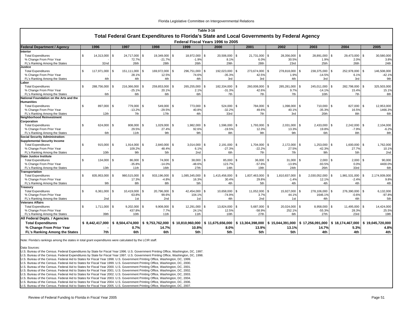| Table 3-16<br>Total Federal Grant Expenditures to Florida's State and Local Governments by Federal Agency                            |                |                    |                |                                |                                             |                |                                   |              |                                 |                                             |                |                                 |                |                                 |                |                                  |          |                                |
|--------------------------------------------------------------------------------------------------------------------------------------|----------------|--------------------|----------------|--------------------------------|---------------------------------------------|----------------|-----------------------------------|--------------|---------------------------------|---------------------------------------------|----------------|---------------------------------|----------------|---------------------------------|----------------|----------------------------------|----------|--------------------------------|
|                                                                                                                                      |                |                    |                |                                |                                             |                |                                   |              |                                 |                                             |                |                                 |                |                                 |                |                                  |          |                                |
|                                                                                                                                      |                |                    |                |                                |                                             |                | Federal Fiscal Years 1996 to 2005 |              |                                 |                                             |                |                                 |                |                                 |                |                                  |          |                                |
| <b>Federal Department / Agency</b>                                                                                                   |                | 1996               |                | 1997                           | 1998                                        |                | 1999                              |              | 2000                            | 2001                                        |                | 2002                            |                | 2003                            |                | 2004                             |          | 2005                           |
| Interior                                                                                                                             |                |                    |                |                                |                                             |                |                                   |              |                                 |                                             |                |                                 |                |                                 |                |                                  |          |                                |
| <b>Total Expenditures</b><br>% Change From Prior Year<br>FL's Ranking Among the States                                               | $\mathfrak{s}$ | 14,313,000<br>32nd | $\mathfrak{L}$ | 24,717,000<br>72.7%<br>26th    | 19,349,000<br>-S<br>$-21.7%$<br>28th        | - \$           | 18,972,000<br>$-1.9%$<br>26th     | $\mathbf{s}$ | 20,506,000<br>8.1%<br>29th      | 21,731,000<br>- \$<br>6.0%<br>28th          | l \$           | 28,356,000<br>30.5%<br>23rd     | - \$           | 28,891,000<br>1.9%<br>25th      | -S             | 29,473,000 \$<br>2.0%<br>26th    |          | 30,580,000<br>3.8%<br>24th     |
| Justice                                                                                                                              |                |                    |                |                                |                                             |                |                                   |              |                                 |                                             |                |                                 |                |                                 |                |                                  |          |                                |
| <b>Total Expenditures</b><br>% Change From Prior Year<br>FL's Ranking Among the States                                               | $\mathfrak{s}$ | 117,971,000<br>4th | $\mathfrak{L}$ | 151,111,000<br>28.1%<br>4th    | 169,972,000<br>£.<br>12.5%<br>4th           | $\mathcal{S}$  | 296,751,000<br>74.6%<br>4th       | \$           | 192,023,000<br>$-35.3%$<br>3rd  | 273,674,000<br>ς.<br>42.5%<br>3rd           | \$.            | 278,818,000<br>1.9%<br>4th      | $\mathfrak{S}$ | 238,375,000<br>$-14.5%$<br>3rd  | $\mathbf{s}$   | 252,978,000<br>6.1%<br>3rd       | S.       | 146,508,000<br>$-42.1%$<br>9th |
| Labor                                                                                                                                |                |                    |                |                                |                                             |                |                                   |              |                                 |                                             |                |                                 |                |                                 |                |                                  |          |                                |
| <b>Total Expenditures</b><br>% Change From Prior Year<br>FL's Ranking Among the States                                               | $\mathfrak{F}$ | 288,756,000<br>6th | \$             | 216,366,000<br>$-25.1%$<br>6th | 259,853,000<br>£.<br>20.1%<br>6th           | - \$           | 265,255,000<br>2.1%<br>6th        | \$           | 182,334,000<br>$-31.3%$<br>7th  | 260,008,000<br>- \$<br>42.6%<br>7th         | S.             | 285,281,000<br>9.7%<br>7th      | \$.            | 245,011,000<br>$-14.1%$<br>10th | $\mathfrak{L}$ | 282,798,000 \$<br>15.4%<br>7th   |          | 325,503,000<br>15.1%<br>8th    |
| National Foundation on the Arts and the                                                                                              |                |                    |                |                                |                                             |                |                                   |              |                                 |                                             |                |                                 |                |                                 |                |                                  |          |                                |
| <b>Humanities</b><br><b>Total Expenditures</b><br>% Change From Prior Year                                                           | $\mathfrak{s}$ | 897,000            | <b>S</b>       | 779,000<br>$-13.2%$            | $\mathbf{s}$<br>549,000<br>$-29.5%$         | - \$           | 773,000<br>40.8%                  | \$           | 524,000 \$<br>$-32.2%$          | 784,000<br>49.6%                            | <b>S</b>       | 1,098,000<br>40.1%              | $\mathcal{R}$  | 710,000<br>$-35.3%$             | l \$           | 827,000 \$<br>16.5%              |          | 12,953,000<br>1466.3%          |
| 12th<br>7th<br>17th<br>4th<br>33rd<br>20th<br>FL's Ranking Among the States<br>7th<br>3rd<br>8th<br><b>Neighborhood Reinvestment</b> |                |                    |                |                                |                                             |                |                                   |              |                                 |                                             |                |                                 |                |                                 | 6th            |                                  |          |                                |
| Corporation<br><b>Total Expenditures</b><br>% Change From Prior Year<br>FL's Ranking Among the States                                | $\mathfrak{s}$ | 624.000<br>6th     | \$             | 808,000<br>29.5%<br>11th       | 1,029,000<br>ς.<br>27.4%<br>9th             | $\mathcal{R}$  | 1,982,000<br>92.6%<br>9th         | \$.          | 1,596,000<br>$-19.5%$<br>8th    | 1,793,000<br>- \$<br>12.3%<br>9th           | <b>S</b>       | 2,031,000<br>13.3%<br>9th       | $\mathcal{R}$  | 2,433,000<br>19.8%<br>6th       | $\mathbf{s}$   | $2,242,000$ \$<br>$-7.9%$<br>8th |          | 2,104,000<br>$-6.2%$<br>8th    |
| <b>Social Security Administration:</b>                                                                                               |                |                    |                |                                |                                             |                |                                   |              |                                 |                                             |                |                                 |                |                                 |                |                                  |          |                                |
| <b>Supplemental Security Income</b><br><b>Total Expenditures</b><br>% Change From Prior Year<br>FL's Ranking Among the States        | $\mathfrak{s}$ | 915.000<br>10th    | <b>S</b>       | 1,914,000<br>109.2%<br>9th     | 2,840,000<br>-S<br>48.4%<br>5th             | $\mathfrak{L}$ | 3,014,000<br>6.1%<br>2nd          | \$.          | 2,191,000 \$<br>$-27.3%$<br>6th | 1,704,000<br>$-22.2%$<br>7th                | $\mathfrak{L}$ | 2,172,000<br>27.5%<br>7th       | <b>S</b>       | 1.253.000<br>$-42.3%$<br>9th    | $\mathbf{s}$   | $1.600.000$ \ \$<br>27.7%<br>5th |          | 1,762,000<br>10.1%<br>2nd      |
| <b>State Justice Institute</b>                                                                                                       |                |                    |                |                                |                                             |                |                                   |              |                                 |                                             |                |                                 |                |                                 |                |                                  |          |                                |
| <b>Total Expenditures</b><br>% Change From Prior Year<br>FL's Ranking Among the States                                               | \$             | 134.000<br>13th    | $\mathfrak{L}$ | 86,000<br>$-35.8%$<br>11th     | 74,000<br>$\mathcal{S}$<br>$-14.0%$<br>16th | $\mathcal{R}$  | 38,000<br>$-48.6%$<br>27th        | $\mathbf{s}$ | 85,000<br>123.7%<br>14th        | 36,000<br>$\mathcal{S}$<br>$-57.6%$<br>19th | $\mathfrak{L}$ | 31,000<br>$-13.9%$<br>24th      | $\mathbf{s}$   | 2,000<br>$-93.5%$<br>26th       | $\sqrt{S}$     | 2,000<br>0.0%<br>33rd            | <b>S</b> | 90,000<br>4400.0%<br>6th       |
| ransportation                                                                                                                        |                |                    |                |                                |                                             |                |                                   |              |                                 |                                             |                |                                 |                |                                 |                |                                  |          |                                |
| <b>Total Expenditures</b><br>% Change From Prior Year<br>FL's Ranking Among the States                                               | $\mathfrak{L}$ | 835,953,000<br>9th | $\mathfrak{L}$ | 980,515,000<br>17.3%<br>8th    | 933,196,000<br>ς.<br>$-4.8%$<br>8th         | $\mathcal{S}$  | 1,085,345,000<br>16.3%<br>5th     | \$           | 1,415,456,000<br>30.4%<br>4th   | 1,837,463,000<br>29.8%<br>5th               | \$             | 1,810,837,000<br>$-1.4%$<br>4th | -96            | 2,030,052,000<br>12.1%<br>4th   | £.             | 1,981,531,000<br>$-2.4%$<br>4th  | £.       | 2,174,939,000<br>9.8%<br>4th   |
| reasury                                                                                                                              |                |                    |                |                                |                                             |                |                                   |              |                                 |                                             |                |                                 |                |                                 |                |                                  |          |                                |
| <b>Total Expenditures</b><br>% Change From Prior Year<br>FL's Ranking Among the States                                               | $\mathbb{S}$   | 6.361.000<br>2nd   | ς.             | 10,419,000<br>63.8%<br>1st     | 20,796,000<br>£.<br>99.6%<br>2nd            | $\mathcal{S}$  | 42,454,000<br>104.1%<br>1st       | $\mathbf{s}$ | 10,658,000<br>$-74.9%$<br>4th   | 11,052,000<br>£.<br>3.7%<br>2nd             | \$.            | 15,927,000<br>44.1%<br>1st      | $\mathcal{R}$  | 278,106,000<br>1646.1%<br>4th   | $\mathbf{s}$   | 276.390.000<br>$-0.6%$<br>4th    | l \$     | 6,132,000<br>$-97.8%$<br>5th   |
| eterans Affairs                                                                                                                      |                |                    |                |                                |                                             |                |                                   |              |                                 |                                             |                |                                 |                |                                 |                |                                  |          |                                |
| <b>Total Expenditures</b><br>% Change From Prior Year<br>FL's Ranking Among the States                                               | £.             | 1,711,000<br>39th  | \$             | 9,202,000<br>437.8%<br>10th    | 9,908,000<br>£.<br>7.7%<br>11th             | $\mathcal{S}$  | 12,291,000<br>24.1%<br>11th       | \$           | 13,824,000<br>12.5%<br>10th     | 5,687,000<br>$-58.9%$<br>27th               | $\mathfrak{L}$ | 20,024,000<br>252.1%<br>6th     | $\mathcal{R}$  | 8,958,000<br>$-55.3%$<br>27th   | $\mathbf{s}$   | 11,495,000 \$<br>28.3%<br>23rd   |          | 14,424,000<br>25.5%<br>19th    |
| All Federal Depts. / Agencies                                                                                                        |                |                    |                |                                |                                             |                |                                   |              |                                 |                                             |                |                                 |                |                                 |                |                                  |          |                                |
| <b>Total Expenditures</b><br>% Change From Prior Year                                                                                |                | \$ 8,442,417,000   |                | \$8,504,474,000<br>0.7%        | \$9,753,762,000<br>14.7%                    |                | \$10,810,960,000<br>10.8%         |              | \$11,675,656,000<br>8.0%        | \$13,304,398,000<br>13.9%                   |                | \$15,044,391,000<br>13.1%       |                | \$17,256,091,000<br>14.7%       |                | \$18,174,467,000<br>5.3%         |          | \$19,045,720,000<br>4.8%       |
| <b>FL's Ranking Among the States</b>                                                                                                 |                | 7th                |                | 6th                            | 6th                                         |                | 5th                               |              | 5th                             | 5th                                         |                | 5th                             |                | 4th                             |                | 4th                              |          | 4th                            |

Note: Florida's rankings among the states in total grant expenditures were calculated by the LCIR staff.

Data Sources:

.<br>U.S. Bureau of the Census. Federal Expenditures by State for Fiscal Year 1996. U.S. Government Printing Office, Washington, DC, 1997.<br>U.S. Bureau of the Census. Federal Expenditures by State for Fiscal Year 1997. U.S. Go

U.S. Bureau of the Census. Federal Aid to States for Fiscal Year 1998. U.S. Government Printing Office, Washington, DC, 1999.

U.S. Bureau of the Census. Federal Aid to States for Fiscal Year 1999. U.S. Government Printing Office, Washington, DC, 2000.

U.S. Bureau of the Census. Federal Aid to States for Fiscal Year 2000. U.S. Government Printing Office, Washington, DC, 2001. U.S. Bureau of the Census. Federal Aid to States for Fiscal Year 2001. U.S. Government Printing Office, Washington, DC, 2002.

U.S. Bureau of the Census. Federal Aid to States for Fiscal Year 2002. U.S. Government Printing Office, Washington, DC, 2003.

U.S. Bureau of the Census. Federal Aid to States for Fiscal Year 2003. U.S. Government Printing Office, Washington, DC, 2004.

U.S. Bureau of the Census. Federal Aid to States for Fiscal Year 2004. U.S. Government Printing Office, Washington, DC, 2006.<br>U.S. Bureau of the Census. Federal Aid to States for Fiscal Year 2005. U.S. Government Printing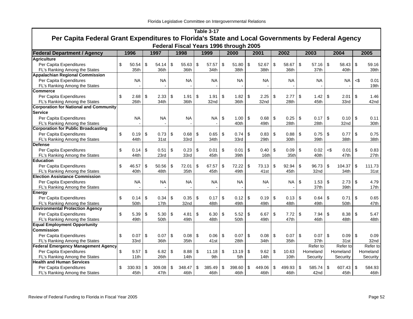|                                                                                                  |                     |                     |                     | Table 3-17          |                                        |     |                  |                     |     |               |    |               |                           |                  |
|--------------------------------------------------------------------------------------------------|---------------------|---------------------|---------------------|---------------------|----------------------------------------|-----|------------------|---------------------|-----|---------------|----|---------------|---------------------------|------------------|
| Per Capita Federal Grant Expenditures to Florida's State and Local Governments by Federal Agency |                     |                     |                     |                     | Federal Fiscal Years 1996 through 2005 |     |                  |                     |     |               |    |               |                           |                  |
| <b>Federal Department / Agency</b>                                                               | 1996                | 1997                | 1998                | 1999                | 2000                                   |     | 2001             | 2002                |     | 2003          |    | 2004          |                           | 2005             |
| <b>Agriculture</b>                                                                               |                     |                     |                     |                     |                                        |     |                  |                     |     |               |    |               |                           |                  |
| Per Capita Expenditures<br>FL's Ranking Among the States                                         | \$<br>50.54<br>35th | \$<br>54.14<br>36th | \$<br>55.63<br>36th | \$<br>57.57<br>34th | \$<br>51.80<br>38th                    | \$  | 52.67<br>38th    | \$<br>58.67<br>36th | \$  | 57.16<br>37th | \$ | 58.43<br>40th | $\boldsymbol{\mathsf{S}}$ | 59.16<br>39th    |
| <b>Appalachian Regional Commission</b>                                                           |                     |                     |                     |                     |                                        |     |                  |                     |     |               |    |               |                           |                  |
| Per Capita Expenditures                                                                          | <b>NA</b>           | <b>NA</b>           | <b>NA</b>           | <b>NA</b>           | <b>NA</b>                              |     | NA               | NA                  |     | <b>NA</b>     |    | NA            | <                         | 0.01             |
| FL's Ranking Among the States                                                                    |                     |                     |                     |                     |                                        |     |                  |                     |     |               |    |               |                           | 19th             |
| <b>Commerce</b>                                                                                  |                     |                     |                     |                     |                                        |     |                  |                     |     |               |    |               |                           |                  |
| Per Capita Expenditures                                                                          | \$<br>2.68          | \$<br>2.33          | \$<br>1.91          | \$<br>1.91          | \$<br>1.82                             | -\$ | 2.25             | \$<br>2.77          | \$  | 1.42          | \$ | 2.01          | \$                        | 1.46             |
| FL's Ranking Among the States                                                                    | 26th                | 34th                | 36th                | 32nd                | 36th                                   |     | 32nd             | 28th                |     | 45th          |    | 33rd          |                           | 42nd             |
| <b>Corporation for National and Community</b>                                                    |                     |                     |                     |                     |                                        |     |                  |                     |     |               |    |               |                           |                  |
| <b>Service</b>                                                                                   |                     |                     |                     |                     |                                        |     |                  |                     |     |               |    |               |                           |                  |
| Per Capita Expenditures                                                                          | <b>NA</b>           | <b>NA</b>           | <b>NA</b>           | <b>NA</b>           | \$<br>1.00                             | \$  | 0.68             | \$<br>0.25          | \$  | 0.17          | \$ | 0.10          | \$                        | 0.11             |
| FL's Ranking Among the States                                                                    |                     |                     |                     |                     | 40th                                   |     | 49th             | 28th                |     | 28th          |    | 32nd          |                           | 30th             |
| <b>Corporation for Public Broadcasting</b>                                                       |                     |                     |                     |                     |                                        |     |                  |                     |     |               |    |               |                           |                  |
| Per Capita Expenditures                                                                          | \$<br>0.19          | \$<br>0.73          | \$<br>0.68          | \$<br>0.65          | \$<br>0.74                             | \$  | 0.83             | \$<br>0.88          | \$  | 0.75          | \$ | 0.77          | $\sqrt[6]{\frac{1}{2}}$   | 0.75             |
| FL's Ranking Among the States                                                                    | 44th                | 31st                | 33rd                | 34th                | 33rd                                   |     | 29th             | 30th                |     | 39th          |    | 38th          |                           | 38th             |
| <b>Defense</b>                                                                                   |                     |                     |                     |                     |                                        |     |                  |                     |     |               |    |               |                           |                  |
| Per Capita Expenditures                                                                          | \$<br>0.14          | \$<br>0.51          | \$<br>0.23          | \$<br>0.01          | \$<br>0.01                             | \$  | 0.40             | \$<br>0.09          | \$  | 0.02          | -3 | 0.01          | \$                        | 0.83             |
| FL's Ranking Among the States                                                                    | 44th                | 23rd                | 33rd                | 45th                | 39th                                   |     | 16th             | 35th                |     | 40th          |    | 47th          |                           | 27th             |
| <b>Education</b>                                                                                 |                     |                     |                     |                     |                                        |     |                  |                     |     |               |    |               |                           |                  |
| Per Capita Expenditures                                                                          | \$<br>46.57         | \$<br>50.56         | \$<br>72.01         | \$<br>67.57         | \$<br>72.22                            | -\$ | 73.13            | \$<br>92.94         | \$  | 96.73         | \$ | 104.37        | \$                        | 111.73           |
| FL's Ranking Among the States                                                                    | 40th                | 48th                | 35th                | 45th                | 49th                                   |     | 41 <sub>st</sub> | 45th                |     | 32nd          |    | 34th          |                           | 31st             |
| <b>Election Assistance Commission</b>                                                            |                     |                     |                     |                     |                                        |     |                  |                     |     |               |    |               |                           |                  |
| Per Capita Expenditures                                                                          | NA                  | NА                  | <b>NA</b>           | <b>NA</b>           | ΝA                                     |     | NA               | NA                  | \$  | 1.53          | \$ | 2.73          | \$                        | 4.79             |
| FL's Ranking Among the States                                                                    |                     |                     |                     |                     |                                        |     |                  |                     |     | 37th          |    | 39th          |                           | 17 <sub>th</sub> |
| Energy                                                                                           |                     |                     |                     |                     |                                        |     |                  |                     |     |               |    |               |                           |                  |
| Per Capita Expenditures                                                                          | \$<br>0.14          | \$<br>0.34          | \$<br>0.35          | \$<br>0.17          | \$<br>0.12                             | \$  | 0.19             | \$<br>0.13          | -\$ | 0.64          | \$ | 0.71          | \$                        | 0.65             |
| FL's Ranking Among the States                                                                    | 50th                | 17th                | 32nd                | 48th                | 49th                                   |     | 49th             | 48th                |     | 49th          |    | 50th          |                           | 47th             |
| <b>Environmental Protection Agency</b>                                                           |                     |                     |                     |                     |                                        |     |                  |                     |     |               |    |               |                           |                  |
| Per Capita Expenditures                                                                          | \$<br>5.39          | \$<br>5.30          | \$<br>4.81          | \$<br>6.30          | \$<br>5.52                             | \$  | 6.67             | \$<br>7.72          | \$  | 7.94          | \$ | 8.38          | \$                        | 5.47             |
| FL's Ranking Among the States                                                                    | 49th                | 50th                | 49th                | 48th                | 50th                                   |     | 49th             | 47th                |     | 46th          |    | 48th          |                           | 48th             |
| <b>Equal Employment Opportunity</b>                                                              |                     |                     |                     |                     |                                        |     |                  |                     |     |               |    |               |                           |                  |
| <b>Commission</b>                                                                                |                     |                     |                     |                     |                                        |     |                  |                     |     |               |    |               |                           |                  |
| Per Capita Expenditures                                                                          | \$<br>0.07          | \$<br>0.07          | \$<br>0.08          | \$<br>0.06          | \$<br>0.07                             | \$  | 0.08             | \$<br>0.07          | \$  | 0.07          | \$ | 0.09          | \$                        | 0.09             |
| FL's Ranking Among the States                                                                    | 33rd                | 36th                | 35th                | 41st                | 28th                                   |     | 34th             | 35th                |     | 37th          |    | 31st          |                           | 32nd             |
| <b>Federal Emergency Management Agency</b>                                                       |                     |                     |                     |                     |                                        |     |                  |                     |     | Refer to      |    | Refer to      |                           | Refer to         |
| Per Capita Expenditures                                                                          | \$<br>9.57          | \$<br>6.82          | \$<br>8.88          | \$<br>11.18         | \$<br>13.19                            | \$  | 9.62             | \$<br>10.63         |     | Homeland      |    | Homeland      |                           | Homeland         |
| FL's Ranking Among the States                                                                    | 11th                | 26th                | 14th                | 9th                 | 5th                                    |     | 14th             | 10th                |     | Security      |    | Security      |                           | Security         |
| <b>Health and Human Services</b>                                                                 |                     |                     |                     |                     |                                        |     |                  |                     |     |               |    |               |                           |                  |
| Per Capita Expenditures                                                                          | \$<br>330.93        | \$<br>309.08        | \$<br>348.47        | \$<br>385.49        | \$<br>398.60                           | -\$ | 449.06           | \$<br>499.93        | \$  | 585.74        | \$ | 607.43        | \$                        | 584.93           |
| FL's Ranking Among the States                                                                    | 45th                | 47th                | 46th                | 46th                | 46th                                   |     | 46th             | 46th                |     | 42nd          |    | 45th          |                           | 46th             |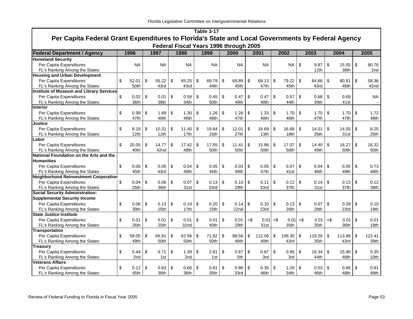|                                                                                                  |                  |                  |             | Table 3-17  |                                        |        |           |     |                  |    |        |                           |        |              |
|--------------------------------------------------------------------------------------------------|------------------|------------------|-------------|-------------|----------------------------------------|--------|-----------|-----|------------------|----|--------|---------------------------|--------|--------------|
| Per Capita Federal Grant Expenditures to Florida's State and Local Governments by Federal Agency |                  |                  |             |             |                                        |        |           |     |                  |    |        |                           |        |              |
|                                                                                                  |                  |                  |             |             | Federal Fiscal Years 1996 through 2005 |        |           |     |                  |    |        |                           |        |              |
| <b>Federal Department / Agency</b>                                                               | 1996             | 1997             | 1998        | 1999        | 2000                                   |        | 2001      |     | 2002             |    | 2003   |                           | 2004   | 2005         |
| <b>Homeland Security</b>                                                                         |                  |                  |             |             |                                        |        |           |     |                  |    |        |                           |        |              |
| Per Capita Expenditures                                                                          | NA               | <b>NA</b>        | <b>NA</b>   | <b>NA</b>   | NA                                     |        | <b>NA</b> |     | NA               | \$ | 9.87   | \$                        | 15.55  | \$<br>90.76  |
| FL's Ranking Among the States                                                                    |                  |                  |             |             |                                        |        |           |     |                  |    | 12th   |                           | 38th   | 2nd          |
| <b>Housing and Urban Development</b>                                                             |                  |                  |             |             |                                        |        |           |     |                  |    |        |                           |        |              |
| Per Capita Expenditures                                                                          | \$<br>52.01      | \$<br>55.22      | \$<br>65.25 | \$<br>69.79 | \$<br>69.89                            | \$     | 68.13     | \$  | 79.22            | \$ | 84.68  | $\boldsymbol{\mathsf{S}}$ | 80.81  | \$<br>58.36  |
| FL's Ranking Among the States                                                                    | 50th             | 43rd             | 43rd        | 44th        | 45th                                   |        | 47th      |     | 45th             |    | 43rd   |                           | 46th   | 42nd         |
| <b>Institute of Museum and Library Services</b>                                                  |                  |                  |             |             |                                        |        |           |     |                  |    |        |                           |        |              |
| Per Capita Expenditures                                                                          | \$<br>0.02       | \$<br>0.01       | \$<br>0.58  | \$<br>0.45  | \$<br>0.47                             | \$     | 0.47      | \$  | 0.57             | \$ | 0.68   | \$                        | 0.69   | NA.          |
| FL's Ranking Among the States                                                                    | 36th             | 38th             | 34th        | 50th        | 49th                                   |        | 48th      |     | 44th             |    | 39th   |                           | 41st   |              |
| <b>Interior</b>                                                                                  |                  |                  |             |             |                                        |        |           |     |                  |    |        |                           |        |              |
| Per Capita Expenditures                                                                          | \$<br>0.99       | \$<br>1.69       | \$<br>1.30  | \$<br>1.26  | \$<br>1.28                             | \$     | 1.33      | \$  | 1.70             | \$ | 1.70   | $\boldsymbol{\mathsf{S}}$ | 1.70   | \$<br>1.72   |
| FL's Ranking Among the States                                                                    | 47th             | 46th             | 46th        | 48th        | 47th                                   |        | 48th      |     | 46th             |    | 47th   |                           | 47th   | 48th         |
| <b>Justice</b>                                                                                   |                  |                  |             |             |                                        |        |           |     |                  |    |        |                           |        |              |
| Per Capita Expenditures                                                                          | \$<br>8.19       | \$<br>10.31      | \$<br>11.40 | \$<br>19.64 | \$<br>12.01                            | \$     | 16.69     | \$  | 16.68            | \$ | 14.01  | \$                        | 14.55  | \$<br>8.25   |
| FL's Ranking Among the States                                                                    | 12 <sub>th</sub> | 12 <sub>th</sub> | 17th        | 15th        | 27th                                   |        | 13th      |     | 18th             |    | 26th   |                           | 31st   | 25th         |
| Labor                                                                                            |                  |                  |             |             |                                        |        |           |     |                  |    |        |                           |        |              |
| Per Capita Expenditures                                                                          | \$<br>20.05      | \$<br>14.77      | \$<br>17.42 | \$<br>17.55 | \$<br>11.41                            | \$     | 15.86     | \$  | 17.07            | -S | 14.40  | \$                        | 16.27  | \$<br>18.32  |
| FL's Ranking Among the States                                                                    | 40th             | 42nd             | 48th        | 50th        | 50th                                   |        | 50th      |     | 50th             |    | 49th   |                           | 50th   | 50th         |
| National Foundation on the Arts and the                                                          |                  |                  |             |             |                                        |        |           |     |                  |    |        |                           |        |              |
| <b>Humanities</b>                                                                                |                  |                  |             |             |                                        |        |           |     |                  |    |        |                           |        |              |
| Per Capita Expenditures                                                                          | \$<br>0.06       | \$<br>0.05       | \$<br>0.04  | \$<br>0.05  | \$<br>0.03                             | \$     | 0.05      | \$  | 0.07             | \$ | 0.04   | \$                        | 0.05   | \$<br>0.73   |
| FL's Ranking Among the States                                                                    | 45th             | 43rd             | 48th        | 44th        | 49th                                   |        | 47th      |     | 41 <sub>st</sub> |    | 46th   |                           | 49th   | 48th         |
| <b>Neighborhood Reinvestment Corporation</b>                                                     |                  |                  |             |             |                                        |        |           |     |                  |    |        |                           |        |              |
| Per Capita Expenditures                                                                          | \$<br>0.04       | \$<br>0.06       | \$<br>0.07  | \$<br>0.13  | \$<br>0.10                             | \$     | 0.11      | \$  | 0.12             | -S | 0.14   | \$                        | 0.13   | \$<br>0.12   |
| FL's Ranking Among the States                                                                    | 25th             | 36th             | 31st        | 33rd        | 29th                                   |        | 33rd      |     | 37th             |    | 31st   |                           | 37th   | 39th         |
| <b>Social Security Administration:</b>                                                           |                  |                  |             |             |                                        |        |           |     |                  |    |        |                           |        |              |
| <b>Supplemental Security Income</b>                                                              |                  |                  |             |             |                                        |        |           |     |                  |    |        |                           |        |              |
| Per Capita Expenditures                                                                          | \$<br>0.06       | \$<br>0.13       | \$<br>0.19  | \$<br>0.20  | \$<br>0.14                             | \$     | 0.10      | \$  | 0.13             | \$ | 0.07   | \$                        | 0.09   | \$<br>0.10   |
| FL's Ranking Among the States                                                                    | 39th             | 25th             | 17th        | 15th        | 22 <sub>nd</sub>                       |        | 23rd      |     | 26th             |    | 28th   |                           | 23rd   | 19th         |
| <b>State Justice Institute</b>                                                                   |                  |                  |             |             |                                        |        |           |     |                  |    |        |                           |        |              |
| Per Capita Expenditures                                                                          | \$<br>0.01       | \$<br>0.01       | \$<br>0.01  | \$<br>0.01  | \$<br>0.01                             | $<$ \$ | 0.01      | -\$ | 0.01             | -3 | 0.01   | $<$ \$                    | 0.01   | \$<br>0.01   |
| FL's Ranking Among the States                                                                    | 26th             | 25th             | 32nd        | 40th        | 29th                                   |        | 31st      |     | 35th             |    | 35th   |                           | 36th   | 18th         |
| <b>Transportation</b>                                                                            |                  |                  |             |             |                                        |        |           |     |                  |    |        |                           |        |              |
| Per Capita Expenditures                                                                          | \$<br>58.05      | \$<br>66.91      | \$<br>62.56 | \$<br>71.82 | \$<br>88.56                            | \$     | 112.06    | \$  | 108.35           | \$ | 119.28 | $\boldsymbol{\mathsf{S}}$ | 113.98 | \$<br>122.41 |
| FL's Ranking Among the States                                                                    | 49th             | 50th             | 50th        | 50th        | 48th                                   |        | 40th      |     | 43rd             |    | 35th   |                           | 43rd   | 39th         |
| Treasury                                                                                         |                  |                  |             |             |                                        |        |           |     |                  |    |        |                           |        |              |
| Per Capita Expenditures                                                                          | \$<br>0.44       | \$<br>0.71       | \$<br>1.39  | \$<br>2.81  | \$<br>0.67                             | \$     | 0.67      | \$  | 0.95             | \$ | 16.34  | \$                        | 15.90  | \$<br>0.35   |
| FL's Ranking Among the States                                                                    | 2nd              | 1st              | 2nd         | 1st         | 5th                                    |        | 3rd       |     | 3rd              |    | 44th   |                           | 46th   | 10th         |
| <b>Veterans Affairs</b>                                                                          |                  |                  |             |             |                                        |        |           |     |                  |    |        |                           |        |              |
| Per Capita Expenditures                                                                          | \$<br>0.12       | \$<br>0.63       | \$<br>0.66  | \$<br>0.81  | \$<br>0.86                             | \$     | 0.35      | \$  | 1.20             | \$ | 0.53   | \$                        | 0.66   | \$<br>0.81   |
| FL's Ranking Among the States                                                                    | 45th             | 36th             | 36th        | 35th        | 33rd                                   |        | 46th      |     | 34th             |    | 46th   |                           | 48th   | 49th         |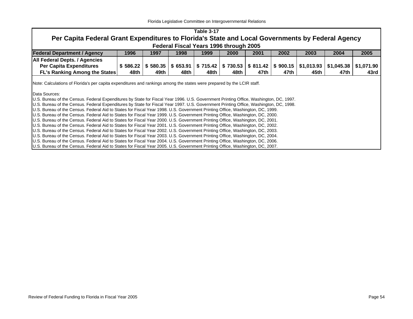|                                                                                                                                       |           |          |      | Table 3-17                             |             |      |      |                                                                        |            |            |
|---------------------------------------------------------------------------------------------------------------------------------------|-----------|----------|------|----------------------------------------|-------------|------|------|------------------------------------------------------------------------|------------|------------|
| Per Capita Federal Grant Expenditures to Florida's State and Local Governments by Federal Agency                                      |           |          |      |                                        |             |      |      |                                                                        |            |            |
|                                                                                                                                       |           |          |      | Federal Fiscal Years 1996 through 2005 |             |      |      |                                                                        |            |            |
| <b>Federal Department / Agency</b>                                                                                                    | 1996      | 1997     | 1998 | 1999                                   | <b>2000</b> | 2001 | 2002 | 2003                                                                   | 2004       | 2005       |
| <b>All Federal Depts. / Agencies</b>                                                                                                  |           |          |      |                                        |             |      |      |                                                                        |            |            |
| <b>Per Capita Expenditures</b>                                                                                                        | $$586.22$ | \$580.35 |      |                                        |             |      |      | \$ 653.91   \$ 715.42   \$ 730.53   \$ 811.42   \$ 900.15   \$1,013.93 | \$1,045.38 | \$1,071.90 |
| <b>FL's Ranking Among the States</b>                                                                                                  | 48th      | 49th     | 48th | 48th                                   | 48th        | 47th | 47th | 45th                                                                   | 47th       | 43rd       |
|                                                                                                                                       |           |          |      |                                        |             |      |      |                                                                        |            |            |
| Note: Calculations of Florida's per capita expenditures and rankings among the states were prepared by the LCIR staff.                |           |          |      |                                        |             |      |      |                                                                        |            |            |
| Data Sources:                                                                                                                         |           |          |      |                                        |             |      |      |                                                                        |            |            |
| U.S. Bureau of the Census. Federal Expenditures by State for Fiscal Year 1996. U.S. Government Printing Office, Washington, DC, 1997. |           |          |      |                                        |             |      |      |                                                                        |            |            |
| U.S. Bureau of the Census. Federal Expenditures by State for Fiscal Year 1997. U.S. Government Printing Office, Washington, DC, 1998. |           |          |      |                                        |             |      |      |                                                                        |            |            |
| U.S. Bureau of the Census. Federal Aid to States for Fiscal Year 1998. U.S. Government Printing Office, Washington, DC, 1999.         |           |          |      |                                        |             |      |      |                                                                        |            |            |
| U.S. Bureau of the Census. Federal Aid to States for Fiscal Year 1999. U.S. Government Printing Office, Washington, DC, 2000.         |           |          |      |                                        |             |      |      |                                                                        |            |            |
| U.S. Bureau of the Census. Federal Aid to States for Fiscal Year 2000. U.S. Government Printing Office, Washington, DC, 2001.         |           |          |      |                                        |             |      |      |                                                                        |            |            |
| U.S. Bureau of the Census. Federal Aid to States for Fiscal Year 2001. U.S. Government Printing Office, Washington, DC, 2002.         |           |          |      |                                        |             |      |      |                                                                        |            |            |
| U.S. Bureau of the Census. Federal Aid to States for Fiscal Year 2002. U.S. Government Printing Office, Washington, DC, 2003.         |           |          |      |                                        |             |      |      |                                                                        |            |            |
| U.S. Bureau of the Census. Federal Aid to States for Fiscal Year 2003. U.S. Government Printing Office, Washington, DC, 2004.         |           |          |      |                                        |             |      |      |                                                                        |            |            |
| U.S. Bureau of the Census. Federal Aid to States for Fiscal Year 2004. U.S. Government Printing Office, Washington, DC, 2006.         |           |          |      |                                        |             |      |      |                                                                        |            |            |
| U.S. Bureau of the Census. Federal Aid to States for Fiscal Year 2005. U.S. Government Printing Office, Washington, DC, 2007.         |           |          |      |                                        |             |      |      |                                                                        |            |            |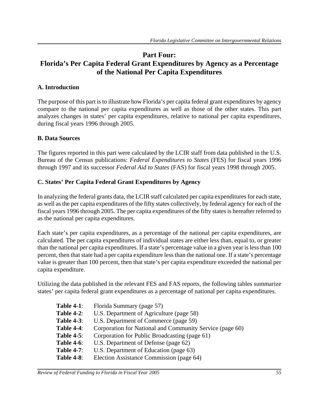# **Part Four: Florida's Per Capita Federal Grant Expenditures by Agency as a Percentage of the National Per Capita Expenditures**

### **A. Introduction**

The purpose of this part is to illustrate how Florida's per capita federal grant expenditures by agency compare to the national per capita expenditures as well as those of the other states. This part analyzes changes in states' per capita expenditures, relative to national per capita expenditures, during fiscal years 1996 through 2005.

### **B. Data Sources**

The figures reported in this part were calculated by the LCIR staff from data published in the U.S. Bureau of the Census publications: *Federal Expenditures to States* (FES) for fiscal years 1996 through 1997 and its successor *Federal Aid to States* (FAS) for fiscal years 1998 through 2005.

### **C. States' Per Capita Federal Grant Expenditures by Agency**

In analyzing the federal grants data, the LCIR staff calculated per capita expenditures for each state, as well as the per capita expenditures of the fifty states collectively, by federal agency for each of the fiscal years 1996 through 2005. The per capita expenditures of the fifty states is hereafter referred to as the national per capita expenditures.

Each state's per capita expenditures, as a percentage of the national per capita expenditures, are calculated. The per capita expenditures of individual states are either less than, equal to, or greater than the national per capita expenditures. If a state's percentage value in a given year is less than 100 percent, then that state had a per capita expenditure less than the national one. If a state's percentage value is greater than 100 percent, then that state's per capita expenditure exceeded the national per capita expenditure.

Utilizing the data published in the relevant FES and FAS reports, the following tables summarize states' per capita federal grant expenditures as a percentage of national per capita expenditures.

| <b>Table 4-1:</b>  | Florida Summary (page 57)                                |
|--------------------|----------------------------------------------------------|
| <b>Table 4-2:</b>  | U.S. Department of Agriculture (page 58)                 |
| <b>Table 4-3:</b>  | U.S. Department of Commerce (page 59)                    |
| <b>Table 4-4:</b>  | Corporation for National and Community Service (page 60) |
| <b>Table 4-5:</b>  | Corporation for Public Broadcasting (page 61)            |
| <b>Table 4-6</b> : | U.S. Department of Defense (page 62)                     |
| <b>Table 4-7:</b>  | U.S. Department of Education (page 63)                   |
| <b>Table 4-8:</b>  | Election Assistance Commission (page 64)                 |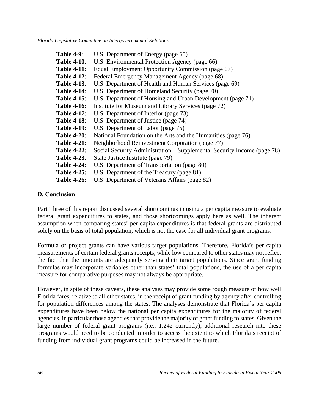| <b>Table 4-9:</b>  | U.S. Department of Energy (page 65)                                     |
|--------------------|-------------------------------------------------------------------------|
| <b>Table 4-10:</b> | U.S. Environmental Protection Agency (page 66)                          |
| <b>Table 4-11:</b> | Equal Employment Opportunity Commission (page 67)                       |
| <b>Table 4-12:</b> | Federal Emergency Management Agency (page 68)                           |
| <b>Table 4-13:</b> | U.S. Department of Health and Human Services (page 69)                  |
| <b>Table 4-14:</b> | U.S. Department of Homeland Security (page 70)                          |
| <b>Table 4-15:</b> | U.S. Department of Housing and Urban Development (page 71)              |
| <b>Table 4-16:</b> | Institute for Museum and Library Services (page 72)                     |
| <b>Table 4-17:</b> | U.S. Department of Interior (page 73)                                   |
| <b>Table 4-18:</b> | U.S. Department of Justice (page 74)                                    |
| <b>Table 4-19:</b> | U.S. Department of Labor (page 75)                                      |
| <b>Table 4-20:</b> | National Foundation on the Arts and the Humanities (page 76)            |
| <b>Table 4-21:</b> | Neighborhood Reinvestment Corporation (page 77)                         |
| <b>Table 4-22:</b> | Social Security Administration – Supplemental Security Income (page 78) |
| <b>Table 4-23:</b> | State Justice Institute (page 79)                                       |
| <b>Table 4-24:</b> | U.S. Department of Transportation (page 80)                             |
| <b>Table 4-25:</b> | U.S. Department of the Treasury (page 81)                               |
| <b>Table 4-26:</b> | U.S. Department of Veterans Affairs (page 82)                           |

## **D. Conclusion**

Part Three of this report discussed several shortcomings in using a per capita measure to evaluate federal grant expenditures to states, and those shortcomings apply here as well. The inherent assumption when comparing states' per capita expenditures is that federal grants are distributed solely on the basis of total population, which is not the case for all individual grant programs.

Formula or project grants can have various target populations. Therefore, Florida's per capita measurements of certain federal grants receipts, while low compared to other states may not reflect the fact that the amounts are adequately serving their target populations. Since grant funding formulas may incorporate variables other than states' total populations, the use of a per capita measure for comparative purposes may not always be appropriate.

However, in spite of these caveats, these analyses may provide some rough measure of how well Florida fares, relative to all other states, in the receipt of grant funding by agency after controlling for population differences among the states. The analyses demonstrate that Florida's per capita expenditures have been below the national per capita expenditures for the majority of federal agencies, in particular those agencies that provide the majority of grant funding to states. Given the large number of federal grant programs (i.e., 1,242 currently), additional research into these programs would need to be conducted in order to access the extent to which Florida's receipt of funding from individual grant programs could be increased in the future.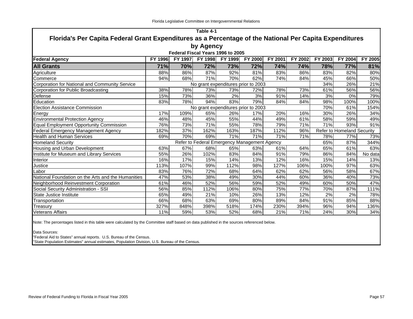|                                                                                                         |         |         | Table 4-1      |                                              |         |         |         |         |                                   |         |
|---------------------------------------------------------------------------------------------------------|---------|---------|----------------|----------------------------------------------|---------|---------|---------|---------|-----------------------------------|---------|
| Florida's Per Capita Federal Grant Expenditures as a Percentage of the National Per Capita Expenditures |         |         |                |                                              |         |         |         |         |                                   |         |
|                                                                                                         |         |         | by Agency      |                                              |         |         |         |         |                                   |         |
|                                                                                                         |         |         |                | Federal Fiscal Years 1996 to 2005            |         |         |         |         |                                   |         |
| <b>Federal Agency</b>                                                                                   | FY 1996 | FY 1997 | <b>FY 1998</b> | FY 1999                                      | FY 2000 | FY 2001 | FY 2002 | FY 2003 | FY 2004                           | FY 2005 |
| <b>All Grants</b>                                                                                       | 71%     | 70%     | 72%            | 73%                                          | 72%     | 74%     | 74%     | 78%     | 77%                               | 81%     |
| Agriculture                                                                                             | 88%     | 86%     | 87%            | 92%                                          | 81%     | 83%     | 86%     | 83%     | 82%                               | 80%     |
| Commerce                                                                                                | 94%     | 68%     | 71%            | 70%                                          | 62%     | 74%     | 84%     | 45%     | 66%                               | 50%     |
| Corporation for National and Community Service                                                          |         |         |                | No grant expenditures prior to 2003          |         |         |         | 34%     | 26%                               | 21%     |
| Corporation for Public Broadcasting                                                                     | 38%     | 78%     | 73%            | 73%                                          | 72%     | 78%     | 73%     | 61%     | 56%                               | 56%     |
| Defense                                                                                                 | 15%     | 73%     | 36%            | 2%                                           | 3%      | 91%     | 14%     | 3%      | 0%                                | 79%     |
| Education                                                                                               | 83%     | 78%     | 94%            | 83%                                          | 79%     | 84%     | 84%     | 98%     | 100%                              | 100%    |
| <b>Election Assistance Commission</b>                                                                   |         |         |                | No grant expenditures prior to 2003          |         |         |         | 70%     | 61%                               | 154%    |
| Energy                                                                                                  | 17%     | 109%    | 65%            | 26%                                          | 17%     | 20%     | 16%     | 30%     | 26%                               | 34%     |
| <b>Environmental Protection Agency</b>                                                                  | 46%     | 48%     | 45%            | 55%                                          | 44%     | 49%     | 61%     | 58%     | 59%                               | 49%     |
| <b>Equal Employment Opportunity Commission</b>                                                          | 76%     | 73%     | 71%            | 55%                                          | 78%     | 79%     | 71%     | 71%     | 93%                               | 91%     |
| Federal Emergency Management Agency                                                                     | 182%    | 37%     | 162%           | 163%                                         | 187%    | 112%    | 96%     |         | <b>Refer to Homeland Security</b> |         |
| <b>Health and Human Services</b>                                                                        | 69%     | 70%     | 69%            | 71%                                          | 71%     | 71%     | 71%     | 78%     | 77%                               | 73%     |
| <b>Homeland Security</b>                                                                                |         |         |                | Refer to Federal Emergency Management Agency |         |         |         | 65%     | 87%                               | 344%    |
| Housing and Urban Development                                                                           | 63%     | 67%     | 68%            | 65%                                          | 63%     | 61%     | 64%     | 65%     | 61%                               | 63%     |
| Institute for Museum and Library Services                                                               | 55%     | 26%     | 102%           | 83%                                          | 84%     | 91%     | 79%     | 86%     | 84%                               | No data |
| Interior                                                                                                | 16%     | 17%     | 15%            | 14%                                          | 13%     | 12%     | 16%     | 15%     | 14%                               | 13%     |
| Justice                                                                                                 | 113%    | 107%    | 99%            | 112%                                         | 98%     | 127%    | 106%    | 100%    | 97%                               | 63%     |
| Labor                                                                                                   | 83%     | 76%     | 72%            | 68%                                          | 64%     | 62%     | 62%     | 56%     | 58%                               | 67%     |
| National Foundation on the Arts and the Humanities                                                      | 47%     | 53%     | 38%            | 49%                                          | 30%     | 44%     | 60%     | 36%     | 40%                               | 73%     |
| Neighborhood Reinvestment Corporation                                                                   | 61%     | 46%     | 52%            | 56%                                          | 59%     | 52%     | 49%     | 60%     | 50%                               | 47%     |
| Social Security Administration - SSI                                                                    | 56%     | 85%     | 112%           | 106%                                         | 80%     | 75%     | 77%     | 70%     | 87%                               | 111%    |
| State Justice Institute                                                                                 | 65%     | 49%     | 21%            | 10%                                          | 26%     | 13%     | 12%     | 2%      | 2%                                | 78%     |
| Transportation                                                                                          | 66%     | 68%     | 63%            | 69%                                          | 80%     | 89%     | 84%     | 91%     | 85%                               | 88%     |
| Treasury                                                                                                | 327%    | 848%    | 398%           | 518%                                         | 174%    | 230%    | 394%    | 96%     | 94%                               | 136%    |
| <b>Veterans Affairs</b>                                                                                 | 11%     | 59%     | 53%            | 52%                                          | 68%     | 21%     | 71%     | 24%     | 30%                               | 34%     |

Data Sources:

"Federal Aid to States" annual reports. U.S. Bureau of the Census. "State Population Estimates" annual estimates, Population Division, U.S. Bureau of the Census.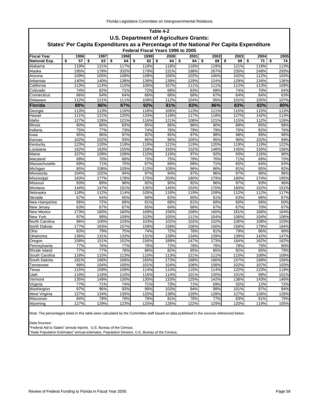|                      |                                                                                        |             |             | U.S. Department of Agriculture Grants: | Table 4-2   |             |             |             |             |             |
|----------------------|----------------------------------------------------------------------------------------|-------------|-------------|----------------------------------------|-------------|-------------|-------------|-------------|-------------|-------------|
|                      | States' Per Capita Expenditures as a Percentage of the National Per Capita Expenditure |             |             | Federal Fiscal Years 1996 to 2005      |             |             |             |             |             |             |
| <b>Fiscal Year</b>   | 1996                                                                                   | 1997        | 1998        | 1999                                   | 2000        | 2001        | 2002        | 2003        | 2004        | 2005        |
| <b>National Exp.</b> | $\overline{57}$<br>\$                                                                  | 63<br>\$    | 64<br>\$    | 62<br>\$                               | 64<br>\$    | 64<br>\$    | 68<br>\$    | 69<br>\$    | 71<br>\$    | 74<br>\$    |
| Alabama              | 119%                                                                                   | 121%        | 117%        | 118%                                   | 118%        | 118%        | 119%        | 121%        | 119%        | 113%        |
| Alaska               | 195%                                                                                   | 178%        | 332%        | 179%                                   | 231%        | 198%        | 267%        | 235%        | 248%        | 293%        |
| Arizona              | 109%                                                                                   | 105%        | 108%        | 108%                                   | 106%        | 102%        | 106%        | 102%        | 112%        | 102%        |
| Arkansas             | 140%                                                                                   | 140%        | 138%        | 138%                                   | 139%        | 129%        | 124%        | 129%        | 134%        | 136%        |
| California           | 113%                                                                                   | 114%        | 110%        | 106%                                   | 107%        | 111%        | 111%        | 112%        | 113%        | 109%        |
| Colorado             | 74%                                                                                    | 82%         | 71%         | 72%                                    | 68%         | 63%         | 68%         | 74%         | 70%         | 64%         |
| Connecticut          | 66%                                                                                    | 64%         | 64%         | 66%                                    | 68%         | 68%         | 67%         | 64%         | 64%         | 63%         |
| Delaware             | 112%                                                                                   | 121%        | 111%        | 108%                                   | 112%        | 104%        | 95%         | 101%        | 105%        | 107%        |
| Florida              | 88%                                                                                    | 86%         | 87%         | 92%                                    | 81%         | 83%         | 86%         | 83%         | 82%         | 80%         |
| Georgia              | 113%                                                                                   | 113%        | 116%        | 118%                                   | 106%        | 113%        | 111%        | 115%        | 115%        | 113%        |
| Hawaii               | 111%                                                                                   | 121%        | 120%        | 133%                                   | 118%        | 117%        | 118%        | 127%        | 142%        | 113%        |
| ldaho                | 127%                                                                                   | 128%        | 121%        | 116%                                   | 121%        | 108%        | 121%        | 115%        | 112%        | 126%        |
| Illinois             | 80%                                                                                    | 80%         | 83%         | 85%                                    | 86%         | 86%         | 90%         | 88%         | 85%         | 88%         |
| Indiana              | 75%                                                                                    | 77%         | 73%         | 74%                                    | 76%         | 79%         | 79%         | 76%         | 82%         | 76%         |
| lowa                 | 95%                                                                                    | 96%         | 97%         | 92%                                    | 95%         | 97%         | 98%         | 98%         | 99%         | 98%         |
| Kansas               | 102%                                                                                   | 102%        | 93%         | 95%                                    | 96%         | 105%        | 95%         | 96%         | 102%        | 99%         |
| Kentucky             | 123%                                                                                   | 120%        | 118%        | 119%                                   | 121%        | 119%        | 120%        | 119%        | 119%        | 122%        |
| Louisiana            | 162%                                                                                   | 163%        | 155%        | 158%                                   | 155%        | 152%        | 148%        | 145%        | 155%        | 156%        |
| Maine                | 107%                                                                                   | 109%        | 109%        | 110%                                   | 116%        | 97%         | 92%         | 93%         | 116%        | 96%         |
| Maryland             | 68%                                                                                    | 70%         | 68%         | 75%                                    | 75%         | 78%         | 76%         | 71%         | 69%         | 70%         |
| Massachusetts        | 69%                                                                                    | 71%         | 70%         | 67%                                    | 69%         | 68%         | 71%         | 65%         | 64%         | 63%         |
| Michigan             | 85%                                                                                    | 108%        | 105%        | 110%                                   | 109%        | 96%         | 86%         | 81%         | 85%         | 82%         |
| Minnesota            | 104%                                                                                   | 102%        | 94%         | 97%                                    | 94%         | 97%         | 96%         | 97%         | 98%         | 96%         |
| Mississippi          | 183%                                                                                   | 177%        | 178%        | 175%                                   | 203%        | 180%        | 179%        | 180%        | 174%        | 195%        |
| Missouri             | 93%                                                                                    | 89%         | 98%         | 92%                                    | 95%         | 92%         | 96%         | 97%         | 93%         | 96%         |
| Montana              | 144%                                                                                   | 147%        | 151%        | 136%                                   | 145%        | 153%        | 170%        | 160%        | 152%        | 151%        |
| Nebraska<br>Nevada   | 118%<br>67%                                                                            | 112%<br>64% | 114%<br>65% | 105%<br>69%                            | 118%<br>62% | 119%<br>60% | 109%<br>61% | 112%<br>63% | 112%<br>68% | 117%<br>67% |
| <b>New Hampshire</b> | 66%                                                                                    | 72%         | 68%         | 61%                                    | 68%         | 61%         | 68%         | 60%         | 68%         | 60%         |
| New Jersey           | 63%                                                                                    | 67%         | 67%         | 65%                                    | 64%         | 66%         | 67%         | 67%         | 70%         | 67%         |
| <b>New Mexico</b>    | 173%                                                                                   | 160%        | 160%        | 169%                                   | 156%        | 158%        | 160%        | 161%        | 168%        | 164%        |
| New York             | 97%                                                                                    | 98%         | 109%        | 103%                                   | 105%        | 111%        | 104%        | 106%        | 104%        | 106%        |
| North Carolina       | 96%                                                                                    | 100%        | 103%        | 103%                                   | 102%        | 102%        | 102%        | 106%        | 108%        | 103%        |
| North Dakota         | 177%                                                                                   | 163%        | 157%        | 158%                                   | 158%        | 156%        | 150%        | 158%        | 179%        | 184%        |
| Ohio                 | 83%                                                                                    | 79%         | 75%         | 74%                                    | 72%         | 78%         | 81%         | 79%         | 86%         | 88%         |
| Oklahoma             | 136%                                                                                   | 131%        | 132%        | 131%                                   | 139%        | 134%        | 139%        | 139%        | 142%        | 147%        |
| Oregon               | 158%                                                                                   | 151%        | 152%        | 156%                                   | 189%        | 147%        | 173%        | 164%        | 162%        | 162%        |
| Pennsylvania         | 77%                                                                                    | 76%         | 77%         | 78%                                    | 72%         | 78%         | 76%         | 78%         | 79%         | 80%         |
| Rhode Island         | 77%                                                                                    | 77%         | 78%         | 86%                                    | 82%         | 85%         | 85%         | 82%         | 85%         | 79%         |
| South Carolina       | 118%                                                                                   | 115%        | 113%        | 110%                                   | 113%        | 121%        | 111%        | 115%        | 108%        | 109%        |
| South Dakota         | 181%                                                                                   | 166%        | 168%        | 165%                                   | 173%        | 168%        | 166%        | 157%        | 168%        | 156%        |
| Tennessee            | 99%                                                                                    | 104%        | 100%        | 101%                                   | 104%        | 106%        | 108%        | 102%        | 107%        | 103%        |
| Texas                | 115%                                                                                   | 109%        | 109%        | 114%                                   | 114%        | 115%        | 114%        | 122%        | 123%        | 119%        |
| Utah                 | 118%                                                                                   | 116%        | 110%        | 116%                                   | 114%        | 101%        | 100%        | 101%        | 99%         | 101%        |
| Vermont              | 135%                                                                                   | 149%        | 130%        | 130%                                   | 133%        | 125%        | 142%        | 138%        | 143%        | 146%        |
| Virginia             | 77%                                                                                    | 71%         | 74%         | 71%                                    | 73%         | 71%         | 69%         | 55%         | 12%         | 72%         |
| Washington           | 97%                                                                                    | 96%         | 93%         | 99%                                    | 103%        | 94%         | 98%         | 101%        | 97%         | 94%         |
| West Virginia        | 127%                                                                                   | 134%        | 135%        | 125%                                   | 138%        | 129%        | 128%        | 127%        | 126%        | 126%        |
| Wisconsin            | 84%                                                                                    | 78%         | 78%         | 79%                                    | 81%         | 78%         | 77%         | 83%         | 81%         | 79%         |
| Wyoming              | 127%                                                                                   | 129%        | 123%        | 125%                                   | 126%        | 122%        | 129%        | 120%        | 119%        | 105%        |

Data Sources:

"Federal Aid to States" annual reports. U.S. Bureau of the Census.

"State Population Estimates" annual estimates, Population Division, U.S. Bureau of the Census.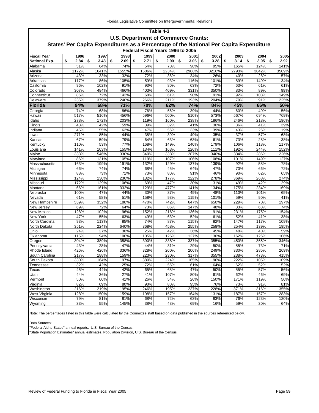|                      |                                                                                        |            |            | <b>U.S. Department of Commerce Grants:</b> | Table 4-3  |            |            |            |            |            |
|----------------------|----------------------------------------------------------------------------------------|------------|------------|--------------------------------------------|------------|------------|------------|------------|------------|------------|
|                      | States' Per Capita Expenditures as a Percentage of the National Per Capita Expenditure |            |            | Federal Fiscal Years 1996 to 2005          |            |            |            |            |            |            |
| <b>Fiscal Year</b>   | 1996                                                                                   | 1997       | 1998       | 1999                                       | 2000       | 2001       | 2002       | 2003       | 2004       | 2005       |
| <b>National Exp.</b> | \$<br>2.84                                                                             | 3.43<br>\$ | \$<br>2.69 | 2.71<br>\$                                 | \$<br>2.90 | \$<br>3.06 | \$<br>3.28 | \$<br>3.14 | \$<br>3.05 | 2.92<br>\$ |
| Alabama              | 51%                                                                                    | 64%        | 74%        | 54%                                        | 70%        | 98%        | 95%        | 165%       | 124%       | 141%       |
| Alaska               | 1172%                                                                                  | 1641%      | 1555%      | 1506%                                      | 2234%      | 2988%      | 3216%      | 2793%      | 3042%      | 3509%      |
| Arizona              | 43%                                                                                    | 33%        | 32%        | 72%                                        | 36%        | 34%        | 26%        | 40%        | 28%        | 57%        |
| Arkansas             | 117%                                                                                   | 86%        | 105%       | 59%                                        | 93%        | 116%       | 101%       | 89%        | 149%       | 34%        |
| California           | 96%                                                                                    | 102%       | 91%        | 93%                                        | 80%        | 63%        | 72%        | 63%        | 61%        | 61%        |
| Colorado             | 307%                                                                                   | 484%       | 466%       | 403%                                       | 409%       | 331%       | 350%       | 83%        | 89%        | 99%        |
| Connecticut          | 86%                                                                                    | 72%        | 142%       | 68%                                        | 61%        | 90%        | 91%        | 92%        | 103%       | 149%       |
| Delaware             | 235%                                                                                   | 379%       | 240%       | 266%                                       | 211%       | 193%       | 204%       | 79%        | 91%        | 225%       |
| Florida              | 94%                                                                                    | 68%        | 71%        | 70%                                        | 62%        | 74%        | 84%        | 45%        | 66%        | 50%        |
| Georgia              | 74%                                                                                    | 68%        | 86%        | 76%                                        | 56%        | 39%        | 44%        | 60%        | 49%        | 56%        |
| Hawaii               | 517%                                                                                   | 516%       | 456%       | 596%                                       | 500%       | 510%       | 573%       | 567%       | 694%       | 769%       |
| Idaho                | 278%                                                                                   | 172%       | 203%       | 119%                                       | 160%       | 238%       | 186%       | 246%       | 218%       | 196%       |
| Illinois             | 43%                                                                                    | 42%        | 59%        | 39%                                        | 32%        | 41%        | 30%        | 36%        | 41%        | 39%        |
| Indiana              | 45%                                                                                    | 55%        | 62%        | 47%                                        | 56%        | 33%        | 39%        | 43%        | 26%        | 19%        |
| lowa                 | 271%                                                                                   | 85%        | 44%        | 38%                                        | 39%        | 49%        | 35%        | 37%        | 57%        | 68%        |
| Kansas               | 67%                                                                                    | 59%        | 79%        | 64%                                        | 63%        | 63%        | 61%        | 73%        | 28%        | 38%        |
| Kentucky             | 110%                                                                                   | 53%        | 77%        | 168%                                       | 149%       | 140%       | 179%       | 106%       | 118%       | 117%       |
| Louisiana            | 141%                                                                                   | 103%       | 155%       | 134%                                       | 163%       | 126%       | 111%       | 192%       | 244%       | 152%       |
| Maine                | 333%                                                                                   | 546%       | 330%       | 340%                                       | 338%       | 287%       | 340%       | 334%       | 286%       | 226%       |
| Maryland             | 86%                                                                                    | 131%       | 105%       | 119%                                       | 107%       | 106%       | 108%       | 101%       | 149%       | 127%       |
| Massachusetts        | 163%                                                                                   | 199%       | 191%       | 132%                                       | 129%       | 137%       | 139%       | 92%        | 58%        | 78%        |
| Michigan             | 66%                                                                                    | 74%        | 74%        | 68%                                        | 45%        | 64%        | 47%        | 70%        | 66%        | 72%        |
| Minnesota            | 88%                                                                                    | 73%        | 71%        | 73%                                        | 80%        | 91%        | 46%        | 90%        | 62%        | 65%        |
| Mississippi          | 124%                                                                                   | 130%       | 230%       | 132%                                       | 177%       | 222%       | 278%       | 369%       | 268%       | 274%       |
| Missouri             | 172%                                                                                   | 129%       | 106%       | 60%                                        | 47%        | 30%        | 31%        | 49%        | 42%        | 29%        |
| Montana              | 66%                                                                                    | 161%       | 332%       | 129%                                       | 477%       | 141%       | 134%       | 175%       | 234%       | 169%       |
| Nebraska             | 100%                                                                                   | 47%        | 44%        | 30%                                        | 37%        | 49%        | 48%        | 110%       | 101%       | 65%        |
| Nevada               | 61%                                                                                    | 58%        | 51%        | 158%                                       | 93%        | 115%       | 101%       | 59%        | 90%        | 41%        |
| New Hampshire        | 539%                                                                                   | 352%       | 188%       | 470%                                       | 742%       | 647%       | 650%       | 229%       | 70%        | 197%       |
| New Jersey           | 69%                                                                                    | 72%        | 64%        | 73%                                        | 86%        | 147%       | 48%        | 33%        | 63%        | 74%        |
| New Mexico           | 128%                                                                                   | 102%       | 96%        | 152%                                       | 216%       | 136%       | 91%        | 231%       | 175%       | 154%       |
| New York             | 47%                                                                                    | 55%        | 63%        | 49%                                        | 63%        | 52%        | 61%        | 52%        | 41%        | 38%        |
| North Carolina       | 93%                                                                                    | 113%       | 85%        | 74%                                        | 87%        | 115%       | 82%        | 147%       | 117%       | 109%       |
| North Dakota         | 351%                                                                                   | 224%       | 640%       | 368%                                       | 458%       | 255%       | 258%       | 254%       | 139%       | 195%       |
| Ohio                 | 24%                                                                                    | 27%        | 30%        | 25%                                        | 42%        | 36%        | 45%        | 48%        | 40%        | 59%        |
| Oklahoma             | 115%                                                                                   | 94%        | 100%       | 105%                                       | 126%       | 127%       | 130%       | 162%       | 126%       | 106%       |
| Oregon               | 304%                                                                                   | 389%       | 358%       | 390%                                       | 338%       | 337%       | 355%       | 450%       | 355%       | 346%       |
| Pennsylvania         | 43%                                                                                    | 28%        | 47%        | 44%                                        | 31%        | 29%        | 50%        | 55%        | 73%        | 71%        |
| Rhode Island         | 426%                                                                                   | 426%       | 336%       | 328%                                       | 200%       | 206%       | 249%       | 330%       | 285%       | 269%       |
| South Carolina       | 217%                                                                                   | 188%       | 159%       | 223%                                       | 230%       | 317%       | 355%       | 238%       | 473%       | 415%       |
| South Dakota         | 330%                                                                                   | 164%       | 197%       | 380%                                       | 224%       | 165%       | 96%        | 222%       | 105%       | 109%       |
| Tennessee            | 32%                                                                                    | 42%        | 25%        | 72%                                        | 55%        | 61%        | 64%        | 62%        | 52%        | 52%        |
| Texas                | 45%                                                                                    | 44%        | 42%        | 65%                                        | 68%        | 47%        | 50%        | 55%        | 57%        | 56%        |
| Utah                 | 44%                                                                                    | 36%        | 27%        | 41%                                        | 107%       | 80%        | 61%        | 62%        | 46%        | 69%        |
| Vermont              | 50%                                                                                    | 60%        | 41%        | 26%                                        | 54%        | 26%        | 150%       | 171%       | 119%       | 50%        |
| Virginia             | 82%                                                                                    | 69%        | 80%        | 90%                                        | 80%        | 95%        | 76%        | 73%        | 91%        | 81%        |
| Washington           | 216%                                                                                   | 219%       | 195%       | 246%                                       | 195%       | 237%       | 228%       | 371%       | 316%       | 355%       |
| West Virginia        | 128%                                                                                   | 150%       | 159%       | 198%                                       | 157%       | 164%       | 131%       | 187%       | 157%       | 283%       |
| Wisconsin            | 79%                                                                                    | 81%        | 81%        | 68%                                        | 72%        | 63%        | 83%        | 76%        | 123%       | 120%       |
| Wyoming              | 33%                                                                                    | 55%        | 145%       | 38%                                        | 43%        | 69%        | 16%        | 59%        | 30%        | 64%        |

Data Sources:

"Federal Aid to States" annual reports. U.S. Bureau of the Census.

"State Population Estimates" annual estimates, Population Division, U.S. Bureau of the Census.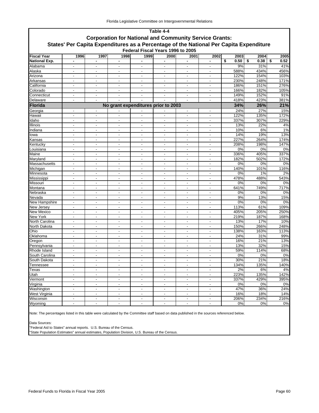|                      |                                                                                        |                                            |                                                               |                                                      | Table 4-4                                            |                          |                                            |            |            |            |
|----------------------|----------------------------------------------------------------------------------------|--------------------------------------------|---------------------------------------------------------------|------------------------------------------------------|------------------------------------------------------|--------------------------|--------------------------------------------|------------|------------|------------|
|                      |                                                                                        |                                            | <b>Corporation for National and Community Service Grants:</b> |                                                      |                                                      |                          |                                            |            |            |            |
|                      | States' Per Capita Expenditures as a Percentage of the National Per Capita Expenditure |                                            |                                                               |                                                      |                                                      |                          |                                            |            |            |            |
|                      |                                                                                        |                                            |                                                               |                                                      | Federal Fiscal Years 1996 to 2005                    |                          |                                            |            |            |            |
| Fiscal Year          | 1996                                                                                   | 1997                                       | 1998                                                          | 1999                                                 | 2000                                                 | 2001                     | 2002                                       | 2003       | 2004       | 2005       |
| <b>National Exp.</b> | $\blacksquare$                                                                         | ۰                                          |                                                               | ٠                                                    |                                                      |                          | $\blacksquare$                             | \$<br>0.50 | \$<br>0.38 | 0.52<br>\$ |
| Alabama              | $\overline{\phantom{a}}$                                                               | $\overline{\phantom{a}}$                   | $\overline{\phantom{a}}$                                      | $\overline{\phantom{a}}$                             | $\overline{a}$                                       | $\overline{\phantom{a}}$ | $\overline{\phantom{a}}$                   | 9%         | 31%        | 41%        |
| Alaska               | $\overline{\phantom{a}}$                                                               | $\overline{\phantom{a}}$                   | $\overline{\phantom{a}}$                                      | $\blacksquare$                                       | $\overline{\phantom{a}}$                             | $\overline{\phantom{a}}$ | $\blacksquare$                             | 588%       | 434%       | 456%       |
| Arizona              |                                                                                        |                                            | $\overline{\phantom{a}}$                                      |                                                      | $\overline{\phantom{a}}$                             |                          | $\overline{\phantom{a}}$                   | 122%       | 154%       | 103%       |
| Arkansas             | $\overline{\phantom{a}}$                                                               | $\overline{\phantom{a}}$                   | $\overline{\phantom{a}}$                                      | $\overline{\phantom{a}}$                             | $\overline{\phantom{a}}$                             | $\overline{\phantom{a}}$ | $\overline{\phantom{a}}$                   | 230%       | 248%       | 171%       |
| California           |                                                                                        | $\overline{\phantom{a}}$                   | $\overline{\phantom{a}}$                                      | $\overline{\phantom{a}}$                             | $\overline{\phantom{a}}$                             |                          | $\overline{\phantom{a}}$                   | 186%       | 151%       | 276%       |
| Colorado             | $\overline{\phantom{a}}$                                                               | $\blacksquare$                             | $\overline{\phantom{a}}$                                      | $\overline{\phantom{a}}$                             | $\blacksquare$                                       | $\blacksquare$           | $\blacksquare$                             | 166%       | 182%       | 105%       |
| Connecticut          | $\overline{\phantom{a}}$                                                               | $\overline{\phantom{a}}$                   | $\overline{\phantom{a}}$                                      | $\overline{\phantom{a}}$                             | $\overline{\phantom{a}}$                             | $\overline{\phantom{a}}$ | $\overline{\phantom{a}}$                   | 149%       | 152%       | 91%        |
| Delaware             | $\blacksquare$                                                                         | $\overline{a}$                             | $\overline{\phantom{a}}$                                      | $\overline{a}$                                       | $\overline{a}$                                       | $\overline{a}$           | $\overline{\phantom{a}}$                   | 418%       | 423%       | 381%       |
| <b>Florida</b>       |                                                                                        |                                            | No grant expenditures prior to 2003                           |                                                      |                                                      |                          |                                            | 34%        | 26%        | 21%        |
| Georgia              | $\overline{\phantom{a}}$                                                               | $\overline{\phantom{a}}$                   | $\blacksquare$                                                | $\blacksquare$                                       | $\overline{\phantom{a}}$                             | $\overline{\phantom{a}}$ | $\overline{\phantom{a}}$                   | 24%        | 27%        | 15%        |
| Hawaii               | $\overline{\phantom{a}}$                                                               | $\blacksquare$                             | $\blacksquare$                                                | $\blacksquare$                                       | $\overline{\phantom{a}}$                             | $\blacksquare$           | $\overline{\phantom{a}}$                   | 122%       | 135%       | 172%       |
| Idaho                | $\overline{\phantom{a}}$                                                               | $\overline{\phantom{a}}$                   | $\overline{\phantom{a}}$                                      | $\blacksquare$                                       | $\overline{\phantom{a}}$                             | $\blacksquare$           | $\blacksquare$                             | 337%       | 307%       | 229%       |
| Illinois             | $\overline{\phantom{a}}$                                                               | $\blacksquare$                             | $\overline{\phantom{a}}$                                      | $\blacksquare$                                       | $\overline{\phantom{a}}$                             | $\blacksquare$           | $\blacksquare$                             | 13%        | 22%        | 4%         |
| Indiana              | ٠                                                                                      | $\overline{\phantom{a}}$                   | $\blacksquare$                                                | $\overline{\phantom{a}}$                             | $\blacksquare$                                       | $\overline{\phantom{a}}$ | $\blacksquare$                             | 10%        | 6%         | 1%         |
| lowa                 | ۰                                                                                      | $\blacksquare$                             | $\overline{\phantom{a}}$                                      | $\overline{\phantom{a}}$                             | $\overline{\phantom{a}}$                             | $\overline{\phantom{a}}$ | $\overline{\phantom{a}}$                   | 14%        | 19%        | 13%        |
| Kansas               | $\blacksquare$                                                                         | $\blacksquare$                             | $\overline{\phantom{a}}$                                      | $\overline{\phantom{a}}$                             | $\overline{\phantom{a}}$                             | $\blacksquare$           | $\blacksquare$                             | 227%       | 264%       | 174%       |
| Kentucky             | $\overline{\phantom{a}}$                                                               | $\overline{\phantom{a}}$                   | $\overline{\phantom{a}}$                                      | $\overline{\phantom{a}}$                             | $\overline{\phantom{a}}$                             | $\overline{\phantom{a}}$ | $\overline{\phantom{a}}$                   | 208%       | 198%       | 147%       |
| Louisiana            | $\overline{\phantom{a}}$                                                               | $\overline{\phantom{a}}$                   | $\overline{\phantom{a}}$                                      | $\blacksquare$                                       | $\overline{\phantom{a}}$                             | $\overline{\phantom{a}}$ | $\blacksquare$                             | 0%         | 0%         | 0%         |
| Maine                | $\overline{\phantom{a}}$                                                               |                                            | $\blacksquare$                                                |                                                      | $\overline{\phantom{a}}$                             | $\overline{\phantom{a}}$ | $\blacksquare$                             | 336%       | 405%       | 337%       |
| Maryland             | $\overline{\phantom{a}}$                                                               | $\overline{\phantom{a}}$                   | $\overline{\phantom{a}}$                                      | $\overline{\phantom{a}}$                             | $\overline{\phantom{a}}$                             | $\overline{\phantom{a}}$ | $\overline{\phantom{a}}$                   | 182%       | 502%       | 172%       |
| Massachusetts        |                                                                                        | $\overline{\phantom{a}}$                   | $\overline{\phantom{a}}$                                      | $\overline{\phantom{a}}$                             | $\overline{\phantom{a}}$                             | $\overline{\phantom{a}}$ | $\overline{\phantom{a}}$                   | 0%         | 0%         | 0%         |
| Michigan             | $\overline{\phantom{a}}$                                                               | $\blacksquare$                             | $\blacksquare$                                                | $\overline{\phantom{a}}$                             | $\blacksquare$                                       | $\blacksquare$           | $\blacksquare$                             | 140%       | 101%       | 116%       |
| Minnesota            | $\overline{\phantom{a}}$                                                               | $\overline{\phantom{a}}$                   | $\overline{\phantom{a}}$                                      | $\overline{\phantom{a}}$                             | $\overline{\phantom{a}}$                             | $\overline{\phantom{a}}$ | $\overline{\phantom{a}}$                   | 0%         | 1%         | 2%         |
| Mississippi          | $\overline{\phantom{a}}$                                                               | $\blacksquare$                             | $\overline{\phantom{a}}$                                      | $\overline{\phantom{a}}$                             | $\overline{\phantom{a}}$                             | $\blacksquare$           | $\overline{\phantom{a}}$                   | 478%       | 488%       | 543%       |
| Missouri             | $\overline{\phantom{a}}$                                                               | $\overline{\phantom{a}}$                   | $\overline{\phantom{a}}$                                      | $\blacksquare$                                       | $\overline{\phantom{a}}$                             | $\blacksquare$           | $\blacksquare$                             | 0%         | 0%         | 0%         |
| Montana              | $\overline{\phantom{a}}$                                                               | $\overline{a}$                             | $\overline{\phantom{a}}$                                      | $\blacksquare$                                       | $\overline{\phantom{a}}$                             | $\blacksquare$           | $\blacksquare$                             | 641%       | 749%       | 717%       |
| Nebraska             | $\overline{\phantom{a}}$                                                               | $\overline{\phantom{a}}$                   | $\blacksquare$                                                | $\overline{\phantom{a}}$                             | $\overline{\phantom{a}}$                             | $\blacksquare$           | $\blacksquare$                             | 0%         | 0%         | 0%         |
| Nevada               | $\blacksquare$                                                                         | $\overline{\phantom{a}}$                   | $\overline{\phantom{a}}$                                      | $\overline{\phantom{a}}$                             | $\overline{\phantom{a}}$                             | $\overline{a}$           | $\blacksquare$                             | 9%         | 13%        | 15%        |
| New Hampshire        | $\overline{\phantom{a}}$                                                               | $\overline{\phantom{a}}$                   | $\overline{\phantom{a}}$                                      | $\overline{\phantom{a}}$                             | $\overline{\phantom{a}}$                             | $\overline{\phantom{a}}$ | $\overline{\phantom{a}}$                   | 0%         | 0%         | 0%         |
| New Jersey           | $\overline{\phantom{a}}$                                                               | $\overline{\phantom{a}}$                   | $\overline{\phantom{a}}$                                      | $\overline{\phantom{a}}$                             | $\overline{\phantom{a}}$                             | $\overline{\phantom{a}}$ | $\overline{\phantom{a}}$                   | 113%       | 61%        | 109%       |
| New Mexico           | $\frac{1}{2}$                                                                          | $\overline{\phantom{a}}$                   | $\overline{\phantom{a}}$                                      | $\blacksquare$                                       | $\overline{\phantom{a}}$                             | $\blacksquare$           | $\blacksquare$                             | 405%       | 205%       | 250%       |
| New York             |                                                                                        | $\overline{\phantom{a}}$                   |                                                               | $\overline{\phantom{a}}$                             |                                                      |                          | $\overline{\phantom{a}}$                   | 219%       | 187%       | 168%       |
| North Carolina       | $\overline{\phantom{a}}$                                                               | $\overline{\phantom{a}}$                   | $\overline{\phantom{a}}$                                      | $\overline{\phantom{a}}$                             | $\overline{\phantom{a}}$                             | $\overline{\phantom{a}}$ | $\overline{\phantom{a}}$                   | 13%        | 17%        | 10%        |
| North Dakota         | $\overline{\phantom{a}}$                                                               | $\blacksquare$                             | $\blacksquare$                                                | $\overline{\phantom{a}}$                             | $\overline{\phantom{a}}$                             | $\blacksquare$           | $\overline{\phantom{a}}$                   | 150%       | 266%       | 248%       |
| Ohio                 | $\overline{\phantom{a}}$                                                               | $\blacksquare$                             | $\overline{\phantom{a}}$                                      | $\overline{\phantom{a}}$                             | $\blacksquare$                                       | $\blacksquare$           | $\blacksquare$                             | 138%       | 163%       | 113%       |
| Oklahoma             | $\overline{\phantom{a}}$                                                               | $\overline{\phantom{a}}$                   | $\overline{\phantom{a}}$                                      | $\overline{\phantom{a}}$                             | $\overline{\phantom{a}}$                             | $\overline{\phantom{a}}$ | $\overline{\phantom{a}}$                   | 24%        | 31%        | 99%        |
| Oregon               | $\overline{\phantom{a}}$                                                               | $\qquad \qquad \blacksquare$               | $\blacksquare$                                                | $\blacksquare$                                       | $\overline{\phantom{a}}$                             | $\blacksquare$           | $\blacksquare$                             | 16%        | 21%        | 13%        |
| Pennsylvania         | $\overline{\phantom{a}}$                                                               | $\overline{\phantom{a}}$                   | $\overline{\phantom{a}}$                                      | $\blacksquare$                                       | $\overline{\phantom{a}}$                             | $\blacksquare$           | $\blacksquare$                             | 13%        | 32%        | 15%        |
| Rhode Island         | $\overline{\phantom{a}}$                                                               | $\overline{\phantom{a}}$                   | $\blacksquare$                                                | $\blacksquare$                                       | $\blacksquare$                                       | $\overline{\phantom{a}}$ | $\overline{\phantom{a}}$                   | 59%        | 114%       | 68%        |
| South Carolina       |                                                                                        |                                            |                                                               |                                                      |                                                      | $\blacksquare$           |                                            |            | 0%         |            |
| South Dakota         | $\blacksquare$                                                                         | $\overline{\phantom{a}}$<br>$\overline{a}$ | $\overline{\phantom{a}}$<br>$\overline{\phantom{a}}$          | $\overline{\phantom{a}}$<br>$\overline{\phantom{a}}$ | $\overline{\phantom{a}}$<br>$\overline{\phantom{a}}$ | $\overline{a}$           | $\overline{\phantom{a}}$<br>$\overline{a}$ | 0%<br>30%  | 21%        | 0%<br>18%  |
|                      |                                                                                        |                                            |                                                               |                                                      |                                                      |                          |                                            |            |            |            |
| Tennessee            | ۰                                                                                      | $\qquad \qquad \blacksquare$               | -                                                             | $\overline{\phantom{a}}$                             |                                                      | -                        | $\overline{\phantom{a}}$                   | 134%       | 135%       | 140%       |
| Texas                | $\overline{\phantom{a}}$                                                               | $\blacksquare$                             | $\overline{a}$                                                | $\blacksquare$                                       | $\overline{\phantom{a}}$                             | $\overline{\phantom{a}}$ | $\overline{\phantom{a}}$                   | 2%         | 6%         | 4%         |
| Utah                 | ٠                                                                                      | $\blacksquare$                             | $\overline{\phantom{a}}$                                      | $\overline{\phantom{a}}$                             | $\overline{\phantom{a}}$                             | $\overline{\phantom{a}}$ | $\overline{\phantom{a}}$                   | 223%       | 135%       | 142%       |
| Vermont              | $\overline{\phantom{a}}$                                                               | $\overline{\phantom{a}}$                   | $\overline{\phantom{a}}$                                      | $\overline{\phantom{a}}$                             | $\overline{\phantom{a}}$                             | $\overline{\phantom{a}}$ | $\overline{\phantom{a}}$                   | 337%       | 429%       | 395%       |
| Virginia             | $\overline{\phantom{a}}$                                                               | $\overline{\phantom{a}}$                   | $\overline{\phantom{a}}$                                      | $\overline{\phantom{a}}$                             | $\overline{\phantom{a}}$                             | $\overline{\phantom{a}}$ | $\overline{\phantom{a}}$                   | 0%         | 0%         | 0%         |
| Washington           | $\overline{\phantom{a}}$                                                               | $\overline{\phantom{a}}$                   | $\overline{\phantom{a}}$                                      | $\overline{\phantom{a}}$                             | $\overline{\phantom{a}}$                             | $\overline{\phantom{a}}$ | $\overline{\phantom{a}}$                   | 47%        | 36%        | 24%        |
| West Virginia        | $\overline{\phantom{a}}$                                                               | $\overline{\phantom{a}}$                   | $\overline{\phantom{a}}$                                      | $\overline{\phantom{a}}$                             | $\blacksquare$                                       | $\overline{\phantom{a}}$ | $\blacksquare$                             | 16%        | 18%        | 14%        |
| Wisconsin            | $\overline{\phantom{a}}$                                                               | $\overline{\phantom{a}}$                   | $\overline{\phantom{a}}$                                      | $\overline{\phantom{a}}$                             | $\overline{\phantom{a}}$                             | $\overline{\phantom{a}}$ | $\overline{\phantom{a}}$                   | 206%       | 234%       | 216%       |
| Wyoming              | $\overline{\phantom{a}}$                                                               | $\overline{\phantom{a}}$                   | $\overline{\phantom{a}}$                                      | $\overline{\phantom{a}}$                             | $\overline{\phantom{a}}$                             | $\overline{\phantom{a}}$ | $\overline{\phantom{a}}$                   | 0%         | 0%         | 0%         |

Data Sources:

"Federal Aid to States" annual reports. U.S. Bureau of the Census.

"State Population Estimates" annual estimates, Population Division, U.S. Bureau of the Census.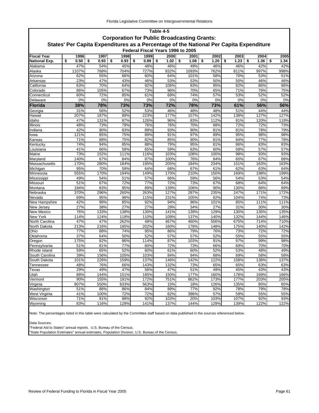| Table 4-5<br><b>Corporation for Public Broadcasting Grants:</b><br>States' Per Capita Expenditures as a Percentage of the National Per Capita Expenditure |                                                                                                                                                 |             |    |             |              |                                   |              |              |              |              |              |              |  |  |  |
|-----------------------------------------------------------------------------------------------------------------------------------------------------------|-------------------------------------------------------------------------------------------------------------------------------------------------|-------------|----|-------------|--------------|-----------------------------------|--------------|--------------|--------------|--------------|--------------|--------------|--|--|--|
|                                                                                                                                                           |                                                                                                                                                 |             |    |             |              |                                   |              |              |              |              |              |              |  |  |  |
|                                                                                                                                                           |                                                                                                                                                 |             |    |             |              | Federal Fiscal Years 1996 to 2005 |              |              |              |              |              |              |  |  |  |
| <b>Fiscal Year</b>                                                                                                                                        |                                                                                                                                                 | 1996        |    | 1997        | 1998         | 1999                              | 2000         | 2001         | 2002         | 2003         | 2004         | 2005         |  |  |  |
| <b>National Exp.</b>                                                                                                                                      | \$                                                                                                                                              | 0.50        | \$ | 0.93        | 0.93<br>\$   | 0.89<br>\$                        | \$<br>1.02   | 1.08<br>\$   | 1.20<br>\$   | 1.23<br>\$   | 1.36<br>\$   | 1.34<br>\$   |  |  |  |
| Alabama                                                                                                                                                   |                                                                                                                                                 | 47%         |    | 54%         | 45%          | 48%                               | 46%          | 49%          | 46%          | 46%          | 42%          | 42%          |  |  |  |
| Alaska                                                                                                                                                    |                                                                                                                                                 | 1107%       |    | 768%        | 704%         | 727%                              | 832%         | 1093%        | 762%         | 811%         | 997%         | 998%         |  |  |  |
| Arizona                                                                                                                                                   |                                                                                                                                                 | 62%         |    | 55%         | 66%          | 60%                               | 64%          | 101%         | 58%          | 70%          | 53%          | 51%          |  |  |  |
| Arkansas                                                                                                                                                  |                                                                                                                                                 | 23%         |    | 47%         | 43%          | 46%                               | 53%          | 53%          | 50%          | 50%          | 46%          | 46%          |  |  |  |
| California                                                                                                                                                |                                                                                                                                                 | 63%         |    | 70%         | 64%          | 92%                               | 106%         | 83%          | 95%          | 82%          | 86%          | 86%          |  |  |  |
| Colorado                                                                                                                                                  |                                                                                                                                                 | 86%         |    | 105%        | 67%          | 73%                               | 96%          | 70%          | 65%          | 71%          | 76%          | 75%          |  |  |  |
| Connecticut                                                                                                                                               |                                                                                                                                                 | 60%         |    | 72%         | 85%          | 61%                               | 69%          | 74%          | 57%          | 53%          | 52%          | 52%          |  |  |  |
| Delaware                                                                                                                                                  |                                                                                                                                                 | 0%          |    | 0%          | 0%           | 0%                                | 0%           | 0%           | 0%           | 0%           | 0%           | 0%           |  |  |  |
| <b>Florida</b>                                                                                                                                            |                                                                                                                                                 | 38%         |    | 78%         | 73%          | 73%                               | 72%          | 78%          | 73%          | 61%          | 56%          | 56%          |  |  |  |
| Georgia                                                                                                                                                   |                                                                                                                                                 | 31%         |    | 56%         | 52%          | 53%                               | 46%          | 48%          | 48%          | 51%          | 44%          | 44%          |  |  |  |
| Hawaii                                                                                                                                                    |                                                                                                                                                 | 207%        |    | 187%        | 89%          | 223%                              | 177%         | 157%         | 142%         | 138%         | 127%         | 127%         |  |  |  |
| Idaho                                                                                                                                                     |                                                                                                                                                 | 47%         |    | 131%        |              | 126%                              | 96%          | 83%          | 112%         | 81%          | 120%         | 119%         |  |  |  |
| Illinois                                                                                                                                                  | 87%<br>79%<br>48%<br>73%<br>76%<br>76%<br>70%<br>68%<br>72%<br>72%<br>73%<br>79%<br>42%<br>90%<br>83%<br>89%<br>93%<br>90%<br>81%<br>81%<br>78% |             |    |             |              |                                   |              |              |              |              |              |              |  |  |  |
| Indiana                                                                                                                                                   |                                                                                                                                                 |             |    |             |              |                                   |              |              |              |              |              |              |  |  |  |
| lowa                                                                                                                                                      | 98%<br>121%<br>85%<br>75%<br>89%<br>91%<br>97%<br>89%<br>95%<br>98%                                                                             |             |    |             |              |                                   |              |              |              |              |              |              |  |  |  |
| Kansas                                                                                                                                                    |                                                                                                                                                 | 71%         |    | 88%         | 75%          | 82%                               | 85%          | 90%          | 81%          | 84%          | 77%          | 78%          |  |  |  |
| Kentucky                                                                                                                                                  |                                                                                                                                                 | 74%         |    | 94%         | 85%          | 88%                               | 79%          | 95%          | 81%          | 86%          | 83%          | 83%          |  |  |  |
| Louisiana                                                                                                                                                 |                                                                                                                                                 | 41%         |    | 66%         | 58%          | 65%                               | 59%          | 63%          | 60%          | 58%          | 57%          | 57%          |  |  |  |
| Maine                                                                                                                                                     |                                                                                                                                                 | 73%         |    | 152%        | 111%         | 116%                              | 103%         | 108%         | 100%         | 98%          | 93%          | 93%          |  |  |  |
| Maryland                                                                                                                                                  |                                                                                                                                                 | 140%        |    | 67%         | 84%          | 87%                               | 100%         | 76%          | 84%          | 65%          | 67%          | 68%          |  |  |  |
| Massachusetts                                                                                                                                             |                                                                                                                                                 | 170%        |    | 280%        | 184%         | 195%                              | 205%         | 184%         | 234%         | 151%         | 163%         | 163%         |  |  |  |
| Michigan                                                                                                                                                  |                                                                                                                                                 | 95%         |    | 70%         | 59%          | 64%                               | 68%          | 67%          | 61%          | 62%          | 63%          | 64%          |  |  |  |
| Minnesota                                                                                                                                                 |                                                                                                                                                 | 555%        |    | 170%        | 194%         | 149%                              | 170%         | 210%         | 150%         | 169%         | 198%         | 199%         |  |  |  |
| Mississippi                                                                                                                                               |                                                                                                                                                 | 49%         |    | 54%         | 51%          | 57%                               | 66%          | 59%          | 56%          | 54%          | 53%          | 54%          |  |  |  |
| Missouri                                                                                                                                                  |                                                                                                                                                 | 51%         |    | 67%         | 72%          | 77%                               | 72%          | 73%          | 67%          | 68%          | 64%          | 64%          |  |  |  |
| Montana                                                                                                                                                   |                                                                                                                                                 | 184%        |    | 83%         | 95%          | 89%                               | 139%         | 106%         | 90%          | 130%         | 88%          | 89%          |  |  |  |
| Nebraska                                                                                                                                                  |                                                                                                                                                 | 370%        |    | 296%        | 260%         | 263%                              | 127%         | 287%         | 235%         | 247%         | 171%         | 172%         |  |  |  |
| Nevada                                                                                                                                                    |                                                                                                                                                 | 69%         |    | 95%         | 98%          | 115%                              | 231%         | 105%         | 82%          | 104%         | 74%          | 73%          |  |  |  |
| New Hampshire                                                                                                                                             |                                                                                                                                                 | 42%         |    | 99%         | 85%          | 92%                               | 94%          | 96%          | 101%         | 85%          | 111%         | 111%         |  |  |  |
| New Jersey                                                                                                                                                |                                                                                                                                                 | 27%         |    | 38%         | 27%          | 27%                               | 29%          | 34%          | 27%          | 31%          | 30%          | 30%          |  |  |  |
| New Mexico                                                                                                                                                |                                                                                                                                                 | 76%         |    | 133%        | 138%         | 130%                              | 141%         | 139%         | 129%         | 130%         | 135%         | 135%         |  |  |  |
| New York                                                                                                                                                  |                                                                                                                                                 | 114%<br>47% |    | 124%<br>47% | 118%<br>262% | 110%<br>48%                       | 109%<br>467% | 137%<br>460% | 140%<br>556% | 132%         | 144%<br>714% | 146%<br>710% |  |  |  |
| North Carolina<br>North Dakota                                                                                                                            |                                                                                                                                                 | 213%        |    | 216%        | 185%         | 202%                              | 160%         | 178%         | 148%         | 675%<br>175% | 140%         | 142%         |  |  |  |
| Ohio                                                                                                                                                      |                                                                                                                                                 | 77%         |    | 88%         | 74%          | 95%                               | 86%          | 79%          | 76%          | 73%          | 72%          | 72%          |  |  |  |
| Oklahoma                                                                                                                                                  |                                                                                                                                                 | 37%         |    | 64%         | 50%          | 52%                               | 57%          | 57%          | 52%          | 55%          | 55%          | 55%          |  |  |  |
| Oregon                                                                                                                                                    |                                                                                                                                                 | 175%        |    | 82%         | 86%          | 114%                              | 87%          | 103%         | 91%          | 97%          | 99%          | 98%          |  |  |  |
| Pennsylvania                                                                                                                                              |                                                                                                                                                 | 51%         |    | 81%         | 77%          | 80%                               | 72%          | 73%          | 66%          | 69%          | 70%          | 70%          |  |  |  |
| Rhode Island                                                                                                                                              |                                                                                                                                                 | 59%         |    | 65%         | 52%          | 60%                               | 61%          | 60%          | 52%          | 53%          | 48%          | 49%          |  |  |  |
| South Carolina                                                                                                                                            |                                                                                                                                                 | 39%         |    | 156%        | 105%         | 103%                              | 84%          | 94%          | 68%          | 69%          | 58%          | 58%          |  |  |  |
| South Dakota                                                                                                                                              |                                                                                                                                                 | 101%        |    | 226%        | 159%         | 137%                              | 146%         | 42%          | 122%         | 158%         | 136%         | 137%         |  |  |  |
| Tennessee                                                                                                                                                 |                                                                                                                                                 | 48%         |    | 76%         | 66%          | 143%                              | 132%         | 73%          | 65%          | 65%          | 63%          | 63%          |  |  |  |
| Texas                                                                                                                                                     |                                                                                                                                                 | 29%         |    | 49%         | 47%          | 56%                               | 47%          | 51%          | 49%          | 45%          | 43%          | 43%          |  |  |  |
| Utah                                                                                                                                                      |                                                                                                                                                 | 88%         |    | 144%        | 151%         | 185%                              | 150%         | 177%         | 160%         | 178%         | 169%         | 166%         |  |  |  |
| Vermont                                                                                                                                                   |                                                                                                                                                 | 90%         |    | 155%        | 191%         | 172%                              | 751%         | 862%         | 173%         | 177%         | 203%         | 205%         |  |  |  |
| Virginia                                                                                                                                                  |                                                                                                                                                 | 907%        |    | 550%        | 633%         | 563%                              | 15%          | 18%          | 126%         | 135%         | 85%          | 85%          |  |  |  |
| Washington                                                                                                                                                |                                                                                                                                                 | 51%         |    | 88%         | 86%          | 84%                               | 89%          | 77%          | 92%          | 78%          | 79%          | 78%          |  |  |  |
| West Virginia                                                                                                                                             |                                                                                                                                                 | 41%         |    | 100%        | 72%          | 72%                               | 62%          | 396%         | 57%          | 59%          | 55%          | 55%          |  |  |  |
| Wisconsin                                                                                                                                                 |                                                                                                                                                 | 71%         |    | 91%         | 88%          | 92%                               | 103%         | 20%          | 103%         | 107%         | 92%          | 93%          |  |  |  |
| Wyoming                                                                                                                                                   |                                                                                                                                                 | 83%         |    | 116%        | 128%         | 141%                              | 137%         | 144%         | 129%         | 139%         | 122%         | 122%         |  |  |  |

Data Sources:

"Federal Aid to States" annual reports. U.S. Bureau of the Census.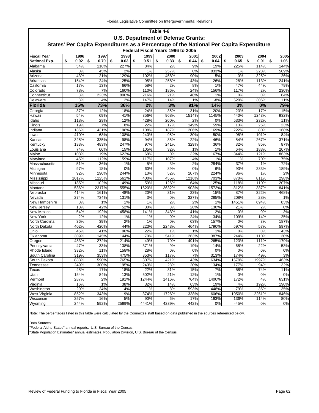|                      |                                                                                                                                                                                                   |       |    |       |            |     |                                   | Table 4-6  |                                                                                                                                     |            |    |       |            |    |      |
|----------------------|---------------------------------------------------------------------------------------------------------------------------------------------------------------------------------------------------|-------|----|-------|------------|-----|-----------------------------------|------------|-------------------------------------------------------------------------------------------------------------------------------------|------------|----|-------|------------|----|------|
|                      |                                                                                                                                                                                                   |       |    |       |            |     |                                   |            | <b>U.S. Department of Defense Grants:</b><br>States' Per Capita Expenditures as a Percentage of the National Per Capita Expenditure |            |    |       |            |    |      |
|                      |                                                                                                                                                                                                   |       |    |       |            |     | Federal Fiscal Years 1996 to 2005 |            |                                                                                                                                     |            |    |       |            |    |      |
| <b>Fiscal Year</b>   |                                                                                                                                                                                                   | 1996  |    | 1997  | 1998       |     | 1999                              | 2000       | 2001                                                                                                                                | 2002       |    | 2003  | 2004       |    | 2005 |
| <b>National Exp.</b> | \$                                                                                                                                                                                                | 0.92  | \$ | 0.70  | 0.63<br>\$ |     | 0.51<br>\$                        | \$<br>0.33 | \$<br>0.44                                                                                                                          | 0.64<br>\$ | \$ | 0.65  | 0.91<br>\$ | \$ | 1.06 |
| Alabama              |                                                                                                                                                                                                   | 54%   |    | 118%  | 227%       |     | 84%                               | 2%         | 9%                                                                                                                                  | 19%        |    | 225%  | 114%       |    | 144% |
| Alaska               |                                                                                                                                                                                                   | 0%    |    | 45%   |            | 2%  | 1%                                | 257%       | 0%                                                                                                                                  | 833%       |    | 1%    | 223%       |    | 509% |
| Arizona              |                                                                                                                                                                                                   | 43%   |    | 21%   | 129%       |     | 102%                              | 458%       | 90%                                                                                                                                 | 5%         |    | 0%    | 325%       |    | 26%  |
| Arkansas             |                                                                                                                                                                                                   | 154%  |    | 24%   |            | 25% | 95%                               | 258%       | 43%                                                                                                                                 | 26%        |    | 28%   | 113%       |    | 241% |
| California           |                                                                                                                                                                                                   | 17%   |    | 13%   |            | 66% | 58%                               | 2%         | 8%                                                                                                                                  | 1%         |    | 47%   | 44%        |    | 79%  |
| Colorado             |                                                                                                                                                                                                   | 78%   |    | 7%    | 160%       |     | 110%                              | 186%       | 24%                                                                                                                                 | 156%       |    | 117%  | 2%         |    | 230% |
| Connecticut          |                                                                                                                                                                                                   | 8%    |    | 223%  | 800%       |     | 216%                              | 21%        | 48%                                                                                                                                 | 1%         |    | 0%    | 0%         |    | 64%  |
| Delaware             |                                                                                                                                                                                                   | 3%    |    | 4%    |            | 2%  | 147%                              | 14%        | 1%                                                                                                                                  | $-8%$      |    | 520%  | 306%       |    | 11%  |
| <b>Florida</b>       |                                                                                                                                                                                                   | 15%   |    | 73%   | 36%        |     | 2%                                | 3%         | 91%                                                                                                                                 | 14%        |    | 3%    | 0%         |    | 79%  |
| Georgia              |                                                                                                                                                                                                   | 37%   |    | 12%   |            | 18% | 24%                               | 35%        | 31%                                                                                                                                 | 20%        |    | 23%   | 17%        |    | 15%  |
| Hawaii               |                                                                                                                                                                                                   | 54%   |    | 69%   |            | 41% | 356%                              | 968%       | 1514%                                                                                                                               | 1145%      |    | 440%  | 1243%      |    | 932% |
| ldaho                |                                                                                                                                                                                                   |       |    |       |            |     |                                   |            |                                                                                                                                     |            |    |       |            |    |      |
| Illinois             | 29%<br>12%<br>533%<br>232%<br>11%<br>118%<br>428%<br>200%<br>2%<br>0%<br>7%<br>23%<br>19%<br>8%<br>22%<br>17%<br>149%<br>59%<br>13%<br>26%<br>186%<br>431%<br>198%<br>108%<br>187%<br>169%<br>80% |       |    |       |            |     |                                   |            |                                                                                                                                     |            |    |       |            |    |      |
| Indiana              | 206%<br>222%<br>168%                                                                                                                                                                              |       |    |       |            |     |                                   |            |                                                                                                                                     |            |    |       |            |    |      |
| lowa                 | 68%<br>108%<br>243%<br>30%<br>101%<br>84%<br>410%<br>95%<br>50%<br>98%                                                                                                                            |       |    |       |            |     |                                   |            |                                                                                                                                     |            |    |       |            |    |      |
| Kansas               |                                                                                                                                                                                                   | 325%  |    | 335%  | 98%        |     | 94%                               | 85%        | 22%                                                                                                                                 | 46%        |    | 54%   | 267%       |    | 371% |
| Kentucky             |                                                                                                                                                                                                   | 133%  |    | 483%  | 247%       |     | 97%                               | 241%       | 329%                                                                                                                                | 36%        |    | 32%   | 85%        |    | 87%  |
| ouisiana_            |                                                                                                                                                                                                   | 74%   |    | 66%   |            | 15% | 105%                              | 32%        | 1%                                                                                                                                  | 1%         |    | 64%   | 183%       |    | 207% |
| Maine                |                                                                                                                                                                                                   | 108%  |    | 19%   | 622%       |     | 68%                               | 0%         | 32%                                                                                                                                 | 167%       |    | 844%  | 121%       |    | 863% |
| Maryland             |                                                                                                                                                                                                   | 45%   |    | 112%  | 159%       |     | 117%                              | 107%       | 4%                                                                                                                                  | 1%         |    | 1%    | 70%        |    | 75%  |
| Massachusetts        |                                                                                                                                                                                                   | 51%   |    | 36%   |            | 1%  | 5%                                | 3%         | 2%                                                                                                                                  | 284%       |    | 37%   | 1%         |    | 72%  |
| Michigan             |                                                                                                                                                                                                   | 97%   |    | 18%   |            | 0%  | 60%                               | 89%        | 0%                                                                                                                                  | 6%         |    | 93%   | 233%       |    | 189% |
| Minnesota            |                                                                                                                                                                                                   | 92%   |    | 190%  | 244%       |     | 10%                               | 52%        | 107%                                                                                                                                | 224%       |    | 86%   | 1%         |    | 2%   |
| Mississippi          |                                                                                                                                                                                                   | 1017% |    | 1125% | 561%       |     | 400%                              | 455%       | 1216%                                                                                                                               | 703%       |    | 870%  | 811%       |    | 298% |
| Missouri             |                                                                                                                                                                                                   | 185%  |    | 102%  |            | 49% | 50%                               | 126%       | 64%                                                                                                                                 | 125%       |    | 118%  | 110%       |    | 207% |
| Montana              |                                                                                                                                                                                                   | 536%  |    | 2317% | 555%       |     | 1620%                             | 3632%      | 1903%                                                                                                                               | 1573%      |    | 812%  | 387%       |    | 841% |
| Nebraska             |                                                                                                                                                                                                   | 414%  |    | 161%  |            | 48% | 20%                               | 31%        | 23%                                                                                                                                 | 15%        |    | 87%   | 322%       |    | 468% |
| Nevada               |                                                                                                                                                                                                   | 274%  |    | 734%  | 131%       |     | 3%                                | 0%         | 327%                                                                                                                                | 285%       |    | 208%  | 28%        |    | 1%   |
| New Hampshire        |                                                                                                                                                                                                   | 0%    |    | 1%    |            | 1%  | 1%                                | 2%         | 2%                                                                                                                                  | 1%         |    | 1451% | 694%       |    | 83%  |
| New Jersey           |                                                                                                                                                                                                   | 13%   |    | 42%   | 52%        |     | 30%                               | 3%         | 28%                                                                                                                                 | 130%       |    | 21%   | 2%         |    | 0%   |
| <b>New Mexico</b>    |                                                                                                                                                                                                   | 54%   |    | 192%  | 458%       |     | 141%                              | 343%       | 41%                                                                                                                                 | 2%         |    | 0%    | 0%         |    | 3%   |
| <b>New York</b>      |                                                                                                                                                                                                   | 2%    |    | 12%   |            | 1%  | 1%                                | 0%         | 24%                                                                                                                                 | 34%        |    | 109%  | 14%        |    | 25%  |
| North Carolina       |                                                                                                                                                                                                   | 36%   |    | 39%   |            | 2%  | 1%                                | 0%         | 63%                                                                                                                                 | 157%       |    | 0%    | 3%         |    | 187% |
| North Dakota         |                                                                                                                                                                                                   | 402%  |    | 420%  |            | 44% | 223%                              | 2243%      | 464%                                                                                                                                | 1790%      |    | 597%  | 57%        |    | 597% |
| Ohio                 |                                                                                                                                                                                                   | 46%   |    | 41%   |            | 96% | 22%                               | 1%         | 1%                                                                                                                                  | 1%         |    | 0%    | 0%         |    | 43%  |
| Oklahoma             |                                                                                                                                                                                                   | 309%  |    | 145%  | 144%       |     | 70%                               | 541%       | 263%                                                                                                                                | 387%       |    | 244%  | 110%       |    | 30%  |
| Oregon               |                                                                                                                                                                                                   | 483%  |    | 272%  | 214%       |     | 49%                               | 70%        | 491%                                                                                                                                | 265%       |    | 123%  | 111%       |    | 179% |
| Pennsylvania         |                                                                                                                                                                                                   | 47%   |    | 33%   | 138%       |     | 371%                              | 9%         | 19%                                                                                                                                 | 14%        |    | 68%   | 22%        |    | 53%  |
| Rhode Island         |                                                                                                                                                                                                   | 332%  |    | 11%   | 158%       |     | 28%                               | 0%         | 0%                                                                                                                                  | 0%         |    | 0%    | 0%         |    | 0%   |
| South Carolina       |                                                                                                                                                                                                   | 319%  |    | 353%  | 475%       |     | 353%                              | 117%       | 7%                                                                                                                                  | 313%       |    | 174%  | 49%        |    | 3%   |
| South Dakota         |                                                                                                                                                                                                   | 888%  |    | 590%  | 765%       |     | 807%                              | 421%       | 43%                                                                                                                                 | 634%       |    | 1579% | 1997%      |    | 463% |
| Tennessee            |                                                                                                                                                                                                   | 249%  |    | 300%  | 195%       |     | 243%                              | 23%        | 20%                                                                                                                                 | 134%       |    | 177%  | 94%        |    | 32%  |
| Texas                |                                                                                                                                                                                                   | 48%   |    | 17%   |            | 18% | 22%                               | 31%        | 15%                                                                                                                                 | 7%         |    | 58%   | 74%        |    | 11%  |
| Utah                 |                                                                                                                                                                                                   | 154%  |    | 84%   |            | 13% | 502%                              | 21%        | 12%                                                                                                                                 | 1%         |    | 0%    | 0%         |    | 0%   |
| Vermont              |                                                                                                                                                                                                   | 287%  |    | 2%    | 191%       |     | 1244%                             | 1416%      | 764%                                                                                                                                | 1400%      |    | 172%  | 4%         |    | 631% |
| Virginia             |                                                                                                                                                                                                   | 16%   |    | 1%    |            | 38% | 32%                               | 14%        | 63%                                                                                                                                 | 19%        |    | 4%    | 192%       |    | 190% |
| Washington           |                                                                                                                                                                                                   | 29%   |    | 24%   |            | 14% | 1%                                | 3%         | 593%                                                                                                                                | 448%       |    | 79%   | 35%        |    | 35%  |
| West Virginia        |                                                                                                                                                                                                   | 852%  |    | 343%  |            | 9%  | 374%                              | 1726%      | 1338%                                                                                                                               | 606%       |    | 1050% | 2261%      |    | 846% |
| Wisconsin            |                                                                                                                                                                                                   | 257%  |    | 16%   |            | 5%  | 90%                               | 6%         | 17%                                                                                                                                 | 193%       |    | 136%  | 114%       |    | 80%  |
|                      |                                                                                                                                                                                                   |       |    |       |            |     |                                   |            |                                                                                                                                     |            |    |       |            |    |      |
| Wyoming              |                                                                                                                                                                                                   | 244%  |    | 592%  | 2589%      |     | 4441%                             | 4239%      | 442%                                                                                                                                | 0%         |    | -45%  | 0%         |    | 0%   |

Data Sources:

Г

"Federal Aid to States" annual reports. U.S. Bureau of the Census.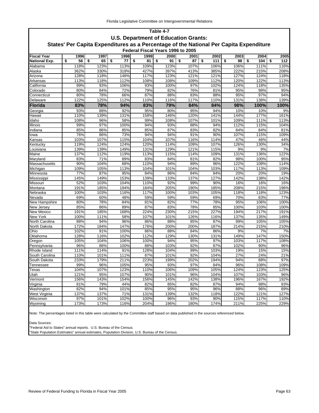|                      | Table 4-7<br><b>U.S. Department of Education Grants:</b><br>States' Per Capita Expenditures as a Percentage of the National Per Capita Expenditure                                                                        |                 |          |          |                                   |          |          |           |          |           |           |  |  |  |  |
|----------------------|---------------------------------------------------------------------------------------------------------------------------------------------------------------------------------------------------------------------------|-----------------|----------|----------|-----------------------------------|----------|----------|-----------|----------|-----------|-----------|--|--|--|--|
|                      |                                                                                                                                                                                                                           |                 |          |          |                                   |          |          |           |          |           |           |  |  |  |  |
|                      |                                                                                                                                                                                                                           |                 |          |          |                                   |          |          |           |          |           |           |  |  |  |  |
|                      |                                                                                                                                                                                                                           |                 |          |          | Federal Fiscal Years 1996 to 2005 |          |          |           |          |           |           |  |  |  |  |
| <b>Fiscal Year</b>   |                                                                                                                                                                                                                           | 1996            | 1997     | 1998     | 1999                              | 2000     | 2001     | 2002      | 2003     | 2004      | 2005      |  |  |  |  |
| <b>National Exp.</b> | \$                                                                                                                                                                                                                        | $\overline{56}$ | \$<br>65 | \$<br>77 | 81<br>\$                          | \$<br>91 | \$<br>87 | \$<br>111 | \$<br>98 | \$<br>104 | \$<br>112 |  |  |  |  |
| Alabama              |                                                                                                                                                                                                                           | 118%            | 123%     | 113%     | 109%                              | 123%     | 107%     | 106%      | 106%     | 111%      | 116%      |  |  |  |  |
| Alaska               |                                                                                                                                                                                                                           | 362%            | 330%     | 318%     | 427%                              | 397%     | 413%     | 385%      | 222%     | 215%      | 208%      |  |  |  |  |
| Arizona              |                                                                                                                                                                                                                           | 128%            | 118%     | 146%     | 117%                              | 123%     | 121%     | 121%      | 127%     | 124%      | 118%      |  |  |  |  |
| Arkansas             |                                                                                                                                                                                                                           | 113%            | 118%     | 112%     | 108%                              | 108%     | 109%     | 112%      | 120%     | 122%      | 113%      |  |  |  |  |
| California           |                                                                                                                                                                                                                           | 99%             | 93%      | 106%     | 93%                               | 100%     | 97%      | 102%      | 124%     | 118%      | 135%      |  |  |  |  |
| Colorado             |                                                                                                                                                                                                                           | 80%             | 84%      | 72%      | 79%                               | 82%      | 76%      | 81%       | 95%      | 98%       | 95%       |  |  |  |  |
| Connecticut          |                                                                                                                                                                                                                           | 80%             | 78%      | 66%      | 87%                               | 88%      | 83%      | 88%       | 95%      | 97%       | 94%       |  |  |  |  |
| Delaware             |                                                                                                                                                                                                                           | 122%            | 125%     | 112%     | 110%                              | 116%     | 117%     | 110%      | 131%     | 138%      | 139%      |  |  |  |  |
| <b>Florida</b>       | 78%<br>94%<br>84%<br>83%<br>83%<br>79%<br>84%<br>98%<br>100%<br>100%<br>93%<br>88%<br>92%<br>95%<br>80%<br>95%<br>94%<br>10%<br>10%<br>9%<br>110%<br>139%<br>131%<br>158%<br>146%<br>120%<br>141%<br>144%<br>177%<br>161% |                 |          |          |                                   |          |          |           |          |           |           |  |  |  |  |
| Georgia              | 108%<br>96%<br>58%<br>99%<br>108%<br>107%<br>101%<br>109%<br>111%<br>113%                                                                                                                                                 |                 |          |          |                                   |          |          |           |          |           |           |  |  |  |  |
| Hawaii               |                                                                                                                                                                                                                           |                 |          |          |                                   |          |          |           |          |           |           |  |  |  |  |
| Idaho                | 97%<br>100%<br>94%<br>88%<br>112%<br>99%<br>93%<br>94%<br>115%<br>104%                                                                                                                                                    |                 |          |          |                                   |          |          |           |          |           |           |  |  |  |  |
| Illinois             | 86%<br>85%<br>85%<br>81%<br>85%<br>87%<br>83%<br>82%<br>84%<br>84%                                                                                                                                                        |                 |          |          |                                   |          |          |           |          |           |           |  |  |  |  |
| Indiana              | 76%<br>86%<br>73%<br>91%<br>90%<br>107%<br>115%<br>94%                                                                                                                                                                    |                 |          |          |                                   |          |          |           |          |           |           |  |  |  |  |
| 94%<br>109%<br>lowa  |                                                                                                                                                                                                                           |                 |          |          |                                   |          |          |           |          |           |           |  |  |  |  |
| Kansas               |                                                                                                                                                                                                                           | 103%            | 107%     | 115%     | 104%                              | 107%     | 116%     | 114%      | 47%      | 46%       | 44%       |  |  |  |  |
| Kentucky             |                                                                                                                                                                                                                           | 119%            | 124%     | 124%     | 120%                              | 114%     | 109%     | 107%      | 126%     | 130%      | 34%       |  |  |  |  |
| Louisiana            |                                                                                                                                                                                                                           | 139%            | 139%     | 149%     | 131%                              | 129%     | 121%     | 115%      | 9%       | 9%        | 7%        |  |  |  |  |
| Maine                |                                                                                                                                                                                                                           | 137%            | 112%     | 119%     | 113%                              | 115%     | 114%     | 109%      | 131%     | 136%      | 122%      |  |  |  |  |
| Maryland             |                                                                                                                                                                                                                           | 83%             | 71%      | 89%      | 83%                               | 84%      | 81%      | 82%       | 98%      | 100%      | 95%       |  |  |  |  |
| Massachusetts        |                                                                                                                                                                                                                           | 90%             | 104%     | 68%      | 110%                              | 94%      | 89%      | 96%       | 122%     | 108%      | 114%      |  |  |  |  |
| Michigan             |                                                                                                                                                                                                                           | 109%            | 105%     | 113%     | 104%                              | 101%     | 104%     | 103%      | 117%     | 113%      | 109%      |  |  |  |  |
| Minnesota            |                                                                                                                                                                                                                           | 77%             | 87%      | 95%      | 84%                               | 86%      | 84%      | 84%       | 20%      | 20%       | 19%       |  |  |  |  |
| Mississippi          |                                                                                                                                                                                                                           | 145%            | 149%     | 153%     | 139%                              | 133%     | 137%     | 127%      | 142%     | 138%      | 142%      |  |  |  |  |
| Missouri             |                                                                                                                                                                                                                           | 52%             | 103%     | 104%     | 110%                              | 92%      | 99%      | 90%       | 16%      | 16%       | 16%       |  |  |  |  |
| Montana              |                                                                                                                                                                                                                           | 191%            | 185%     | 194%     | 184%                              | 205%     | 190%     | 185%      | 208%     | 215%      | 196%      |  |  |  |  |
| Nebraska             |                                                                                                                                                                                                                           | 100%            | 103%     | 116%     | 117%                              | 100%     | 103%     | 105%      | 118%     | 118%      | 123%      |  |  |  |  |
| Nevada               |                                                                                                                                                                                                                           | 69%             | 60%      | 48%      | 59%                               | 59%      | 59%      | 69%       | 70%      | 83%       | 77%       |  |  |  |  |
| New Hampshire        |                                                                                                                                                                                                                           | 80%             | 78%      | 84%      | 81%                               | 82%      | 77%      | 78%       | 95%      | 106%      | 100%      |  |  |  |  |
| New Jersey           |                                                                                                                                                                                                                           | 85%             | 86%      | 89%      | 87%                               | 83%      | 78%      | 85%       | 100%     | 103%      | 100%      |  |  |  |  |
| New Mexico           |                                                                                                                                                                                                                           | 191%            | 185%     | 168%     | 224%                              | 230%     | 215%     | 227%      | 194%     | 217%      | 191%      |  |  |  |  |
| New York             |                                                                                                                                                                                                                           | 100%            | 111%     | 58%      | 107%                              | 101%     | 126%     | 116%      | 137%     | 135%      | 149%      |  |  |  |  |
| North Carolina       |                                                                                                                                                                                                                           | 88%             | 94%      | 96%      | 86%                               | 88%      | 85%      | 87%       | 99%      | 105%      | 105%      |  |  |  |  |
| North Dakota         |                                                                                                                                                                                                                           | 172%            | 184%     | 147%     | 176%                              | 200%     | 200%     | 187%      | 214%     | 215%      | 210%      |  |  |  |  |
| Ohio                 |                                                                                                                                                                                                                           | 102%            | 91%      | 100%     | 86%                               | 88%      | 84%      | 86%       | 9%       | 7%        | 7%        |  |  |  |  |
| Oklahoma             |                                                                                                                                                                                                                           | 128%            | 116%     | 102%     | 112%                              | 129%     | 130%     | 131%      | 149%     | 147%      | 150%      |  |  |  |  |
| Oregon               |                                                                                                                                                                                                                           | 105%            | 104%     | 106%     | 100%                              | 94%      | 95%      | 97%       | 103%     | 117%      | 108%      |  |  |  |  |
| Pennsylvania         |                                                                                                                                                                                                                           | 96%             | 88%      | 100%     | 88%                               | 103%     | 92%      | 87%       | 102%     | 90%       | 96%       |  |  |  |  |
| Rhode Island         |                                                                                                                                                                                                                           | 111%            | 114%     | 91%      | 128%                              | 104%     | 99%      | 103%      | 19%      | 15%       | 15%       |  |  |  |  |
| South Carolina       |                                                                                                                                                                                                                           | 110%            | 101%     | 111%     | 87%                               | 101%     | 92%      | 104%      | 27%      | 24%       | 21%       |  |  |  |  |
| South Dakota         |                                                                                                                                                                                                                           | 233%            | 179%     | 211%     | 223%                              | 199%     | 202%     | 194%      | 94%      | 88%       | 97%       |  |  |  |  |
| Tennessee            |                                                                                                                                                                                                                           | 99%             | 96%      | 105%     | 95%                               | 93%      | 97%      | 84%       | 96%      | 108%      | 109%      |  |  |  |  |
| Texas                |                                                                                                                                                                                                                           | 104%            | 107%     | 123%     | 110%                              | 106%     | 109%     | 105%      | 124%     | 123%      | 125%      |  |  |  |  |
| Utah                 |                                                                                                                                                                                                                           | 121%            | 95%      | 107%     | 90%                               | 101%     | 96%      | 104%      | 107%     | 103%      | 96%       |  |  |  |  |
| Vermont              |                                                                                                                                                                                                                           | 156%            | 143%     | 154%     | 156%                              | 145%     | 142%     | 138%      | 196%     | 167%      | 192%      |  |  |  |  |
| Virginia             |                                                                                                                                                                                                                           | 81%             | 79%      | 44%      | 82%                               | 85%      | 82%      | 87%       | 94%      | 98%       | 93%       |  |  |  |  |
| Washington           |                                                                                                                                                                                                                           | 82%             | 94%      | 101%     | 85%                               | 95%      | 95%      | 96%       | 88%      | 96%       | 89%       |  |  |  |  |
| West Virginia        |                                                                                                                                                                                                                           | 137%            | 137%     | 71%      | 131%                              | 139%     | 132%     | 118%      | 122%     | 121%      | 127%      |  |  |  |  |
| Wisconsin            |                                                                                                                                                                                                                           | 97%             | 101%     | 102%     | 100%                              | 96%      | 93%      | 90%       | 115%     | 117%      | 110%      |  |  |  |  |
| Wyoming              |                                                                                                                                                                                                                           | 173%            | 173%     | 116%     | 204%                              | 196%     | 180%     | 174%      | 211%     | 225%      | 229%      |  |  |  |  |

Data Sources:

"Federal Aid to States" annual reports. U.S. Bureau of the Census.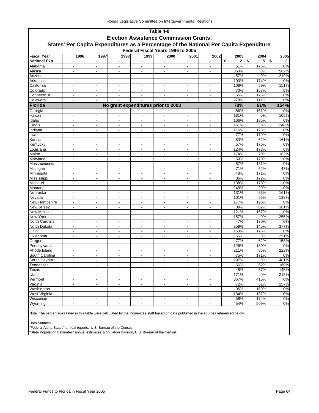|                                                                                                                                                                                                                                                                                                                              |                          |                              |                                     |                          | Table 4-8                |                          |                          |                    |         |         |  |  |  |
|------------------------------------------------------------------------------------------------------------------------------------------------------------------------------------------------------------------------------------------------------------------------------------------------------------------------------|--------------------------|------------------------------|-------------------------------------|--------------------------|--------------------------|--------------------------|--------------------------|--------------------|---------|---------|--|--|--|
| <b>Election Assistance Commission Grants:</b><br>States' Per Capita Expenditures as a Percentage of the National Per Capita Expenditure<br>Federal Fiscal Years 1996 to 2005<br>1996<br>1997<br>1998<br>1999<br>2000<br>2001<br>2002<br>2003<br>2004<br>2005<br>$\blacksquare$<br>٠<br>$\blacksquare$<br>٠<br>$\blacksquare$ |                          |                              |                                     |                          |                          |                          |                          |                    |         |         |  |  |  |
|                                                                                                                                                                                                                                                                                                                              |                          |                              |                                     |                          |                          |                          |                          |                    |         |         |  |  |  |
|                                                                                                                                                                                                                                                                                                                              |                          |                              |                                     |                          |                          |                          |                          |                    |         |         |  |  |  |
| Fiscal Year                                                                                                                                                                                                                                                                                                                  |                          |                              |                                     |                          |                          |                          |                          |                    |         |         |  |  |  |
| <b>National Exp.</b>                                                                                                                                                                                                                                                                                                         |                          |                              |                                     |                          |                          |                          |                          | \$<br>$\mathbf{2}$ | 5<br>\$ | 3<br>\$ |  |  |  |
| Alabama                                                                                                                                                                                                                                                                                                                      |                          |                              |                                     |                          |                          |                          |                          | 51%                | 176%    | 0%      |  |  |  |
| Alaska                                                                                                                                                                                                                                                                                                                       | $\overline{\phantom{a}}$ | $\blacksquare$               | $\overline{\phantom{a}}$            | $\blacksquare$           | $\overline{\phantom{a}}$ | $\overline{\phantom{a}}$ | $\blacksquare$           | 350%               | 0%      | 562%    |  |  |  |
| Arizona                                                                                                                                                                                                                                                                                                                      |                          |                              | $\overline{\phantom{a}}$            | $\overline{\phantom{a}}$ | $\overline{\phantom{a}}$ |                          |                          | 57%                | 0%      | 219%    |  |  |  |
| Arkansas                                                                                                                                                                                                                                                                                                                     | $\overline{\phantom{a}}$ | $\blacksquare$               | $\blacksquare$                      | $\overline{\phantom{a}}$ | $\blacksquare$           | $\blacksquare$           | $\blacksquare$           | 103%               | 174%    | 0%      |  |  |  |
| California                                                                                                                                                                                                                                                                                                                   | $\blacksquare$           | $\overline{\phantom{a}}$     | $\overline{\phantom{a}}$            | $\overline{\phantom{a}}$ | $\overline{\phantom{a}}$ | $\overline{\phantom{a}}$ | $\blacksquare$           | 108%               | 59%     | 151%    |  |  |  |
| Colorado                                                                                                                                                                                                                                                                                                                     | $\blacksquare$           | $\blacksquare$               | $\blacksquare$                      | $\blacksquare$           | $\blacksquare$           | $\blacksquare$           | $\blacksquare$           | 70%                | 167%    | 0%      |  |  |  |
| Connecticut                                                                                                                                                                                                                                                                                                                  | $\frac{1}{2}$            | $\overline{\phantom{a}}$     | $\overline{\phantom{a}}$            | $\blacksquare$           | $\overline{\phantom{a}}$ | $\blacksquare$           | $\blacksquare$           | 65%                | 176%    | 0%      |  |  |  |
| Delaware                                                                                                                                                                                                                                                                                                                     | $\overline{\phantom{a}}$ | $\blacksquare$               | $\overline{a}$                      |                          | $\overline{a}$           | $\overline{a}$           | $\blacksquare$           | 278%               | 111%    | 0%      |  |  |  |
| <b>Florida</b>                                                                                                                                                                                                                                                                                                               |                          |                              | No grant expenditures prior to 2003 |                          |                          |                          |                          | 70%                | 61%     | 154%    |  |  |  |
| Georgia                                                                                                                                                                                                                                                                                                                      | $\overline{\phantom{a}}$ | $\blacksquare$               | $\overline{a}$                      | $\overline{\phantom{a}}$ | $\overline{a}$           | $\blacksquare$           | $\overline{\phantom{a}}$ | 66%                | 161%    | 0%      |  |  |  |
| Hawaii                                                                                                                                                                                                                                                                                                                       | $\overline{\phantom{a}}$ | $\qquad \qquad \blacksquare$ | $\overline{\phantom{a}}$            | $\blacksquare$           | $\overline{\phantom{a}}$ | $\overline{\phantom{a}}$ | $\blacksquare$           | 181%               | 0%      | 105%    |  |  |  |
| Idaho                                                                                                                                                                                                                                                                                                                        | $\overline{\phantom{a}}$ | $\overline{\phantom{a}}$     | $\blacksquare$                      | $\blacksquare$           | $\overline{\phantom{a}}$ | $\overline{\phantom{a}}$ | $\blacksquare$           | 166%               | 185%    | 0%      |  |  |  |
| Illinois                                                                                                                                                                                                                                                                                                                     | $\overline{\phantom{a}}$ | $\overline{\phantom{a}}$     | $\overline{a}$                      | $\blacksquare$           | $\overline{\phantom{a}}$ | $\blacksquare$           | $\blacksquare$           | 161%               | 0%      | 248%    |  |  |  |
| Indiana                                                                                                                                                                                                                                                                                                                      | $\overline{\phantom{a}}$ | $\overline{a}$               | $\overline{\phantom{a}}$            | $\blacksquare$           | $\overline{\phantom{a}}$ | $\overline{a}$           | $\overline{a}$           | 116%               | 173%    | 0%      |  |  |  |
| lowa                                                                                                                                                                                                                                                                                                                         | $\overline{\phantom{a}}$ | $\overline{\phantom{a}}$     | $\overline{\phantom{a}}$            | $\overline{\phantom{a}}$ | $\overline{\phantom{a}}$ | $\overline{\phantom{a}}$ | $\overline{\phantom{a}}$ | 77%                | 179%    | 0%      |  |  |  |
| Kansas                                                                                                                                                                                                                                                                                                                       | $\blacksquare$           | $\overline{\phantom{a}}$     | $\overline{\phantom{a}}$            | $\blacksquare$           | $\blacksquare$           | $\blacksquare$           | $\blacksquare$           | 83%                | 62%     | 161%    |  |  |  |
| Kentucky                                                                                                                                                                                                                                                                                                                     | $\overline{\phantom{a}}$ |                              | $\blacksquare$                      |                          | $\blacksquare$           | $\overline{\phantom{a}}$ | $\overline{\phantom{a}}$ | 57%                | 176%    | 0%      |  |  |  |
| Louisiana                                                                                                                                                                                                                                                                                                                    | $\blacksquare$           | $\blacksquare$               | $\overline{\phantom{a}}$            | $\blacksquare$           | $\overline{\phantom{a}}$ | $\blacksquare$           | $\blacksquare$           | 124%               | 173%    | 0%      |  |  |  |
| Maine                                                                                                                                                                                                                                                                                                                        |                          | $\overline{\phantom{a}}$     | $\overline{\phantom{a}}$            | $\overline{\phantom{a}}$ | $\overline{\phantom{a}}$ | $\overline{\phantom{a}}$ | $\overline{\phantom{a}}$ | 174%               | 70%     | 182%    |  |  |  |
| Maryland                                                                                                                                                                                                                                                                                                                     | $\overline{\phantom{a}}$ | $\blacksquare$               | $\blacksquare$                      | $\overline{\phantom{a}}$ | $\blacksquare$           | $\blacksquare$           | $\blacksquare$           | 60%                | 170%    | 0%      |  |  |  |
| <b>Massachusetts</b>                                                                                                                                                                                                                                                                                                         | $\blacksquare$           | $\overline{\phantom{a}}$     | $\overline{\phantom{a}}$            | $\overline{\phantom{a}}$ | $\overline{\phantom{a}}$ | $\overline{\phantom{a}}$ | $\blacksquare$           | 57%                | 181%    | 0%      |  |  |  |
| Michigan                                                                                                                                                                                                                                                                                                                     | $\blacksquare$           | $\blacksquare$               | $\overline{\phantom{a}}$            | $\overline{\phantom{a}}$ | $\overline{\phantom{a}}$ | $\blacksquare$           | $\overline{\phantom{a}}$ | 71%                | 62%     | 47%     |  |  |  |
| Minnesota                                                                                                                                                                                                                                                                                                                    | $\overline{\phantom{a}}$ | $\overline{\phantom{a}}$     | $\overline{\phantom{a}}$            | $\blacksquare$           | $\overline{\phantom{a}}$ | $\blacksquare$           | $\blacksquare$           | 48%                | 171%    | 0%      |  |  |  |
| Mississippi                                                                                                                                                                                                                                                                                                                  | $\overline{\phantom{a}}$ | $\blacksquare$               | $\blacksquare$                      | $\blacksquare$           | $\overline{\phantom{a}}$ | $\blacksquare$           | $\blacksquare$           | 86%                | 172%    | 0%      |  |  |  |
| Missouri                                                                                                                                                                                                                                                                                                                     | $\overline{\phantom{a}}$ | $\overline{\phantom{a}}$     | $\blacksquare$                      | $\overline{\phantom{a}}$ | $\blacksquare$           | $\blacksquare$           | $\blacksquare$           | 138%               | 173%    | 0%      |  |  |  |
| Montana                                                                                                                                                                                                                                                                                                                      | ۰                        | $\overline{\phantom{a}}$     | $\blacksquare$                      | $\overline{\phantom{a}}$ | $\blacksquare$           | $\overline{\phantom{a}}$ | $\overline{\phantom{a}}$ | 248%               | 99%     | 0%      |  |  |  |
| Nebraska                                                                                                                                                                                                                                                                                                                     | $\blacksquare$           | $\blacksquare$               | $\blacksquare$                      | $\overline{\phantom{a}}$ | $\overline{\phantom{a}}$ | $\blacksquare$           | $\blacksquare$           | 131%               | 63%     | 161%    |  |  |  |
| Nevada                                                                                                                                                                                                                                                                                                                       | $\overline{\phantom{a}}$ | $\overline{\phantom{a}}$     | $\overline{a}$                      | $\overline{\phantom{a}}$ | $\overline{\phantom{a}}$ | $\overline{\phantom{a}}$ | $\overline{\phantom{a}}$ | 101%               | 55%     | 138%    |  |  |  |
| New Hampshire                                                                                                                                                                                                                                                                                                                | $\overline{\phantom{a}}$ | $\overline{\phantom{a}}$     | $\overline{\phantom{a}}$            | $\blacksquare$           | $\overline{\phantom{a}}$ | $\overline{\phantom{a}}$ | $\blacksquare$           | 177%               | 198%    | 0%      |  |  |  |
| New Jersev                                                                                                                                                                                                                                                                                                                   | $\overline{\phantom{a}}$ |                              | $\overline{\phantom{a}}$            |                          | $\overline{\phantom{a}}$ | $\overline{\phantom{a}}$ | $\overline{\phantom{a}}$ | 89%                | 62%     | 161%    |  |  |  |
| New Mexico                                                                                                                                                                                                                                                                                                                   | $\overline{\phantom{a}}$ | $\overline{\phantom{a}}$     | $\overline{\phantom{a}}$            | $\overline{\phantom{a}}$ | $\overline{\phantom{a}}$ | $\overline{\phantom{a}}$ | $\overline{\phantom{a}}$ | 121%               | 167%    | 0%      |  |  |  |
| New York                                                                                                                                                                                                                                                                                                                     |                          | $\overline{\phantom{a}}$     | $\overline{\phantom{a}}$            | $\overline{\phantom{a}}$ | $\overline{\phantom{a}}$ | $\blacksquare$           | $\overline{\phantom{a}}$ | 157%               | 0%      | 255%    |  |  |  |
| North Carolina                                                                                                                                                                                                                                                                                                               | $\blacksquare$           | $\blacksquare$               | $\blacksquare$                      | $\overline{\phantom{a}}$ | $\blacksquare$           | $\blacksquare$           | $\blacksquare$           | 47%                | 170%    | 0%      |  |  |  |
| North Dakota                                                                                                                                                                                                                                                                                                                 | $\overline{\phantom{a}}$ | $\overline{\phantom{a}}$     | $\overline{\phantom{a}}$            | $\overline{\phantom{a}}$ | $\overline{\phantom{a}}$ | $\overline{\phantom{a}}$ | $\overline{\phantom{a}}$ | 359%               | 145%    | 377%    |  |  |  |
| Ohio                                                                                                                                                                                                                                                                                                                         | $\blacksquare$           | $\blacksquare$               | $\blacksquare$                      | $\blacksquare$           | $\blacksquare$           | $\blacksquare$           | $\blacksquare$           | 163%               | 176%    | 0%      |  |  |  |
| Oklahoma                                                                                                                                                                                                                                                                                                                     | $\overline{\phantom{a}}$ | $\overline{\phantom{a}}$     | $\overline{\phantom{a}}$            | $\blacksquare$           | $\overline{\phantom{a}}$ | $\blacksquare$           | $\blacksquare$           | 65%                | 0%      | 251%    |  |  |  |
| Oregon                                                                                                                                                                                                                                                                                                                       | $\overline{\phantom{a}}$ | $\overline{\phantom{a}}$     | $\blacksquare$                      | $\blacksquare$           | $\overline{\phantom{a}}$ | $\blacksquare$           | $\blacksquare$           | 77%                | 62%     | 158%    |  |  |  |
| Pennsylvania                                                                                                                                                                                                                                                                                                                 | $\overline{\phantom{a}}$ | $\overline{\phantom{a}}$     | $\blacksquare$                      | $\overline{\phantom{a}}$ | $\overline{\phantom{a}}$ | $\blacksquare$           | $\overline{\phantom{a}}$ | 126%               | 180%    | 0%      |  |  |  |
| Rhode Island                                                                                                                                                                                                                                                                                                                 | $\blacksquare$           | $\overline{a}$               | $\blacksquare$                      | $\overline{\phantom{a}}$ | $\overline{\phantom{a}}$ | $\overline{a}$           | $\overline{a}$           | 211%               | 85%     | 223%    |  |  |  |
| South Carolina                                                                                                                                                                                                                                                                                                               | $\overline{\phantom{a}}$ | $\overline{\phantom{a}}$     | $\overline{\phantom{0}}$            | $\overline{\phantom{a}}$ | $\overline{\phantom{0}}$ | $\blacksquare$           | $\overline{\phantom{a}}$ | 75%                | 171%    | 0%      |  |  |  |
| South Dakota                                                                                                                                                                                                                                                                                                                 | $\overline{\phantom{a}}$ | $\overline{\phantom{a}}$     | $\overline{\phantom{a}}$            | $\overline{\phantom{a}}$ | $\overline{\phantom{a}}$ | $\overline{\phantom{a}}$ | $\overline{\phantom{a}}$ | 297%               | 0%      | 481%    |  |  |  |
| Tennessee                                                                                                                                                                                                                                                                                                                    | $\overline{\phantom{a}}$ | $\overline{\phantom{a}}$     | $\overline{\phantom{a}}$            | $\overline{\phantom{a}}$ | ٠                        | $\overline{\phantom{a}}$ | ٠                        | 66%                | 62%     | 160%    |  |  |  |
| Texas                                                                                                                                                                                                                                                                                                                        | $\overline{\phantom{a}}$ | $\overline{\phantom{a}}$     | $\overline{\phantom{a}}$            | $\overline{\phantom{a}}$ | $\overline{\phantom{a}}$ | $\overline{\phantom{a}}$ | $\overline{\phantom{a}}$ | 48%                | 57%     | 145%    |  |  |  |
| Utah                                                                                                                                                                                                                                                                                                                         | $\overline{\phantom{a}}$ | $\overline{\phantom{a}}$     | $\overline{\phantom{a}}$            | $\overline{\phantom{a}}$ | $\overline{\phantom{a}}$ | ٠                        | $\overline{\phantom{a}}$ | 171%               | 0%      | 213%    |  |  |  |
| Vermont                                                                                                                                                                                                                                                                                                                      | $\overline{\phantom{a}}$ | $\overline{\phantom{a}}$     | $\overline{\phantom{a}}$            | $\overline{\phantom{a}}$ | $\overline{\phantom{a}}$ | $\overline{\phantom{a}}$ | $\overline{\phantom{a}}$ | 367%               | 415%    | 0%      |  |  |  |
| Virginia                                                                                                                                                                                                                                                                                                                     | $\overline{\phantom{a}}$ | $\overline{\phantom{a}}$     | $\overline{\phantom{a}}$            | $\overline{\phantom{a}}$ | $\overline{\phantom{a}}$ | $\overline{\phantom{a}}$ | $\overline{\phantom{a}}$ | 72%                | 61%     | 157%    |  |  |  |
| Washington                                                                                                                                                                                                                                                                                                                   | $\overline{\phantom{a}}$ | $\overline{\phantom{a}}$     | $\overline{\phantom{a}}$            | $\overline{\phantom{a}}$ | $\overline{\phantom{a}}$ | $\overline{\phantom{a}}$ | $\overline{\phantom{a}}$ | 96%                | 169%    | 0%      |  |  |  |
| West Virginia                                                                                                                                                                                                                                                                                                                | $\overline{\phantom{a}}$ | $\overline{\phantom{a}}$     | $\overline{\phantom{a}}$            | $\overline{\phantom{a}}$ | $\overline{\phantom{a}}$ | $\overline{\phantom{a}}$ | $\overline{\phantom{a}}$ | 134%               | 187%    | 0%      |  |  |  |
| Wisconsin                                                                                                                                                                                                                                                                                                                    | $\overline{\phantom{a}}$ | $\overline{\phantom{a}}$     | $\overline{\phantom{a}}$            | $\overline{\phantom{a}}$ | $\overline{\phantom{a}}$ | $\overline{\phantom{a}}$ | $\overline{\phantom{a}}$ | 58%                | 174%    | 0%      |  |  |  |
| Wyoming                                                                                                                                                                                                                                                                                                                      | $\overline{\phantom{0}}$ | $\overline{\phantom{a}}$     | $\overline{\phantom{a}}$            | $\overline{\phantom{a}}$ | $\overline{\phantom{a}}$ | $\overline{\phantom{a}}$ | $\overline{\phantom{a}}$ | 454%               | 509%    | 0%      |  |  |  |

Data Sources:

"Federal Aid to States" annual reports. U.S. Bureau of the Census.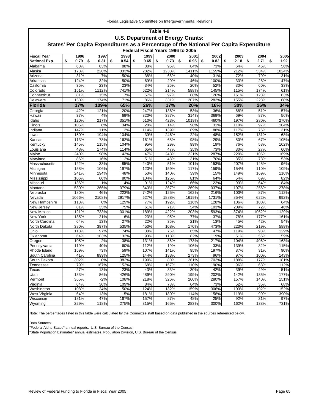|                                |                                                                                                                                                        |            |            |                                          | Table 4-9  |            |            |            |            |            |  |  |  |  |  |
|--------------------------------|--------------------------------------------------------------------------------------------------------------------------------------------------------|------------|------------|------------------------------------------|------------|------------|------------|------------|------------|------------|--|--|--|--|--|
|                                | States' Per Capita Expenditures as a Percentage of the National Per Capita Expenditure                                                                 |            |            | <b>U.S. Department of Energy Grants:</b> |            |            |            |            |            |            |  |  |  |  |  |
|                                |                                                                                                                                                        |            |            | Federal Fiscal Years 1996 to 2005        |            |            |            |            |            |            |  |  |  |  |  |
| <b>Fiscal Year</b>             | 1996                                                                                                                                                   | 1997       | 1998       | 1999                                     | 2000       | 2001       | 2002       | 2003       | 2004       | 2005       |  |  |  |  |  |
| <b>National Exp.</b>           | \$<br>0.79                                                                                                                                             | \$<br>0.31 | \$<br>0.54 | 0.65<br>\$                               | 0.73<br>\$ | 0.95<br>\$ | \$<br>0.82 | 2.18<br>\$ | \$<br>2.71 | \$<br>1.92 |  |  |  |  |  |
| Alabama                        | 68%                                                                                                                                                    | 63%        | 88%        | 88%                                      | 95%        | 84%        | 73%        | 64%        | 45%        | 56%        |  |  |  |  |  |
| Alaska                         | 178%                                                                                                                                                   | 220%       | 333%       | 282%                                     | 1233%      | 1411%      | 1159%      | 212%       | 534%       | 1024%      |  |  |  |  |  |
| Arizona                        | 31%                                                                                                                                                    | 7%         | 50%        | 38%                                      | 66%        | 40%        | 31%        | 72%        | 79%        | 31%        |  |  |  |  |  |
| Arkansas                       | 124%                                                                                                                                                   | 32%        | 50%        | 69%                                      | 20%        | 46%        | 100%       | 33%        | 28%        | 47%        |  |  |  |  |  |
| California                     | 35%                                                                                                                                                    | 23%        | 23%        | 34%                                      | 25%        | 20%        | 52%        | 30%        | 60%        | 33%        |  |  |  |  |  |
| Colorado                       | 151%                                                                                                                                                   | 1112%      | 741%       | 622%                                     | 214%       | 588%       | 145%       | 115%       | 174%       | 61%        |  |  |  |  |  |
| Connecticut                    | 81%                                                                                                                                                    | 15%        | 7%         | 57%                                      | 97%        | 88%        | 126%       | 161%       | 123%       | 63%        |  |  |  |  |  |
| Delaware                       | 150%                                                                                                                                                   | 174%       | 71%        | 86%                                      | 331%       | 207%       | 282%       | 155%       | 223%       | 68%        |  |  |  |  |  |
| <b>Florida</b>                 | 17%                                                                                                                                                    | 109%       | 65%        | 26%                                      | 17%        | 20%        | 16%        | 30%        | 26%        | 34%        |  |  |  |  |  |
| Georgia                        | 42%                                                                                                                                                    | 121%       | 20%        | 247%                                     | 136%       | 53%        | 36%        | 68%        | 51%        | 57%        |  |  |  |  |  |
| Hawaii                         | 37%<br>4%<br>69%<br>320%<br>387%<br>314%<br>369%<br>69%<br>56%<br>87%<br>120%<br>217%<br>351%<br>610%<br>423%<br>1019%<br>460%<br>197%<br>280%<br>270% |            |            |                                          |            |            |            |            |            |            |  |  |  |  |  |
| Idaho                          | 8%<br>34%<br>28%<br>31%<br>105%<br>14%<br>98%<br>110%<br>97%<br>104%                                                                                   |            |            |                                          |            |            |            |            |            |            |  |  |  |  |  |
| Illinois                       | 147%<br>11%<br>2%<br>114%<br>139%<br>89%<br>88%<br>117%<br>76%<br>31%                                                                                  |            |            |                                          |            |            |            |            |            |            |  |  |  |  |  |
| Indiana                        | 22%<br>150%<br>194%<br>104%<br>246%<br>152%<br>131%<br>68%<br>39%<br>48%                                                                               |            |            |                                          |            |            |            |            |            |            |  |  |  |  |  |
| lowa                           |                                                                                                                                                        |            |            |                                          |            |            |            |            |            |            |  |  |  |  |  |
| Kansas                         | 78%<br>162%<br>113%<br>161%<br>68%<br>98%<br>29%<br>80%<br>67%<br>105%                                                                                 |            |            |                                          |            |            |            |            |            |            |  |  |  |  |  |
| Kentucky                       | 145%                                                                                                                                                   | 115%       | 104%       | 95%                                      | 29%        | 99%        | 19%        | 76%        | 58%        | 102%       |  |  |  |  |  |
| _ouisiana                      | 48%                                                                                                                                                    | 174%       | 114%       | 65%                                      | 47%        | 35%        | 73%        | 30%        | 27%        | 60%        |  |  |  |  |  |
| Maine                          | 240%                                                                                                                                                   | 98%        | 42%        | 47%                                      | 243%       | 221%       | 287%       | 220%       | 106%       | 169%       |  |  |  |  |  |
| Maryland                       | 86%                                                                                                                                                    | 16%        | 112%       | 51%                                      | 43%        | 31%        | 70%        | 35%        | 73%        | 53%        |  |  |  |  |  |
| Massachusetts                  | 122%                                                                                                                                                   | 33%        | 85%        | 240%                                     | 51%        | 101%       | 153%       | 207%       | 145%       | 96%        |  |  |  |  |  |
| Michigan                       | 158%                                                                                                                                                   | 106%       | 197%       | 123%                                     | 159%       | 117%       | 159%       | 154%       | 110%       | 109%       |  |  |  |  |  |
| Minnesota                      | 241%                                                                                                                                                   | 194%       | 48%        | 50%                                      | 140%       | 39%        | 15%        | 149%       | 169%       | 116%       |  |  |  |  |  |
| Mississippi                    | 106%                                                                                                                                                   | 66%        | 80%        | 104%                                     | 125%       | 81%        | 64%        | 54%        | 69%        | 82%        |  |  |  |  |  |
| Missouri                       | 136%                                                                                                                                                   | $-1%$      | 14%        | 91%                                      | 124%       | 66%        | 123%       | 93%        | 64%        | 84%        |  |  |  |  |  |
| Montana                        | 530%                                                                                                                                                   | 266%       | 379%       | 343%                                     | 367%       | 269%       | 337%       | 197%       | 256%       | 278%       |  |  |  |  |  |
| Nebraska                       | 180%                                                                                                                                                   | 46%        | 223%       | 742%                                     | 125%       | 162%       | 216%       | 100%       | 87%        | 112%       |  |  |  |  |  |
| Nevada                         | 1066%                                                                                                                                                  | 2108%      | 2917%      | 627%                                     | 1888%      | 1619%      | 1731%      | 854%       | 622%       | 692%       |  |  |  |  |  |
| New Hampshire                  | 118%                                                                                                                                                   | 0%         | 129%       | 77%                                      | 192%       | 116%       | 128%       | 106%       | 100%       | 64%        |  |  |  |  |  |
| New Jersey                     | 81%                                                                                                                                                    | 35%        | 75%        | 61%                                      | 71%        | 54%        | 103%       | 209%       | 72%        | 46%        |  |  |  |  |  |
| <b>New Mexico</b>              | 121%                                                                                                                                                   | 733%       | 301%       | 189%                                     | 422%       | 203%       | 593%       | 874%       | 1052%      | 1129%      |  |  |  |  |  |
| <b>New York</b>                | 135%                                                                                                                                                   | 21%        | 6%         | 23%                                      | 95%        | 77%        | 37%        | 78%        | 177%       | 161%       |  |  |  |  |  |
| North Carolina                 | 64%                                                                                                                                                    | 13%        | 27%        | 22%                                      | 35%        | 21%        | 13%        | 45%        | 42%        | 54%        |  |  |  |  |  |
| North Dakota                   | 380%                                                                                                                                                   | 397%       | 535%       | 450%                                     | 108%       | 170%       | 473%       | 223%       | 219%       | 589%       |  |  |  |  |  |
| Ohio                           | 118%                                                                                                                                                   | 97%        | 74%        | 30%                                      | 75%        | 65%        | 47%        | 119%       | 93%        | 129%       |  |  |  |  |  |
| Oklahoma                       | 64%                                                                                                                                                    | 103%       | 132%       | 93%                                      | 118%       | 82%        | 119%       | 51%        | 56%        | 59%        |  |  |  |  |  |
| Oregon                         | 105%                                                                                                                                                   | 2%         | 38%        | 131%                                     | 86%        | 173%       | 217%       | 104%       | 406%       | 163%       |  |  |  |  |  |
| Pennsylvania                   | 119%                                                                                                                                                   | 40%        | 60%        | 112%                                     | 19%        | 106%       | 33%        | 139%       | 82%        | 115%       |  |  |  |  |  |
| Rhode Island                   | 159%                                                                                                                                                   | 73%        | 59%        | 107%                                     | 141%       | 95%        | 197%       | 87%        | 31%        | 90%        |  |  |  |  |  |
| South Carolina<br>South Dakota | 41%                                                                                                                                                    | 899%       | 125%       | 144%                                     | 133%       | 273%       | 96%        | 97%        | 100%       | 143%       |  |  |  |  |  |
|                                | 302%                                                                                                                                                   | 0%         | 382%       | 190%                                     | 80%        | 261%       | 702%       | 188%       | 177%       | 181%       |  |  |  |  |  |
| Tennessee                      | 79%                                                                                                                                                    | 167%       | 152%       | 68%                                      | 167%       | 110%       | 190%       | 96%        | 63%        | 112%       |  |  |  |  |  |
| <b>Texas</b>                   | 27%                                                                                                                                                    | 13%        | 23%        | 43%                                      | 33%        | 30%        | 42%        | 39%        | 49%        | 51%        |  |  |  |  |  |
| Utah                           | 133%                                                                                                                                                   | 86%        | 426%       | 489%                                     | 290%       | 199%       | 202%       | 142%       | 135%       | 177%       |  |  |  |  |  |
| Vermont                        | 365%                                                                                                                                                   | $-2%$      | 108%       | 218%                                     | 326%       | 260%       | 280%       | 157%       | 140%       | 151%       |  |  |  |  |  |
| Virginia                       | 64%                                                                                                                                                    | 36%        | 109%       | 84%                                      | 73%        | 64%        | 73%        | 52%        | 35%        | 68%        |  |  |  |  |  |
| Washington                     | 108%                                                                                                                                                   | 24%        | 50%        | 124%                                     | 132%       | 159%       | 306%       | 193%       | 192%       | 152%       |  |  |  |  |  |
| West Virginia                  | 64%                                                                                                                                                    | 13%        | 15%        | 181%                                     | 189%       | 114%       | 158%       | 119%       | 99%        | 390%       |  |  |  |  |  |
| Wisconsin                      | 181%                                                                                                                                                   | 47%        | 167%       | 157%                                     | 87%        | 48%        | 25%        | 92%        | 31%        | 97%        |  |  |  |  |  |
| Wyoming                        | 229%                                                                                                                                                   | 118%       | 275%       | 315%                                     | 165%       | 283%       | 300%       | 162%       | 138%       | 731%       |  |  |  |  |  |

Data Sources:

"Federal Aid to States" annual reports. U.S. Bureau of the Census.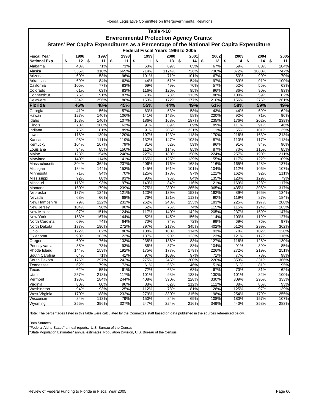|                                                                                             |                                                                                                                                                                                                                      |      |    |      |          |  |                                                                                        | Table 4-10 |  |          |          |    |      |     |       |          |
|---------------------------------------------------------------------------------------------|----------------------------------------------------------------------------------------------------------------------------------------------------------------------------------------------------------------------|------|----|------|----------|--|----------------------------------------------------------------------------------------|------------|--|----------|----------|----|------|-----|-------|----------|
|                                                                                             |                                                                                                                                                                                                                      |      |    |      |          |  | <b>Environmental Protection Agency Grants:</b>                                         |            |  |          |          |    |      |     |       |          |
|                                                                                             |                                                                                                                                                                                                                      |      |    |      |          |  | States' Per Capita Expenditures as a Percentage of the National Per Capita Expenditure |            |  |          |          |    |      |     |       |          |
|                                                                                             |                                                                                                                                                                                                                      |      |    |      |          |  | Federal Fiscal Years 1996 to 2005                                                      |            |  |          |          |    |      |     |       |          |
| <b>Fiscal Year</b>                                                                          |                                                                                                                                                                                                                      | 1996 |    | 1997 | 1998     |  | 1999                                                                                   | 2000       |  | 2001     | 2002     |    | 2003 |     | 2004  | 2005     |
| <b>National Exp.</b>                                                                        | \$                                                                                                                                                                                                                   | 12   | \$ | 11   | 11<br>\$ |  | \$<br>11                                                                               | \$<br>13   |  | \$<br>14 | 13<br>\$ | \$ | 14   | -\$ | 14    | \$<br>11 |
| Alabama                                                                                     |                                                                                                                                                                                                                      | 48%  |    | 71%  | 73%      |  | 60%                                                                                    | 89%        |  | 85%      | 67%      |    | 59%  |     | 80%   | 104%     |
| Alaska                                                                                      |                                                                                                                                                                                                                      | 335% |    | 310% | 669%     |  | 714%                                                                                   | 1124%      |  | 726%     | 736%     |    | 872% |     | 1088% | 747%     |
| Arizona                                                                                     |                                                                                                                                                                                                                      | 60%  |    | 58%  | 96%      |  | 101%                                                                                   | 71%        |  | 101%     | 67%      |    | 53%  |     | 90%   | 70%      |
| Arkansas                                                                                    |                                                                                                                                                                                                                      | 69%  |    | 84%  | 62%      |  | 44%                                                                                    | 51%        |  | 54%      | 97%      |    | 89%  |     | 91%   | 100%     |
| California                                                                                  |                                                                                                                                                                                                                      | 105% |    | 77%  | 83%      |  | 69%                                                                                    | 49%        |  | 70%      | 57%      |    | 52%  |     | 55%   | 63%      |
| Colorado                                                                                    |                                                                                                                                                                                                                      | 61%  |    | 63%  | 83%      |  | 116%                                                                                   | 126%       |  | 95%      | 96%      |    | 86%  |     | 90%   | 83%      |
| Connecticut                                                                                 |                                                                                                                                                                                                                      | 76%  |    | 91%  | 87%      |  | 78%                                                                                    | 73%        |  | 113%     | 88%      |    | 100% |     | 59%   | 82%      |
| Delaware                                                                                    |                                                                                                                                                                                                                      | 234% |    | 256% | 188%     |  | 153%                                                                                   | 172%       |  | 177%     | 210%     |    | 156% |     | 275%  | 261%     |
| <b>Florida</b>                                                                              | 45%<br>55%<br>49%<br>61%<br>59%<br>49%<br>46%<br>48%<br>44%<br>58%<br>56%<br>63%<br>41%<br>57%<br>53%<br>58%<br>43%<br>44%<br>69%<br>62%<br>127%<br>140%<br>106%<br>141%<br>143%<br>58%<br>220%<br>92%<br>71%<br>96% |      |    |      |          |  |                                                                                        |            |  |          |          |    |      |     |       |          |
| Georgia                                                                                     | 163%<br>168%                                                                                                                                                                                                         |      |    |      |          |  |                                                                                        |            |  |          |          |    |      |     |       |          |
| Hawaii                                                                                      | 107%<br>140%<br>186%<br>187%<br>235%<br>176%<br>202%<br>239%                                                                                                                                                         |      |    |      |          |  |                                                                                        |            |  |          |          |    |      |     |       |          |
| 70%<br>100%<br>62%<br>91%<br>89%<br>89%<br>89%<br>111%<br>91%<br>46%                        |                                                                                                                                                                                                                      |      |    |      |          |  |                                                                                        |            |  |          |          |    |      |     |       |          |
| Idaho<br>Illinois<br>75%<br>81%<br>89%<br>91%<br>206%<br>221%<br>111%<br>55%<br>101%<br>35% |                                                                                                                                                                                                                      |      |    |      |          |  |                                                                                        |            |  |          |          |    |      |     |       |          |
| Indiana                                                                                     | 213%                                                                                                                                                                                                                 |      |    |      |          |  |                                                                                        |            |  |          |          |    |      |     |       |          |
| lowa                                                                                        | 139%<br>120%<br>107%<br>118%<br>170%<br>118%<br>123%<br>216%<br>163%                                                                                                                                                 |      |    |      |          |  |                                                                                        |            |  |          |          |    |      |     |       |          |
| Kansas                                                                                      |                                                                                                                                                                                                                      | 98%  |    | 111% | 119%     |  | 132%                                                                                   | 147%       |  | 103%     | 87%      |    | 110% |     | 117%  | 118%     |
| Kentuckv                                                                                    |                                                                                                                                                                                                                      | 104% |    | 107% | 79%      |  | 81%                                                                                    | 52%        |  | 59%      | 96%      |    | 91%  |     | 84%   | 90%      |
| ouisiana                                                                                    |                                                                                                                                                                                                                      | 94%  |    | 85%  | 150%     |  | 112%                                                                                   | 114%       |  | 85%      | 87%      |    | 70%  |     | 115%  | 85%      |
| Maine                                                                                       |                                                                                                                                                                                                                      | 128% |    | 154% | 248%     |  | 227%                                                                                   | 180%       |  | 158%     | 224%     |    | 257% |     | 190%  | 211%     |
| Maryland                                                                                    |                                                                                                                                                                                                                      | 140% |    | 114% | 141%     |  | 165%                                                                                   | 125%       |  | 139%     | 155%     |    | 117% |     | 122%  | 109%     |
| Massachusetts                                                                               |                                                                                                                                                                                                                      | 304% |    | 362% | 237%     |  | 206%                                                                                   | 176%       |  | 168%     | 116%     |    | 165% |     | 128%  | 137%     |
| Michigan                                                                                    |                                                                                                                                                                                                                      | 134% |    | 144% | 153%     |  | 145%                                                                                   | 161%       |  | 101%     | 104%     |    | 112% |     | 106%  | 107%     |
| Minnesota                                                                                   |                                                                                                                                                                                                                      | 71%  |    | 94%  | 70%      |  | 125%                                                                                   | 178%       |  | 97%      | 121%     |    | 162% |     | 92%   | 111%     |
| Mississippi                                                                                 |                                                                                                                                                                                                                      | 92%  |    | 88%  | 93%      |  | 90%                                                                                    | 96%        |  | 84%      | 135%     |    | 120% |     | 129%  | 79%      |
| Missouri                                                                                    |                                                                                                                                                                                                                      | 116% |    | 93%  | 97%      |  | 143%                                                                                   | 84%        |  | 116%     | 121%     |    | 169% |     | 128%  | 117%     |
| Montana                                                                                     |                                                                                                                                                                                                                      | 160% |    | 179% | 239%     |  | 275%                                                                                   | 280%       |  | 265%     | 365%     |    | 435% |     | 306%  | 317%     |
| Nebraska                                                                                    |                                                                                                                                                                                                                      | 137% |    | 124% | 121%     |  | 123%                                                                                   | 139%       |  | 153%     | 162%     |    | 89%  |     | 165%  | 134%     |
| Nevada                                                                                      |                                                                                                                                                                                                                      | 68%  |    | 66%  | 68%      |  | 76%                                                                                    | 121%       |  | 113%     | 90%      |    | 119% |     | 87%   | 184%     |
| New Hampshire                                                                               |                                                                                                                                                                                                                      | 79%  |    | 122% | 231%     |  | 262%                                                                                   | 248%       |  | 153%     | 183%     |    | 225% |     | 197%  | 200%     |
| <b>New Jersey</b>                                                                           |                                                                                                                                                                                                                      | 104% |    | 96%  | 90%      |  | 62%                                                                                    | 76%        |  | 74%      | 115%     |    | 115% |     | 124%  | 165%     |
| <b>New Mexico</b>                                                                           |                                                                                                                                                                                                                      | 97%  |    | 151% | 124%     |  | 117%                                                                                   | 140%       |  | 142%     | 205%     |    | 237% |     | 159%  | 147%     |
| New York                                                                                    |                                                                                                                                                                                                                      | 153% |    | 167% | 144%     |  | 52%                                                                                    | 145%       |  | 156%     | 114%     |    | 103% |     | 119%  | 127%     |
| North Carolina                                                                              |                                                                                                                                                                                                                      | 69%  |    | 74%  | 64%      |  | 70%                                                                                    | 74%        |  | 72%      | 99%      |    | 69%  |     | 76%   | 97%      |
| North Dakota                                                                                |                                                                                                                                                                                                                      | 177% |    | 190% | 272%     |  | 397%                                                                                   | 217%       |  | 345%     | 402%     |    | 512% |     | 299%  | 362%     |
| Ohio                                                                                        |                                                                                                                                                                                                                      | 122% |    | 62%  | 86%      |  | 108%                                                                                   | 100%       |  | 114%     | 93%      |    | 78%  |     | 102%  | 120%     |
| Oklahoma                                                                                    |                                                                                                                                                                                                                      | 90%  |    | 103% | 123%     |  | 137%                                                                                   | 90%        |  | 123%     | 123%     |    | 121% |     | 117%  | 116%     |
| Oregon                                                                                      |                                                                                                                                                                                                                      | 60%  |    | 76%  | 133%     |  | 238%                                                                                   | 136%       |  | 83%      | 127%     |    | 116% |     | 128%  | 130%     |
| Pennsylvania                                                                                |                                                                                                                                                                                                                      | 85%  |    | 73%  | 93%      |  | 86%                                                                                    | 87%        |  | 88%      | 104%     |    | 91%  |     | 89%   | 85%      |
| Rhode Island                                                                                |                                                                                                                                                                                                                      | 144% |    | 159% | 192%     |  | 175%                                                                                   | 177%       |  | 179%     | 226%     |    | 272% |     | 219%  | 251%     |
| South Carolina                                                                              |                                                                                                                                                                                                                      | 64%  |    | 71%  | 41%      |  | 97%                                                                                    | 108%       |  | 97%      | 71%      |    | 77%  |     | 78%   | 98%      |
| South Dakota                                                                                |                                                                                                                                                                                                                      | 176% |    | 297% | 242%     |  | 275%                                                                                   | 245%       |  | 200%     | 220%     |    | 353% |     | 331%  | 366%     |
| Tennessee                                                                                   |                                                                                                                                                                                                                      | 62%  |    | 79%  | 72%      |  | 61%                                                                                    | 56%        |  | 46%      | 51%      |    | 61%  |     | 81%   | 95%      |
| Texas                                                                                       |                                                                                                                                                                                                                      | 62%  |    | 55%  | 61%      |  | 72%                                                                                    | 63%        |  | 63%      | 67%      |    | 70%  |     | 81%   | 62%      |
| <b>Utah</b>                                                                                 |                                                                                                                                                                                                                      | 257% |    | 213% | 117%     |  | 101%                                                                                   | 93%        |  | 133%     | 130%     |    | 101% |     | 82%   | 100%     |
| Vermont                                                                                     |                                                                                                                                                                                                                      | 193% |    | 184% | 244%     |  | 408%                                                                                   | 390%       |  | 228%     | 330%     |    | 309% |     | 295%  | 333%     |
| Virginia                                                                                    |                                                                                                                                                                                                                      | 80%  |    | 80%  | 96%      |  | 88%                                                                                    | 62%        |  | 112%     | 111%     |    | 88%  |     | 86%   | 93%      |
| Washington                                                                                  |                                                                                                                                                                                                                      | 94%  |    | 93%  | 125%     |  | 112%                                                                                   | 78%        |  | 81%      | 128%     |    | 125% |     | 97%   | 139%     |
| West Virginia                                                                               |                                                                                                                                                                                                                      | 170% |    | 188% | 232%     |  | 279%                                                                                   | 330%       |  | 315%     | 198%     |    | 254% |     | 179%  | 255%     |
| Wisconsin                                                                                   |                                                                                                                                                                                                                      | 84%  |    | 113% | 79%      |  | 150%                                                                                   | 84%        |  | 69%      | 108%     |    | 180% |     | 157%  | 107%     |
| Wyoming                                                                                     |                                                                                                                                                                                                                      | 255% |    | 396% | 327%     |  | 247%                                                                                   | 224%       |  | 216%     | 349%     |    | 440% |     | 358%  | 283%     |

Data Sources:

"Federal Aid to States" annual reports. U.S. Bureau of the Census.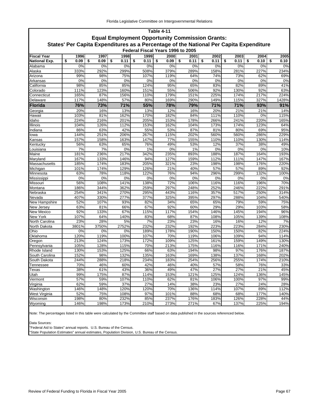|                                                                                                    |                                                                                                                                                           |       |    |       |            |  |                                   | Table 4-11 |      |                                                                                        |    |      |    |      |    |      |            |
|----------------------------------------------------------------------------------------------------|-----------------------------------------------------------------------------------------------------------------------------------------------------------|-------|----|-------|------------|--|-----------------------------------|------------|------|----------------------------------------------------------------------------------------|----|------|----|------|----|------|------------|
|                                                                                                    |                                                                                                                                                           |       |    |       |            |  |                                   |            |      | <b>Equal Employment Opportunity Commission Grants:</b>                                 |    |      |    |      |    |      |            |
|                                                                                                    |                                                                                                                                                           |       |    |       |            |  |                                   |            |      | States' Per Capita Expenditures as a Percentage of the National Per Capita Expenditure |    |      |    |      |    |      |            |
|                                                                                                    |                                                                                                                                                           |       |    |       |            |  | Federal Fiscal Years 1996 to 2005 |            |      |                                                                                        |    |      |    |      |    |      |            |
| <b>Fiscal Year</b>                                                                                 |                                                                                                                                                           | 1996  |    | 1997  | 1998       |  | 1999                              |            | 2000 | 2001                                                                                   |    | 2002 |    | 2003 |    | 2004 | 2005       |
| <b>National Exp.</b>                                                                               | \$                                                                                                                                                        | 0.09  | \$ | 0.09  | \$<br>0.11 |  | \$<br>0.11                        | \$         | 0.09 | \$<br>0.11                                                                             | \$ | 0.11 | \$ | 0.11 | \$ | 0.10 | \$<br>0.10 |
| Alabama                                                                                            |                                                                                                                                                           | 0%    |    | 0%    | 0%         |  | 0%                                |            | 0%   | 0%                                                                                     |    | 0%   |    | 0%   |    | 0%   | 0%         |
| Alaska                                                                                             |                                                                                                                                                           | 333%  |    | 292%  | 299%       |  | 508%                              |            | 379% | 289%                                                                                   |    | 158% |    | 281% |    | 227% | 234%       |
| Arizona                                                                                            |                                                                                                                                                           | 99%   |    | 98%   | 75%        |  | 107%                              |            | 119% | 64%                                                                                    |    | 74%  |    | 73%  |    | 62%  | 69%        |
| Arkansas                                                                                           |                                                                                                                                                           | 0%    |    | 0%    | 0%         |  | 0%                                |            | 0%   | 0%                                                                                     |    | 0%   |    | 0%   |    | 0%   | 0%         |
| California                                                                                         |                                                                                                                                                           | 98%   |    | 85%   | 85%        |  | 124%                              |            | 95%  | 65%                                                                                    |    | 83%  |    | 82%  |    | 89%  | 41%        |
| Colorado                                                                                           |                                                                                                                                                           | 111%  |    | 123%  | 160%       |  | 151%                              |            | 55%  | 506%                                                                                   |    | 92%  |    | 130% |    | 92%  | 63%        |
| Connecticut                                                                                        |                                                                                                                                                           | 165%  |    | 87%   | 156%       |  | 110%                              |            | 179% | 151%                                                                                   |    | 225% |    | 174% |    | 217% | 224%       |
| Delaware                                                                                           |                                                                                                                                                           | 117%  |    | 148%  | 57%        |  | 80%                               |            | 169% | 290%                                                                                   |    | 149% |    | 115% |    | 327% | 1428%      |
| Florida                                                                                            |                                                                                                                                                           | 76%   |    | 73%   | 71%        |  | 55%                               |            | 78%  | 79%                                                                                    |    | 71%  |    | 71%  |    | 93%  | 91%        |
|                                                                                                    | 16%<br>13%<br>20%<br>13%<br>12%<br>16%<br>20%<br>21%<br>21%<br>14%<br>Georgia<br>103%<br>81%<br>162%<br>170%<br>182%<br>84%<br>111%<br>115%<br>110%<br>0% |       |    |       |            |  |                                   |            |      |                                                                                        |    |      |    |      |    |      |            |
| 224%<br>216%<br>201%<br>205%<br>153%<br>178%<br>266%<br>241%<br>220%<br>165%                       |                                                                                                                                                           |       |    |       |            |  |                                   |            |      |                                                                                        |    |      |    |      |    |      |            |
| Hawaii<br>104%<br>112%<br>153%<br>104%<br>173%<br>174%<br>123%<br>64%<br>126%<br>162%              |                                                                                                                                                           |       |    |       |            |  |                                   |            |      |                                                                                        |    |      |    |      |    |      |            |
| Idaho<br>Illinois<br>63%<br>42%<br>87%<br>81%<br>95%<br>86%<br>55%<br>53%<br>80%<br>69%<br>Indiana |                                                                                                                                                           |       |    |       |            |  |                                   |            |      |                                                                                        |    |      |    |      |    |      |            |
|                                                                                                    |                                                                                                                                                           |       |    |       |            |  |                                   |            |      |                                                                                        |    |      |    |      |    |      |            |
| lowa                                                                                               | 251%<br>206%<br>115%<br>202%<br>229%<br>144%<br>267%<br>560%<br>560%<br>286%                                                                              |       |    |       |            |  |                                   |            |      |                                                                                        |    |      |    |      |    |      |            |
| Kansas                                                                                             |                                                                                                                                                           | 157%  |    | 158%  | 163%       |  | 147%                              |            | 77%  | 155%                                                                                   |    | 110% |    | 110% |    | 130% | 114%       |
| Kentucky                                                                                           |                                                                                                                                                           | 56%   |    | 63%   | 65%        |  | 76%                               |            | 49%  | 53%                                                                                    |    | 12%  |    | 37%  |    | 38%  | 49%        |
| Louisiana                                                                                          |                                                                                                                                                           | 7%    |    | 7%    | 0%         |  | 1%                                |            | 0%   | 1%                                                                                     |    | 0%   |    | 0%   |    | 0%   | 10%        |
| Maine                                                                                              |                                                                                                                                                           | 181%  |    | 236%  | 217%       |  | 342%                              |            | 235% | 893%                                                                                   |    | 188% |    | 187% |    | 164% | 193%       |
| Maryland                                                                                           |                                                                                                                                                           | 167%  |    | 133%  | 146%       |  | 94%                               |            | 127% | 159%                                                                                   |    | 112% |    | 111% |    | 147% | 167%       |
| Massachusetts                                                                                      |                                                                                                                                                           | 185%  |    | 174%  | 183%       |  | 205%                              |            | 321% | 23%                                                                                    |    | 198% |    | 198% |    | 176% | 220%       |
| Michigan                                                                                           |                                                                                                                                                           | 101%  |    | 174%  | 129%       |  | 126%                              |            | 21%  | 40%                                                                                    |    | 57%  |    | 57%  |    | 89%  | 92%        |
| Minnesota                                                                                          |                                                                                                                                                           | 63%   |    | 78%   | 118%       |  | 122%                              |            | 76%  | 94%                                                                                    |    | 296% |    | 299% |    | 132% | 100%       |
| Mississippi                                                                                        |                                                                                                                                                           | 0%    |    | 0%    | 0%         |  | 0%                                |            | 0%   | 0%                                                                                     |    | 0%   |    | 0%   |    | 0%   | 0%         |
| Missouri                                                                                           |                                                                                                                                                           | 56%   |    | 108%  | 141%       |  | 138%                              |            | 72%  | 106%                                                                                   |    | 116% |    | 116% |    | 196% | 70%        |
| Montana                                                                                            |                                                                                                                                                           | 186%  |    | 344%  | 362%       |  | 259%                              |            | 297% | 248%                                                                                   |    | 252% |    | 246% |    | 222% | 291%       |
| Nebraska                                                                                           |                                                                                                                                                           | 254%  |    | 341%  | 270%       |  | 295%                              |            | 443% | 116%                                                                                   |    | 357% |    | 517% |    | 250% | 314%       |
| Nevada                                                                                             |                                                                                                                                                           | 407%  |    | 330%  | 277%       |  | 377%                              |            | 325% | 395%                                                                                   |    | 297% |    | 288% |    | 104% | 540%       |
| New Hampshire                                                                                      |                                                                                                                                                           | 52%   |    | 107%  | 93%        |  | 82%                               |            | 34%  | 65%                                                                                    |    | 65%  |    | 79%  |    | 59%  | 75%        |
| New Jersey                                                                                         |                                                                                                                                                           | 63%   |    | 81%   | 66%        |  | 67%                               |            | 92%  | 60%                                                                                    |    | 29%  |    | 29%  |    | 103% | 58%        |
| New Mexico                                                                                         |                                                                                                                                                           | 92%   |    | 133%  | 67%        |  | 115%                              |            | 117% | 154%                                                                                   |    | 146% |    | 145% |    | 194% | 96%        |
| New York                                                                                           |                                                                                                                                                           | 107%  |    | 64%   | 140%       |  | 83%                               |            | 68%  | 87%                                                                                    |    | 108% |    | 105% |    | 139% | 108%       |
| North Carolina                                                                                     |                                                                                                                                                           | 23%   |    | 28%   | 5%         |  | 7%                                |            | 23%  | 23%                                                                                    |    | 16%  |    | 16%  |    | 12%  | 7%         |
| North Dakota                                                                                       |                                                                                                                                                           | 3801% |    | 3750% | 2752%      |  | 232%                              |            | 232% | 192%                                                                                   |    | 223% |    | 223% |    | 284% | 230%       |
| Ohio                                                                                               |                                                                                                                                                           | 0%    |    | 0%    | 0%         |  | 189%                              |            | 178% | 190%                                                                                   |    | 150% |    | 150% |    | 82%  | 224%       |
| Oklahoma                                                                                           |                                                                                                                                                           | 120%  |    | 119%  | 100%       |  | 107%                              |            | 70%  | 119%                                                                                   |    | 106% |    | 109% |    | 94%  | 114%       |
| Oregon                                                                                             |                                                                                                                                                           | 213%  |    | 124%  | 173%       |  | 172%                              |            | 109% | 125%                                                                                   |    | 161% |    | 159% |    | 149% | 130%       |
| Pennsylvania                                                                                       |                                                                                                                                                           | 105%  |    | 128%  | 115%       |  | 70%                               |            | 213% | 175%                                                                                   |    | 116% |    | 116% |    | 171% | 240%       |
| Rhode Island                                                                                       |                                                                                                                                                           | 130%  |    | 153%  | 125%       |  | 66%                               |            | 63%  | 194%                                                                                   |    | 98%  |    | 97%  |    | 176% | 187%       |
| South Carolina                                                                                     |                                                                                                                                                           | 152%  |    | 98%   | 132%       |  | 135%                              |            | 163% | 169%                                                                                   |    | 138% |    | 137% |    | 168% | 202%       |
| South Dakota                                                                                       |                                                                                                                                                           | 244%  |    | 288%  | 218%       |  | 234%                              |            | 183% | 254%                                                                                   |    | 256% |    | 255% |    | 174% | 210%       |
| Tennessee                                                                                          |                                                                                                                                                           | 70%   |    | 46%   | 60%        |  | 42%                               |            | 46%  | 40%                                                                                    |    | 57%  |    | 58%  |    | 76%  | 33%        |
| Texas                                                                                              |                                                                                                                                                           | 38%   |    | 61%   | 43%        |  | 36%                               |            | 49%  | 47%                                                                                    |    | 27%  |    | 27%  |    | 21%  | 45%        |
| Utah                                                                                               |                                                                                                                                                           | 99%   |    | 175%  | 87%        |  | 114%                              |            | 153% | 121%                                                                                   |    | 125% |    | 124% |    | 136% | 145%       |
| Vermont                                                                                            |                                                                                                                                                           | 57%   |    | 59%   | 107%       |  | 110%                              |            | 62%  | 81%                                                                                    |    | 106% |    | 100% |    | 97%  | 99%        |
| Virginia                                                                                           |                                                                                                                                                           | 62%   |    | 59%   | 37%        |  | 27%                               |            | 14%  | 38%                                                                                    |    | 23%  |    | 27%  |    | 24%  | 28%        |
| Washington                                                                                         |                                                                                                                                                           | 146%  |    | 148%  | 120%       |  | 120%                              |            | 70%  | 136%                                                                                   |    | 114% |    | 107% |    | 89%  | 112%       |
| West Virginia                                                                                      |                                                                                                                                                           | 52%   |    | 75%   | 108%       |  | 97%                               |            | 101% | 88%                                                                                    |    | 68%  |    | 68%  |    | 177% | 140%       |
| Wisconsin                                                                                          |                                                                                                                                                           | 198%  |    | 80%   | 232%       |  | 85%                               |            | 237% | 176%                                                                                   |    | 183% |    | 126% |    | 228% | 44%        |
| Wyoming                                                                                            |                                                                                                                                                           | 146%  |    | 198%  | 173%       |  | 210%                              |            | 273% | 271%                                                                                   |    | 67%  |    | 137% |    | 225% | 194%       |

Data Sources:

"Federal Aid to States" annual reports. U.S. Bureau of the Census.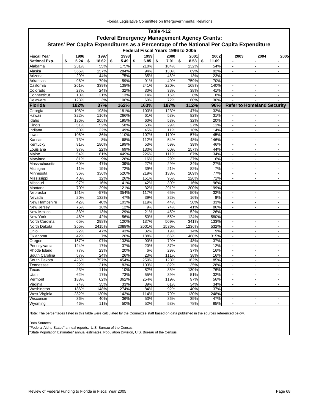|                      |                                                                                                                                                                                                                                                                                                                                                                                                                              |      |    |        |    |       |    |       | Table 4-12 |                                   |    |       |    |                                                    |                          |                                                                                        |                          |
|----------------------|------------------------------------------------------------------------------------------------------------------------------------------------------------------------------------------------------------------------------------------------------------------------------------------------------------------------------------------------------------------------------------------------------------------------------|------|----|--------|----|-------|----|-------|------------|-----------------------------------|----|-------|----|----------------------------------------------------|--------------------------|----------------------------------------------------------------------------------------|--------------------------|
|                      |                                                                                                                                                                                                                                                                                                                                                                                                                              |      |    |        |    |       |    |       |            |                                   |    |       |    | <b>Federal Emergency Management Agency Grants:</b> |                          |                                                                                        |                          |
|                      |                                                                                                                                                                                                                                                                                                                                                                                                                              |      |    |        |    |       |    |       |            |                                   |    |       |    |                                                    |                          | States' Per Capita Expenditures as a Percentage of the National Per Capita Expenditure |                          |
|                      |                                                                                                                                                                                                                                                                                                                                                                                                                              |      |    |        |    |       |    |       |            | Federal Fiscal Years 1996 to 2005 |    |       |    |                                                    |                          |                                                                                        |                          |
| <b>Fiscal Year</b>   |                                                                                                                                                                                                                                                                                                                                                                                                                              | 1996 |    | 1997   |    | 1998  |    | 1999  |            | 2000                              |    | 2001  |    | 2002                                               | 2003                     | 2004                                                                                   | 2005                     |
| <b>National Exp.</b> | \$                                                                                                                                                                                                                                                                                                                                                                                                                           | 5.24 | \$ | 18.62  | \$ | 5.49  | \$ | 6.85  | \$         | 7.01                              | \$ | 8.58  | \$ | 11.09                                              |                          |                                                                                        |                          |
| Alabama              |                                                                                                                                                                                                                                                                                                                                                                                                                              | 231% |    | 55%    |    | 175%  |    | 210%  |            | 184%                              |    | 132%  |    | 54%                                                | $\overline{a}$           |                                                                                        |                          |
| Alaska               |                                                                                                                                                                                                                                                                                                                                                                                                                              | 366% |    | 157%   |    | 284%  |    | 94%   |            | 130%                              |    | 69%   |    | 92%                                                | $\overline{\phantom{a}}$ | $\overline{\phantom{a}}$                                                               | ٠                        |
| Arizona              |                                                                                                                                                                                                                                                                                                                                                                                                                              | 29%  |    | 44%    |    | 75%   |    | 35%   |            | 46%                               |    | 13%   |    | 23%                                                |                          |                                                                                        |                          |
| Arkansas             |                                                                                                                                                                                                                                                                                                                                                                                                                              | 96%  |    | 79%    |    | 59%   |    | 91%   |            | 40%                               |    | 759%  |    | 70%                                                | $\overline{\phantom{a}}$ | $\overline{\phantom{a}}$                                                               | $\overline{\phantom{a}}$ |
| California           |                                                                                                                                                                                                                                                                                                                                                                                                                              | 261% |    | 339%   |    | 138%  |    | 241%  |            | 220%                              |    | 168%  |    | 140%                                               |                          |                                                                                        |                          |
| Colorado             |                                                                                                                                                                                                                                                                                                                                                                                                                              | 27%  |    | 24%    |    | 32%   |    | 30%   |            | 38%                               |    | 38%   |    | 41%                                                | $\blacksquare$           | $\blacksquare$                                                                         | $\overline{\phantom{a}}$ |
| Connecticut          |                                                                                                                                                                                                                                                                                                                                                                                                                              | 10%  |    | 21%    |    | 13%   |    | 14%   |            | 16%                               |    | 8%    |    | 8%                                                 | $\overline{\phantom{a}}$ | $\overline{\phantom{a}}$                                                               | $\overline{\phantom{a}}$ |
| Delaware             |                                                                                                                                                                                                                                                                                                                                                                                                                              | 123% |    | 3%     |    | 106%  |    | 60%   |            | 72%                               |    | 60%   |    | 30%                                                | $\overline{a}$           |                                                                                        |                          |
| <b>Florida</b>       |                                                                                                                                                                                                                                                                                                                                                                                                                              | 182% |    | 37%    |    | 162%  |    | 163%  |            | 187%                              |    | 112%  |    | 96%                                                |                          | <b>Refer to Homeland Security</b>                                                      |                          |
| Georgia              |                                                                                                                                                                                                                                                                                                                                                                                                                              | 108% |    | 198%   |    | 181%  |    | 103%  |            | 123%                              |    | 47%   |    | 32%                                                |                          |                                                                                        |                          |
| Hawaii               |                                                                                                                                                                                                                                                                                                                                                                                                                              |      |    |        |    |       |    |       |            |                                   |    |       |    |                                                    |                          |                                                                                        |                          |
| Idaho                | 266%<br>82%<br>322%<br>116%<br>61%<br>53%<br>31%<br>$\overline{\phantom{a}}$<br>$\blacksquare$<br>$\blacksquare$<br>205%<br>195%<br>32%<br>186%<br>60%<br>53%<br>20%<br>$\overline{\phantom{a}}$<br>$\blacksquare$<br>$\overline{\phantom{a}}$<br>52%<br>58%<br>53%<br>29%<br>27%<br>51%<br>11%<br>$\overline{\phantom{a}}$<br>$\blacksquare$<br>$\blacksquare$<br>$\overline{\phantom{a}}$<br>$\overline{\phantom{a}}$<br>٠ |      |    |        |    |       |    |       |            |                                   |    |       |    |                                                    |                          |                                                                                        |                          |
| Illinois             | 22%<br>49%<br>45%<br>30%<br>11%<br>18%<br>14%<br>Indiana                                                                                                                                                                                                                                                                                                                                                                     |      |    |        |    |       |    |       |            |                                   |    |       |    |                                                    |                          |                                                                                        |                          |
|                      | 36%<br>110%<br>57%<br>106%<br>107%<br>119%<br>45%<br>$\overline{a}$<br>$\overline{a}$<br>$\overline{\phantom{a}}$                                                                                                                                                                                                                                                                                                            |      |    |        |    |       |    |       |            |                                   |    |       |    |                                                    |                          |                                                                                        |                          |
| lowa                 | $\overline{\phantom{a}}$<br>$\blacksquare$<br>$\blacksquare$                                                                                                                                                                                                                                                                                                                                                                 |      |    |        |    |       |    |       |            |                                   |    |       |    |                                                    |                          |                                                                                        |                          |
| Kansas               | 8%<br>48%<br>73%<br>68%<br>112%<br>54%<br>146%                                                                                                                                                                                                                                                                                                                                                                               |      |    |        |    |       |    |       |            |                                   |    |       |    |                                                    |                          |                                                                                        |                          |
| Kentucky             | 199%<br>39%<br>81%<br>180%<br>53%<br>59%<br>46%<br>$\overline{a}$<br>$\overline{\phantom{a}}$<br>$\overline{\phantom{a}}$                                                                                                                                                                                                                                                                                                    |      |    |        |    |       |    |       |            |                                   |    |       |    |                                                    |                          |                                                                                        |                          |
| Louisiana            |                                                                                                                                                                                                                                                                                                                                                                                                                              | 97%  |    | 22%    |    | 69%   |    | 130%  |            | 60%                               |    | 157%  |    | 44%                                                | $\overline{\phantom{a}}$ | $\blacksquare$                                                                         | ٠                        |
| Maine                |                                                                                                                                                                                                                                                                                                                                                                                                                              | 54%  |    | 61%    |    | 449%  |    | 226%  |            | 111%                              |    | 67%   |    | 34%                                                |                          |                                                                                        |                          |
| Maryland             |                                                                                                                                                                                                                                                                                                                                                                                                                              | 81%  |    | 9%     |    | 26%   |    | 16%   |            | 29%                               |    | 37%   |    | 16%                                                | $\overline{\phantom{a}}$ | $\overline{\phantom{a}}$                                                               | $\overline{\phantom{a}}$ |
| Massachusetts        |                                                                                                                                                                                                                                                                                                                                                                                                                              | 60%  |    | 47%    |    | 39%   |    | 27%   |            | 29%                               |    | 34%   |    | 27%                                                |                          |                                                                                        |                          |
| Michigan             |                                                                                                                                                                                                                                                                                                                                                                                                                              | 11%  |    | 19%    |    | 72%   |    | 39%   |            | 21%                               |    | 82%   |    | 7%                                                 | $\blacksquare$           | $\blacksquare$                                                                         | $\blacksquare$           |
| Minnesota            |                                                                                                                                                                                                                                                                                                                                                                                                                              | 36%  |    | 336%   |    | 520%  |    | 219%  |            | 133%                              |    | 109%  |    | 77%                                                | $\overline{\phantom{a}}$ | $\overline{\phantom{a}}$                                                               | $\overline{\phantom{a}}$ |
| Mississippi          |                                                                                                                                                                                                                                                                                                                                                                                                                              | 40%  |    | 12%    |    | 26%   |    | 151%  |            | 95%                               |    | 126%  |    | 71%                                                | $\blacksquare$           | $\overline{\phantom{a}}$                                                               | $\overline{\phantom{a}}$ |
| Missouri             |                                                                                                                                                                                                                                                                                                                                                                                                                              | 97%  |    | 16%    |    | 41%   |    | 42%   |            | 30%                               |    | 16%   |    | 96%                                                | $\blacksquare$           | $\blacksquare$                                                                         | $\overline{\phantom{a}}$ |
| Montana              |                                                                                                                                                                                                                                                                                                                                                                                                                              | 70%  |    | 29%    |    | 121%  |    | 32%   |            | 291%                              |    | 200%  |    | 199%                                               |                          |                                                                                        |                          |
| Nebraska             |                                                                                                                                                                                                                                                                                                                                                                                                                              | 151% |    | $-57%$ |    | 354%  |    | 117%  |            | 65%                               |    | 50%   |    | 32%                                                | $\overline{\phantom{a}}$ | $\blacksquare$                                                                         | $\overline{\phantom{a}}$ |
| Nevada               |                                                                                                                                                                                                                                                                                                                                                                                                                              | 20%  |    | 132%   |    | 47%   |    | 39%   |            | 32%                               |    | 16%   |    | 8%                                                 | $\overline{a}$           | $\overline{\phantom{a}}$                                                               | $\overline{a}$           |
| New Hampshire        |                                                                                                                                                                                                                                                                                                                                                                                                                              | 42%  |    | 40%    |    | 103%  |    | 119%  |            | 44%                               |    | 50%   |    | 33%                                                | $\overline{\phantom{a}}$ | $\overline{a}$                                                                         | $\overline{\phantom{a}}$ |
| New Jersey           |                                                                                                                                                                                                                                                                                                                                                                                                                              | 75%  |    | 18%    |    | 12%   |    | 9%    |            | 74%                               |    | 41%   |    | 86%                                                | $\overline{\phantom{a}}$ | $\overline{\phantom{a}}$                                                               |                          |
| New Mexico           |                                                                                                                                                                                                                                                                                                                                                                                                                              | 33%  |    | 13%    |    | 29%   |    | 21%   |            | 45%                               |    | 52%   |    | 26%                                                | $\overline{\phantom{a}}$ | $\overline{\phantom{a}}$                                                               | ٠                        |
| New York             |                                                                                                                                                                                                                                                                                                                                                                                                                              | 46%  |    | 42%    |    | 56%   |    | 50%   |            | 55%                               |    | 124%  |    | 580%                                               |                          |                                                                                        |                          |
| North Carolina       |                                                                                                                                                                                                                                                                                                                                                                                                                              | 65%  |    | 298%   |    | 120%  |    | 137%  |            | 509%                              |    | 341%  |    | 133%                                               | $\overline{\phantom{a}}$ | $\overline{\phantom{a}}$                                                               |                          |
| North Dakota         |                                                                                                                                                                                                                                                                                                                                                                                                                              | 355% |    | 2415%  |    | 2088% |    | 2001% |            | 1536%                             |    | 1236% |    | 532%                                               | $\blacksquare$           | $\overline{\phantom{a}}$                                                               | ٠                        |
| Ohio                 |                                                                                                                                                                                                                                                                                                                                                                                                                              | 22%  |    | 47%    |    | 43%   |    | 32%   |            | 19%                               |    | 14%   |    | 9%                                                 | $\overline{\phantom{a}}$ | $\blacksquare$                                                                         | $\blacksquare$           |
| Oklahoma             |                                                                                                                                                                                                                                                                                                                                                                                                                              | 42%  |    | 7%     |    | 20%   |    | 188%  |            | 66%                               |    | 468%  |    | 315%                                               | $\overline{\phantom{a}}$ | $\overline{\phantom{a}}$                                                               | $\overline{\phantom{a}}$ |
| Oregon               |                                                                                                                                                                                                                                                                                                                                                                                                                              | 157% |    | 97%    |    | 133%  |    | 90%   |            | 79%                               |    | 48%   |    | 37%                                                | $\blacksquare$           | $\overline{\phantom{a}}$                                                               | $\overline{\phantom{a}}$ |
| Pennsylvania         |                                                                                                                                                                                                                                                                                                                                                                                                                              | 124% |    | 17%    |    | 37%   |    | 20%   |            | 37%                               |    | 19%   |    | 12%                                                | $\blacksquare$           | $\blacksquare$                                                                         | ٠                        |
| Rhode Island         |                                                                                                                                                                                                                                                                                                                                                                                                                              | 77%  |    | 23%    |    | 20%   |    | 6%    |            | 29%                               |    | 37%   |    | 16%                                                | $\overline{\phantom{a}}$ | $\overline{\phantom{a}}$                                                               |                          |
| South Carolina       |                                                                                                                                                                                                                                                                                                                                                                                                                              | 57%  |    | 24%    |    | 26%   |    | 23%   |            | 111%                              |    | 38%   |    | 16%                                                | $\overline{\phantom{a}}$ | $\blacksquare$                                                                         | $\blacksquare$           |
| South Dakota         |                                                                                                                                                                                                                                                                                                                                                                                                                              | 426% |    | 757%   |    | 454%  |    | 250%  |            | 123%                              |    | 162%  |    | 85%                                                | $\overline{a}$           | $\sim$                                                                                 | $\overline{\phantom{a}}$ |
| Tennessee            |                                                                                                                                                                                                                                                                                                                                                                                                                              | 22%  |    | 21%    |    | 83%   |    | 103%  |            | 82%                               |    | 35%   |    | 28%                                                |                          |                                                                                        | $\overline{\phantom{a}}$ |
| Texas                |                                                                                                                                                                                                                                                                                                                                                                                                                              | 23%  |    | 11%    |    | 10%   |    | 82%   |            | 35%                               |    | 130%  |    | 76%                                                |                          |                                                                                        |                          |
| Utah                 |                                                                                                                                                                                                                                                                                                                                                                                                                              | 62%  |    | 17%    |    | 73%   |    | 55%   |            | 39%                               |    | 51%   |    | 32%                                                | $\overline{\phantom{a}}$ | $\overline{\phantom{a}}$                                                               | $\blacksquare$           |
| Vermont              |                                                                                                                                                                                                                                                                                                                                                                                                                              | 188% |    | 62%    |    | 362%  |    | 254%  |            | 119%                              |    | 97%   |    | 56%                                                |                          | $\overline{\phantom{a}}$                                                               | -                        |
| Virginia             |                                                                                                                                                                                                                                                                                                                                                                                                                              | 74%  |    | 35%    |    | 33%   |    | 39%   |            | 61%                               |    | 34%   |    | 34%                                                | $\overline{\phantom{a}}$ | $\overline{\phantom{a}}$                                                               | $\overline{\phantom{a}}$ |
| Washington           |                                                                                                                                                                                                                                                                                                                                                                                                                              | 186% |    | 148%   |    | 274%  |    | 84%   |            | 92%                               |    | 40%   |    | 37%                                                | $\blacksquare$           | $\blacksquare$                                                                         | $\blacksquare$           |
| West Virginia        |                                                                                                                                                                                                                                                                                                                                                                                                                              | 282% |    | 130%   |    | 143%  |    | 114%  |            | 79%                               |    | 130%  |    | 248%                                               | $\overline{\phantom{a}}$ | $\blacksquare$                                                                         | $\overline{\phantom{a}}$ |
| Wisconsin            |                                                                                                                                                                                                                                                                                                                                                                                                                              | 36%  |    | 40%    |    | 36%   |    | 53%   |            | 36%                               |    | 39%   |    | 47%                                                | $\overline{\phantom{a}}$ | $\overline{\phantom{a}}$                                                               | $\overline{\phantom{a}}$ |
| Wyoming              |                                                                                                                                                                                                                                                                                                                                                                                                                              | 46%  |    | 11%    |    | 50%   |    | 52%   |            | 53%                               |    | 78%   |    | 85%                                                | $\overline{\phantom{a}}$ | $\overline{\phantom{a}}$                                                               | $\overline{\phantom{a}}$ |

Data Sources:

"Federal Aid to States" annual reports. U.S. Bureau of the Census.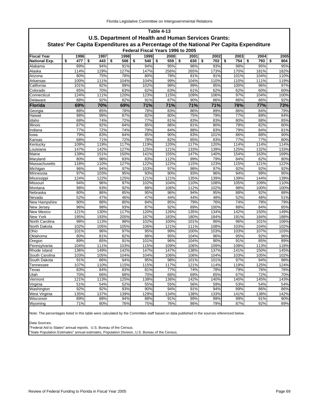|                                                                                |                                                                                                                                                                                                                |            |    |            |            |                                                                                        | Table 4-13 |            |            |            |            |    |            |  |  |
|--------------------------------------------------------------------------------|----------------------------------------------------------------------------------------------------------------------------------------------------------------------------------------------------------------|------------|----|------------|------------|----------------------------------------------------------------------------------------|------------|------------|------------|------------|------------|----|------------|--|--|
|                                                                                |                                                                                                                                                                                                                |            |    |            |            | U.S. Department of Health and Human Services Grants:                                   |            |            |            |            |            |    |            |  |  |
|                                                                                |                                                                                                                                                                                                                |            |    |            |            | States' Per Capita Expenditures as a Percentage of the National Per Capita Expenditure |            |            |            |            |            |    |            |  |  |
|                                                                                |                                                                                                                                                                                                                |            |    |            |            | Federal Fiscal Years 1996 to 2005                                                      |            |            |            |            |            |    |            |  |  |
| <b>Fiscal Year</b>                                                             |                                                                                                                                                                                                                | 1996       |    | 1997       | 1998       | 1999                                                                                   | 2000       | 2001       | 2002       | 2003       | 2004       |    | 2005       |  |  |
| <b>National Exp.</b>                                                           | \$                                                                                                                                                                                                             | 477        | \$ | 443        | 506<br>\$  | 540<br>\$                                                                              | 559<br>\$  | 630<br>\$  | 702<br>\$  | 754<br>\$  | 793<br>\$  | \$ | 804        |  |  |
| Alabama                                                                        |                                                                                                                                                                                                                | 89%        |    | 94%        | 91%        | 94%                                                                                    | 95%        | 96%        | 93%        | 98%        | 95%        |    | 95%        |  |  |
| Alaska                                                                         |                                                                                                                                                                                                                | 114%       |    | 129%       | 127%       | 147%                                                                                   | 256%       | 265%       | 173%       | 170%       | 181%       |    | 182%       |  |  |
| Arizona                                                                        |                                                                                                                                                                                                                | 80%        |    | 75%        | 78%        | 80%                                                                                    | 78%        | 81%        | 91%        | 101%       | 104%       |    | 110%       |  |  |
| Arkansas                                                                       |                                                                                                                                                                                                                | 100%       |    | 111%       | 104%       | 104%                                                                                   | 99%        | 104%       | 110%       | 110%       | 111%       |    | 119%       |  |  |
| California                                                                     |                                                                                                                                                                                                                | 101%       |    | 92%        | 99%        | 102%                                                                                   | 98%        | 99%        | 95%        | 100%       | 96%        |    | 97%        |  |  |
| Colorado                                                                       |                                                                                                                                                                                                                | 65%        |    | 70%        | 63%        | 62%                                                                                    | 63%        | 61%        | 62%        | 62%        | 60%        |    | 60%        |  |  |
| Connecticut                                                                    |                                                                                                                                                                                                                | 124%       |    | 111%       | 120%       | 123%                                                                                   | 115%       | 109%       | 106%       | 97%        | 104%       |    | 100%       |  |  |
| Delaware                                                                       |                                                                                                                                                                                                                | 88%        |    | 92%        | 82%        | 91%                                                                                    | 87%        | 90%        | 86%        | 86%        | 86%        |    | 92%        |  |  |
| Florida                                                                        | 70%<br>71%<br>71%<br>71%<br>71%<br>73%<br>69%<br>69%<br>78%<br>77%<br>88%<br>85%<br>78%<br>78%<br>83%<br>86%<br>89%<br>86%<br>84%<br>79%<br>99%<br>87%<br>82%<br>80%<br>75%<br>79%<br>77%<br>89%<br>84%<br>98% |            |    |            |            |                                                                                        |            |            |            |            |            |    |            |  |  |
| Georgia                                                                        |                                                                                                                                                                                                                |            |    |            |            |                                                                                        |            |            |            |            |            |    |            |  |  |
| Hawaii                                                                         | 72%<br>68%<br>74%<br>77%<br>81%<br>83%<br>83%<br>85%<br>80%<br>88%                                                                                                                                             |            |    |            |            |                                                                                        |            |            |            |            |            |    |            |  |  |
| Idaho                                                                          | 92%<br>87%<br>84%<br>85%<br>86%<br>81%<br>80%<br>78%<br>82%<br>80%                                                                                                                                             |            |    |            |            |                                                                                        |            |            |            |            |            |    |            |  |  |
| Illinois<br>72%<br>74%<br>79%<br>88%<br>83%<br>79%<br>81%<br>77%<br>84%<br>84% |                                                                                                                                                                                                                |            |    |            |            |                                                                                        |            |            |            |            |            |    |            |  |  |
| Indiana                                                                        |                                                                                                                                                                                                                |            |    |            |            |                                                                                        |            |            |            |            |            |    |            |  |  |
| lowa                                                                           |                                                                                                                                                                                                                | 79%        |    | 83%        | 84%        | 85%                                                                                    | 90%        | 83%        | 101%       | 86%        | 88%        |    | 90%        |  |  |
| Kansas                                                                         |                                                                                                                                                                                                                | 68%        |    | 71%        | 72%        | 78%                                                                                    | 82%        | 85%        | 83%        | 77%        | 77%        |    | 80%        |  |  |
| Kentucky                                                                       |                                                                                                                                                                                                                | 109%       |    | 119%       | 117%       | 119%                                                                                   | 120%       | 117%       | 120%       | 114%       | 114%       |    | 114%       |  |  |
| Louisiana                                                                      |                                                                                                                                                                                                                | 147%       |    | 142%       | 127%       | 125%                                                                                   | 121%       | 133%       | 139%       | 125%       | 132%       |    | 133%       |  |  |
| Maine                                                                          |                                                                                                                                                                                                                | 139%       |    | 151%       | 150%       | 141%                                                                                   | 155%       | 147%       | 140%       | 154%       | 163%       |    | 169%       |  |  |
| Maryland                                                                       |                                                                                                                                                                                                                | 80%        |    | 98%        | 83%        | 83%                                                                                    | 112%       | 99%        | 79%        | 84%        | 82%        |    | 80%        |  |  |
| Massachusetts                                                                  |                                                                                                                                                                                                                | 118%       |    | 110%       | 127%       | 122%                                                                                   | 122%       | 115%       | 123%       | 115%       | 121%       |    | 122%       |  |  |
| Michigan                                                                       |                                                                                                                                                                                                                | 96%        |    | 94%        | 97%        | 103%                                                                                   | 97%        | 98%        | 97%        | 92%        | 92%        |    | 92%        |  |  |
| Minnesota                                                                      |                                                                                                                                                                                                                | 97%        |    | 103%       | 95%        | 93%                                                                                    | 90%        | 93%        | 96%        | 94%        | 99%        |    | 95%        |  |  |
| Mississippi                                                                    |                                                                                                                                                                                                                | 124%       |    | 122%       | 125%       | 121%                                                                                   | 121%       | 135%       | 139%       | 139%       | 144%       |    | 139%       |  |  |
| Missouri                                                                       |                                                                                                                                                                                                                | 94%        |    | 96%        | 97%        | 102%                                                                                   | 104%       | 110%       | 108%       | 105%       | 109%       |    | 110%       |  |  |
| Montana                                                                        |                                                                                                                                                                                                                | 98%        |    | 93%        | 92%        | 88%                                                                                    | 106%       | 112%       | 102%       | 98%        | 100%       |    | 100%       |  |  |
| Nebraska                                                                       |                                                                                                                                                                                                                | 80%<br>52% |    | 86%<br>47% | 85%<br>46% | 95%<br>47%                                                                             | 96%<br>44% | 94%<br>44% | 95%<br>48% | 88%<br>52% | 92%<br>48% |    | 88%<br>51% |  |  |
| Nevada<br>New Hampshire                                                        |                                                                                                                                                                                                                | 90%        |    | 88%        | 80%        | 84%                                                                                    | 85%        | 79%        | 76%        |            | 78%        |    | 79%        |  |  |
| New Jersey                                                                     |                                                                                                                                                                                                                | 96%        |    | 98%        | 93%        | 87%                                                                                    | 92%        | 89%        | 100%       | 74%<br>88% | 84%        |    | 85%        |  |  |
| New Mexico                                                                     |                                                                                                                                                                                                                | 121%       |    | 130%       | 117%       | 120%                                                                                   | 126%       | 135%       | 134%       | 142%       | 150%       |    | 149%       |  |  |
| New York                                                                       |                                                                                                                                                                                                                | 195%       |    | 193%       | 205%       | 187%                                                                                   | 183%       | 180%       | 184%       | 191%       | 184%       |    | 188%       |  |  |
| North Carolina                                                                 |                                                                                                                                                                                                                | 98%        |    | 113%       | 98%        | 102%                                                                                   | 100%       | 101%       | 96%        | 96%        | 101%       |    | 106%       |  |  |
| North Dakota                                                                   |                                                                                                                                                                                                                | 102%       |    | 105%       | 105%       | 106%                                                                                   | 121%       | 111%       | 108%       | 103%       | 104%       |    | 102%       |  |  |
| Ohio                                                                           |                                                                                                                                                                                                                | 101%       |    | 96%        | 97%        | 95%                                                                                    | 99%        | 100%       | 103%       | 103%       | 107%       |    | 103%       |  |  |
| Oklahoma                                                                       |                                                                                                                                                                                                                | 80%        |    | 81%        | 82%        | 88%                                                                                    | 95%        | 104%       | 96%        | 95%        | 92%        |    | 96%        |  |  |
| Oregon                                                                         |                                                                                                                                                                                                                | 89%        |    | 85%        | 91%        | 101%                                                                                   | 96%        | 104%       | 90%        | 91%        | 85%        |    | 89%        |  |  |
| Pennsylvania                                                                   |                                                                                                                                                                                                                | 104%       |    | 111%       | 103%       | 115%                                                                                   | 109%       | 106%       | 109%       | 108%       | 113%       |    | 118%       |  |  |
| Rhode Island                                                                   |                                                                                                                                                                                                                | 136%       |    | 149%       | 142%       | 147%                                                                                   | 147%       | 138%       | 137%       | 141%       | 150%       |    | 145%       |  |  |
| South Carolina                                                                 |                                                                                                                                                                                                                | 103%       |    | 105%       | 104%       | 104%                                                                                   | 106%       | 106%       | 104%       | 103%       | 105%       |    | 102%       |  |  |
| South Dakota                                                                   |                                                                                                                                                                                                                | 91%        |    | 86%        | 94%        | 95%                                                                                    | 98%        | 101%       | 101%       | 97%        | 94%        |    | 98%        |  |  |
| Tennessee                                                                      |                                                                                                                                                                                                                | 107%       |    | 110%       | 115%       | 115%                                                                                   | 117%       | 121%       | 114%       | 119%       | 125%       |    | 124%       |  |  |
| Texas                                                                          |                                                                                                                                                                                                                | 83%        |    | 84%        | 83%        | 81%                                                                                    | 77%        | 74%        | 78%        | 79%        | 76%        |    | 76%        |  |  |
| Utah                                                                           |                                                                                                                                                                                                                | 70%        |    | 66%        | 68%        | 70%                                                                                    | 68%        | 69%        | 65%        | 67%        | 72%        |    | 70%        |  |  |
| Vermont                                                                        |                                                                                                                                                                                                                | 121%       |    | 113%       | 125%       | 138%                                                                                   | 136%       | 142%       | 140%       | 140%       | 145%       |    | 143%       |  |  |
| Virginia                                                                       |                                                                                                                                                                                                                | 51%        |    | 54%        | 52%        | 55%                                                                                    | 55%        | 56%        | 59%        | 53%        | 54%        |    | 54%        |  |  |
| Washington                                                                     |                                                                                                                                                                                                                | 92%        |    | 92%        | 93%        | 90%                                                                                    | 94%        | 91%        | 94%        | 89%        | 86%        |    | 86%        |  |  |
| West Virginia                                                                  |                                                                                                                                                                                                                | 135%       |    | 137%       | 139%       | 129%                                                                                   | 134%       | 138%       | 133%       | 141%       | 138%       |    | 142%       |  |  |
| Wisconsin                                                                      |                                                                                                                                                                                                                | 89%        |    | 88%        | 94%        | 88%                                                                                    | 91%        | 99%        | 99%        | 99%        | 91%        |    | 90%        |  |  |
| Wyoming                                                                        |                                                                                                                                                                                                                | 71%        |    | 80%        | 76%        | 75%                                                                                    | 76%        | 86%        | 79%        | 87%        | 92%        |    | 89%        |  |  |
|                                                                                |                                                                                                                                                                                                                |            |    |            |            |                                                                                        |            |            |            |            |            |    |            |  |  |

Data Sources:

"Federal Aid to States" annual reports. U.S. Bureau of the Census.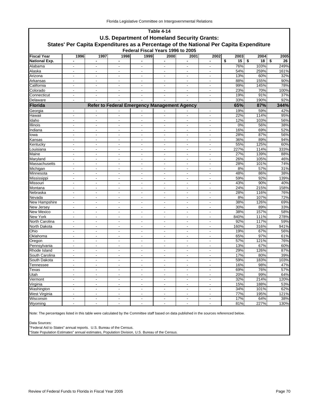|                      |                                                                                                                                                                                                                                                                                   |                          |                          |                                                     | Table 4-14               |                          |                          |          |          |            |  |  |  |  |
|----------------------|-----------------------------------------------------------------------------------------------------------------------------------------------------------------------------------------------------------------------------------------------------------------------------------|--------------------------|--------------------------|-----------------------------------------------------|--------------------------|--------------------------|--------------------------|----------|----------|------------|--|--|--|--|
|                      | U.S. Department of Homeland Security Grants:<br>States' Per Capita Expenditures as a Percentage of the National Per Capita Expenditure<br>Federal Fiscal Years 1996 to 2005<br>2000<br><b>Fiscal Year</b><br>1997<br>1999<br>2002<br>2003<br>1996<br>1998<br>2001<br>2004<br>2005 |                          |                          |                                                     |                          |                          |                          |          |          |            |  |  |  |  |
|                      |                                                                                                                                                                                                                                                                                   |                          |                          |                                                     |                          |                          |                          |          |          |            |  |  |  |  |
|                      |                                                                                                                                                                                                                                                                                   |                          |                          |                                                     |                          |                          |                          |          |          |            |  |  |  |  |
|                      |                                                                                                                                                                                                                                                                                   |                          |                          |                                                     |                          |                          |                          |          |          |            |  |  |  |  |
|                      |                                                                                                                                                                                                                                                                                   |                          |                          |                                                     |                          |                          |                          |          |          |            |  |  |  |  |
| <b>National Exp.</b> | ٠                                                                                                                                                                                                                                                                                 | $\blacksquare$           | ٠                        | $\blacksquare$                                      | $\blacksquare$           | $\blacksquare$           | ٠                        | 15<br>\$ | \$<br>18 | 26<br>\$   |  |  |  |  |
| Alabama              |                                                                                                                                                                                                                                                                                   |                          |                          |                                                     | $\overline{\phantom{a}}$ |                          |                          | 76%      | 103%     | 249%       |  |  |  |  |
| Alaska               | $\overline{\phantom{a}}$                                                                                                                                                                                                                                                          | $\blacksquare$           | $\overline{\phantom{a}}$ | $\blacksquare$                                      | $\blacksquare$           | $\blacksquare$           | $\overline{\phantom{a}}$ | 54%      | 259%     | 161%       |  |  |  |  |
| Arizona              | $\overline{\phantom{a}}$                                                                                                                                                                                                                                                          | $\overline{\phantom{a}}$ | $\overline{a}$           | $\overline{\phantom{a}}$                            | $\overline{\phantom{a}}$ | $\blacksquare$           | $\overline{\phantom{a}}$ | 13%      | 60%      | 32%        |  |  |  |  |
| Arkansas             | $\overline{\phantom{a}}$                                                                                                                                                                                                                                                          | $\overline{a}$           | $\overline{\phantom{a}}$ | $\blacksquare$                                      | $\overline{\phantom{a}}$ | $\overline{a}$           | $\blacksquare$           | 88%      | 155%     | 90%        |  |  |  |  |
| California           | $\overline{\phantom{a}}$                                                                                                                                                                                                                                                          | $\blacksquare$           | $\overline{\phantom{a}}$ | $\blacksquare$                                      | $\overline{\phantom{a}}$ | $\blacksquare$           | $\blacksquare$           | 99%      | 145%     | 78%        |  |  |  |  |
| Colorado             | $\overline{\phantom{a}}$                                                                                                                                                                                                                                                          | $\overline{\phantom{a}}$ | $\overline{\phantom{a}}$ | $\overline{\phantom{a}}$                            | $\overline{\phantom{a}}$ | $\overline{\phantom{a}}$ | $\overline{\phantom{a}}$ | 23%      | 70%      | 100%       |  |  |  |  |
| Connecticut          | $\overline{\phantom{a}}$                                                                                                                                                                                                                                                          | $\overline{\phantom{a}}$ | $\overline{\phantom{a}}$ | $\overline{\phantom{a}}$                            | $\overline{\phantom{a}}$ | $\overline{\phantom{a}}$ | $\overline{\phantom{a}}$ | 19%      | 91%      | 37%<br>92% |  |  |  |  |
| Delaware             | $\blacksquare$                                                                                                                                                                                                                                                                    |                          |                          |                                                     |                          |                          | $\overline{\phantom{a}}$ | 33%      | 190%     |            |  |  |  |  |
| Florida              |                                                                                                                                                                                                                                                                                   |                          |                          | <b>Refer to Federal Emergency Management Agency</b> |                          |                          |                          | 65%      | 87%      | 344%       |  |  |  |  |
| Georgia              | $\overline{\phantom{a}}$                                                                                                                                                                                                                                                          |                          |                          |                                                     |                          |                          | $\blacksquare$           | 19%      | 59%      | 42%        |  |  |  |  |
| Hawaii               | $\overline{\phantom{a}}$                                                                                                                                                                                                                                                          |                          |                          |                                                     | $\overline{\phantom{a}}$ |                          | $\overline{\phantom{a}}$ | 22%      | 114%     | 95%        |  |  |  |  |
| ldaho                | $\overline{\phantom{a}}$                                                                                                                                                                                                                                                          | $\overline{\phantom{a}}$ | $\overline{\phantom{a}}$ | $\overline{\phantom{a}}$                            | $\overline{\phantom{a}}$ | $\overline{\phantom{a}}$ | $\overline{\phantom{a}}$ | 12%      | 103%     | 56%        |  |  |  |  |
| Illinois             | $\overline{\phantom{a}}$                                                                                                                                                                                                                                                          | $\overline{\phantom{a}}$ | $\overline{\phantom{a}}$ | $\overline{\phantom{a}}$                            | $\overline{\phantom{a}}$ |                          | $\overline{\phantom{a}}$ | 0%       | 56%      | 38%        |  |  |  |  |
| Indiana              | $\blacksquare$                                                                                                                                                                                                                                                                    | $\blacksquare$           | $\blacksquare$           | $\overline{\phantom{a}}$                            | $\blacksquare$           | $\blacksquare$           | $\blacksquare$           | 16%      | 69%      | 52%        |  |  |  |  |
| lowa                 | $\overline{\phantom{a}}$                                                                                                                                                                                                                                                          | $\overline{\phantom{a}}$ | $\overline{\phantom{a}}$ | $\overline{\phantom{a}}$                            | $\overline{\phantom{a}}$ | $\overline{\phantom{a}}$ | $\blacksquare$           | 28%      | 87%      | 56%        |  |  |  |  |
| Kansas               | $\overline{\phantom{a}}$                                                                                                                                                                                                                                                          | $\blacksquare$           | $\overline{\phantom{a}}$ | $\blacksquare$                                      | $\blacksquare$           | $\blacksquare$           | $\overline{\phantom{a}}$ | 36%      | 89%      | 94%        |  |  |  |  |
| Kentucky             | $\overline{\phantom{a}}$                                                                                                                                                                                                                                                          | $\blacksquare$           | $\overline{\phantom{a}}$ | $\blacksquare$                                      | $\overline{\phantom{a}}$ | $\blacksquare$           | $\blacksquare$           | 55%      | 125%     | 60%        |  |  |  |  |
| Louisiana            | $\overline{\phantom{a}}$                                                                                                                                                                                                                                                          | $\blacksquare$           | $\overline{\phantom{a}}$ | $\blacksquare$                                      | $\overline{\phantom{a}}$ | $\blacksquare$           | $\blacksquare$           | 227%     | 114%     | 333%       |  |  |  |  |
| Maine                | $\blacksquare$                                                                                                                                                                                                                                                                    | $\overline{\phantom{a}}$ | $\overline{\phantom{a}}$ | $\overline{\phantom{a}}$                            | $\overline{\phantom{a}}$ | $\overline{\phantom{a}}$ | $\overline{\phantom{a}}$ | 27%      | 139%     | 88%        |  |  |  |  |
| Maryland             | $\overline{\phantom{a}}$                                                                                                                                                                                                                                                          | $\blacksquare$           | $\overline{\phantom{a}}$ | $\blacksquare$                                      | $\overline{\phantom{a}}$ | $\overline{a}$           | $\blacksquare$           | 26%      | 105%     | 46%        |  |  |  |  |
| Massachusetts        | $\overline{\phantom{a}}$                                                                                                                                                                                                                                                          | $\blacksquare$           | $\overline{\phantom{a}}$ | $\blacksquare$                                      | $\overline{\phantom{a}}$ | $\blacksquare$           | $\blacksquare$           | 28%      | 101%     | 74%        |  |  |  |  |
| Michigan             | $\blacksquare$                                                                                                                                                                                                                                                                    | $\overline{\phantom{a}}$ | $\overline{\phantom{a}}$ | $\overline{\phantom{a}}$                            | $\overline{\phantom{a}}$ | $\overline{\phantom{a}}$ | $\overline{\phantom{a}}$ | 8%       | 57%      | 31%        |  |  |  |  |
| Minnesota            | $\overline{\phantom{a}}$                                                                                                                                                                                                                                                          | $\blacksquare$           | $\overline{\phantom{a}}$ | $\blacksquare$                                      | $\overline{\phantom{a}}$ | $\blacksquare$           | $\blacksquare$           | 48%      | 86%      | 38%        |  |  |  |  |
| Mississippi          | $\overline{\phantom{a}}$                                                                                                                                                                                                                                                          | $\overline{\phantom{a}}$ | $\overline{\phantom{a}}$ | $\overline{\phantom{a}}$                            | $\overline{\phantom{a}}$ | $\overline{\phantom{a}}$ | $\overline{\phantom{a}}$ | 59%      | 92%      | 139%       |  |  |  |  |
| Missouri             | $\overline{\phantom{a}}$                                                                                                                                                                                                                                                          | $\overline{\phantom{a}}$ | $\overline{\phantom{a}}$ | $\overline{\phantom{a}}$                            | $\overline{\phantom{a}}$ | $\overline{\phantom{a}}$ | $\overline{\phantom{a}}$ | 43%      | 90%      | 40%        |  |  |  |  |
| Montana              | $\overline{\phantom{a}}$                                                                                                                                                                                                                                                          | $\overline{\phantom{a}}$ | $\overline{\phantom{a}}$ | $\overline{\phantom{a}}$                            | $\overline{\phantom{a}}$ | $\overline{\phantom{a}}$ | $\overline{\phantom{a}}$ | 24%      | 215%     | 158%       |  |  |  |  |
| Nebraska             | $\blacksquare$                                                                                                                                                                                                                                                                    | $\blacksquare$           | $\blacksquare$           | $\overline{\phantom{a}}$                            | $\blacksquare$           | $\blacksquare$           | $\blacksquare$           | 28%      | 116%     | 76%        |  |  |  |  |
| Nevada               | $\overline{\phantom{a}}$                                                                                                                                                                                                                                                          | $\overline{\phantom{a}}$ | $\overline{\phantom{0}}$ | $\overline{\phantom{a}}$                            | $\overline{\phantom{0}}$ | $\overline{\phantom{a}}$ | $\overline{\phantom{a}}$ | 8%       | 107%     | 72%        |  |  |  |  |
| New Hampshire        | $\overline{\phantom{a}}$                                                                                                                                                                                                                                                          | $\blacksquare$           | $\overline{\phantom{a}}$ | $\blacksquare$                                      | $\blacksquare$           | $\blacksquare$           | $\blacksquare$           | 38%      | 126%     | 69%        |  |  |  |  |
| New Jersey           | $\overline{\phantom{a}}$                                                                                                                                                                                                                                                          | $\overline{\phantom{a}}$ | $\overline{\phantom{a}}$ | $\blacksquare$                                      | $\blacksquare$           | $\blacksquare$           | $\blacksquare$           | 30%      | 89%      | 33%        |  |  |  |  |
| <b>New Mexico</b>    | $\overline{\phantom{a}}$                                                                                                                                                                                                                                                          | $\blacksquare$           | $\overline{\phantom{a}}$ | $\overline{\phantom{a}}$                            | $\overline{\phantom{a}}$ | $\blacksquare$           | $\overline{\phantom{a}}$ | 38%      | 157%     | 58%        |  |  |  |  |
| New York             | $\overline{\phantom{a}}$                                                                                                                                                                                                                                                          | $\overline{\phantom{a}}$ | $\overline{\phantom{a}}$ | $\overline{\phantom{a}}$                            | $\overline{\phantom{a}}$ | $\blacksquare$           | $\overline{\phantom{a}}$ | 840%     | 111%     | 278%       |  |  |  |  |
| North Carolina       | $\overline{\phantom{a}}$                                                                                                                                                                                                                                                          | $\blacksquare$           | $\overline{\phantom{a}}$ | $\blacksquare$                                      | $\blacksquare$           | $\blacksquare$           | $\blacksquare$           | 92%      | 117%     | 59%        |  |  |  |  |
| North Dakota         | $\overline{\phantom{a}}$                                                                                                                                                                                                                                                          | $\blacksquare$           | $\overline{\phantom{a}}$ | $\blacksquare$                                      | $\blacksquare$           | $\blacksquare$           | $\overline{\phantom{a}}$ | 160%     | 316%     | 941%       |  |  |  |  |
| Ohio                 | $\blacksquare$                                                                                                                                                                                                                                                                    | $\overline{\phantom{a}}$ | $\overline{\phantom{a}}$ | $\overline{\phantom{a}}$                            | $\overline{\phantom{a}}$ | $\overline{\phantom{a}}$ | $\overline{\phantom{a}}$ | 19%      | 67%      | 56%        |  |  |  |  |
| Oklahoma             | $\overline{\phantom{a}}$                                                                                                                                                                                                                                                          | $\overline{\phantom{a}}$ | $\overline{\phantom{a}}$ | $\blacksquare$                                      | $\overline{\phantom{a}}$ | $\overline{\phantom{a}}$ | $\blacksquare$           | 65%      | 97%      | 61%        |  |  |  |  |
| Oregon               | $\overline{\phantom{a}}$                                                                                                                                                                                                                                                          | $\overline{\phantom{a}}$ | $\overline{\phantom{a}}$ | $\overline{\phantom{a}}$                            | $\overline{\phantom{a}}$ | $\overline{\phantom{a}}$ | $\overline{\phantom{a}}$ | 57%      | 121%     | 76%        |  |  |  |  |
| Pennsylvania         | $\overline{\phantom{a}}$                                                                                                                                                                                                                                                          | $\overline{\phantom{a}}$ | $\overline{\phantom{a}}$ | $\overline{\phantom{a}}$                            | $\overline{\phantom{a}}$ | $\overline{\phantom{a}}$ | $\overline{\phantom{a}}$ | 13%      | 67%      | 60%        |  |  |  |  |
| Rhode Island         | $\overline{\phantom{a}}$                                                                                                                                                                                                                                                          | $\overline{\phantom{a}}$ | $\overline{\phantom{a}}$ | $\overline{\phantom{a}}$                            | $\overline{\phantom{a}}$ | $\overline{\phantom{a}}$ | $\overline{\phantom{a}}$ | 29%      | 126%     | 87%        |  |  |  |  |
| South Carolina       | $\blacksquare$                                                                                                                                                                                                                                                                    | $\overline{\phantom{a}}$ | $\overline{\phantom{a}}$ | $\overline{\phantom{a}}$                            | $\blacksquare$           | $\overline{\phantom{a}}$ | $\overline{\phantom{a}}$ | 17%      | 80%      | 39%        |  |  |  |  |
| South Dakota         | $\overline{\phantom{a}}$                                                                                                                                                                                                                                                          | $\overline{\phantom{a}}$ | $\overline{\phantom{a}}$ | $\overline{\phantom{a}}$                            | $\blacksquare$           | $\overline{\phantom{a}}$ | $\blacksquare$           | 59%      | 183%     | 103%       |  |  |  |  |
| Tennessee            | $\overline{\phantom{a}}$                                                                                                                                                                                                                                                          | $\overline{\phantom{a}}$ | $\overline{\phantom{a}}$ | $\overline{\phantom{a}}$                            | $\overline{\phantom{a}}$ | $\overline{\phantom{a}}$ | $\overline{\phantom{a}}$ | 16%      | 98%      | 47%        |  |  |  |  |
| Texas                | $\overline{\phantom{a}}$                                                                                                                                                                                                                                                          | $\blacksquare$           | $\overline{\phantom{a}}$ | $\blacksquare$                                      | $\blacksquare$           | $\blacksquare$           | $\overline{\phantom{a}}$ | 69%      | 76%      | 57%        |  |  |  |  |
| Utah                 | $\overline{\phantom{a}}$                                                                                                                                                                                                                                                          | $\overline{\phantom{a}}$ | $\overline{\phantom{a}}$ | $\overline{\phantom{a}}$                            | $\overline{\phantom{a}}$ | $\overline{\phantom{a}}$ | $\overline{\phantom{a}}$ | 20%      | 99%      | 64%        |  |  |  |  |
| Vermont              | $\overline{\phantom{a}}$                                                                                                                                                                                                                                                          | $\overline{\phantom{a}}$ | $\overline{\phantom{a}}$ | $\overline{\phantom{a}}$                            | $\overline{\phantom{a}}$ | $\overline{\phantom{a}}$ | $\overline{\phantom{a}}$ | 32%      | 214%     | 120%       |  |  |  |  |
| Virginia             | $\blacksquare$                                                                                                                                                                                                                                                                    | $\blacksquare$           | $\overline{\phantom{a}}$ | $\overline{\phantom{a}}$                            | $\overline{\phantom{a}}$ | $\overline{\phantom{a}}$ | $\overline{\phantom{a}}$ | 15%      | 188%     | 53%        |  |  |  |  |
| Washington           | $\overline{\phantom{a}}$                                                                                                                                                                                                                                                          | $\overline{\phantom{a}}$ | $\overline{\phantom{a}}$ | $\overline{\phantom{a}}$                            | $\overline{\phantom{a}}$ | $\overline{\phantom{a}}$ | $\overline{\phantom{a}}$ | 34%      | 101%     | 62%        |  |  |  |  |
| West Virginia        | $\overline{\phantom{a}}$                                                                                                                                                                                                                                                          | $\overline{\phantom{a}}$ | $\overline{\phantom{a}}$ | $\overline{\phantom{a}}$                            | $\overline{\phantom{a}}$ | $\overline{\phantom{a}}$ | $\overline{\phantom{a}}$ | 77%      | 195%     | 121%       |  |  |  |  |
| Wisconsin            | $\overline{\phantom{a}}$                                                                                                                                                                                                                                                          | $\overline{\phantom{a}}$ | $\overline{\phantom{a}}$ | $\overline{\phantom{a}}$                            | $\overline{\phantom{a}}$ | $\overline{\phantom{a}}$ | $\overline{\phantom{a}}$ | 17%      | 64%      | 38%        |  |  |  |  |
| Wyoming              | $\overline{\phantom{a}}$                                                                                                                                                                                                                                                          | $\overline{\phantom{a}}$ | $\overline{\phantom{a}}$ | $\overline{\phantom{a}}$                            | $\overline{\phantom{a}}$ | $\overline{\phantom{a}}$ | -                        | 81%      | 227%     | 130%       |  |  |  |  |

Data Sources:

"Federal Aid to States" annual reports. U.S. Bureau of the Census.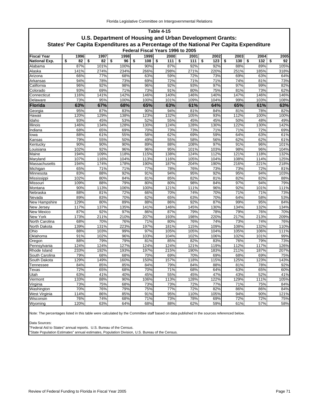|                                                                              |                                                                                                                                                                                                                         |                                                                                        |             |                                   | Table 4-15  |             |             |             |             |             |  |  |  |  |  |
|------------------------------------------------------------------------------|-------------------------------------------------------------------------------------------------------------------------------------------------------------------------------------------------------------------------|----------------------------------------------------------------------------------------|-------------|-----------------------------------|-------------|-------------|-------------|-------------|-------------|-------------|--|--|--|--|--|
|                                                                              |                                                                                                                                                                                                                         | U.S. Department of Housing and Urban Development Grants:                               |             |                                   |             |             |             |             |             |             |  |  |  |  |  |
|                                                                              |                                                                                                                                                                                                                         | States' Per Capita Expenditures as a Percentage of the National Per Capita Expenditure |             |                                   |             |             |             |             |             |             |  |  |  |  |  |
|                                                                              |                                                                                                                                                                                                                         |                                                                                        |             | Federal Fiscal Years 1996 to 2005 |             |             |             |             |             |             |  |  |  |  |  |
| <b>Fiscal Year</b>                                                           | 1996                                                                                                                                                                                                                    | 1997                                                                                   | 1998        | 1999                              | 2000        | 2001        | 2002        | 2003        | 2004        | 2005        |  |  |  |  |  |
| <b>National Exp.</b>                                                         | 82<br>\$                                                                                                                                                                                                                | \$<br>82                                                                               | 96<br>\$    | 108<br>\$                         | \$<br>111   | \$<br>111   | 123<br>\$   | 130<br>\$   | 132<br>\$   | \$<br>92    |  |  |  |  |  |
| Alabama                                                                      | 87%                                                                                                                                                                                                                     | 101%                                                                                   | 100%        | 90%                               | 87%         | 92%         | 92%         | 88%         | 89%         | 105%        |  |  |  |  |  |
| Alaska                                                                       | 141%                                                                                                                                                                                                                    | 274%                                                                                   | 234%        | 266%                              | 298%        | 271%        | 220%        | 251%        | 185%        | 318%        |  |  |  |  |  |
| Arizona                                                                      | 66%                                                                                                                                                                                                                     | 77%                                                                                    | 68%         | 63%                               | 59%         | 72%         | 73%         | 69%         | 63%         | 64%         |  |  |  |  |  |
| Arkansas                                                                     | 94%                                                                                                                                                                                                                     | 78%                                                                                    | 73%         | 69%                               | 72%         | 71%         | 71%         | 74%         | 81%         | 73%         |  |  |  |  |  |
| California                                                                   | 96%                                                                                                                                                                                                                     | 92%                                                                                    | 98%         | 96%                               | 92%         | 93%         | 97%         | 97%         | 99%         | 82%         |  |  |  |  |  |
| Colorado                                                                     | 93%                                                                                                                                                                                                                     | 69%                                                                                    | 71%         | 73%                               | 91%         | 80%         | 75%         | 81%         | 73%         | 62%         |  |  |  |  |  |
| Connecticut                                                                  | 116%                                                                                                                                                                                                                    | 141%                                                                                   | 142%        | 146%                              | 140%        | 146%        | 140%        | 147%        | 146%        | 146%        |  |  |  |  |  |
| Delaware                                                                     | 73%                                                                                                                                                                                                                     | 95%                                                                                    | 100%        | 100%                              | 101%        | 109%        | 104%        | 99%         | 103%        | 108%        |  |  |  |  |  |
| Florida                                                                      | 63%<br>67%<br>68%<br>65%<br>63%<br>61%<br>64%<br>65%<br>61%<br>63%<br>87%<br>95%<br>83%<br>90%<br>94%<br>81%<br>84%<br>81%<br>78%<br>82%<br>129%<br>138%<br>123%<br>132%<br>105%<br>93%<br>100%<br>120%<br>112%<br>100% |                                                                                        |             |                                   |             |             |             |             |             |             |  |  |  |  |  |
| Georgia                                                                      |                                                                                                                                                                                                                         |                                                                                        |             |                                   |             |             |             |             |             |             |  |  |  |  |  |
| Hawaii                                                                       | 53%<br>93%<br>45%<br>52%<br>55%<br>45%<br>45%<br>50%<br>48%<br>49%                                                                                                                                                      |                                                                                        |             |                                   |             |             |             |             |             |             |  |  |  |  |  |
| 146%<br>134%<br>128%<br>130%<br>124%<br>128%<br>130%<br>122%<br>130%<br>142% |                                                                                                                                                                                                                         |                                                                                        |             |                                   |             |             |             |             |             |             |  |  |  |  |  |
| Idaho<br>Illinois                                                            |                                                                                                                                                                                                                         |                                                                                        |             |                                   |             |             |             |             |             |             |  |  |  |  |  |
| Indiana                                                                      | 65%<br>70%<br>73%<br>73%<br>71%<br>71%<br>72%<br>68%<br>69%<br>69%                                                                                                                                                      |                                                                                        |             |                                   |             |             |             |             |             |             |  |  |  |  |  |
| lowa                                                                         | 88%                                                                                                                                                                                                                     | 61%                                                                                    | 55%         | 58%                               | 62%         | 69%         | 59%         | 64%         | 63%         | 61%         |  |  |  |  |  |
| Kansas                                                                       | 79%                                                                                                                                                                                                                     | 55%                                                                                    | 50%         | 49%                               | 55%         | 58%         | 56%         | 62%         | 62%         | 61%         |  |  |  |  |  |
| Kentucky                                                                     | 90%                                                                                                                                                                                                                     | 90%                                                                                    | 90%         | 89%                               | 88%         | 108%        | 97%         | 91%         | 96%         | 101%        |  |  |  |  |  |
| Louisiana                                                                    | 102%                                                                                                                                                                                                                    | 92%                                                                                    | 96%         | 96%                               | 95%         | 101%        | 103%        | 98%         | 96%         | 104%        |  |  |  |  |  |
| Maine                                                                        | 194%                                                                                                                                                                                                                    | 109%                                                                                   | 118%        | 115%                              | 138%        | 124%        | 112%        | 121%        | 118%        | 132%        |  |  |  |  |  |
| Maryland                                                                     | 107%                                                                                                                                                                                                                    | 116%                                                                                   | 104%        | 113%                              | 116%        | 105%        | 104%        | 108%        | 114%        | 125%        |  |  |  |  |  |
| Massachusetts                                                                | 194%                                                                                                                                                                                                                    | 174%                                                                                   | 178%        | 190%                              | 187%        | 204%        | 190%        | 216%        | 221%        | 218%        |  |  |  |  |  |
| Michigan                                                                     | 65%                                                                                                                                                                                                                     | 71%                                                                                    | 71%         | 77%                               | 78%         | 76%         | 73%         | 73%         | 72%         | 81%         |  |  |  |  |  |
| Minnesota                                                                    | 83%                                                                                                                                                                                                                     | 88%                                                                                    | 92%         | 91%                               | 94%         | 95%         | 92%         | 95%         | 94%         | 103%        |  |  |  |  |  |
| Mississippi                                                                  | 102%                                                                                                                                                                                                                    | 80%                                                                                    | 84%         | 81%                               | 85%         | 82%         | 81%         | 82%         | 82%         | 88%         |  |  |  |  |  |
| Missouri                                                                     | 109%                                                                                                                                                                                                                    | 88%                                                                                    | 79%         | 80%                               | 80%         | 98%         | 84%         | 97%         | 94%         | 79%         |  |  |  |  |  |
| Montana                                                                      | 90%                                                                                                                                                                                                                     | 113%                                                                                   | 106%        | 100%                              | 121%        | 111%        | 96%         | 92%         | 101%        | 111%        |  |  |  |  |  |
| Nebraska                                                                     | 88%                                                                                                                                                                                                                     | 81%                                                                                    | 72%         | 66%                               | 70%         | 74%         | 70%         | 71%         | 71%         | 73%         |  |  |  |  |  |
| Nevada                                                                       | 89%                                                                                                                                                                                                                     | 83%                                                                                    | 70%         | 62%                               | 65%         | 63%         | 70%         | 64%         | 58%         | 53%         |  |  |  |  |  |
| New Hampshire                                                                | 129%                                                                                                                                                                                                                    | 80%                                                                                    | 89%         | 88%                               | 86%         | 92%         | 87%         | 99%         | 95%         | 84%         |  |  |  |  |  |
| New Jersey                                                                   | 117%                                                                                                                                                                                                                    | 137%                                                                                   | 135%        | 141%                              | 146%        | 145%        | 130%        | 134%        | 132%        | 134%        |  |  |  |  |  |
| New Mexico                                                                   | 87%                                                                                                                                                                                                                     | 92%                                                                                    | 97%         | 86%                               | 87%         | 79%         | 78%         | 79%         | 76%         | 70%         |  |  |  |  |  |
| New York                                                                     | 173%                                                                                                                                                                                                                    | 211%                                                                                   | 210%        | 207%                              | 193%        | 198%        | 220%        | 217%        | 213%        | 209%        |  |  |  |  |  |
| North Carolina                                                               | 68%<br>139%                                                                                                                                                                                                             | 70%<br>131%                                                                            | 76%<br>223% | 71%<br>197%                       | 80%<br>181% | 76%<br>115% | 74%<br>109% | 73%<br>108% | 74%<br>132% | 76%<br>110% |  |  |  |  |  |
| North Dakota<br>Ohio                                                         | 88%                                                                                                                                                                                                                     | 103%                                                                                   | 99%         | 97%                               | 105%        | 105%        | 104%        | 105%        | 106%        | 111%        |  |  |  |  |  |
|                                                                              | 91%                                                                                                                                                                                                                     | 102%                                                                                   | 96%         | 103%                              | 104%        | 102%        | 106%        | 102%        | 101%        | 99%         |  |  |  |  |  |
| Oklahoma                                                                     | 88%                                                                                                                                                                                                                     | 79%                                                                                    | 79%         | 81%                               | 85%         | 82%         | 83%         | 76%         | 79%         | 73%         |  |  |  |  |  |
| Oregon<br>Pennsylvania                                                       | 124%                                                                                                                                                                                                                    | 124%                                                                                   | 127%        | 124%                              | 124%        | 121%        | 119%        | 112%        | 117%        | 126%        |  |  |  |  |  |
| Rhode Island                                                                 | 233%                                                                                                                                                                                                                    | 192%                                                                                   | 193%        | 197%                              | 215%        | 190%        | 183%        | 211%        | 187%        | 207%        |  |  |  |  |  |
| South Carolina                                                               | 79%                                                                                                                                                                                                                     | 68%                                                                                    | 68%         | 70%                               | 69%         | 70%         | 69%         | 68%         | 69%         | 75%         |  |  |  |  |  |
| South Dakota                                                                 | 129%                                                                                                                                                                                                                    | 149%                                                                                   | 160%        | 150%                              | 157%        | 118%        | 115%        | 125%        | 123%        | 143%        |  |  |  |  |  |
| Tennessee                                                                    | 84%                                                                                                                                                                                                                     | 85%                                                                                    | 85%         | 84%                               | 79%         | 84%         | 88%         | 81%         | 78%         | 92%         |  |  |  |  |  |
| Texas                                                                        | 72%                                                                                                                                                                                                                     | 65%                                                                                    | 68%         | 70%                               | 71%         | 68%         | 64%         | 63%         | 65%         | 60%         |  |  |  |  |  |
| Utah                                                                         | 63%                                                                                                                                                                                                                     | 41%                                                                                    | 40%         | 45%                               | 55%         | 45%         | 47%         | 43%         | 52%         | 41%         |  |  |  |  |  |
| Vermont                                                                      | 133%                                                                                                                                                                                                                    | 88%                                                                                    | 90%         | 106%                              | 113%        | 128%        | 122%        | 129%        | 111%        | 105%        |  |  |  |  |  |
| Virginia                                                                     | 73%                                                                                                                                                                                                                     | 75%                                                                                    | 68%         | 73%                               | 73%         | 72%         | 77%         | 71%         | 75%         | 84%         |  |  |  |  |  |
| Washington                                                                   | 70%                                                                                                                                                                                                                     | 76%                                                                                    | 79%         | 75%                               | 77%         | 72%         | 82%         | 86%         | 86%         | 84%         |  |  |  |  |  |
| West Virginia                                                                | 114%                                                                                                                                                                                                                    | 86%                                                                                    | 85%         | 91%                               | 95%         | 110%        | 105%        | 94%         | 90%         | 121%        |  |  |  |  |  |
| Wisconsin                                                                    | 76%                                                                                                                                                                                                                     | 74%                                                                                    | 68%         | 71%                               | 73%         | 78%         | 69%         | 72%         | 72%         | 75%         |  |  |  |  |  |
| Wyoming                                                                      | 120%                                                                                                                                                                                                                    | 63%                                                                                    | 64%         | 68%                               | 88%         | 62%         | 59%         | 61%         | 57%         | 58%         |  |  |  |  |  |
|                                                                              |                                                                                                                                                                                                                         |                                                                                        |             |                                   |             |             |             |             |             |             |  |  |  |  |  |

Data Sources:

"Federal Aid to States" annual reports. U.S. Bureau of the Census.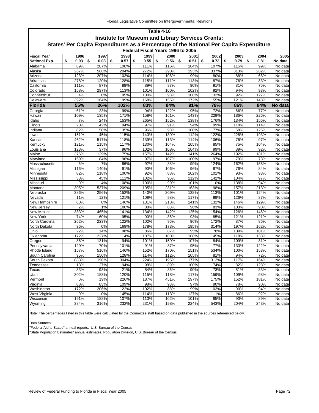|                                                                           |                                                                                                                                                          |             |    |               |    |              |    |              | Table 4-16                        |  |                                                                                        |    |             |    |             |             |                    |
|---------------------------------------------------------------------------|----------------------------------------------------------------------------------------------------------------------------------------------------------|-------------|----|---------------|----|--------------|----|--------------|-----------------------------------|--|----------------------------------------------------------------------------------------|----|-------------|----|-------------|-------------|--------------------|
|                                                                           |                                                                                                                                                          |             |    |               |    |              |    |              |                                   |  | <b>Institute for Museum and Library Services Grants:</b>                               |    |             |    |             |             |                    |
|                                                                           |                                                                                                                                                          |             |    |               |    |              |    |              |                                   |  | States' Per Capita Expenditures as a Percentage of the National Per Capita Expenditure |    |             |    |             |             |                    |
|                                                                           |                                                                                                                                                          |             |    |               |    |              |    |              | Federal Fiscal Years 1996 to 2005 |  |                                                                                        |    |             |    |             |             |                    |
| <b>Fiscal Year</b>                                                        |                                                                                                                                                          | 1996        |    | 1997          |    | 1998         |    | 1999         | 2000                              |  | 2001                                                                                   |    | 2002        |    | 2003        | 2004        | 2005               |
| <b>National Exp.</b>                                                      | \$                                                                                                                                                       | 0.03        | \$ | 0.03          | \$ | 0.57         | \$ | 0.55         | 0.56<br>\$                        |  | \$<br>0.51                                                                             | \$ | 0.73        | \$ | 0.79        | \$<br>0.81  | No data            |
| Alabama                                                                   |                                                                                                                                                          | 69%         |    | 207%          |    | 108%         |    | 111%         | 116%                              |  | 104%                                                                                   |    | 107%        |    | 115%        | 99%         | No data            |
| Alaska                                                                    |                                                                                                                                                          | 267%        |    | 588%          |    | 204%         |    | 272%         | 290%                              |  | 193%                                                                                   |    | 337%        |    | 313%        | 282%        | No data            |
| Arizona                                                                   |                                                                                                                                                          | 123%        |    | 207%          |    | 103%         |    | 114%         | 106%                              |  | 99%                                                                                    |    | 80%         |    | 88%         | 68%         | No data            |
| Arkansas                                                                  |                                                                                                                                                          | 278%        |    | 120%          |    | 128%         |    | 115%         | 111%                              |  | 113%                                                                                   |    | 87%         |    | 76%         | 83%         | No data            |
| California                                                                |                                                                                                                                                          | 111%        |    | 87%           |    | 88%          |    | 89%          | 87%                               |  | 90%                                                                                    |    | 91%         |    | 81%         | 75%         | No data            |
| Colorado                                                                  | 158%<br>297%<br>113%<br>101%<br>100%<br>102%<br>92%<br>94%<br>93%<br>No data<br>4%<br>95%<br>132%<br>0%<br>100%<br>93%<br>108%<br>92%<br>127%<br>No data |             |    |               |    |              |    |              |                                   |  |                                                                                        |    |             |    |             |             |                    |
| Connecticut                                                               | 392%<br>164%<br>199%<br>155%<br>168%<br>155%<br>172%<br>121%<br>148%<br>No data                                                                          |             |    |               |    |              |    |              |                                   |  |                                                                                        |    |             |    |             |             |                    |
| Delaware                                                                  | 102%<br>Florida<br>55%<br>26%<br>83%<br>84%<br>91%<br>79%<br>86%<br>84%<br>No data                                                                       |             |    |               |    |              |    |              |                                   |  |                                                                                        |    |             |    |             |             |                    |
| 72%<br>61%<br>23%<br>99%<br>94%<br>122%<br>95%<br>66%<br>77%<br>No data   |                                                                                                                                                          |             |    |               |    |              |    |              |                                   |  |                                                                                        |    |             |    |             |             |                    |
| Georgia                                                                   | 135%<br>158%<br>143%<br>229%<br>109%<br>171%<br>161%<br>186%<br>226%<br>No data                                                                          |             |    |               |    |              |    |              |                                   |  |                                                                                        |    |             |    |             |             |                    |
| Hawaii                                                                    | 7%<br>24%<br>153%<br>265%<br>152%<br>138%<br>176%<br>134%<br>156%<br>No data                                                                             |             |    |               |    |              |    |              |                                   |  |                                                                                        |    |             |    |             |             |                    |
| 20%<br>42%<br>94%<br>97%<br>94%<br>99%<br>118%<br>91%<br>114%<br>No data  |                                                                                                                                                          |             |    |               |    |              |    |              |                                   |  |                                                                                        |    |             |    |             |             |                    |
| 82%<br>58%<br>135%<br>96%<br>98%<br>100%<br>77%<br>68%<br>125%<br>No data |                                                                                                                                                          |             |    |               |    |              |    |              |                                   |  |                                                                                        |    |             |    |             |             |                    |
| Idaho<br>Illinois<br>Indiana                                              |                                                                                                                                                          |             |    |               |    |              |    |              |                                   |  |                                                                                        |    |             |    |             |             |                    |
| lowa                                                                      |                                                                                                                                                          | 151%        |    | 45%           |    | 115%         |    | 143%         | 139%                              |  | 112%                                                                                   |    | 122%        |    | 228%        | 193%        | No data            |
| Kansas                                                                    |                                                                                                                                                          | 462%        |    | 517%          |    | 118%         |    | 139%         | 113%                              |  | 114%                                                                                   |    | 106%        |    | 76%         | 97%         | No data            |
| Kentucky                                                                  |                                                                                                                                                          | 121%        |    | 115%          |    | 117%         |    | 130%         | 104%                              |  | 105%                                                                                   |    | 85%         |    | 75%         | 104%        | No data            |
| Louisiana                                                                 |                                                                                                                                                          | 123%        |    | 37%           |    | 96%          |    | 102%         | 108%                              |  | 104%                                                                                   |    | 99%         |    | 89%         | 92%         | No data            |
| Maine                                                                     |                                                                                                                                                          | 376%        |    | 129%          |    | 175%         |    | 157%         | 142%                              |  | 141%                                                                                   |    | 264%        |    | 192%        | 181%        | No data            |
| Maryland                                                                  |                                                                                                                                                          | 169%        |    | 84%           |    | 96%          |    | 97%          | 107%                              |  | 100%                                                                                   |    | 97%         |    | 79%         | 73%         | No data            |
| Massachusetts                                                             |                                                                                                                                                          | 6%          |    | 7%            |    | 86%          |    | 92%          | 88%                               |  | 99%                                                                                    |    | 124%        |    | 162%        | 158%        | No data            |
| Michigan                                                                  |                                                                                                                                                          | 116%        |    | 140%          |    | 91%          |    | 90%          | 106%                              |  | 96%                                                                                    |    | 87%         |    | 76%         | 84%         | No data            |
| Minnesota                                                                 |                                                                                                                                                          | 82%         |    | 118%          |    | 100%         |    | 92%          | 88%                               |  | 102%                                                                                   |    | 101%        |    | 93%         | 93%         | No data            |
| Mississippi                                                               |                                                                                                                                                          | 33%         |    | 45%           |    | 111%         |    | 102%         | 96%                               |  | 112%                                                                                   |    | 142%        |    | 104%        | 97%         | No data            |
| Missouri                                                                  |                                                                                                                                                          | 0%          |    | 4%            |    | 108%         |    | 100%         | 90%                               |  | 101%                                                                                   |    | 110%        |    | 138%        | 94%         | No data            |
| Montana                                                                   |                                                                                                                                                          | 305%        |    | 537%          |    | 209%         |    | 195%         | 231%                              |  | 163%                                                                                   |    | 198%        |    | 157%        | 213%        | No data            |
| Nebraska                                                                  |                                                                                                                                                          | 386%        |    | 256%          |    | 152%         |    | 140%         | 209%                              |  | 128%                                                                                   |    | 113%        |    | 101%        | 124%        | No data            |
| Nevada                                                                    |                                                                                                                                                          | 11%         |    | 12%           |    | 121%         |    | 108%         | 98%                               |  | 117%                                                                                   |    | 99%         |    | 126%        | 87%         | No data            |
| New Hampshire                                                             |                                                                                                                                                          | 60%         |    | 0%            |    | 146%         |    | 131%         | 218%                              |  | 141%                                                                                   |    | 132%        |    | 146%        | 129%        | No data            |
| New Jersey                                                                |                                                                                                                                                          | 2%          |    | 1%            |    | 100%         |    | 88%          | 83%                               |  | 96%                                                                                    |    | 83%         |    | 103%        | 90%         | No data            |
| New Mexico                                                                |                                                                                                                                                          | 383%        |    | 465%          |    | 141%         |    | 134%         | 142%                              |  | 125%                                                                                   |    | 154%        |    | 126%        | 146%        | No data            |
| New York                                                                  |                                                                                                                                                          | 74%         |    | 60%           |    | 95%          |    | 90%          | 86%                               |  | 93%                                                                                    |    | 85%         |    | 121%        | 121%        | No data            |
| North Carolina                                                            |                                                                                                                                                          | 262%        |    | 223%          |    | 122%         |    | 102%         | 96%                               |  | 96%                                                                                    |    | 172%        |    | 87%         | 86%         | No data            |
| North Dakota                                                              |                                                                                                                                                          | 36%         |    | 0%            |    | 169%         |    | 178%         | 173%                              |  | 195%                                                                                   |    | 314%        |    | 197%        | 162%        | No data            |
| Ohio                                                                      |                                                                                                                                                          | 22%         |    | 14%           |    | 98%          |    | 86%          | 87%                               |  | 95%                                                                                    |    | 78%         |    | 109%        | 101%        | No data            |
| Oklahoma                                                                  |                                                                                                                                                          | 172%        |    | 227%          |    | 114%         |    | 107%         | 100%                              |  | 108%                                                                                   |    | 145%        |    | 118%        | 133%        | No data            |
| Oregon                                                                    |                                                                                                                                                          | 86%         |    | 131%          |    | 94%          |    | 101%         | 159%                              |  | 107%                                                                                   |    | 84%         |    | 109%        | 81%         | No data            |
| Pennsylvania                                                              |                                                                                                                                                          | 120%        |    | 70%           |    | 101%         |    | 91%          | 87%                               |  | 95%                                                                                    |    | 77%         |    | 133%        | 122%        | No data            |
| Rhode Island                                                              |                                                                                                                                                          | 157%        |    | 516%          |    | 146%         |    | 152%         | 170%                              |  | 151%                                                                                   |    | 534%        |    | 100%        | 153%        | No data            |
| South Carolina                                                            |                                                                                                                                                          | 95%<br>883% |    | 150%<br>1190% |    | 128%<br>304% |    | 114%<br>224% | 112%<br>195%                      |  | 105%<br>177%                                                                           |    | 81%<br>312% |    | 94%<br>117% | 72%<br>164% | No data            |
| South Dakota                                                              |                                                                                                                                                          |             |    |               |    |              |    |              |                                   |  |                                                                                        |    |             |    |             |             | No data            |
| Tennessee                                                                 |                                                                                                                                                          | 13%<br>33%  |    | 27%<br>93%    |    | 94%<br>21%   |    | 98%<br>84%   | 89%<br>86%                        |  | 100%<br>90%                                                                            |    | 74%<br>73%  |    | 82%<br>81%  | 128%        | No data            |
| Texas<br>Utah                                                             |                                                                                                                                                          | 302%        |    | 183%          |    | 120%         |    | 115%         | 118%                              |  | 117%                                                                                   |    | 159%        |    | 109%        | 83%<br>98%  | No data<br>No data |
| Vermont                                                                   |                                                                                                                                                          | 0%          |    | 19%           |    | 226%         |    | 187%         | 451%                              |  | 197%                                                                                   |    | 175%        |    | 152%        | 181%        | No data            |
| Virginia                                                                  |                                                                                                                                                          | 88%         |    | 83%           |    | 109%         |    | 98%          | 93%                               |  | 97%                                                                                    |    | 90%         |    | 78%         | 90%         | No data            |
| Washington                                                                |                                                                                                                                                          | 172%        |    | 206%          |    | 122%         |    | 102%         | 88%                               |  | 99%                                                                                    |    | 103%        |    | 90%         | 94%         | No data            |
| <b>West Virginia</b>                                                      |                                                                                                                                                          | 0%          |    | 0%            |    | 145%         |    | 114%         | 113%                              |  | 127%                                                                                   |    | 111%        |    | 86%         | 92%         | No data            |
| Wisconsin                                                                 |                                                                                                                                                          | 191%        |    | 188%          |    | 107%         |    | 113%         | 102%                              |  | 101%                                                                                   |    | 85%         |    | 90%         | 89%         | No data            |
| Wyoming                                                                   |                                                                                                                                                          | 384%        |    | 316%          |    | 232%         |    | 231%         | 198%                              |  | 224%                                                                                   |    | 543%        |    | 204%        | 243%        | No data            |
|                                                                           |                                                                                                                                                          |             |    |               |    |              |    |              |                                   |  |                                                                                        |    |             |    |             |             |                    |

Data Sources:

"Federal Aid to States" annual reports. U.S. Bureau of the Census.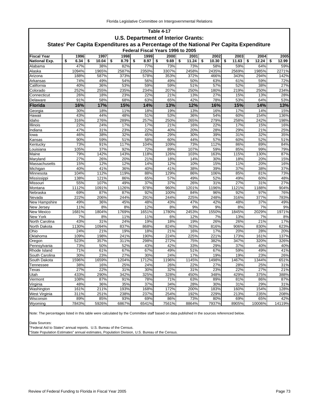|                                |                                                                                        |              |              |                                            | Table 4-17   |              |              |              |              |             |
|--------------------------------|----------------------------------------------------------------------------------------|--------------|--------------|--------------------------------------------|--------------|--------------|--------------|--------------|--------------|-------------|
|                                | States' Per Capita Expenditures as a Percentage of the National Per Capita Expenditure |              |              | <b>U.S. Department of Interior Grants:</b> |              |              |              |              |              |             |
|                                |                                                                                        |              |              | Federal Fiscal Years 1996 to 2005          |              |              |              |              |              |             |
| <b>Fiscal Year</b>             | 1996                                                                                   | 1997         | 1998         | 1999                                       | 2000         | 2001         | 2002         | 2003         | 2004         | 2005        |
| <b>National Exp.</b>           | \$<br>6.34                                                                             | \$<br>10.04  | \$<br>8.79   | 8.97<br>\$                                 | \$<br>9.69   | 11.24<br>\$  | 10.30<br>\$  | \$<br>11.63  | \$<br>12.24  | \$<br>12.99 |
| Alabama                        | 47%                                                                                    | 38%          | 82%          | 77%                                        | 73%          | 73%          | 58%          | 59%          | 64%          | 59%         |
| Alaska                         | 1094%                                                                                  | 1965%        | 2587%        | 2350%                                      | 3307%        | 2458%        | 2435%        | 2569%        | 1985%        | 2271%       |
| Arizona                        | 188%                                                                                   | 587%         | 373%         | 578%                                       | 353%         | 372%         | 466%         | 343%         | 294%         | 142%        |
| Arkansas                       | 74%<br>40%                                                                             | 49%<br>36%   | 54%<br>53%   | 56%<br>59%                                 | 49%<br>59%   | 50%<br>51%   | 63%<br>57%   | 61%<br>52%   | 59%          | 72%<br>27%  |
| California<br>Colorado         | 252%                                                                                   | 255%         | 235%         | 234%                                       | 207%         | 250%         | 180%         | 219%         | 38%<br>250%  | 234%        |
| Connecticut                    | 26%                                                                                    | 18%          | 23%          | 22%                                        | 21%          | 13%          | 27%          | 15%          | 13%          | 28%         |
| Delaware                       | 91%                                                                                    | 58%          | 68%          | 63%                                        | 65%          | 42%          | 78%          | 53%          | 64%          | 53%         |
| Florida                        | 16%                                                                                    | 17%          | 15%          | 14%                                        | 13%          | 12%          | 16%          | 15%          | 14%          | 13%         |
|                                |                                                                                        |              |              |                                            |              |              |              |              |              | 15%         |
| Georgia<br>Hawaii              | 30%<br>43%                                                                             | 18%<br>44%   | 11%<br>48%   | 18%<br>51%                                 | 19%<br>53%   | 13%<br>36%   | 16%<br>54%   | 17%<br>60%   | 14%<br>154%  | 136%        |
|                                | 316%                                                                                   | 276%         | 289%         | 257%                                       | 250%         | 265%         | 279%         | 258%         | 242%         | 198%        |
| Idaho<br>Illinois              | 22%                                                                                    | 24%          | 17%          | 17%                                        | 21%          | 16%          | 22%          | 17%          | 15%          | 16%         |
| Indiana                        | 47%                                                                                    | 31%          | 23%          | 22%                                        | 40%          | 20%          | 28%          | 29%          | 21%          | 25%         |
| lowa                           | 46%                                                                                    | 38%          | 32%          | 45%                                        | 29%          | 30%          | 39%          | 31%          | 32%          | 35%         |
| Kansas                         | 90%                                                                                    | 59%          | 51%          | 58%                                        | 60%          | 44%          | 57%          | 60%          | 52%          | 51%         |
| Kentucky                       | 73%                                                                                    | 91%          | 117%         | 104%                                       | 109%         | 73%          | 112%         | 86%          | 89%          | 84%         |
| Louisiana                      | 105%                                                                                   | 37%          | 92%          | 72%                                        | 89%          | 107%         | 59%          | 85%          | 99%          | 79%         |
| Maine                          | 79%                                                                                    | 142%         | 143%         | 118%                                       | 126%         | 103%         | 163%         | 115%         | 130%         | 87%         |
| Maryland                       | 27%                                                                                    | 26%          | 20%          | 21%                                        | 18%          | 14%          | 30%          | 18%          | 20%          | 15%         |
| Massachusetts                  | 15%                                                                                    | 12%          | 12%          | 14%                                        | 12%          | 10%          | 15%          | 11%          | 20%          | 16%         |
| Michigan                       | 40%                                                                                    | 41%          | 36%          | 40%                                        | 41%          | 38%          | 39%          | 37%          | 38%          | 37%         |
| Minnesota                      | 104%                                                                                   | 112%         | 119%         | 88%                                        | 129%         | 86%          | 106%         | 85%          | 81%          | 73%         |
| Mississippi                    | 138%                                                                                   | 121%         | 86%          | 65%                                        | 57%          | 49%          | 52%          | 49%          | 60%          | 48%         |
| Missouri                       | 55%                                                                                    | 107%         | 49%          | 37%                                        | 37%          | 26%          | 31%          | 27%          | 31%          | 27%         |
| Montana                        | 1112%                                                                                  | 1091%        | 1126%        | 978%                                       | 960%         | 1201%        | 1196%        | 1121%        | 1188%        | 904%        |
| Nebraska                       | 69%                                                                                    | 87%          | 87%          | 92%                                        | 100%         | 84%          | 96%          | 92%          | 97%          | 76%         |
| Nevada                         | 222%                                                                                   | 206%         | 244%         | 291%                                       | 244%         | 225%         | 248%         | 316%         | 377%         | 783%        |
| New Hampshire                  | 49%                                                                                    | 36%          | 45%          | 48%                                        | 43%          | 47%          | 42%          | 48%          | 37%          | 49%         |
| New Jersey                     | 11%                                                                                    | 8%           | 8%           | 12%                                        | 8%           | 9%           | 9%           | 8%           | 7%           | 9%          |
| New Mexico                     | 1681%                                                                                  | 1804%        | 1769%        | 1651%                                      | 1780%        | 2453%        | 1550%        | 1845%        | 2029%        | 1971%       |
| New York                       | 7%                                                                                     | 8%           | 11%          | 11%                                        | 6%           | 12%          | 7%           | 13%          | 7%           | 8%          |
| North Carolina                 | 43%                                                                                    | 31%          | 24%          | 19%                                        | 18%          | 19%          | 26%          | 26%          | 21%          | 17%         |
| North Dakota                   | 1130%                                                                                  | 1094%        | 837%         | 868%                                       | 824%         | 763%         | 816%         | 906%         | 830%         | 623%        |
| Ohio                           | 24%                                                                                    | 21%          | 19%          | 18%                                        | 21%          | 16%          | 17%          | 20%          | 28%          | 20%         |
| Oklahoma                       | 109%                                                                                   | 198%         | 241%         | 190%                                       | 224%         | 225%         | 221%         | 173%         | 161%         | 137%        |
| Oregon                         | 523%                                                                                   | 357%         | 311%         | 298%                                       | 272%         | 75%          | 382%         | 347%         | 320%         | 326%        |
| Pennsylvania                   | 73%                                                                                    | 50%          | 52%          | 43%                                        | 42%          | 33%          | 29%          | 37%          | 40%          | 40%         |
| Rhode Island                   | 71%                                                                                    | 61%          | 67%          | 67%                                        | 49%          | 51%          | 67%          | 59%          | 49%          | 41%         |
| South Carolina<br>South Dakota | 30%<br>1596%                                                                           | 23%<br>1659% | 27%<br>1204% | 30%<br>1712%                               | 24%<br>1196% | 17%<br>1145% | 19%<br>1498% | 19%<br>1467% | 23%<br>1344% | 26%<br>651% |
|                                |                                                                                        |              |              |                                            |              |              |              |              |              |             |
| Tennessee                      | 38%<br>27%                                                                             | 16%<br>22%   | 25%<br>31%   | 24%<br>30%                                 | 26%<br>32%   | 22%<br>31%   | 27%<br>23%   | 28%<br>22%   | 25%<br>27%   | 31%<br>21%  |
| Texas                          | 433%                                                                                   | 290%         | 342%         | 325%                                       | 328%         | 450%         | 348%         | 429%         | 375%         | 388%        |
| Utah                           | 108%                                                                                   | 87%          | 91%          | 78%                                        | 71%          | 63%          | 89%          | 81%          | 86%          | 87%         |
| Vermont<br>Virginia            | 48%                                                                                    | 36%          | 35%          | 37%                                        | 34%          | 28%          | 30%          | 31%          | 29%          | 31%         |
| Washington                     | 161%                                                                                   | 211%         | 193%         | 168%                                       | 172%         | 200%         | 183%         | 160%         | 154%         | 128%        |
| West Virginia                  | 311%                                                                                   | 251%         | 238%         | 237%                                       | 254%         | 192%         | 229%         | 213%         | 235%         | 208%        |
| Wisconsin                      | 89%                                                                                    | 85%          | 93%          | 69%                                        | 86%          | 73%          | 80%          | 69%          | 65%          | 42%         |
| Wyoming                        | 7843%                                                                                  | 5926%        | 6867%        | 6541%                                      | 7561%        | 8864%        | 7937%        | 8905%        | 10006%       | 14119%      |
|                                |                                                                                        |              |              |                                            |              |              |              |              |              |             |

Data Sources:

"Federal Aid to States" annual reports. U.S. Bureau of the Census.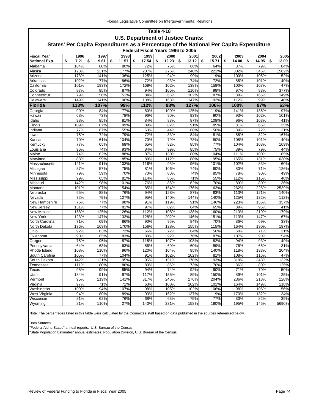|                      |                                                                                        |            |             |                                           | Table 4-18   |             |             |              |              |             |
|----------------------|----------------------------------------------------------------------------------------|------------|-------------|-------------------------------------------|--------------|-------------|-------------|--------------|--------------|-------------|
|                      | States' Per Capita Expenditures as a Percentage of the National Per Capita Expenditure |            |             | <b>U.S. Department of Justice Grants:</b> |              |             |             |              |              |             |
|                      |                                                                                        |            |             | Federal Fiscal Years 1996 to 2005         |              |             |             |              |              |             |
| <b>Fiscal Year</b>   | 1996                                                                                   | 1997       | 1998        | 1999                                      | 2000         | 2001        | 2002        | 2003         | 2004         | 2005        |
| <b>National Exp.</b> | \$<br>7.21                                                                             | \$<br>9.61 | 11.57<br>\$ | 17.54<br>\$                               | 12.23<br>\$  | 13.12<br>\$ | 15.71<br>\$ | \$<br>14.00  | \$<br>14.95  | 13.09<br>\$ |
| Alabama              | 104%                                                                                   | 80%        | 80%         | 72%                                       | 75%          | 66%         | 64%         | 87%          | 79%          | 84%         |
| Alaska               | 128%                                                                                   | 131%       | 177%        | 207%                                      | 276%         | 240%        | 221%        | 302%         | 345%         | 1562%       |
| Arizona              | 173%                                                                                   | 141%       | 136%        | 125%                                      | 94%          | 99%         | 119%        | 100%         | 105%         | 52%         |
| Arkansas             | 102%                                                                                   | 77%        | 86%         | 72%                                       | 93%          | 74%         | 72%         | 85%          | 101%         | 40%         |
| California           | 101%                                                                                   | 193%       | 172%        | 168%                                      | 102%         | 138%        | 158%        | 100%         | 107%         | 47%         |
| Colorado             | 87%                                                                                    | 85%        | 87%         | 94%                                       | 105%         | 110%        | 98%         | 97%          | 83%          | 377%        |
| Connecticut          | 79%                                                                                    | 56%        | 51%         | 84%                                       | 65%          | 102%        | 87%         | 88%          | 166%         | 149%        |
| Delaware             | 149%                                                                                   | 141%       | 196%        | 138%                                      | 163%         | 147%        | 92%         | 112%         | 99%          | 48%         |
| Florida              | 113%                                                                                   | 107%       | 99%         | 112%                                      | 98%          | 127%        | 106%        | 100%         | 97%          | 63%         |
| Georgia              | 90%                                                                                    | 84%        | 77%         | 80%                                       | 109%         | 125%        | 119%        | 141%         | 135%         | 97%         |
| Hawaii               | 68%                                                                                    | 73%        | 78%         | 96%                                       | 90%          | 93%         | 90%         | 93%          | 102%         | 101%        |
| Idaho                | 98%                                                                                    | 85%        | 81%         | 84%                                       | 88%          | 87%         | 108%        | 96%          | 103%         | 41%         |
| Illinois             | 109%                                                                                   | 87%        | 99%         | 89%                                       | 82%          | 91%         | 85%         | 81%          | 66%          | 35%         |
| Indiana              | 77%                                                                                    | 67%        | 55%         | 53%                                       | 44%          | 68%         | 50%         | 89%          | 72%          | 21%         |
| lowa                 | 75%                                                                                    | 72%        | 79%         | 72%                                       | 83%          | 84%         | 81%         | 88%          | 82%          | 167%        |
| Kansas               | 70%                                                                                    | 61%        | 104%        | 70%                                       | 79%          | 73%         | 80%         | 108%         | 101%         | 40%         |
| Kentucky             | 77%                                                                                    | 65%        | 68%         | 65%                                       | 82%          | 85%         | 77%         | 104%         | 108%         | 109%        |
| Louisiana            | 96%                                                                                    | 74%        | 93%         | 84%                                       | 99%          | 85%         | 75%         | 89%          | 79%          | 44%         |
| Maine                | 74%                                                                                    | 62%        | 88%         | 87%                                       | 130%         | 88%         | 104%        | 111%         | 100%         | 85%         |
| Maryland             | 83%                                                                                    | 99%        | 85%         | 89%                                       | 112%         | 88%         | 95%         | 165%         | 131%         | 630%        |
| Massachusetts        | 121%                                                                                   | 91%        | 103%        | 116%                                      | 93%          | 96%         | 101%        | 102%         | 83%          | 60%         |
| Michigan             | 87%                                                                                    | 57%        | 75%         | 81%                                       | 106%         | 74%         | 60%         | 80%          | 71%          | 126%        |
| Minnesota            | 79%                                                                                    | 59%        | 70%         | 70%                                       | 80%          | 74%         | 85%         | 78%          | 90%          | 49%         |
| Mississippi          | 99%<br>142%                                                                            | 65%<br>98% | 81%<br>101% | 114%<br>76%                               | 86%<br>86%   | 71%<br>62%  | 55%<br>70%  | 112%<br>89%  | 115%<br>80%  | 40%<br>36%  |
| Missouri             |                                                                                        | 107%       | 154%        |                                           |              | 176%        | 163%        |              |              | 2539%       |
| Montana<br>Nebraska  | 101%<br>95%                                                                            | 88%        | 76%         | 85%<br>94%                                | 154%<br>128% | 87%         | 83%         | 262%<br>113% | 226%<br>121% | 140%        |
| Nevada               | 72%                                                                                    | 79%        | 127%        | 95%                                       | 140%         | 144%        | 140%        | 125%         | 132%         | 112%        |
| New Hampshire        | 76%                                                                                    | 77%        | 98%         | 91%                                       | 119%         | 91%         | 146%        | 223%         | 155%         | 357%        |
| New Jersey           | 131%                                                                                   | 77%        | 81%         | 97%                                       | 82%          | 64%         | 65%         | 89%          | 95%          | 41%         |
| New Mexico           | 158%                                                                                   | 125%       | 126%        | 112%                                      | 108%         | 138%        | 160%        | 213%         | 219%         | 179%        |
| New York             | 123%                                                                                   | 147%       | 133%        | 128%                                      | 202%         | 146%        | 151%        | 113%         | 147%         | 67%         |
| North Carolina       | 71%                                                                                    | 69%        | 86%         | 90%                                       | 95%          | 84%         | 70%         | 86%          | 69%          | 33%         |
| North Dakota         | 176%                                                                                   | 109%       | 170%        | 156%                                      | 138%         | 155%        | 115%        | 164%         | 190%         | 197%        |
| Ohio                 | 92%                                                                                    | 63%        | 72%         | 66%                                       | 72%          | 64%         | 56%         | 60%          | 71%          | 31%         |
| Oklahoma             | 90%                                                                                    | 65%        | 83%         | 80%                                       | 92%          | 76%         | 87%         | 107%         | 90%          | 54%         |
| Oregon               | 75%                                                                                    | 95%        | 87%         | 115%                                      | 107%         | 108%        | 82%         | 94%          | 93%          | 49%         |
| Pennsylvania         | 64%                                                                                    | 63%        | 63%         | 56%                                       | 60%          | 60%         | 59%         | 76%          | 65%          | 31%         |
| Rhode Island         | 108%                                                                                   | 110%       | 96%         | 120%                                      | 104%         | 95%         | 140%        | 118%         | 133%         | 204%        |
| South Carolina       | 105%                                                                                   | 77%        | 104%        | 91%                                       | 102%         | 102%        | 81%         | 108%         | 116%         | 47%         |
| South Dakota         | 142%                                                                                   | 121%       | 95%         | 95%                                       | 151%         | 178%        | 193%        | 310%         | 343%         | 132%        |
| Tennessee            | 111%                                                                                   | 80%        | 86%         | 83%                                       | 86%          | 73%         | 70%         | 86%          | 80%          | 125%        |
| Texas                | 95%                                                                                    | 99%        | 85%         | 94%                                       | 74%          | 92%         | 90%         | 71%          | 70%          | 50%         |
| Utah                 | 134%                                                                                   | 91%        | 97%         | 117%                                      | 155%         | 89%         | 150%        | 89%          | 101%         | 25%         |
| Vermont              | 95%                                                                                    | 119%       | 141%        | 317%                                      | 246%         | 176%        | 204%        | 236%         | 218%         | 128%        |
| Virginia             | 97%                                                                                    | 71%        | 71%         | 63%                                       | 108%         | 102%        | 101%        | 164%         | 149%         | 116%        |
| Washington           | 109%                                                                                   | 94%        | 107%        | 98%                                       | 105%         | 102%        | 106%        | 98%          | 106%         | 56%         |
| West Virginia        | 94%                                                                                    | 80%        | 89%         | 93%                                       | 162%         | 137%        | 119%        | 170%         | 132%         | 34%         |
| Wisconsin            | 81%                                                                                    | 62%        | 76%         | 68%                                       | 63%          | 75%         | 77%         | 80%          | 82%          | 39%         |
| Wyoming              | 81%                                                                                    | 110%       | 27%         | 140%                                      | 231%         | 158%        | 180%        | 195%         | 145%         | 5690%       |

Data Sources:

"Federal Aid to States" annual reports. U.S. Bureau of the Census.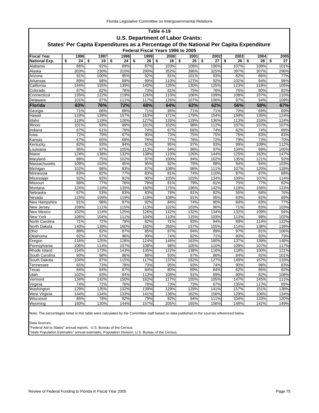| <b>U.S. Department of Labor Grants:</b><br>States' Per Capita Expenditures as a Percentage of the National Per Capita Expenditure<br>Federal Fiscal Years 1996 to 2005<br>1996<br>1997<br>1999<br>2000<br>2002<br><b>Fiscal Year</b><br>1998<br>2001<br>2003<br>2004<br>24<br>19<br>24<br>26<br>18<br>25<br>\$<br>27<br>26<br>28<br><b>National Exp.</b><br>\$<br>\$<br>\$<br>\$<br>\$<br>\$<br>\$<br>\$<br>\$<br>86%<br>92%<br>89%<br>87%<br>103%<br>108%<br>106%<br>107%<br>108%<br>Alabama<br>303%<br>230%<br>310%<br>290%<br>352%<br>396%<br>325%<br>397%<br>307%<br>Alaska<br>100%<br>95%<br>93%<br>Arizona<br>91%<br>92%<br>81%<br>101%<br>82%<br>86% | 2005<br>27<br>101%<br>296%<br>77%<br>96%<br>105%<br>82%<br>110%<br>109%<br>67% |
|-------------------------------------------------------------------------------------------------------------------------------------------------------------------------------------------------------------------------------------------------------------------------------------------------------------------------------------------------------------------------------------------------------------------------------------------------------------------------------------------------------------------------------------------------------------------------------------------------------------------------------------------------------------|--------------------------------------------------------------------------------|
|                                                                                                                                                                                                                                                                                                                                                                                                                                                                                                                                                                                                                                                             |                                                                                |
|                                                                                                                                                                                                                                                                                                                                                                                                                                                                                                                                                                                                                                                             |                                                                                |
|                                                                                                                                                                                                                                                                                                                                                                                                                                                                                                                                                                                                                                                             |                                                                                |
|                                                                                                                                                                                                                                                                                                                                                                                                                                                                                                                                                                                                                                                             |                                                                                |
|                                                                                                                                                                                                                                                                                                                                                                                                                                                                                                                                                                                                                                                             |                                                                                |
|                                                                                                                                                                                                                                                                                                                                                                                                                                                                                                                                                                                                                                                             |                                                                                |
|                                                                                                                                                                                                                                                                                                                                                                                                                                                                                                                                                                                                                                                             |                                                                                |
|                                                                                                                                                                                                                                                                                                                                                                                                                                                                                                                                                                                                                                                             |                                                                                |
| 89%<br>98%<br>89%<br>99%<br>110%<br>127%<br>92%<br>102%<br>94%<br>Arkansas                                                                                                                                                                                                                                                                                                                                                                                                                                                                                                                                                                                  |                                                                                |
| 144%<br>155%<br>139%<br>140%<br>135%<br>130%<br>125%<br>123%<br>118%<br>California                                                                                                                                                                                                                                                                                                                                                                                                                                                                                                                                                                          |                                                                                |
| 87%<br>82%<br>78%<br>73%<br>75%<br>76%<br>76%<br>81%<br>80%<br>Colorado                                                                                                                                                                                                                                                                                                                                                                                                                                                                                                                                                                                     |                                                                                |
| 135%<br>122%<br>119%<br>126%<br>115%<br>106%<br>109%<br>108%<br>107%<br>Connecticut                                                                                                                                                                                                                                                                                                                                                                                                                                                                                                                                                                         |                                                                                |
| 87%<br>126%<br>107%<br>97%<br>101%<br>111%<br>117%<br>106%<br>94%<br>Delaware                                                                                                                                                                                                                                                                                                                                                                                                                                                                                                                                                                               |                                                                                |
| 76%<br>72%<br><b>Florida</b><br>83%<br>68%<br>64%<br>62%<br>62%<br>56%<br>58%                                                                                                                                                                                                                                                                                                                                                                                                                                                                                                                                                                               |                                                                                |
| 71%<br>66%<br>68%<br>71%<br>95%<br>71%<br>71%<br>70%<br>69%<br>Georgia                                                                                                                                                                                                                                                                                                                                                                                                                                                                                                                                                                                      | 69%                                                                            |
| 119%<br>139%<br>157%<br>163%<br>171%<br>179%<br>154%<br>158%<br>135%<br>Hawaii                                                                                                                                                                                                                                                                                                                                                                                                                                                                                                                                                                              | 124%                                                                           |
| 119%<br>126%<br>127%<br>135%<br>129%<br>136%<br>113%<br>153%<br>119%<br>Idaho                                                                                                                                                                                                                                                                                                                                                                                                                                                                                                                                                                               | 124%                                                                           |
| 99%<br>101%<br>Illinois<br>101%<br>93%<br>102%<br>98%<br>112%<br>107%<br>107%                                                                                                                                                                                                                                                                                                                                                                                                                                                                                                                                                                               | 107%                                                                           |
| 67%<br>61%<br>79%<br>74%<br>67%<br>66%<br>74%<br>62%<br>74%<br>Indiana                                                                                                                                                                                                                                                                                                                                                                                                                                                                                                                                                                                      | 89%                                                                            |
| 72%<br>79%<br>87%<br>90%<br>73%<br>75%<br>75%<br>76%<br>83%<br>lowa                                                                                                                                                                                                                                                                                                                                                                                                                                                                                                                                                                                         | 83%                                                                            |
| 67%<br>65%<br>69%<br>76%<br>77%<br>78%<br>72%<br>79%<br>73%<br>Kansas                                                                                                                                                                                                                                                                                                                                                                                                                                                                                                                                                                                       | 70%                                                                            |
| 97%<br>82%<br>93%<br>94%<br>91%<br>95%<br>93%<br>99%<br>109%<br>Kentucky                                                                                                                                                                                                                                                                                                                                                                                                                                                                                                                                                                                    | 112%                                                                           |
| 97%<br>98%<br>95%<br>105%<br>113%<br>94%<br>97%<br>104%<br>99%<br>_ouisiana                                                                                                                                                                                                                                                                                                                                                                                                                                                                                                                                                                                 | 105%                                                                           |
| 124%<br>138%<br>132%<br>126%<br>144%<br>Maine<br>138%<br>110%<br>125%<br>163%                                                                                                                                                                                                                                                                                                                                                                                                                                                                                                                                                                               | 147%                                                                           |
| 88%<br>75%<br>102%<br>97%<br>100%<br>94%<br>102%<br>135%<br>121%<br>Maryland                                                                                                                                                                                                                                                                                                                                                                                                                                                                                                                                                                                | 92%                                                                            |
| 109%<br>103%<br>95%<br>95%<br>92%<br>79%<br>98%<br>94%<br>94%<br>Massachusetts                                                                                                                                                                                                                                                                                                                                                                                                                                                                                                                                                                              | 103%                                                                           |
| 102%<br>99%<br>83%<br>87%<br>108%<br>98%<br>111%<br>107%<br>120%<br>Michigan                                                                                                                                                                                                                                                                                                                                                                                                                                                                                                                                                                                | 128%                                                                           |
| 82%<br>74%<br>83%<br>77%<br>83%<br>81%<br>110%<br>87%<br>87%<br>Minnesota                                                                                                                                                                                                                                                                                                                                                                                                                                                                                                                                                                                   | 88%                                                                            |
| 92%<br>93%<br>91%<br>90%<br>103%<br>134%<br>105%<br>109%<br>107%<br>Mississippi                                                                                                                                                                                                                                                                                                                                                                                                                                                                                                                                                                             | 114%                                                                           |
| 77%<br>76%<br>78%<br>79%<br>81%<br>75%<br>Missouri<br>88%<br>81%<br>77%                                                                                                                                                                                                                                                                                                                                                                                                                                                                                                                                                                                     | 92%                                                                            |
| 119%<br>135%<br>196%<br>142%<br>Montana<br>124%<br>160%<br>175%<br>119%<br>156%                                                                                                                                                                                                                                                                                                                                                                                                                                                                                                                                                                             | 123%                                                                           |
| 67%<br>53%<br>83%<br>83%<br>78%<br>81%<br>82%<br>55%<br>68%<br>Nebraska                                                                                                                                                                                                                                                                                                                                                                                                                                                                                                                                                                                     | 76%                                                                            |
| 115%<br>109%<br>119%<br>118%<br>108%<br>91%<br>83%<br>92%<br>Nevada<br>95%                                                                                                                                                                                                                                                                                                                                                                                                                                                                                                                                                                                  | 89%                                                                            |
| 98%<br>87%<br>92%<br>74%<br>90%<br>New Hampshire<br>91%<br>84%<br>84%<br>83%                                                                                                                                                                                                                                                                                                                                                                                                                                                                                                                                                                                | 77%                                                                            |
| 109%<br>111%<br>115%<br>113%<br>102%<br>103%<br>96%<br>71%<br>83%<br>New Jersey                                                                                                                                                                                                                                                                                                                                                                                                                                                                                                                                                                             | 103%                                                                           |
| 102%<br>114%<br>125%<br>126%<br>142%<br>132%<br>134%<br>New Mexico<br>132%<br>109%                                                                                                                                                                                                                                                                                                                                                                                                                                                                                                                                                                          | 94%                                                                            |
| 104%<br>111%<br>104%<br>110%<br>103%<br>113%<br>New York<br>106%<br>115%<br>98%                                                                                                                                                                                                                                                                                                                                                                                                                                                                                                                                                                             | 102%                                                                           |
| 72%<br>79%<br>82%<br>83%<br>94%<br>North Carolina<br>71%<br>71%<br>89%<br>114%                                                                                                                                                                                                                                                                                                                                                                                                                                                                                                                                                                              | 122%                                                                           |
| 140%<br>139%<br>160%<br>160%<br>266%<br>157%<br>155%<br>114%<br>138%<br>North Dakota                                                                                                                                                                                                                                                                                                                                                                                                                                                                                                                                                                        | 139%                                                                           |
| 82%<br>87%<br>94%<br>88%<br>85%<br>87%<br>89%<br>97%<br>81%<br>Ohio                                                                                                                                                                                                                                                                                                                                                                                                                                                                                                                                                                                         | 106%                                                                           |
| 97%<br>82%<br>92%<br>96%<br>99%<br>74%<br>71%<br>80%<br>80%<br>Oklahoma                                                                                                                                                                                                                                                                                                                                                                                                                                                                                                                                                                                     | 79%                                                                            |
| 125%<br>160%<br>116%<br>128%<br>124%<br>146%<br>163%<br>137%<br>139%<br>Oregon                                                                                                                                                                                                                                                                                                                                                                                                                                                                                                                                                                              | 148%                                                                           |
| 106%<br>114%<br>107%<br>108%<br>98%<br>105%<br>110%<br>109%<br>107%<br>Pennsylvania                                                                                                                                                                                                                                                                                                                                                                                                                                                                                                                                                                         | 117%                                                                           |
| 173%<br>143%<br>122%<br>138%<br>Rhode Island<br>154%<br>135%<br>116%<br>118%<br>100%                                                                                                                                                                                                                                                                                                                                                                                                                                                                                                                                                                        | 121%                                                                           |
| 90%<br>98%<br>86%<br>88%<br>93%<br>87%<br>86%<br>84%<br>92%<br>South Carolina                                                                                                                                                                                                                                                                                                                                                                                                                                                                                                                                                                               | 101%                                                                           |
| 104%<br>87%<br>115%<br>117%<br>137%<br>162%<br>127%<br>149%<br>157%<br>South Dakota                                                                                                                                                                                                                                                                                                                                                                                                                                                                                                                                                                         | 133%                                                                           |
| 65%<br>73%<br>78%<br>73%<br>95%<br>93%<br>74%<br>90%<br>98%<br>Tennessee                                                                                                                                                                                                                                                                                                                                                                                                                                                                                                                                                                                    | 83%                                                                            |
| 84%<br>84%<br>87%<br>84%<br>80%<br>89%<br>84%<br>82%<br>Texas<br>86%                                                                                                                                                                                                                                                                                                                                                                                                                                                                                                                                                                                        | 82%                                                                            |
| 102%<br>93%<br>84%<br>113%<br>108%<br>91%<br>89%<br>82%<br>90%<br>Utah                                                                                                                                                                                                                                                                                                                                                                                                                                                                                                                                                                                      | 108%                                                                           |
| 142%<br>134%<br>150%<br>162%<br>127%<br>155%<br>105%<br>147%<br>145%<br>Vermont                                                                                                                                                                                                                                                                                                                                                                                                                                                                                                                                                                             | 111%                                                                           |
| 74%<br>72%<br>78%<br>78%<br>73%<br>73%<br>67%<br>117%<br>135%<br>Virginia                                                                                                                                                                                                                                                                                                                                                                                                                                                                                                                                                                                   | 85%                                                                            |
| 129%<br>135%<br>132%<br>139%<br>129%<br>129%<br>141%<br>157%<br>151%<br>Washington                                                                                                                                                                                                                                                                                                                                                                                                                                                                                                                                                                          | 138%                                                                           |
| West Virginia<br>134%<br>133%<br>141%<br>136%<br>162%<br>156%<br>129%<br>144%<br>106%                                                                                                                                                                                                                                                                                                                                                                                                                                                                                                                                                                       | 134%                                                                           |
| 85%<br>78%<br>82%<br>79%<br>92%<br>94%<br>111%<br>Wisconsin<br>104%<br>133%                                                                                                                                                                                                                                                                                                                                                                                                                                                                                                                                                                                 | 120%                                                                           |
| 130%<br>144%<br>157%<br>165%<br>156%<br>148%<br>142%<br>Wyoming<br>160%<br>205%                                                                                                                                                                                                                                                                                                                                                                                                                                                                                                                                                                             | 149%                                                                           |

Data Sources:

Г

"Federal Aid to States" annual reports. U.S. Bureau of the Census.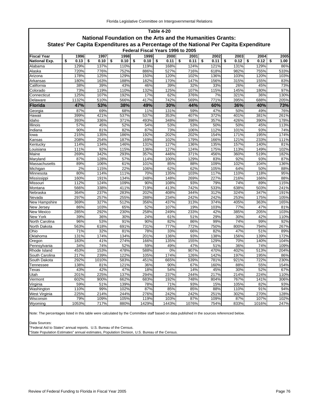| <b>National Foundation on the Arts and the Humanities Grants:</b><br>States' Per Capita Expenditures as a Percentage of the National Per Capita Expenditure<br>Federal Fiscal Years 1996 to 2005<br><b>Fiscal Year</b><br>1997<br>1998<br>1999<br>2000<br>2002<br>1996<br>2001<br>2003<br>2004<br>2005<br>0.13<br>0.10<br>0.10<br>0.11<br>0.11<br>0.12<br><b>National Exp.</b><br>\$<br>\$<br>0.10<br>\$<br>\$<br>\$<br>\$<br>0.11<br>\$<br>\$<br>0.12<br>1.00<br>\$<br>\$<br>Alabama<br>129%<br>86%<br>137%<br>110%<br>119%<br>168%<br>124%<br>121%<br>131%<br>129%<br>Alaska<br>776%<br>752%<br>886%<br>527%<br>716%<br>618%<br>982%<br>720%<br>755%<br>533%<br>178%<br>125%<br>129%<br>150%<br>120%<br>102%<br>136%<br>103%<br>120%<br>103%<br>Arizona<br>Arkansas<br>188%<br>156%<br>155%<br>83%<br>180%<br>163%<br>182%<br>170%<br>147%<br>315%<br>38%<br>39%<br>43%<br>46%<br>39%<br>32%<br>33%<br>26%<br>73%<br>45%<br>California<br>Colorado<br>97%<br>73%<br>110%<br>132%<br>125%<br>107%<br>115%<br>145%<br>180%<br>119%<br>107%<br>192%<br>17%<br>62%<br>7%<br>130%<br>125%<br>376%<br>321%<br>36%<br>Connecticut<br>Delaware<br>742%<br>771%<br>1132%<br>510%<br>566%<br>417%<br>569%<br>395%<br>688%<br>205%<br><b>Florida</b><br>53%<br>47%<br>38%<br>49%<br>30%<br>44%<br>60%<br>36%<br>73%<br>40%<br>87%<br>69%<br>68%<br>11%<br>131%<br>59%<br>47%<br>50%<br>49%<br>76%<br>Georgia<br>Hawaii<br>421%<br>537%<br>407%<br>372%<br>401%<br>381%<br>261%<br>399%<br>537%<br>353%<br>393%<br>336%<br>371%<br>493%<br>348%<br>357%<br>426%<br>178%<br>398%<br>390%<br>Idaho<br>Illinois<br>57%<br>45%<br>52%<br>54%<br>53%<br>53%<br>50%<br>50%<br>113%<br>45%<br>81%<br>82%<br>87%<br>112%<br>101%<br>74%<br>90%<br>73%<br>106%<br>93%<br>Indiana<br>135%<br>154%<br>174%<br>215%<br>186%<br>192%<br>202%<br>202%<br>171%<br>195%<br>lowa<br>187%<br>166%<br>121%<br>Kansas<br>208%<br>254%<br>169%<br>102%<br>179%<br>233%<br>111%<br>134%<br>146%<br>135%<br>157%<br>140%<br>81%<br>114%<br>131%<br>127%<br>136%<br>Kentucky<br>92%<br>111%<br>115%<br>136%<br>127%<br>124%<br>175%<br>113%<br>149%<br>102%<br>ouisiana.<br>269%<br>342%<br>293%<br>357%<br>446%<br>371%<br>456%<br>360%<br>519%<br>182%<br>128%<br>57%<br>83%<br>92%<br>93%<br>87%<br>87%<br>114%<br>100%<br>129%<br>89%<br>106%<br>61%<br>101%<br>85%<br>88%<br>109%<br>102%<br>136%<br>Massachusetts<br>104%<br>62%<br>2%<br>115%<br>22%<br>106%<br>62%<br>105%<br>64%<br>50%<br>88%<br>103%<br>95%<br>80%<br>114%<br>111%<br>70%<br>135%<br>117%<br>110%<br>118%<br>Minnesota<br>134%<br>248%<br>227%<br>160%<br>191%<br>148%<br>269%<br>216%<br>166%<br>88%<br>79%<br>112%<br>124%<br>109%<br>90%<br>108%<br>93%<br>74%<br>89%<br>115%<br>338%<br>411%<br>719%<br>413%<br>742%<br>533%<br>638%<br>503%<br>241%<br>566%<br>283%<br>202%<br>312%<br>364%<br>237%<br>408%<br>344%<br>324%<br>347%<br>191%<br>Nebraska<br>297%<br>257%<br>255%<br>288%<br>242%<br>242%<br>253%<br>175%<br>105%<br>234%<br>New Hampshire<br>369%<br>327%<br>512%<br>356%<br>437%<br>313%<br>374%<br>405%<br>363%<br>165%<br>103%<br>81%<br>86%<br>103%<br>65%<br>52%<br>107%<br>19%<br>77%<br>47%<br>New Jersey<br>292%<br>230%<br>258%<br>233%<br>42%<br>385%<br>205%<br>285%<br>249%<br>103%<br>39%<br>36%<br>30%<br>24%<br>61%<br>51%<br>29%<br>30%<br>42%<br>110%<br><b>New York</b><br>53%<br>90%<br>82%<br>86%<br>99%<br>74%<br>99%<br>92%<br>96%<br>91%<br>772%<br>750%<br>267%<br>563%<br>618%<br>691%<br>731%<br>777%<br>794%<br>North Dakota<br>800%<br>32%<br>33%<br>82%<br>47%<br>89%<br>71%<br>81%<br>78%<br>66%<br>51%<br>174%<br>93%<br>172%<br>Oklahoma<br>131%<br>134%<br>201%<br>136%<br>138%<br>156%<br>139%<br>41%<br>274%<br>155%<br>129%<br>70%<br>104%<br>183%<br>166%<br>135%<br>140%<br>74%<br>52%<br>59%<br>49%<br>47%<br>51%<br>36%<br>74%<br>34%<br>109%<br>Pennsylvania<br>453%<br>153%<br>478%<br>588%<br>0%<br>907%<br>470%<br>402%<br>513%<br>204%<br>239%<br>122%<br>174%<br>126%<br>142%<br>86%<br>South Carolina<br>217%<br>105%<br>197%<br>195%<br>292%<br>781%<br>722%<br>230%<br>1010%<br>583%<br>451%<br>665%<br>539%<br>921%<br>Tennessee<br>138%<br>81%<br>121%<br>36%<br>90%<br>67%<br>160%<br>88%<br>55%<br>154%<br>43%<br>42%<br>47%<br>18%<br>54%<br>14%<br>45%<br>30%<br>52%<br>67%<br>Texas<br>201%<br>225%<br>137%<br>294%<br>237%<br>244%<br>217%<br>214%<br>224%<br>110%<br>748%<br>602%<br>900%<br>662%<br>683%<br>192%<br>804%<br>767%<br>141%<br>306%<br>Vermont<br>51%<br>139%<br>71%<br>93%<br>15%<br>105%<br>82%<br>93%<br>59%<br>78%<br>99%<br>102%<br>87%<br>85%<br>94%<br>110%<br>85%<br>88%<br>110%<br>91%<br>Washington<br>225%<br>251%<br>214%<br>244%<br>276%<br>242%<br>242%<br>302%<br>270%<br>128%<br>79%<br>105%<br>103%<br>87%<br>109%<br>87%<br>107%<br>102%<br>Wisconsin<br>109%<br>119%<br>717%<br>880%<br>1429%<br>1076%<br>754%<br>833%<br>1053%<br>1443%<br>1016%<br>247% |  |  |  |  |  |  | Table 4-20 |  |  |  |
|-------------------------------------------------------------------------------------------------------------------------------------------------------------------------------------------------------------------------------------------------------------------------------------------------------------------------------------------------------------------------------------------------------------------------------------------------------------------------------------------------------------------------------------------------------------------------------------------------------------------------------------------------------------------------------------------------------------------------------------------------------------------------------------------------------------------------------------------------------------------------------------------------------------------------------------------------------------------------------------------------------------------------------------------------------------------------------------------------------------------------------------------------------------------------------------------------------------------------------------------------------------------------------------------------------------------------------------------------------------------------------------------------------------------------------------------------------------------------------------------------------------------------------------------------------------------------------------------------------------------------------------------------------------------------------------------------------------------------------------------------------------------------------------------------------------------------------------------------------------------------------------------------------------------------------------------------------------------------------------------------------------------------------------------------------------------------------------------------------------------------------------------------------------------------------------------------------------------------------------------------------------------------------------------------------------------------------------------------------------------------------------------------------------------------------------------------------------------------------------------------------------------------------------------------------------------------------------------------------------------------------------------------------------------------------------------------------------------------------------------------------------------------------------------------------------------------------------------------------------------------------------------------------------------------------------------------------------------------------------------------------------------------------------------------------------------------------------------------------------------------------------------------------------------------------------------------------------------------------------------------------------------------------------------------------------------------------------------------------------------------------------------------------------------------------------------------------------------------------------------------------------------------------------------------------------------------------------------------------------------------------------------------------------------------------------------------------------------------------------------------------------------------------------------------------------------------------------------------------------------------------------------------------------------------------------------------------------------------------------------------------------------------------------------------------------------------------------------------------------------------------------------------------------------------------------------------------------------------------------------------------------------------------------------------------------------------------------------------------------------------------------------------------------------------------------------------------------------------------------------------------------------------------------------------------------------------------------------------------------------------------------------------------------------------------------------------------------------------------------------------------------------------------------------------------------------------------------------------------------------------------------------------------------------|--|--|--|--|--|--|------------|--|--|--|
|                                                                                                                                                                                                                                                                                                                                                                                                                                                                                                                                                                                                                                                                                                                                                                                                                                                                                                                                                                                                                                                                                                                                                                                                                                                                                                                                                                                                                                                                                                                                                                                                                                                                                                                                                                                                                                                                                                                                                                                                                                                                                                                                                                                                                                                                                                                                                                                                                                                                                                                                                                                                                                                                                                                                                                                                                                                                                                                                                                                                                                                                                                                                                                                                                                                                                                                                                                                                                                                                                                                                                                                                                                                                                                                                                                                                                                                                                                                                                                                                                                                                                                                                                                                                                                                                                                                                                                                                                                                                                                                                                                                                                                                                                                                                                                                                                                                                                                                   |  |  |  |  |  |  |            |  |  |  |
|                                                                                                                                                                                                                                                                                                                                                                                                                                                                                                                                                                                                                                                                                                                                                                                                                                                                                                                                                                                                                                                                                                                                                                                                                                                                                                                                                                                                                                                                                                                                                                                                                                                                                                                                                                                                                                                                                                                                                                                                                                                                                                                                                                                                                                                                                                                                                                                                                                                                                                                                                                                                                                                                                                                                                                                                                                                                                                                                                                                                                                                                                                                                                                                                                                                                                                                                                                                                                                                                                                                                                                                                                                                                                                                                                                                                                                                                                                                                                                                                                                                                                                                                                                                                                                                                                                                                                                                                                                                                                                                                                                                                                                                                                                                                                                                                                                                                                                                   |  |  |  |  |  |  |            |  |  |  |
|                                                                                                                                                                                                                                                                                                                                                                                                                                                                                                                                                                                                                                                                                                                                                                                                                                                                                                                                                                                                                                                                                                                                                                                                                                                                                                                                                                                                                                                                                                                                                                                                                                                                                                                                                                                                                                                                                                                                                                                                                                                                                                                                                                                                                                                                                                                                                                                                                                                                                                                                                                                                                                                                                                                                                                                                                                                                                                                                                                                                                                                                                                                                                                                                                                                                                                                                                                                                                                                                                                                                                                                                                                                                                                                                                                                                                                                                                                                                                                                                                                                                                                                                                                                                                                                                                                                                                                                                                                                                                                                                                                                                                                                                                                                                                                                                                                                                                                                   |  |  |  |  |  |  |            |  |  |  |
|                                                                                                                                                                                                                                                                                                                                                                                                                                                                                                                                                                                                                                                                                                                                                                                                                                                                                                                                                                                                                                                                                                                                                                                                                                                                                                                                                                                                                                                                                                                                                                                                                                                                                                                                                                                                                                                                                                                                                                                                                                                                                                                                                                                                                                                                                                                                                                                                                                                                                                                                                                                                                                                                                                                                                                                                                                                                                                                                                                                                                                                                                                                                                                                                                                                                                                                                                                                                                                                                                                                                                                                                                                                                                                                                                                                                                                                                                                                                                                                                                                                                                                                                                                                                                                                                                                                                                                                                                                                                                                                                                                                                                                                                                                                                                                                                                                                                                                                   |  |  |  |  |  |  |            |  |  |  |
|                                                                                                                                                                                                                                                                                                                                                                                                                                                                                                                                                                                                                                                                                                                                                                                                                                                                                                                                                                                                                                                                                                                                                                                                                                                                                                                                                                                                                                                                                                                                                                                                                                                                                                                                                                                                                                                                                                                                                                                                                                                                                                                                                                                                                                                                                                                                                                                                                                                                                                                                                                                                                                                                                                                                                                                                                                                                                                                                                                                                                                                                                                                                                                                                                                                                                                                                                                                                                                                                                                                                                                                                                                                                                                                                                                                                                                                                                                                                                                                                                                                                                                                                                                                                                                                                                                                                                                                                                                                                                                                                                                                                                                                                                                                                                                                                                                                                                                                   |  |  |  |  |  |  |            |  |  |  |
|                                                                                                                                                                                                                                                                                                                                                                                                                                                                                                                                                                                                                                                                                                                                                                                                                                                                                                                                                                                                                                                                                                                                                                                                                                                                                                                                                                                                                                                                                                                                                                                                                                                                                                                                                                                                                                                                                                                                                                                                                                                                                                                                                                                                                                                                                                                                                                                                                                                                                                                                                                                                                                                                                                                                                                                                                                                                                                                                                                                                                                                                                                                                                                                                                                                                                                                                                                                                                                                                                                                                                                                                                                                                                                                                                                                                                                                                                                                                                                                                                                                                                                                                                                                                                                                                                                                                                                                                                                                                                                                                                                                                                                                                                                                                                                                                                                                                                                                   |  |  |  |  |  |  |            |  |  |  |
|                                                                                                                                                                                                                                                                                                                                                                                                                                                                                                                                                                                                                                                                                                                                                                                                                                                                                                                                                                                                                                                                                                                                                                                                                                                                                                                                                                                                                                                                                                                                                                                                                                                                                                                                                                                                                                                                                                                                                                                                                                                                                                                                                                                                                                                                                                                                                                                                                                                                                                                                                                                                                                                                                                                                                                                                                                                                                                                                                                                                                                                                                                                                                                                                                                                                                                                                                                                                                                                                                                                                                                                                                                                                                                                                                                                                                                                                                                                                                                                                                                                                                                                                                                                                                                                                                                                                                                                                                                                                                                                                                                                                                                                                                                                                                                                                                                                                                                                   |  |  |  |  |  |  |            |  |  |  |
|                                                                                                                                                                                                                                                                                                                                                                                                                                                                                                                                                                                                                                                                                                                                                                                                                                                                                                                                                                                                                                                                                                                                                                                                                                                                                                                                                                                                                                                                                                                                                                                                                                                                                                                                                                                                                                                                                                                                                                                                                                                                                                                                                                                                                                                                                                                                                                                                                                                                                                                                                                                                                                                                                                                                                                                                                                                                                                                                                                                                                                                                                                                                                                                                                                                                                                                                                                                                                                                                                                                                                                                                                                                                                                                                                                                                                                                                                                                                                                                                                                                                                                                                                                                                                                                                                                                                                                                                                                                                                                                                                                                                                                                                                                                                                                                                                                                                                                                   |  |  |  |  |  |  |            |  |  |  |
|                                                                                                                                                                                                                                                                                                                                                                                                                                                                                                                                                                                                                                                                                                                                                                                                                                                                                                                                                                                                                                                                                                                                                                                                                                                                                                                                                                                                                                                                                                                                                                                                                                                                                                                                                                                                                                                                                                                                                                                                                                                                                                                                                                                                                                                                                                                                                                                                                                                                                                                                                                                                                                                                                                                                                                                                                                                                                                                                                                                                                                                                                                                                                                                                                                                                                                                                                                                                                                                                                                                                                                                                                                                                                                                                                                                                                                                                                                                                                                                                                                                                                                                                                                                                                                                                                                                                                                                                                                                                                                                                                                                                                                                                                                                                                                                                                                                                                                                   |  |  |  |  |  |  |            |  |  |  |
|                                                                                                                                                                                                                                                                                                                                                                                                                                                                                                                                                                                                                                                                                                                                                                                                                                                                                                                                                                                                                                                                                                                                                                                                                                                                                                                                                                                                                                                                                                                                                                                                                                                                                                                                                                                                                                                                                                                                                                                                                                                                                                                                                                                                                                                                                                                                                                                                                                                                                                                                                                                                                                                                                                                                                                                                                                                                                                                                                                                                                                                                                                                                                                                                                                                                                                                                                                                                                                                                                                                                                                                                                                                                                                                                                                                                                                                                                                                                                                                                                                                                                                                                                                                                                                                                                                                                                                                                                                                                                                                                                                                                                                                                                                                                                                                                                                                                                                                   |  |  |  |  |  |  |            |  |  |  |
|                                                                                                                                                                                                                                                                                                                                                                                                                                                                                                                                                                                                                                                                                                                                                                                                                                                                                                                                                                                                                                                                                                                                                                                                                                                                                                                                                                                                                                                                                                                                                                                                                                                                                                                                                                                                                                                                                                                                                                                                                                                                                                                                                                                                                                                                                                                                                                                                                                                                                                                                                                                                                                                                                                                                                                                                                                                                                                                                                                                                                                                                                                                                                                                                                                                                                                                                                                                                                                                                                                                                                                                                                                                                                                                                                                                                                                                                                                                                                                                                                                                                                                                                                                                                                                                                                                                                                                                                                                                                                                                                                                                                                                                                                                                                                                                                                                                                                                                   |  |  |  |  |  |  |            |  |  |  |
|                                                                                                                                                                                                                                                                                                                                                                                                                                                                                                                                                                                                                                                                                                                                                                                                                                                                                                                                                                                                                                                                                                                                                                                                                                                                                                                                                                                                                                                                                                                                                                                                                                                                                                                                                                                                                                                                                                                                                                                                                                                                                                                                                                                                                                                                                                                                                                                                                                                                                                                                                                                                                                                                                                                                                                                                                                                                                                                                                                                                                                                                                                                                                                                                                                                                                                                                                                                                                                                                                                                                                                                                                                                                                                                                                                                                                                                                                                                                                                                                                                                                                                                                                                                                                                                                                                                                                                                                                                                                                                                                                                                                                                                                                                                                                                                                                                                                                                                   |  |  |  |  |  |  |            |  |  |  |
|                                                                                                                                                                                                                                                                                                                                                                                                                                                                                                                                                                                                                                                                                                                                                                                                                                                                                                                                                                                                                                                                                                                                                                                                                                                                                                                                                                                                                                                                                                                                                                                                                                                                                                                                                                                                                                                                                                                                                                                                                                                                                                                                                                                                                                                                                                                                                                                                                                                                                                                                                                                                                                                                                                                                                                                                                                                                                                                                                                                                                                                                                                                                                                                                                                                                                                                                                                                                                                                                                                                                                                                                                                                                                                                                                                                                                                                                                                                                                                                                                                                                                                                                                                                                                                                                                                                                                                                                                                                                                                                                                                                                                                                                                                                                                                                                                                                                                                                   |  |  |  |  |  |  |            |  |  |  |
|                                                                                                                                                                                                                                                                                                                                                                                                                                                                                                                                                                                                                                                                                                                                                                                                                                                                                                                                                                                                                                                                                                                                                                                                                                                                                                                                                                                                                                                                                                                                                                                                                                                                                                                                                                                                                                                                                                                                                                                                                                                                                                                                                                                                                                                                                                                                                                                                                                                                                                                                                                                                                                                                                                                                                                                                                                                                                                                                                                                                                                                                                                                                                                                                                                                                                                                                                                                                                                                                                                                                                                                                                                                                                                                                                                                                                                                                                                                                                                                                                                                                                                                                                                                                                                                                                                                                                                                                                                                                                                                                                                                                                                                                                                                                                                                                                                                                                                                   |  |  |  |  |  |  |            |  |  |  |
|                                                                                                                                                                                                                                                                                                                                                                                                                                                                                                                                                                                                                                                                                                                                                                                                                                                                                                                                                                                                                                                                                                                                                                                                                                                                                                                                                                                                                                                                                                                                                                                                                                                                                                                                                                                                                                                                                                                                                                                                                                                                                                                                                                                                                                                                                                                                                                                                                                                                                                                                                                                                                                                                                                                                                                                                                                                                                                                                                                                                                                                                                                                                                                                                                                                                                                                                                                                                                                                                                                                                                                                                                                                                                                                                                                                                                                                                                                                                                                                                                                                                                                                                                                                                                                                                                                                                                                                                                                                                                                                                                                                                                                                                                                                                                                                                                                                                                                                   |  |  |  |  |  |  |            |  |  |  |
|                                                                                                                                                                                                                                                                                                                                                                                                                                                                                                                                                                                                                                                                                                                                                                                                                                                                                                                                                                                                                                                                                                                                                                                                                                                                                                                                                                                                                                                                                                                                                                                                                                                                                                                                                                                                                                                                                                                                                                                                                                                                                                                                                                                                                                                                                                                                                                                                                                                                                                                                                                                                                                                                                                                                                                                                                                                                                                                                                                                                                                                                                                                                                                                                                                                                                                                                                                                                                                                                                                                                                                                                                                                                                                                                                                                                                                                                                                                                                                                                                                                                                                                                                                                                                                                                                                                                                                                                                                                                                                                                                                                                                                                                                                                                                                                                                                                                                                                   |  |  |  |  |  |  |            |  |  |  |
|                                                                                                                                                                                                                                                                                                                                                                                                                                                                                                                                                                                                                                                                                                                                                                                                                                                                                                                                                                                                                                                                                                                                                                                                                                                                                                                                                                                                                                                                                                                                                                                                                                                                                                                                                                                                                                                                                                                                                                                                                                                                                                                                                                                                                                                                                                                                                                                                                                                                                                                                                                                                                                                                                                                                                                                                                                                                                                                                                                                                                                                                                                                                                                                                                                                                                                                                                                                                                                                                                                                                                                                                                                                                                                                                                                                                                                                                                                                                                                                                                                                                                                                                                                                                                                                                                                                                                                                                                                                                                                                                                                                                                                                                                                                                                                                                                                                                                                                   |  |  |  |  |  |  |            |  |  |  |
|                                                                                                                                                                                                                                                                                                                                                                                                                                                                                                                                                                                                                                                                                                                                                                                                                                                                                                                                                                                                                                                                                                                                                                                                                                                                                                                                                                                                                                                                                                                                                                                                                                                                                                                                                                                                                                                                                                                                                                                                                                                                                                                                                                                                                                                                                                                                                                                                                                                                                                                                                                                                                                                                                                                                                                                                                                                                                                                                                                                                                                                                                                                                                                                                                                                                                                                                                                                                                                                                                                                                                                                                                                                                                                                                                                                                                                                                                                                                                                                                                                                                                                                                                                                                                                                                                                                                                                                                                                                                                                                                                                                                                                                                                                                                                                                                                                                                                                                   |  |  |  |  |  |  |            |  |  |  |
|                                                                                                                                                                                                                                                                                                                                                                                                                                                                                                                                                                                                                                                                                                                                                                                                                                                                                                                                                                                                                                                                                                                                                                                                                                                                                                                                                                                                                                                                                                                                                                                                                                                                                                                                                                                                                                                                                                                                                                                                                                                                                                                                                                                                                                                                                                                                                                                                                                                                                                                                                                                                                                                                                                                                                                                                                                                                                                                                                                                                                                                                                                                                                                                                                                                                                                                                                                                                                                                                                                                                                                                                                                                                                                                                                                                                                                                                                                                                                                                                                                                                                                                                                                                                                                                                                                                                                                                                                                                                                                                                                                                                                                                                                                                                                                                                                                                                                                                   |  |  |  |  |  |  |            |  |  |  |
|                                                                                                                                                                                                                                                                                                                                                                                                                                                                                                                                                                                                                                                                                                                                                                                                                                                                                                                                                                                                                                                                                                                                                                                                                                                                                                                                                                                                                                                                                                                                                                                                                                                                                                                                                                                                                                                                                                                                                                                                                                                                                                                                                                                                                                                                                                                                                                                                                                                                                                                                                                                                                                                                                                                                                                                                                                                                                                                                                                                                                                                                                                                                                                                                                                                                                                                                                                                                                                                                                                                                                                                                                                                                                                                                                                                                                                                                                                                                                                                                                                                                                                                                                                                                                                                                                                                                                                                                                                                                                                                                                                                                                                                                                                                                                                                                                                                                                                                   |  |  |  |  |  |  |            |  |  |  |
| Maine<br>Maryland<br>Michigan<br>Mississippi<br>Missouri<br>Montana<br>Nevada<br><b>New Mexico</b><br>North Carolina<br>Ohio<br>Oregon<br>Rhode Island<br>South Dakota<br><b>Utah</b><br>Virginia<br>West Virginia<br>Wyoming                                                                                                                                                                                                                                                                                                                                                                                                                                                                                                                                                                                                                                                                                                                                                                                                                                                                                                                                                                                                                                                                                                                                                                                                                                                                                                                                                                                                                                                                                                                                                                                                                                                                                                                                                                                                                                                                                                                                                                                                                                                                                                                                                                                                                                                                                                                                                                                                                                                                                                                                                                                                                                                                                                                                                                                                                                                                                                                                                                                                                                                                                                                                                                                                                                                                                                                                                                                                                                                                                                                                                                                                                                                                                                                                                                                                                                                                                                                                                                                                                                                                                                                                                                                                                                                                                                                                                                                                                                                                                                                                                                                                                                                                                     |  |  |  |  |  |  |            |  |  |  |
|                                                                                                                                                                                                                                                                                                                                                                                                                                                                                                                                                                                                                                                                                                                                                                                                                                                                                                                                                                                                                                                                                                                                                                                                                                                                                                                                                                                                                                                                                                                                                                                                                                                                                                                                                                                                                                                                                                                                                                                                                                                                                                                                                                                                                                                                                                                                                                                                                                                                                                                                                                                                                                                                                                                                                                                                                                                                                                                                                                                                                                                                                                                                                                                                                                                                                                                                                                                                                                                                                                                                                                                                                                                                                                                                                                                                                                                                                                                                                                                                                                                                                                                                                                                                                                                                                                                                                                                                                                                                                                                                                                                                                                                                                                                                                                                                                                                                                                                   |  |  |  |  |  |  |            |  |  |  |
|                                                                                                                                                                                                                                                                                                                                                                                                                                                                                                                                                                                                                                                                                                                                                                                                                                                                                                                                                                                                                                                                                                                                                                                                                                                                                                                                                                                                                                                                                                                                                                                                                                                                                                                                                                                                                                                                                                                                                                                                                                                                                                                                                                                                                                                                                                                                                                                                                                                                                                                                                                                                                                                                                                                                                                                                                                                                                                                                                                                                                                                                                                                                                                                                                                                                                                                                                                                                                                                                                                                                                                                                                                                                                                                                                                                                                                                                                                                                                                                                                                                                                                                                                                                                                                                                                                                                                                                                                                                                                                                                                                                                                                                                                                                                                                                                                                                                                                                   |  |  |  |  |  |  |            |  |  |  |
|                                                                                                                                                                                                                                                                                                                                                                                                                                                                                                                                                                                                                                                                                                                                                                                                                                                                                                                                                                                                                                                                                                                                                                                                                                                                                                                                                                                                                                                                                                                                                                                                                                                                                                                                                                                                                                                                                                                                                                                                                                                                                                                                                                                                                                                                                                                                                                                                                                                                                                                                                                                                                                                                                                                                                                                                                                                                                                                                                                                                                                                                                                                                                                                                                                                                                                                                                                                                                                                                                                                                                                                                                                                                                                                                                                                                                                                                                                                                                                                                                                                                                                                                                                                                                                                                                                                                                                                                                                                                                                                                                                                                                                                                                                                                                                                                                                                                                                                   |  |  |  |  |  |  |            |  |  |  |
|                                                                                                                                                                                                                                                                                                                                                                                                                                                                                                                                                                                                                                                                                                                                                                                                                                                                                                                                                                                                                                                                                                                                                                                                                                                                                                                                                                                                                                                                                                                                                                                                                                                                                                                                                                                                                                                                                                                                                                                                                                                                                                                                                                                                                                                                                                                                                                                                                                                                                                                                                                                                                                                                                                                                                                                                                                                                                                                                                                                                                                                                                                                                                                                                                                                                                                                                                                                                                                                                                                                                                                                                                                                                                                                                                                                                                                                                                                                                                                                                                                                                                                                                                                                                                                                                                                                                                                                                                                                                                                                                                                                                                                                                                                                                                                                                                                                                                                                   |  |  |  |  |  |  |            |  |  |  |
|                                                                                                                                                                                                                                                                                                                                                                                                                                                                                                                                                                                                                                                                                                                                                                                                                                                                                                                                                                                                                                                                                                                                                                                                                                                                                                                                                                                                                                                                                                                                                                                                                                                                                                                                                                                                                                                                                                                                                                                                                                                                                                                                                                                                                                                                                                                                                                                                                                                                                                                                                                                                                                                                                                                                                                                                                                                                                                                                                                                                                                                                                                                                                                                                                                                                                                                                                                                                                                                                                                                                                                                                                                                                                                                                                                                                                                                                                                                                                                                                                                                                                                                                                                                                                                                                                                                                                                                                                                                                                                                                                                                                                                                                                                                                                                                                                                                                                                                   |  |  |  |  |  |  |            |  |  |  |
|                                                                                                                                                                                                                                                                                                                                                                                                                                                                                                                                                                                                                                                                                                                                                                                                                                                                                                                                                                                                                                                                                                                                                                                                                                                                                                                                                                                                                                                                                                                                                                                                                                                                                                                                                                                                                                                                                                                                                                                                                                                                                                                                                                                                                                                                                                                                                                                                                                                                                                                                                                                                                                                                                                                                                                                                                                                                                                                                                                                                                                                                                                                                                                                                                                                                                                                                                                                                                                                                                                                                                                                                                                                                                                                                                                                                                                                                                                                                                                                                                                                                                                                                                                                                                                                                                                                                                                                                                                                                                                                                                                                                                                                                                                                                                                                                                                                                                                                   |  |  |  |  |  |  |            |  |  |  |
|                                                                                                                                                                                                                                                                                                                                                                                                                                                                                                                                                                                                                                                                                                                                                                                                                                                                                                                                                                                                                                                                                                                                                                                                                                                                                                                                                                                                                                                                                                                                                                                                                                                                                                                                                                                                                                                                                                                                                                                                                                                                                                                                                                                                                                                                                                                                                                                                                                                                                                                                                                                                                                                                                                                                                                                                                                                                                                                                                                                                                                                                                                                                                                                                                                                                                                                                                                                                                                                                                                                                                                                                                                                                                                                                                                                                                                                                                                                                                                                                                                                                                                                                                                                                                                                                                                                                                                                                                                                                                                                                                                                                                                                                                                                                                                                                                                                                                                                   |  |  |  |  |  |  |            |  |  |  |
|                                                                                                                                                                                                                                                                                                                                                                                                                                                                                                                                                                                                                                                                                                                                                                                                                                                                                                                                                                                                                                                                                                                                                                                                                                                                                                                                                                                                                                                                                                                                                                                                                                                                                                                                                                                                                                                                                                                                                                                                                                                                                                                                                                                                                                                                                                                                                                                                                                                                                                                                                                                                                                                                                                                                                                                                                                                                                                                                                                                                                                                                                                                                                                                                                                                                                                                                                                                                                                                                                                                                                                                                                                                                                                                                                                                                                                                                                                                                                                                                                                                                                                                                                                                                                                                                                                                                                                                                                                                                                                                                                                                                                                                                                                                                                                                                                                                                                                                   |  |  |  |  |  |  |            |  |  |  |
|                                                                                                                                                                                                                                                                                                                                                                                                                                                                                                                                                                                                                                                                                                                                                                                                                                                                                                                                                                                                                                                                                                                                                                                                                                                                                                                                                                                                                                                                                                                                                                                                                                                                                                                                                                                                                                                                                                                                                                                                                                                                                                                                                                                                                                                                                                                                                                                                                                                                                                                                                                                                                                                                                                                                                                                                                                                                                                                                                                                                                                                                                                                                                                                                                                                                                                                                                                                                                                                                                                                                                                                                                                                                                                                                                                                                                                                                                                                                                                                                                                                                                                                                                                                                                                                                                                                                                                                                                                                                                                                                                                                                                                                                                                                                                                                                                                                                                                                   |  |  |  |  |  |  |            |  |  |  |
|                                                                                                                                                                                                                                                                                                                                                                                                                                                                                                                                                                                                                                                                                                                                                                                                                                                                                                                                                                                                                                                                                                                                                                                                                                                                                                                                                                                                                                                                                                                                                                                                                                                                                                                                                                                                                                                                                                                                                                                                                                                                                                                                                                                                                                                                                                                                                                                                                                                                                                                                                                                                                                                                                                                                                                                                                                                                                                                                                                                                                                                                                                                                                                                                                                                                                                                                                                                                                                                                                                                                                                                                                                                                                                                                                                                                                                                                                                                                                                                                                                                                                                                                                                                                                                                                                                                                                                                                                                                                                                                                                                                                                                                                                                                                                                                                                                                                                                                   |  |  |  |  |  |  |            |  |  |  |
|                                                                                                                                                                                                                                                                                                                                                                                                                                                                                                                                                                                                                                                                                                                                                                                                                                                                                                                                                                                                                                                                                                                                                                                                                                                                                                                                                                                                                                                                                                                                                                                                                                                                                                                                                                                                                                                                                                                                                                                                                                                                                                                                                                                                                                                                                                                                                                                                                                                                                                                                                                                                                                                                                                                                                                                                                                                                                                                                                                                                                                                                                                                                                                                                                                                                                                                                                                                                                                                                                                                                                                                                                                                                                                                                                                                                                                                                                                                                                                                                                                                                                                                                                                                                                                                                                                                                                                                                                                                                                                                                                                                                                                                                                                                                                                                                                                                                                                                   |  |  |  |  |  |  |            |  |  |  |
|                                                                                                                                                                                                                                                                                                                                                                                                                                                                                                                                                                                                                                                                                                                                                                                                                                                                                                                                                                                                                                                                                                                                                                                                                                                                                                                                                                                                                                                                                                                                                                                                                                                                                                                                                                                                                                                                                                                                                                                                                                                                                                                                                                                                                                                                                                                                                                                                                                                                                                                                                                                                                                                                                                                                                                                                                                                                                                                                                                                                                                                                                                                                                                                                                                                                                                                                                                                                                                                                                                                                                                                                                                                                                                                                                                                                                                                                                                                                                                                                                                                                                                                                                                                                                                                                                                                                                                                                                                                                                                                                                                                                                                                                                                                                                                                                                                                                                                                   |  |  |  |  |  |  |            |  |  |  |
|                                                                                                                                                                                                                                                                                                                                                                                                                                                                                                                                                                                                                                                                                                                                                                                                                                                                                                                                                                                                                                                                                                                                                                                                                                                                                                                                                                                                                                                                                                                                                                                                                                                                                                                                                                                                                                                                                                                                                                                                                                                                                                                                                                                                                                                                                                                                                                                                                                                                                                                                                                                                                                                                                                                                                                                                                                                                                                                                                                                                                                                                                                                                                                                                                                                                                                                                                                                                                                                                                                                                                                                                                                                                                                                                                                                                                                                                                                                                                                                                                                                                                                                                                                                                                                                                                                                                                                                                                                                                                                                                                                                                                                                                                                                                                                                                                                                                                                                   |  |  |  |  |  |  |            |  |  |  |
|                                                                                                                                                                                                                                                                                                                                                                                                                                                                                                                                                                                                                                                                                                                                                                                                                                                                                                                                                                                                                                                                                                                                                                                                                                                                                                                                                                                                                                                                                                                                                                                                                                                                                                                                                                                                                                                                                                                                                                                                                                                                                                                                                                                                                                                                                                                                                                                                                                                                                                                                                                                                                                                                                                                                                                                                                                                                                                                                                                                                                                                                                                                                                                                                                                                                                                                                                                                                                                                                                                                                                                                                                                                                                                                                                                                                                                                                                                                                                                                                                                                                                                                                                                                                                                                                                                                                                                                                                                                                                                                                                                                                                                                                                                                                                                                                                                                                                                                   |  |  |  |  |  |  |            |  |  |  |
|                                                                                                                                                                                                                                                                                                                                                                                                                                                                                                                                                                                                                                                                                                                                                                                                                                                                                                                                                                                                                                                                                                                                                                                                                                                                                                                                                                                                                                                                                                                                                                                                                                                                                                                                                                                                                                                                                                                                                                                                                                                                                                                                                                                                                                                                                                                                                                                                                                                                                                                                                                                                                                                                                                                                                                                                                                                                                                                                                                                                                                                                                                                                                                                                                                                                                                                                                                                                                                                                                                                                                                                                                                                                                                                                                                                                                                                                                                                                                                                                                                                                                                                                                                                                                                                                                                                                                                                                                                                                                                                                                                                                                                                                                                                                                                                                                                                                                                                   |  |  |  |  |  |  |            |  |  |  |
|                                                                                                                                                                                                                                                                                                                                                                                                                                                                                                                                                                                                                                                                                                                                                                                                                                                                                                                                                                                                                                                                                                                                                                                                                                                                                                                                                                                                                                                                                                                                                                                                                                                                                                                                                                                                                                                                                                                                                                                                                                                                                                                                                                                                                                                                                                                                                                                                                                                                                                                                                                                                                                                                                                                                                                                                                                                                                                                                                                                                                                                                                                                                                                                                                                                                                                                                                                                                                                                                                                                                                                                                                                                                                                                                                                                                                                                                                                                                                                                                                                                                                                                                                                                                                                                                                                                                                                                                                                                                                                                                                                                                                                                                                                                                                                                                                                                                                                                   |  |  |  |  |  |  |            |  |  |  |
|                                                                                                                                                                                                                                                                                                                                                                                                                                                                                                                                                                                                                                                                                                                                                                                                                                                                                                                                                                                                                                                                                                                                                                                                                                                                                                                                                                                                                                                                                                                                                                                                                                                                                                                                                                                                                                                                                                                                                                                                                                                                                                                                                                                                                                                                                                                                                                                                                                                                                                                                                                                                                                                                                                                                                                                                                                                                                                                                                                                                                                                                                                                                                                                                                                                                                                                                                                                                                                                                                                                                                                                                                                                                                                                                                                                                                                                                                                                                                                                                                                                                                                                                                                                                                                                                                                                                                                                                                                                                                                                                                                                                                                                                                                                                                                                                                                                                                                                   |  |  |  |  |  |  |            |  |  |  |
|                                                                                                                                                                                                                                                                                                                                                                                                                                                                                                                                                                                                                                                                                                                                                                                                                                                                                                                                                                                                                                                                                                                                                                                                                                                                                                                                                                                                                                                                                                                                                                                                                                                                                                                                                                                                                                                                                                                                                                                                                                                                                                                                                                                                                                                                                                                                                                                                                                                                                                                                                                                                                                                                                                                                                                                                                                                                                                                                                                                                                                                                                                                                                                                                                                                                                                                                                                                                                                                                                                                                                                                                                                                                                                                                                                                                                                                                                                                                                                                                                                                                                                                                                                                                                                                                                                                                                                                                                                                                                                                                                                                                                                                                                                                                                                                                                                                                                                                   |  |  |  |  |  |  |            |  |  |  |
|                                                                                                                                                                                                                                                                                                                                                                                                                                                                                                                                                                                                                                                                                                                                                                                                                                                                                                                                                                                                                                                                                                                                                                                                                                                                                                                                                                                                                                                                                                                                                                                                                                                                                                                                                                                                                                                                                                                                                                                                                                                                                                                                                                                                                                                                                                                                                                                                                                                                                                                                                                                                                                                                                                                                                                                                                                                                                                                                                                                                                                                                                                                                                                                                                                                                                                                                                                                                                                                                                                                                                                                                                                                                                                                                                                                                                                                                                                                                                                                                                                                                                                                                                                                                                                                                                                                                                                                                                                                                                                                                                                                                                                                                                                                                                                                                                                                                                                                   |  |  |  |  |  |  |            |  |  |  |
|                                                                                                                                                                                                                                                                                                                                                                                                                                                                                                                                                                                                                                                                                                                                                                                                                                                                                                                                                                                                                                                                                                                                                                                                                                                                                                                                                                                                                                                                                                                                                                                                                                                                                                                                                                                                                                                                                                                                                                                                                                                                                                                                                                                                                                                                                                                                                                                                                                                                                                                                                                                                                                                                                                                                                                                                                                                                                                                                                                                                                                                                                                                                                                                                                                                                                                                                                                                                                                                                                                                                                                                                                                                                                                                                                                                                                                                                                                                                                                                                                                                                                                                                                                                                                                                                                                                                                                                                                                                                                                                                                                                                                                                                                                                                                                                                                                                                                                                   |  |  |  |  |  |  |            |  |  |  |
|                                                                                                                                                                                                                                                                                                                                                                                                                                                                                                                                                                                                                                                                                                                                                                                                                                                                                                                                                                                                                                                                                                                                                                                                                                                                                                                                                                                                                                                                                                                                                                                                                                                                                                                                                                                                                                                                                                                                                                                                                                                                                                                                                                                                                                                                                                                                                                                                                                                                                                                                                                                                                                                                                                                                                                                                                                                                                                                                                                                                                                                                                                                                                                                                                                                                                                                                                                                                                                                                                                                                                                                                                                                                                                                                                                                                                                                                                                                                                                                                                                                                                                                                                                                                                                                                                                                                                                                                                                                                                                                                                                                                                                                                                                                                                                                                                                                                                                                   |  |  |  |  |  |  |            |  |  |  |
|                                                                                                                                                                                                                                                                                                                                                                                                                                                                                                                                                                                                                                                                                                                                                                                                                                                                                                                                                                                                                                                                                                                                                                                                                                                                                                                                                                                                                                                                                                                                                                                                                                                                                                                                                                                                                                                                                                                                                                                                                                                                                                                                                                                                                                                                                                                                                                                                                                                                                                                                                                                                                                                                                                                                                                                                                                                                                                                                                                                                                                                                                                                                                                                                                                                                                                                                                                                                                                                                                                                                                                                                                                                                                                                                                                                                                                                                                                                                                                                                                                                                                                                                                                                                                                                                                                                                                                                                                                                                                                                                                                                                                                                                                                                                                                                                                                                                                                                   |  |  |  |  |  |  |            |  |  |  |
|                                                                                                                                                                                                                                                                                                                                                                                                                                                                                                                                                                                                                                                                                                                                                                                                                                                                                                                                                                                                                                                                                                                                                                                                                                                                                                                                                                                                                                                                                                                                                                                                                                                                                                                                                                                                                                                                                                                                                                                                                                                                                                                                                                                                                                                                                                                                                                                                                                                                                                                                                                                                                                                                                                                                                                                                                                                                                                                                                                                                                                                                                                                                                                                                                                                                                                                                                                                                                                                                                                                                                                                                                                                                                                                                                                                                                                                                                                                                                                                                                                                                                                                                                                                                                                                                                                                                                                                                                                                                                                                                                                                                                                                                                                                                                                                                                                                                                                                   |  |  |  |  |  |  |            |  |  |  |
|                                                                                                                                                                                                                                                                                                                                                                                                                                                                                                                                                                                                                                                                                                                                                                                                                                                                                                                                                                                                                                                                                                                                                                                                                                                                                                                                                                                                                                                                                                                                                                                                                                                                                                                                                                                                                                                                                                                                                                                                                                                                                                                                                                                                                                                                                                                                                                                                                                                                                                                                                                                                                                                                                                                                                                                                                                                                                                                                                                                                                                                                                                                                                                                                                                                                                                                                                                                                                                                                                                                                                                                                                                                                                                                                                                                                                                                                                                                                                                                                                                                                                                                                                                                                                                                                                                                                                                                                                                                                                                                                                                                                                                                                                                                                                                                                                                                                                                                   |  |  |  |  |  |  |            |  |  |  |
|                                                                                                                                                                                                                                                                                                                                                                                                                                                                                                                                                                                                                                                                                                                                                                                                                                                                                                                                                                                                                                                                                                                                                                                                                                                                                                                                                                                                                                                                                                                                                                                                                                                                                                                                                                                                                                                                                                                                                                                                                                                                                                                                                                                                                                                                                                                                                                                                                                                                                                                                                                                                                                                                                                                                                                                                                                                                                                                                                                                                                                                                                                                                                                                                                                                                                                                                                                                                                                                                                                                                                                                                                                                                                                                                                                                                                                                                                                                                                                                                                                                                                                                                                                                                                                                                                                                                                                                                                                                                                                                                                                                                                                                                                                                                                                                                                                                                                                                   |  |  |  |  |  |  |            |  |  |  |
|                                                                                                                                                                                                                                                                                                                                                                                                                                                                                                                                                                                                                                                                                                                                                                                                                                                                                                                                                                                                                                                                                                                                                                                                                                                                                                                                                                                                                                                                                                                                                                                                                                                                                                                                                                                                                                                                                                                                                                                                                                                                                                                                                                                                                                                                                                                                                                                                                                                                                                                                                                                                                                                                                                                                                                                                                                                                                                                                                                                                                                                                                                                                                                                                                                                                                                                                                                                                                                                                                                                                                                                                                                                                                                                                                                                                                                                                                                                                                                                                                                                                                                                                                                                                                                                                                                                                                                                                                                                                                                                                                                                                                                                                                                                                                                                                                                                                                                                   |  |  |  |  |  |  |            |  |  |  |
|                                                                                                                                                                                                                                                                                                                                                                                                                                                                                                                                                                                                                                                                                                                                                                                                                                                                                                                                                                                                                                                                                                                                                                                                                                                                                                                                                                                                                                                                                                                                                                                                                                                                                                                                                                                                                                                                                                                                                                                                                                                                                                                                                                                                                                                                                                                                                                                                                                                                                                                                                                                                                                                                                                                                                                                                                                                                                                                                                                                                                                                                                                                                                                                                                                                                                                                                                                                                                                                                                                                                                                                                                                                                                                                                                                                                                                                                                                                                                                                                                                                                                                                                                                                                                                                                                                                                                                                                                                                                                                                                                                                                                                                                                                                                                                                                                                                                                                                   |  |  |  |  |  |  |            |  |  |  |
|                                                                                                                                                                                                                                                                                                                                                                                                                                                                                                                                                                                                                                                                                                                                                                                                                                                                                                                                                                                                                                                                                                                                                                                                                                                                                                                                                                                                                                                                                                                                                                                                                                                                                                                                                                                                                                                                                                                                                                                                                                                                                                                                                                                                                                                                                                                                                                                                                                                                                                                                                                                                                                                                                                                                                                                                                                                                                                                                                                                                                                                                                                                                                                                                                                                                                                                                                                                                                                                                                                                                                                                                                                                                                                                                                                                                                                                                                                                                                                                                                                                                                                                                                                                                                                                                                                                                                                                                                                                                                                                                                                                                                                                                                                                                                                                                                                                                                                                   |  |  |  |  |  |  |            |  |  |  |
|                                                                                                                                                                                                                                                                                                                                                                                                                                                                                                                                                                                                                                                                                                                                                                                                                                                                                                                                                                                                                                                                                                                                                                                                                                                                                                                                                                                                                                                                                                                                                                                                                                                                                                                                                                                                                                                                                                                                                                                                                                                                                                                                                                                                                                                                                                                                                                                                                                                                                                                                                                                                                                                                                                                                                                                                                                                                                                                                                                                                                                                                                                                                                                                                                                                                                                                                                                                                                                                                                                                                                                                                                                                                                                                                                                                                                                                                                                                                                                                                                                                                                                                                                                                                                                                                                                                                                                                                                                                                                                                                                                                                                                                                                                                                                                                                                                                                                                                   |  |  |  |  |  |  |            |  |  |  |
|                                                                                                                                                                                                                                                                                                                                                                                                                                                                                                                                                                                                                                                                                                                                                                                                                                                                                                                                                                                                                                                                                                                                                                                                                                                                                                                                                                                                                                                                                                                                                                                                                                                                                                                                                                                                                                                                                                                                                                                                                                                                                                                                                                                                                                                                                                                                                                                                                                                                                                                                                                                                                                                                                                                                                                                                                                                                                                                                                                                                                                                                                                                                                                                                                                                                                                                                                                                                                                                                                                                                                                                                                                                                                                                                                                                                                                                                                                                                                                                                                                                                                                                                                                                                                                                                                                                                                                                                                                                                                                                                                                                                                                                                                                                                                                                                                                                                                                                   |  |  |  |  |  |  |            |  |  |  |
|                                                                                                                                                                                                                                                                                                                                                                                                                                                                                                                                                                                                                                                                                                                                                                                                                                                                                                                                                                                                                                                                                                                                                                                                                                                                                                                                                                                                                                                                                                                                                                                                                                                                                                                                                                                                                                                                                                                                                                                                                                                                                                                                                                                                                                                                                                                                                                                                                                                                                                                                                                                                                                                                                                                                                                                                                                                                                                                                                                                                                                                                                                                                                                                                                                                                                                                                                                                                                                                                                                                                                                                                                                                                                                                                                                                                                                                                                                                                                                                                                                                                                                                                                                                                                                                                                                                                                                                                                                                                                                                                                                                                                                                                                                                                                                                                                                                                                                                   |  |  |  |  |  |  |            |  |  |  |
|                                                                                                                                                                                                                                                                                                                                                                                                                                                                                                                                                                                                                                                                                                                                                                                                                                                                                                                                                                                                                                                                                                                                                                                                                                                                                                                                                                                                                                                                                                                                                                                                                                                                                                                                                                                                                                                                                                                                                                                                                                                                                                                                                                                                                                                                                                                                                                                                                                                                                                                                                                                                                                                                                                                                                                                                                                                                                                                                                                                                                                                                                                                                                                                                                                                                                                                                                                                                                                                                                                                                                                                                                                                                                                                                                                                                                                                                                                                                                                                                                                                                                                                                                                                                                                                                                                                                                                                                                                                                                                                                                                                                                                                                                                                                                                                                                                                                                                                   |  |  |  |  |  |  |            |  |  |  |
|                                                                                                                                                                                                                                                                                                                                                                                                                                                                                                                                                                                                                                                                                                                                                                                                                                                                                                                                                                                                                                                                                                                                                                                                                                                                                                                                                                                                                                                                                                                                                                                                                                                                                                                                                                                                                                                                                                                                                                                                                                                                                                                                                                                                                                                                                                                                                                                                                                                                                                                                                                                                                                                                                                                                                                                                                                                                                                                                                                                                                                                                                                                                                                                                                                                                                                                                                                                                                                                                                                                                                                                                                                                                                                                                                                                                                                                                                                                                                                                                                                                                                                                                                                                                                                                                                                                                                                                                                                                                                                                                                                                                                                                                                                                                                                                                                                                                                                                   |  |  |  |  |  |  |            |  |  |  |

Data Sources:

"Federal Aid to States" annual reports. U.S. Bureau of the Census.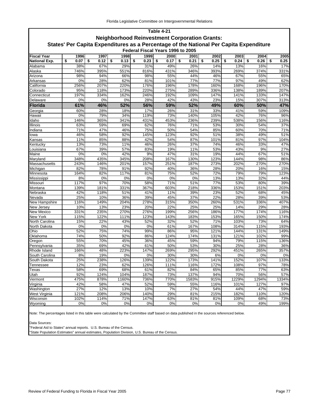| <b>Neighborhood Reinvestment Corporation Grants:</b><br>States' Per Capita Expenditures as a Percentage of the National Per Capita Expenditure<br>Federal Fiscal Years 1996 to 2005<br><b>Fiscal Year</b><br>1996<br>1997<br>1998<br>1999<br>2000<br>2001<br>2002<br>2003<br>2004<br>2005<br>0.25<br>0.07<br>0.12<br>0.13<br>0.23<br>0.17<br>0.21<br>0.24<br>0.26<br>0.25<br>\$<br>\$<br>\$<br>\$<br>\$<br>\$<br>\$<br>\$<br>\$<br>\$<br>Alabama<br>29%<br>31%<br>26%<br>14%<br>13%<br>17%<br>38%<br>67%<br>49%<br>16%<br>395%<br>551%<br>816%<br>431%<br>346%<br>393%<br>269%<br>331%<br>746%<br>374%<br>94%<br>66%<br>98%<br>55%<br>44%<br>46%<br>67%<br>55%<br>65%<br>98%<br>28%<br>62%<br>81%<br>101%<br>77%<br>77%<br>97%<br>62%<br>0%<br>49%<br>256%<br>207%<br>220%<br>176%<br>196%<br>178%<br>160%<br>168%<br>196%<br>170%<br>Colorado<br>173%<br>95%<br>220%<br>275%<br>289%<br>336%<br>189%<br>207%<br>118%<br>138%<br>162%<br>192%<br>147%<br>147%<br>197%<br>334%<br>246%<br>109%<br>141%<br>133%<br>0%<br>28%<br>23%<br>313%<br>0%<br>0%<br>42%<br>43%<br>15%<br>307%<br>52%<br>61%<br>46%<br>56%<br>52%<br>47%<br>59%<br>49%<br>60%<br>50%<br>17%<br>60%<br>28%<br>18%<br>26%<br>31%<br>33%<br>41%<br>59%<br>109%<br>Georgia<br>0%<br>79%<br>34%<br>119%<br>73%<br>140%<br>105%<br>42%<br>76%<br>96%<br>341%<br>431%<br>236%<br>239%<br>146%<br>365%<br>453%<br>538%<br>156%<br>116%<br>37%<br>63%<br>59%<br>69%<br>62%<br>76%<br>71%<br>53%<br>30%<br>54%<br>47%<br>75%<br>54%<br>70%<br>71%<br>71%<br>46%<br>50%<br>85%<br>60%<br>51%<br>46%<br>58%<br>92%<br>92%<br>51%<br>38%<br>145%<br>123%<br>49%<br>11%<br>85%<br>88%<br>42%<br>54%<br>87%<br>97%<br>104%<br>101%<br>81%<br>47%<br>73%<br>11%<br>46%<br>37%<br>74%<br>46%<br>13%<br>26%<br>33%<br>Kentucky<br>67%<br>39%<br>57%<br>83%<br>19%<br>11%<br>53%<br>43%<br>27%<br>ouisiana.<br>9%<br>31%<br>51%<br>0%<br>0%<br>42%<br>9%<br>47%<br>19%<br>44%<br>67%<br>Maryland<br>435%<br>345%<br>208%<br>167%<br>130%<br>123%<br>144%<br>86%<br>348%<br>98%<br>243%<br>146%<br>201%<br>157%<br>251%<br>187%<br>273%<br>202%<br>270%<br>270%<br>Massachusetts<br>Michigan<br>82%<br>78%<br>91%<br>92%<br>36%<br>28%<br>20%<br>16%<br>15%<br>40%<br>82%<br>117%<br>75%<br>52%<br>72%<br>79%<br>79%<br>123%<br>164%<br>81%<br>Minnesota<br>Mississippi<br>0%<br>32%<br>44%<br>8%<br>0%<br>0%<br>0%<br>0%<br>13%<br>13%<br>97%<br>70%<br>77%<br>117%<br>58%<br>71%<br>51%<br>53%<br>39%<br>80%<br>Missouri<br>Montana<br>139%<br>181%<br>331%<br>367%<br>603%<br>218%<br>336%<br>153%<br>151%<br>203%<br>42%<br>45%<br>Nebraska<br>118%<br>51%<br>41%<br>11%<br>39%<br>23%<br>52%<br>68%<br>37%<br>53%<br>25%<br>10%<br>36%<br>39%<br>45%<br>22%<br>28%<br>39%<br>Nevada<br>149%<br>407%<br>New Hampshire<br>116%<br>204%<br>278%<br>315%<br>350%<br>260%<br>531%<br>336%<br>13%<br>23%<br>25%<br>14%<br>29%<br>28%<br>New Jersey<br>10%<br>20%<br>22%<br>25%<br>331%<br>235%<br>270%<br>276%<br>256%<br>177%<br><b>New Mexico</b><br>199%<br>186%<br>174%<br>116%<br>115%<br>122%<br>111%<br>123%<br>143%<br>183%<br>153%<br>165%<br>150%<br>174%<br><b>New York</b><br>22%<br>43%<br>52%<br>32%<br>52%<br>71%<br>64%<br>North Carolina<br>15%<br>103%<br>73%<br>0%<br>0%<br>0%<br>167%<br>0%<br>61%<br>108%<br>314%<br>115%<br>193%<br>North Dakota<br>52%<br>75%<br>Ohio<br>74%<br>99%<br>86%<br>95%<br>121%<br>131%<br>149%<br>144%<br>74%<br>50%<br>92%<br>86%<br>174%<br>131%<br>102%<br>99%<br>124%<br>121%<br>Oklahoma<br>Oregon<br>55%<br>70%<br>45%<br>36%<br>45%<br>59%<br>94%<br>79%<br>115%<br>136%<br>35%<br>69%<br>42%<br>50%<br>53%<br>30%<br>25%<br>28%<br>36%<br>61%<br>Pennsylvania<br>Rhode Island<br>357%<br>166%<br>48%<br>223%<br>147%<br>269%<br>295%<br>292%<br>451%<br>265%<br>8%<br>19%<br>0%<br>0%<br>30%<br>0%<br>0%<br>South Carolina<br>30%<br>6%<br>0%<br>South Dakota<br>25%<br>126%<br>173%<br>141%<br>152%<br>107%<br>133%<br>238%<br>139%<br>122%<br>Tennessee<br>12%<br>23%<br>62%<br>126%<br>111%<br>116%<br>172%<br>108%<br>97%<br>78%<br>58%<br>69%<br>68%<br>61%<br>82%<br>84%<br>65%<br>85%<br>77%<br>63%<br>Texas<br>92%<br>124%<br>104%<br>187%<br>73%<br>137%<br>94%<br>70%<br>56%<br>57%<br>878%<br>475%<br>1160%<br>736%<br>770%<br>1583%<br>915%<br>1229%<br>1294%<br>1334%<br>Vermont<br>Virginia<br>42%<br>58%<br>47%<br>52%<br>59%<br>127%<br>97%<br>55%<br>116%<br>101%<br>12%<br>13%<br>10%<br>7%<br>27%<br>27%<br>54%<br>44%<br>47%<br>59%<br>West Virginia<br>215%<br>121%<br>208%<br>206%<br>140%<br>29%<br>81%<br>182%<br>110%<br>120%<br>114%<br>71%<br>147%<br>81%<br>81%<br>102%<br>63%<br>109%<br>68%<br>73%<br>$0\%$<br>$0\%$<br>$0\%$<br>0%<br>$0\%$<br>0%<br>0%<br>0%<br>49%<br>199% |                      |  |  |  | Table 4-21 |  |  |  |  |  |
|----------------------------------------------------------------------------------------------------------------------------------------------------------------------------------------------------------------------------------------------------------------------------------------------------------------------------------------------------------------------------------------------------------------------------------------------------------------------------------------------------------------------------------------------------------------------------------------------------------------------------------------------------------------------------------------------------------------------------------------------------------------------------------------------------------------------------------------------------------------------------------------------------------------------------------------------------------------------------------------------------------------------------------------------------------------------------------------------------------------------------------------------------------------------------------------------------------------------------------------------------------------------------------------------------------------------------------------------------------------------------------------------------------------------------------------------------------------------------------------------------------------------------------------------------------------------------------------------------------------------------------------------------------------------------------------------------------------------------------------------------------------------------------------------------------------------------------------------------------------------------------------------------------------------------------------------------------------------------------------------------------------------------------------------------------------------------------------------------------------------------------------------------------------------------------------------------------------------------------------------------------------------------------------------------------------------------------------------------------------------------------------------------------------------------------------------------------------------------------------------------------------------------------------------------------------------------------------------------------------------------------------------------------------------------------------------------------------------------------------------------------------------------------------------------------------------------------------------------------------------------------------------------------------------------------------------------------------------------------------------------------------------------------------------------------------------------------------------------------------------------------------------------------------------------------------------------------------------------------------------------------------------------------------------------------------------------------------------------------------------------------------------------------------------------------------------------------------------------------------------------------------------------------------------------------------------------------------------------------------------------------------------------------------------------------------------------------------------------------------------------------------------------------------------------------------------------------------------------------------------------------------------------------------------------------------------------------------------------------------------------------------------------------------------------------------------------------------------------------------------------------------------------------------------------------------------------------------------------------------------------------------------------------------------------------------------------------------------------------------------------------------------------------------------------------------------------------------------------------------------------------------------------------------------------------------------------------------------------------------------------------------------------------------------------------------------------------------------|----------------------|--|--|--|------------|--|--|--|--|--|
|                                                                                                                                                                                                                                                                                                                                                                                                                                                                                                                                                                                                                                                                                                                                                                                                                                                                                                                                                                                                                                                                                                                                                                                                                                                                                                                                                                                                                                                                                                                                                                                                                                                                                                                                                                                                                                                                                                                                                                                                                                                                                                                                                                                                                                                                                                                                                                                                                                                                                                                                                                                                                                                                                                                                                                                                                                                                                                                                                                                                                                                                                                                                                                                                                                                                                                                                                                                                                                                                                                                                                                                                                                                                                                                                                                                                                                                                                                                                                                                                                                                                                                                                                                                                                                                                                                                                                                                                                                                                                                                                                                                                                                                                                                                      |                      |  |  |  |            |  |  |  |  |  |
|                                                                                                                                                                                                                                                                                                                                                                                                                                                                                                                                                                                                                                                                                                                                                                                                                                                                                                                                                                                                                                                                                                                                                                                                                                                                                                                                                                                                                                                                                                                                                                                                                                                                                                                                                                                                                                                                                                                                                                                                                                                                                                                                                                                                                                                                                                                                                                                                                                                                                                                                                                                                                                                                                                                                                                                                                                                                                                                                                                                                                                                                                                                                                                                                                                                                                                                                                                                                                                                                                                                                                                                                                                                                                                                                                                                                                                                                                                                                                                                                                                                                                                                                                                                                                                                                                                                                                                                                                                                                                                                                                                                                                                                                                                                      |                      |  |  |  |            |  |  |  |  |  |
|                                                                                                                                                                                                                                                                                                                                                                                                                                                                                                                                                                                                                                                                                                                                                                                                                                                                                                                                                                                                                                                                                                                                                                                                                                                                                                                                                                                                                                                                                                                                                                                                                                                                                                                                                                                                                                                                                                                                                                                                                                                                                                                                                                                                                                                                                                                                                                                                                                                                                                                                                                                                                                                                                                                                                                                                                                                                                                                                                                                                                                                                                                                                                                                                                                                                                                                                                                                                                                                                                                                                                                                                                                                                                                                                                                                                                                                                                                                                                                                                                                                                                                                                                                                                                                                                                                                                                                                                                                                                                                                                                                                                                                                                                                                      |                      |  |  |  |            |  |  |  |  |  |
|                                                                                                                                                                                                                                                                                                                                                                                                                                                                                                                                                                                                                                                                                                                                                                                                                                                                                                                                                                                                                                                                                                                                                                                                                                                                                                                                                                                                                                                                                                                                                                                                                                                                                                                                                                                                                                                                                                                                                                                                                                                                                                                                                                                                                                                                                                                                                                                                                                                                                                                                                                                                                                                                                                                                                                                                                                                                                                                                                                                                                                                                                                                                                                                                                                                                                                                                                                                                                                                                                                                                                                                                                                                                                                                                                                                                                                                                                                                                                                                                                                                                                                                                                                                                                                                                                                                                                                                                                                                                                                                                                                                                                                                                                                                      |                      |  |  |  |            |  |  |  |  |  |
|                                                                                                                                                                                                                                                                                                                                                                                                                                                                                                                                                                                                                                                                                                                                                                                                                                                                                                                                                                                                                                                                                                                                                                                                                                                                                                                                                                                                                                                                                                                                                                                                                                                                                                                                                                                                                                                                                                                                                                                                                                                                                                                                                                                                                                                                                                                                                                                                                                                                                                                                                                                                                                                                                                                                                                                                                                                                                                                                                                                                                                                                                                                                                                                                                                                                                                                                                                                                                                                                                                                                                                                                                                                                                                                                                                                                                                                                                                                                                                                                                                                                                                                                                                                                                                                                                                                                                                                                                                                                                                                                                                                                                                                                                                                      | <b>National Exp.</b> |  |  |  |            |  |  |  |  |  |
|                                                                                                                                                                                                                                                                                                                                                                                                                                                                                                                                                                                                                                                                                                                                                                                                                                                                                                                                                                                                                                                                                                                                                                                                                                                                                                                                                                                                                                                                                                                                                                                                                                                                                                                                                                                                                                                                                                                                                                                                                                                                                                                                                                                                                                                                                                                                                                                                                                                                                                                                                                                                                                                                                                                                                                                                                                                                                                                                                                                                                                                                                                                                                                                                                                                                                                                                                                                                                                                                                                                                                                                                                                                                                                                                                                                                                                                                                                                                                                                                                                                                                                                                                                                                                                                                                                                                                                                                                                                                                                                                                                                                                                                                                                                      |                      |  |  |  |            |  |  |  |  |  |
|                                                                                                                                                                                                                                                                                                                                                                                                                                                                                                                                                                                                                                                                                                                                                                                                                                                                                                                                                                                                                                                                                                                                                                                                                                                                                                                                                                                                                                                                                                                                                                                                                                                                                                                                                                                                                                                                                                                                                                                                                                                                                                                                                                                                                                                                                                                                                                                                                                                                                                                                                                                                                                                                                                                                                                                                                                                                                                                                                                                                                                                                                                                                                                                                                                                                                                                                                                                                                                                                                                                                                                                                                                                                                                                                                                                                                                                                                                                                                                                                                                                                                                                                                                                                                                                                                                                                                                                                                                                                                                                                                                                                                                                                                                                      | Alaska               |  |  |  |            |  |  |  |  |  |
|                                                                                                                                                                                                                                                                                                                                                                                                                                                                                                                                                                                                                                                                                                                                                                                                                                                                                                                                                                                                                                                                                                                                                                                                                                                                                                                                                                                                                                                                                                                                                                                                                                                                                                                                                                                                                                                                                                                                                                                                                                                                                                                                                                                                                                                                                                                                                                                                                                                                                                                                                                                                                                                                                                                                                                                                                                                                                                                                                                                                                                                                                                                                                                                                                                                                                                                                                                                                                                                                                                                                                                                                                                                                                                                                                                                                                                                                                                                                                                                                                                                                                                                                                                                                                                                                                                                                                                                                                                                                                                                                                                                                                                                                                                                      | Arizona              |  |  |  |            |  |  |  |  |  |
|                                                                                                                                                                                                                                                                                                                                                                                                                                                                                                                                                                                                                                                                                                                                                                                                                                                                                                                                                                                                                                                                                                                                                                                                                                                                                                                                                                                                                                                                                                                                                                                                                                                                                                                                                                                                                                                                                                                                                                                                                                                                                                                                                                                                                                                                                                                                                                                                                                                                                                                                                                                                                                                                                                                                                                                                                                                                                                                                                                                                                                                                                                                                                                                                                                                                                                                                                                                                                                                                                                                                                                                                                                                                                                                                                                                                                                                                                                                                                                                                                                                                                                                                                                                                                                                                                                                                                                                                                                                                                                                                                                                                                                                                                                                      | Arkansas             |  |  |  |            |  |  |  |  |  |
|                                                                                                                                                                                                                                                                                                                                                                                                                                                                                                                                                                                                                                                                                                                                                                                                                                                                                                                                                                                                                                                                                                                                                                                                                                                                                                                                                                                                                                                                                                                                                                                                                                                                                                                                                                                                                                                                                                                                                                                                                                                                                                                                                                                                                                                                                                                                                                                                                                                                                                                                                                                                                                                                                                                                                                                                                                                                                                                                                                                                                                                                                                                                                                                                                                                                                                                                                                                                                                                                                                                                                                                                                                                                                                                                                                                                                                                                                                                                                                                                                                                                                                                                                                                                                                                                                                                                                                                                                                                                                                                                                                                                                                                                                                                      | California           |  |  |  |            |  |  |  |  |  |
|                                                                                                                                                                                                                                                                                                                                                                                                                                                                                                                                                                                                                                                                                                                                                                                                                                                                                                                                                                                                                                                                                                                                                                                                                                                                                                                                                                                                                                                                                                                                                                                                                                                                                                                                                                                                                                                                                                                                                                                                                                                                                                                                                                                                                                                                                                                                                                                                                                                                                                                                                                                                                                                                                                                                                                                                                                                                                                                                                                                                                                                                                                                                                                                                                                                                                                                                                                                                                                                                                                                                                                                                                                                                                                                                                                                                                                                                                                                                                                                                                                                                                                                                                                                                                                                                                                                                                                                                                                                                                                                                                                                                                                                                                                                      |                      |  |  |  |            |  |  |  |  |  |
|                                                                                                                                                                                                                                                                                                                                                                                                                                                                                                                                                                                                                                                                                                                                                                                                                                                                                                                                                                                                                                                                                                                                                                                                                                                                                                                                                                                                                                                                                                                                                                                                                                                                                                                                                                                                                                                                                                                                                                                                                                                                                                                                                                                                                                                                                                                                                                                                                                                                                                                                                                                                                                                                                                                                                                                                                                                                                                                                                                                                                                                                                                                                                                                                                                                                                                                                                                                                                                                                                                                                                                                                                                                                                                                                                                                                                                                                                                                                                                                                                                                                                                                                                                                                                                                                                                                                                                                                                                                                                                                                                                                                                                                                                                                      | Connecticut          |  |  |  |            |  |  |  |  |  |
|                                                                                                                                                                                                                                                                                                                                                                                                                                                                                                                                                                                                                                                                                                                                                                                                                                                                                                                                                                                                                                                                                                                                                                                                                                                                                                                                                                                                                                                                                                                                                                                                                                                                                                                                                                                                                                                                                                                                                                                                                                                                                                                                                                                                                                                                                                                                                                                                                                                                                                                                                                                                                                                                                                                                                                                                                                                                                                                                                                                                                                                                                                                                                                                                                                                                                                                                                                                                                                                                                                                                                                                                                                                                                                                                                                                                                                                                                                                                                                                                                                                                                                                                                                                                                                                                                                                                                                                                                                                                                                                                                                                                                                                                                                                      | Delaware             |  |  |  |            |  |  |  |  |  |
|                                                                                                                                                                                                                                                                                                                                                                                                                                                                                                                                                                                                                                                                                                                                                                                                                                                                                                                                                                                                                                                                                                                                                                                                                                                                                                                                                                                                                                                                                                                                                                                                                                                                                                                                                                                                                                                                                                                                                                                                                                                                                                                                                                                                                                                                                                                                                                                                                                                                                                                                                                                                                                                                                                                                                                                                                                                                                                                                                                                                                                                                                                                                                                                                                                                                                                                                                                                                                                                                                                                                                                                                                                                                                                                                                                                                                                                                                                                                                                                                                                                                                                                                                                                                                                                                                                                                                                                                                                                                                                                                                                                                                                                                                                                      | <b>Florida</b>       |  |  |  |            |  |  |  |  |  |
|                                                                                                                                                                                                                                                                                                                                                                                                                                                                                                                                                                                                                                                                                                                                                                                                                                                                                                                                                                                                                                                                                                                                                                                                                                                                                                                                                                                                                                                                                                                                                                                                                                                                                                                                                                                                                                                                                                                                                                                                                                                                                                                                                                                                                                                                                                                                                                                                                                                                                                                                                                                                                                                                                                                                                                                                                                                                                                                                                                                                                                                                                                                                                                                                                                                                                                                                                                                                                                                                                                                                                                                                                                                                                                                                                                                                                                                                                                                                                                                                                                                                                                                                                                                                                                                                                                                                                                                                                                                                                                                                                                                                                                                                                                                      |                      |  |  |  |            |  |  |  |  |  |
|                                                                                                                                                                                                                                                                                                                                                                                                                                                                                                                                                                                                                                                                                                                                                                                                                                                                                                                                                                                                                                                                                                                                                                                                                                                                                                                                                                                                                                                                                                                                                                                                                                                                                                                                                                                                                                                                                                                                                                                                                                                                                                                                                                                                                                                                                                                                                                                                                                                                                                                                                                                                                                                                                                                                                                                                                                                                                                                                                                                                                                                                                                                                                                                                                                                                                                                                                                                                                                                                                                                                                                                                                                                                                                                                                                                                                                                                                                                                                                                                                                                                                                                                                                                                                                                                                                                                                                                                                                                                                                                                                                                                                                                                                                                      | Hawaii               |  |  |  |            |  |  |  |  |  |
|                                                                                                                                                                                                                                                                                                                                                                                                                                                                                                                                                                                                                                                                                                                                                                                                                                                                                                                                                                                                                                                                                                                                                                                                                                                                                                                                                                                                                                                                                                                                                                                                                                                                                                                                                                                                                                                                                                                                                                                                                                                                                                                                                                                                                                                                                                                                                                                                                                                                                                                                                                                                                                                                                                                                                                                                                                                                                                                                                                                                                                                                                                                                                                                                                                                                                                                                                                                                                                                                                                                                                                                                                                                                                                                                                                                                                                                                                                                                                                                                                                                                                                                                                                                                                                                                                                                                                                                                                                                                                                                                                                                                                                                                                                                      | Idaho                |  |  |  |            |  |  |  |  |  |
|                                                                                                                                                                                                                                                                                                                                                                                                                                                                                                                                                                                                                                                                                                                                                                                                                                                                                                                                                                                                                                                                                                                                                                                                                                                                                                                                                                                                                                                                                                                                                                                                                                                                                                                                                                                                                                                                                                                                                                                                                                                                                                                                                                                                                                                                                                                                                                                                                                                                                                                                                                                                                                                                                                                                                                                                                                                                                                                                                                                                                                                                                                                                                                                                                                                                                                                                                                                                                                                                                                                                                                                                                                                                                                                                                                                                                                                                                                                                                                                                                                                                                                                                                                                                                                                                                                                                                                                                                                                                                                                                                                                                                                                                                                                      | Illinois             |  |  |  |            |  |  |  |  |  |
|                                                                                                                                                                                                                                                                                                                                                                                                                                                                                                                                                                                                                                                                                                                                                                                                                                                                                                                                                                                                                                                                                                                                                                                                                                                                                                                                                                                                                                                                                                                                                                                                                                                                                                                                                                                                                                                                                                                                                                                                                                                                                                                                                                                                                                                                                                                                                                                                                                                                                                                                                                                                                                                                                                                                                                                                                                                                                                                                                                                                                                                                                                                                                                                                                                                                                                                                                                                                                                                                                                                                                                                                                                                                                                                                                                                                                                                                                                                                                                                                                                                                                                                                                                                                                                                                                                                                                                                                                                                                                                                                                                                                                                                                                                                      | Indiana              |  |  |  |            |  |  |  |  |  |
|                                                                                                                                                                                                                                                                                                                                                                                                                                                                                                                                                                                                                                                                                                                                                                                                                                                                                                                                                                                                                                                                                                                                                                                                                                                                                                                                                                                                                                                                                                                                                                                                                                                                                                                                                                                                                                                                                                                                                                                                                                                                                                                                                                                                                                                                                                                                                                                                                                                                                                                                                                                                                                                                                                                                                                                                                                                                                                                                                                                                                                                                                                                                                                                                                                                                                                                                                                                                                                                                                                                                                                                                                                                                                                                                                                                                                                                                                                                                                                                                                                                                                                                                                                                                                                                                                                                                                                                                                                                                                                                                                                                                                                                                                                                      | lowa                 |  |  |  |            |  |  |  |  |  |
|                                                                                                                                                                                                                                                                                                                                                                                                                                                                                                                                                                                                                                                                                                                                                                                                                                                                                                                                                                                                                                                                                                                                                                                                                                                                                                                                                                                                                                                                                                                                                                                                                                                                                                                                                                                                                                                                                                                                                                                                                                                                                                                                                                                                                                                                                                                                                                                                                                                                                                                                                                                                                                                                                                                                                                                                                                                                                                                                                                                                                                                                                                                                                                                                                                                                                                                                                                                                                                                                                                                                                                                                                                                                                                                                                                                                                                                                                                                                                                                                                                                                                                                                                                                                                                                                                                                                                                                                                                                                                                                                                                                                                                                                                                                      | Kansas               |  |  |  |            |  |  |  |  |  |
|                                                                                                                                                                                                                                                                                                                                                                                                                                                                                                                                                                                                                                                                                                                                                                                                                                                                                                                                                                                                                                                                                                                                                                                                                                                                                                                                                                                                                                                                                                                                                                                                                                                                                                                                                                                                                                                                                                                                                                                                                                                                                                                                                                                                                                                                                                                                                                                                                                                                                                                                                                                                                                                                                                                                                                                                                                                                                                                                                                                                                                                                                                                                                                                                                                                                                                                                                                                                                                                                                                                                                                                                                                                                                                                                                                                                                                                                                                                                                                                                                                                                                                                                                                                                                                                                                                                                                                                                                                                                                                                                                                                                                                                                                                                      |                      |  |  |  |            |  |  |  |  |  |
|                                                                                                                                                                                                                                                                                                                                                                                                                                                                                                                                                                                                                                                                                                                                                                                                                                                                                                                                                                                                                                                                                                                                                                                                                                                                                                                                                                                                                                                                                                                                                                                                                                                                                                                                                                                                                                                                                                                                                                                                                                                                                                                                                                                                                                                                                                                                                                                                                                                                                                                                                                                                                                                                                                                                                                                                                                                                                                                                                                                                                                                                                                                                                                                                                                                                                                                                                                                                                                                                                                                                                                                                                                                                                                                                                                                                                                                                                                                                                                                                                                                                                                                                                                                                                                                                                                                                                                                                                                                                                                                                                                                                                                                                                                                      |                      |  |  |  |            |  |  |  |  |  |
|                                                                                                                                                                                                                                                                                                                                                                                                                                                                                                                                                                                                                                                                                                                                                                                                                                                                                                                                                                                                                                                                                                                                                                                                                                                                                                                                                                                                                                                                                                                                                                                                                                                                                                                                                                                                                                                                                                                                                                                                                                                                                                                                                                                                                                                                                                                                                                                                                                                                                                                                                                                                                                                                                                                                                                                                                                                                                                                                                                                                                                                                                                                                                                                                                                                                                                                                                                                                                                                                                                                                                                                                                                                                                                                                                                                                                                                                                                                                                                                                                                                                                                                                                                                                                                                                                                                                                                                                                                                                                                                                                                                                                                                                                                                      | Maine                |  |  |  |            |  |  |  |  |  |
|                                                                                                                                                                                                                                                                                                                                                                                                                                                                                                                                                                                                                                                                                                                                                                                                                                                                                                                                                                                                                                                                                                                                                                                                                                                                                                                                                                                                                                                                                                                                                                                                                                                                                                                                                                                                                                                                                                                                                                                                                                                                                                                                                                                                                                                                                                                                                                                                                                                                                                                                                                                                                                                                                                                                                                                                                                                                                                                                                                                                                                                                                                                                                                                                                                                                                                                                                                                                                                                                                                                                                                                                                                                                                                                                                                                                                                                                                                                                                                                                                                                                                                                                                                                                                                                                                                                                                                                                                                                                                                                                                                                                                                                                                                                      |                      |  |  |  |            |  |  |  |  |  |
|                                                                                                                                                                                                                                                                                                                                                                                                                                                                                                                                                                                                                                                                                                                                                                                                                                                                                                                                                                                                                                                                                                                                                                                                                                                                                                                                                                                                                                                                                                                                                                                                                                                                                                                                                                                                                                                                                                                                                                                                                                                                                                                                                                                                                                                                                                                                                                                                                                                                                                                                                                                                                                                                                                                                                                                                                                                                                                                                                                                                                                                                                                                                                                                                                                                                                                                                                                                                                                                                                                                                                                                                                                                                                                                                                                                                                                                                                                                                                                                                                                                                                                                                                                                                                                                                                                                                                                                                                                                                                                                                                                                                                                                                                                                      |                      |  |  |  |            |  |  |  |  |  |
|                                                                                                                                                                                                                                                                                                                                                                                                                                                                                                                                                                                                                                                                                                                                                                                                                                                                                                                                                                                                                                                                                                                                                                                                                                                                                                                                                                                                                                                                                                                                                                                                                                                                                                                                                                                                                                                                                                                                                                                                                                                                                                                                                                                                                                                                                                                                                                                                                                                                                                                                                                                                                                                                                                                                                                                                                                                                                                                                                                                                                                                                                                                                                                                                                                                                                                                                                                                                                                                                                                                                                                                                                                                                                                                                                                                                                                                                                                                                                                                                                                                                                                                                                                                                                                                                                                                                                                                                                                                                                                                                                                                                                                                                                                                      |                      |  |  |  |            |  |  |  |  |  |
|                                                                                                                                                                                                                                                                                                                                                                                                                                                                                                                                                                                                                                                                                                                                                                                                                                                                                                                                                                                                                                                                                                                                                                                                                                                                                                                                                                                                                                                                                                                                                                                                                                                                                                                                                                                                                                                                                                                                                                                                                                                                                                                                                                                                                                                                                                                                                                                                                                                                                                                                                                                                                                                                                                                                                                                                                                                                                                                                                                                                                                                                                                                                                                                                                                                                                                                                                                                                                                                                                                                                                                                                                                                                                                                                                                                                                                                                                                                                                                                                                                                                                                                                                                                                                                                                                                                                                                                                                                                                                                                                                                                                                                                                                                                      |                      |  |  |  |            |  |  |  |  |  |
|                                                                                                                                                                                                                                                                                                                                                                                                                                                                                                                                                                                                                                                                                                                                                                                                                                                                                                                                                                                                                                                                                                                                                                                                                                                                                                                                                                                                                                                                                                                                                                                                                                                                                                                                                                                                                                                                                                                                                                                                                                                                                                                                                                                                                                                                                                                                                                                                                                                                                                                                                                                                                                                                                                                                                                                                                                                                                                                                                                                                                                                                                                                                                                                                                                                                                                                                                                                                                                                                                                                                                                                                                                                                                                                                                                                                                                                                                                                                                                                                                                                                                                                                                                                                                                                                                                                                                                                                                                                                                                                                                                                                                                                                                                                      |                      |  |  |  |            |  |  |  |  |  |
|                                                                                                                                                                                                                                                                                                                                                                                                                                                                                                                                                                                                                                                                                                                                                                                                                                                                                                                                                                                                                                                                                                                                                                                                                                                                                                                                                                                                                                                                                                                                                                                                                                                                                                                                                                                                                                                                                                                                                                                                                                                                                                                                                                                                                                                                                                                                                                                                                                                                                                                                                                                                                                                                                                                                                                                                                                                                                                                                                                                                                                                                                                                                                                                                                                                                                                                                                                                                                                                                                                                                                                                                                                                                                                                                                                                                                                                                                                                                                                                                                                                                                                                                                                                                                                                                                                                                                                                                                                                                                                                                                                                                                                                                                                                      |                      |  |  |  |            |  |  |  |  |  |
|                                                                                                                                                                                                                                                                                                                                                                                                                                                                                                                                                                                                                                                                                                                                                                                                                                                                                                                                                                                                                                                                                                                                                                                                                                                                                                                                                                                                                                                                                                                                                                                                                                                                                                                                                                                                                                                                                                                                                                                                                                                                                                                                                                                                                                                                                                                                                                                                                                                                                                                                                                                                                                                                                                                                                                                                                                                                                                                                                                                                                                                                                                                                                                                                                                                                                                                                                                                                                                                                                                                                                                                                                                                                                                                                                                                                                                                                                                                                                                                                                                                                                                                                                                                                                                                                                                                                                                                                                                                                                                                                                                                                                                                                                                                      |                      |  |  |  |            |  |  |  |  |  |
|                                                                                                                                                                                                                                                                                                                                                                                                                                                                                                                                                                                                                                                                                                                                                                                                                                                                                                                                                                                                                                                                                                                                                                                                                                                                                                                                                                                                                                                                                                                                                                                                                                                                                                                                                                                                                                                                                                                                                                                                                                                                                                                                                                                                                                                                                                                                                                                                                                                                                                                                                                                                                                                                                                                                                                                                                                                                                                                                                                                                                                                                                                                                                                                                                                                                                                                                                                                                                                                                                                                                                                                                                                                                                                                                                                                                                                                                                                                                                                                                                                                                                                                                                                                                                                                                                                                                                                                                                                                                                                                                                                                                                                                                                                                      |                      |  |  |  |            |  |  |  |  |  |
|                                                                                                                                                                                                                                                                                                                                                                                                                                                                                                                                                                                                                                                                                                                                                                                                                                                                                                                                                                                                                                                                                                                                                                                                                                                                                                                                                                                                                                                                                                                                                                                                                                                                                                                                                                                                                                                                                                                                                                                                                                                                                                                                                                                                                                                                                                                                                                                                                                                                                                                                                                                                                                                                                                                                                                                                                                                                                                                                                                                                                                                                                                                                                                                                                                                                                                                                                                                                                                                                                                                                                                                                                                                                                                                                                                                                                                                                                                                                                                                                                                                                                                                                                                                                                                                                                                                                                                                                                                                                                                                                                                                                                                                                                                                      |                      |  |  |  |            |  |  |  |  |  |
|                                                                                                                                                                                                                                                                                                                                                                                                                                                                                                                                                                                                                                                                                                                                                                                                                                                                                                                                                                                                                                                                                                                                                                                                                                                                                                                                                                                                                                                                                                                                                                                                                                                                                                                                                                                                                                                                                                                                                                                                                                                                                                                                                                                                                                                                                                                                                                                                                                                                                                                                                                                                                                                                                                                                                                                                                                                                                                                                                                                                                                                                                                                                                                                                                                                                                                                                                                                                                                                                                                                                                                                                                                                                                                                                                                                                                                                                                                                                                                                                                                                                                                                                                                                                                                                                                                                                                                                                                                                                                                                                                                                                                                                                                                                      |                      |  |  |  |            |  |  |  |  |  |
|                                                                                                                                                                                                                                                                                                                                                                                                                                                                                                                                                                                                                                                                                                                                                                                                                                                                                                                                                                                                                                                                                                                                                                                                                                                                                                                                                                                                                                                                                                                                                                                                                                                                                                                                                                                                                                                                                                                                                                                                                                                                                                                                                                                                                                                                                                                                                                                                                                                                                                                                                                                                                                                                                                                                                                                                                                                                                                                                                                                                                                                                                                                                                                                                                                                                                                                                                                                                                                                                                                                                                                                                                                                                                                                                                                                                                                                                                                                                                                                                                                                                                                                                                                                                                                                                                                                                                                                                                                                                                                                                                                                                                                                                                                                      |                      |  |  |  |            |  |  |  |  |  |
|                                                                                                                                                                                                                                                                                                                                                                                                                                                                                                                                                                                                                                                                                                                                                                                                                                                                                                                                                                                                                                                                                                                                                                                                                                                                                                                                                                                                                                                                                                                                                                                                                                                                                                                                                                                                                                                                                                                                                                                                                                                                                                                                                                                                                                                                                                                                                                                                                                                                                                                                                                                                                                                                                                                                                                                                                                                                                                                                                                                                                                                                                                                                                                                                                                                                                                                                                                                                                                                                                                                                                                                                                                                                                                                                                                                                                                                                                                                                                                                                                                                                                                                                                                                                                                                                                                                                                                                                                                                                                                                                                                                                                                                                                                                      |                      |  |  |  |            |  |  |  |  |  |
|                                                                                                                                                                                                                                                                                                                                                                                                                                                                                                                                                                                                                                                                                                                                                                                                                                                                                                                                                                                                                                                                                                                                                                                                                                                                                                                                                                                                                                                                                                                                                                                                                                                                                                                                                                                                                                                                                                                                                                                                                                                                                                                                                                                                                                                                                                                                                                                                                                                                                                                                                                                                                                                                                                                                                                                                                                                                                                                                                                                                                                                                                                                                                                                                                                                                                                                                                                                                                                                                                                                                                                                                                                                                                                                                                                                                                                                                                                                                                                                                                                                                                                                                                                                                                                                                                                                                                                                                                                                                                                                                                                                                                                                                                                                      |                      |  |  |  |            |  |  |  |  |  |
|                                                                                                                                                                                                                                                                                                                                                                                                                                                                                                                                                                                                                                                                                                                                                                                                                                                                                                                                                                                                                                                                                                                                                                                                                                                                                                                                                                                                                                                                                                                                                                                                                                                                                                                                                                                                                                                                                                                                                                                                                                                                                                                                                                                                                                                                                                                                                                                                                                                                                                                                                                                                                                                                                                                                                                                                                                                                                                                                                                                                                                                                                                                                                                                                                                                                                                                                                                                                                                                                                                                                                                                                                                                                                                                                                                                                                                                                                                                                                                                                                                                                                                                                                                                                                                                                                                                                                                                                                                                                                                                                                                                                                                                                                                                      |                      |  |  |  |            |  |  |  |  |  |
|                                                                                                                                                                                                                                                                                                                                                                                                                                                                                                                                                                                                                                                                                                                                                                                                                                                                                                                                                                                                                                                                                                                                                                                                                                                                                                                                                                                                                                                                                                                                                                                                                                                                                                                                                                                                                                                                                                                                                                                                                                                                                                                                                                                                                                                                                                                                                                                                                                                                                                                                                                                                                                                                                                                                                                                                                                                                                                                                                                                                                                                                                                                                                                                                                                                                                                                                                                                                                                                                                                                                                                                                                                                                                                                                                                                                                                                                                                                                                                                                                                                                                                                                                                                                                                                                                                                                                                                                                                                                                                                                                                                                                                                                                                                      |                      |  |  |  |            |  |  |  |  |  |
|                                                                                                                                                                                                                                                                                                                                                                                                                                                                                                                                                                                                                                                                                                                                                                                                                                                                                                                                                                                                                                                                                                                                                                                                                                                                                                                                                                                                                                                                                                                                                                                                                                                                                                                                                                                                                                                                                                                                                                                                                                                                                                                                                                                                                                                                                                                                                                                                                                                                                                                                                                                                                                                                                                                                                                                                                                                                                                                                                                                                                                                                                                                                                                                                                                                                                                                                                                                                                                                                                                                                                                                                                                                                                                                                                                                                                                                                                                                                                                                                                                                                                                                                                                                                                                                                                                                                                                                                                                                                                                                                                                                                                                                                                                                      |                      |  |  |  |            |  |  |  |  |  |
|                                                                                                                                                                                                                                                                                                                                                                                                                                                                                                                                                                                                                                                                                                                                                                                                                                                                                                                                                                                                                                                                                                                                                                                                                                                                                                                                                                                                                                                                                                                                                                                                                                                                                                                                                                                                                                                                                                                                                                                                                                                                                                                                                                                                                                                                                                                                                                                                                                                                                                                                                                                                                                                                                                                                                                                                                                                                                                                                                                                                                                                                                                                                                                                                                                                                                                                                                                                                                                                                                                                                                                                                                                                                                                                                                                                                                                                                                                                                                                                                                                                                                                                                                                                                                                                                                                                                                                                                                                                                                                                                                                                                                                                                                                                      |                      |  |  |  |            |  |  |  |  |  |
|                                                                                                                                                                                                                                                                                                                                                                                                                                                                                                                                                                                                                                                                                                                                                                                                                                                                                                                                                                                                                                                                                                                                                                                                                                                                                                                                                                                                                                                                                                                                                                                                                                                                                                                                                                                                                                                                                                                                                                                                                                                                                                                                                                                                                                                                                                                                                                                                                                                                                                                                                                                                                                                                                                                                                                                                                                                                                                                                                                                                                                                                                                                                                                                                                                                                                                                                                                                                                                                                                                                                                                                                                                                                                                                                                                                                                                                                                                                                                                                                                                                                                                                                                                                                                                                                                                                                                                                                                                                                                                                                                                                                                                                                                                                      |                      |  |  |  |            |  |  |  |  |  |
|                                                                                                                                                                                                                                                                                                                                                                                                                                                                                                                                                                                                                                                                                                                                                                                                                                                                                                                                                                                                                                                                                                                                                                                                                                                                                                                                                                                                                                                                                                                                                                                                                                                                                                                                                                                                                                                                                                                                                                                                                                                                                                                                                                                                                                                                                                                                                                                                                                                                                                                                                                                                                                                                                                                                                                                                                                                                                                                                                                                                                                                                                                                                                                                                                                                                                                                                                                                                                                                                                                                                                                                                                                                                                                                                                                                                                                                                                                                                                                                                                                                                                                                                                                                                                                                                                                                                                                                                                                                                                                                                                                                                                                                                                                                      |                      |  |  |  |            |  |  |  |  |  |
|                                                                                                                                                                                                                                                                                                                                                                                                                                                                                                                                                                                                                                                                                                                                                                                                                                                                                                                                                                                                                                                                                                                                                                                                                                                                                                                                                                                                                                                                                                                                                                                                                                                                                                                                                                                                                                                                                                                                                                                                                                                                                                                                                                                                                                                                                                                                                                                                                                                                                                                                                                                                                                                                                                                                                                                                                                                                                                                                                                                                                                                                                                                                                                                                                                                                                                                                                                                                                                                                                                                                                                                                                                                                                                                                                                                                                                                                                                                                                                                                                                                                                                                                                                                                                                                                                                                                                                                                                                                                                                                                                                                                                                                                                                                      |                      |  |  |  |            |  |  |  |  |  |
|                                                                                                                                                                                                                                                                                                                                                                                                                                                                                                                                                                                                                                                                                                                                                                                                                                                                                                                                                                                                                                                                                                                                                                                                                                                                                                                                                                                                                                                                                                                                                                                                                                                                                                                                                                                                                                                                                                                                                                                                                                                                                                                                                                                                                                                                                                                                                                                                                                                                                                                                                                                                                                                                                                                                                                                                                                                                                                                                                                                                                                                                                                                                                                                                                                                                                                                                                                                                                                                                                                                                                                                                                                                                                                                                                                                                                                                                                                                                                                                                                                                                                                                                                                                                                                                                                                                                                                                                                                                                                                                                                                                                                                                                                                                      |                      |  |  |  |            |  |  |  |  |  |
|                                                                                                                                                                                                                                                                                                                                                                                                                                                                                                                                                                                                                                                                                                                                                                                                                                                                                                                                                                                                                                                                                                                                                                                                                                                                                                                                                                                                                                                                                                                                                                                                                                                                                                                                                                                                                                                                                                                                                                                                                                                                                                                                                                                                                                                                                                                                                                                                                                                                                                                                                                                                                                                                                                                                                                                                                                                                                                                                                                                                                                                                                                                                                                                                                                                                                                                                                                                                                                                                                                                                                                                                                                                                                                                                                                                                                                                                                                                                                                                                                                                                                                                                                                                                                                                                                                                                                                                                                                                                                                                                                                                                                                                                                                                      |                      |  |  |  |            |  |  |  |  |  |
|                                                                                                                                                                                                                                                                                                                                                                                                                                                                                                                                                                                                                                                                                                                                                                                                                                                                                                                                                                                                                                                                                                                                                                                                                                                                                                                                                                                                                                                                                                                                                                                                                                                                                                                                                                                                                                                                                                                                                                                                                                                                                                                                                                                                                                                                                                                                                                                                                                                                                                                                                                                                                                                                                                                                                                                                                                                                                                                                                                                                                                                                                                                                                                                                                                                                                                                                                                                                                                                                                                                                                                                                                                                                                                                                                                                                                                                                                                                                                                                                                                                                                                                                                                                                                                                                                                                                                                                                                                                                                                                                                                                                                                                                                                                      |                      |  |  |  |            |  |  |  |  |  |
|                                                                                                                                                                                                                                                                                                                                                                                                                                                                                                                                                                                                                                                                                                                                                                                                                                                                                                                                                                                                                                                                                                                                                                                                                                                                                                                                                                                                                                                                                                                                                                                                                                                                                                                                                                                                                                                                                                                                                                                                                                                                                                                                                                                                                                                                                                                                                                                                                                                                                                                                                                                                                                                                                                                                                                                                                                                                                                                                                                                                                                                                                                                                                                                                                                                                                                                                                                                                                                                                                                                                                                                                                                                                                                                                                                                                                                                                                                                                                                                                                                                                                                                                                                                                                                                                                                                                                                                                                                                                                                                                                                                                                                                                                                                      | Utah                 |  |  |  |            |  |  |  |  |  |
|                                                                                                                                                                                                                                                                                                                                                                                                                                                                                                                                                                                                                                                                                                                                                                                                                                                                                                                                                                                                                                                                                                                                                                                                                                                                                                                                                                                                                                                                                                                                                                                                                                                                                                                                                                                                                                                                                                                                                                                                                                                                                                                                                                                                                                                                                                                                                                                                                                                                                                                                                                                                                                                                                                                                                                                                                                                                                                                                                                                                                                                                                                                                                                                                                                                                                                                                                                                                                                                                                                                                                                                                                                                                                                                                                                                                                                                                                                                                                                                                                                                                                                                                                                                                                                                                                                                                                                                                                                                                                                                                                                                                                                                                                                                      |                      |  |  |  |            |  |  |  |  |  |
|                                                                                                                                                                                                                                                                                                                                                                                                                                                                                                                                                                                                                                                                                                                                                                                                                                                                                                                                                                                                                                                                                                                                                                                                                                                                                                                                                                                                                                                                                                                                                                                                                                                                                                                                                                                                                                                                                                                                                                                                                                                                                                                                                                                                                                                                                                                                                                                                                                                                                                                                                                                                                                                                                                                                                                                                                                                                                                                                                                                                                                                                                                                                                                                                                                                                                                                                                                                                                                                                                                                                                                                                                                                                                                                                                                                                                                                                                                                                                                                                                                                                                                                                                                                                                                                                                                                                                                                                                                                                                                                                                                                                                                                                                                                      |                      |  |  |  |            |  |  |  |  |  |
|                                                                                                                                                                                                                                                                                                                                                                                                                                                                                                                                                                                                                                                                                                                                                                                                                                                                                                                                                                                                                                                                                                                                                                                                                                                                                                                                                                                                                                                                                                                                                                                                                                                                                                                                                                                                                                                                                                                                                                                                                                                                                                                                                                                                                                                                                                                                                                                                                                                                                                                                                                                                                                                                                                                                                                                                                                                                                                                                                                                                                                                                                                                                                                                                                                                                                                                                                                                                                                                                                                                                                                                                                                                                                                                                                                                                                                                                                                                                                                                                                                                                                                                                                                                                                                                                                                                                                                                                                                                                                                                                                                                                                                                                                                                      | Washington           |  |  |  |            |  |  |  |  |  |
|                                                                                                                                                                                                                                                                                                                                                                                                                                                                                                                                                                                                                                                                                                                                                                                                                                                                                                                                                                                                                                                                                                                                                                                                                                                                                                                                                                                                                                                                                                                                                                                                                                                                                                                                                                                                                                                                                                                                                                                                                                                                                                                                                                                                                                                                                                                                                                                                                                                                                                                                                                                                                                                                                                                                                                                                                                                                                                                                                                                                                                                                                                                                                                                                                                                                                                                                                                                                                                                                                                                                                                                                                                                                                                                                                                                                                                                                                                                                                                                                                                                                                                                                                                                                                                                                                                                                                                                                                                                                                                                                                                                                                                                                                                                      |                      |  |  |  |            |  |  |  |  |  |
|                                                                                                                                                                                                                                                                                                                                                                                                                                                                                                                                                                                                                                                                                                                                                                                                                                                                                                                                                                                                                                                                                                                                                                                                                                                                                                                                                                                                                                                                                                                                                                                                                                                                                                                                                                                                                                                                                                                                                                                                                                                                                                                                                                                                                                                                                                                                                                                                                                                                                                                                                                                                                                                                                                                                                                                                                                                                                                                                                                                                                                                                                                                                                                                                                                                                                                                                                                                                                                                                                                                                                                                                                                                                                                                                                                                                                                                                                                                                                                                                                                                                                                                                                                                                                                                                                                                                                                                                                                                                                                                                                                                                                                                                                                                      | Wisconsin            |  |  |  |            |  |  |  |  |  |
|                                                                                                                                                                                                                                                                                                                                                                                                                                                                                                                                                                                                                                                                                                                                                                                                                                                                                                                                                                                                                                                                                                                                                                                                                                                                                                                                                                                                                                                                                                                                                                                                                                                                                                                                                                                                                                                                                                                                                                                                                                                                                                                                                                                                                                                                                                                                                                                                                                                                                                                                                                                                                                                                                                                                                                                                                                                                                                                                                                                                                                                                                                                                                                                                                                                                                                                                                                                                                                                                                                                                                                                                                                                                                                                                                                                                                                                                                                                                                                                                                                                                                                                                                                                                                                                                                                                                                                                                                                                                                                                                                                                                                                                                                                                      | Wyoming              |  |  |  |            |  |  |  |  |  |

Data Sources:

"Federal Aid to States" annual reports. U.S. Bureau of the Census.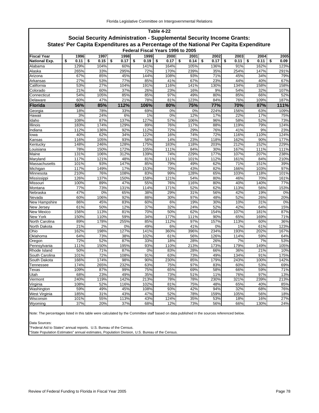|                               |              |              |      |                                                                                        |                                   | Table 4-22  |             |             |             |              |            |
|-------------------------------|--------------|--------------|------|----------------------------------------------------------------------------------------|-----------------------------------|-------------|-------------|-------------|-------------|--------------|------------|
|                               |              |              |      | Social Security Administration - Supplemental Security Income Grants:                  |                                   |             |             |             |             |              |            |
|                               |              |              |      | States' Per Capita Expenditures as a Percentage of the National Per Capita Expenditure |                                   |             |             |             |             |              |            |
|                               |              |              |      |                                                                                        | Federal Fiscal Years 1996 to 2005 |             |             |             |             |              |            |
| <b>Fiscal Year</b>            | 1996         |              | 1997 | 1998                                                                                   | 1999                              | 2000        | 2001        | 2002        | 2003        | 2004         | 2005       |
| <b>National Exp.</b>          | \$<br>0.11   | 0.15<br>\$   |      | 0.17<br>\$                                                                             | 0.19<br>\$                        | \$<br>0.17  | 0.14<br>\$  | 0.17<br>\$  | \$<br>0.11  | \$<br>0.11   | \$<br>0.09 |
| Alabama                       | 129%         | 104%         |      | 60%                                                                                    | 141%                              | 164%        | 105%        | 136%        | 91%         | 162%         | 123%       |
| Alaska                        | 265%         |              | 33%  | 295%                                                                                   | 72%                               | 170%        | 239%        | 35%         | 254%        | 147%         | 291%       |
| Arizona                       | 67%          |              | 85%  | 45%                                                                                    | 144%                              | 108%        | 93%         | 71%         | 45%         | 34%          | 79%        |
| Arkansas                      | 27%          |              | 53%  | 77%                                                                                    | 85%                               | 41%         | 67%         | 23%         | 44%         | 40%          | 67%        |
| California                    | 53%          |              | 27%  | 104%                                                                                   | 191%                              | 116%        | 141%        | 130%        | 134%        | 158%         | 158%       |
| Colorado                      | 21%          |              | 60%  | 37%                                                                                    | 26%                               | 23%         | 16%         | 9%          | 54%         | 32%          | 107%       |
| Connecticut                   | 54%          | 105%         |      | 85%                                                                                    | 85%                               | 97%         | 49%         | 80%         | 85%         | 66%          | 52%        |
| Delaware                      | 60%          |              | 47%  | 21%                                                                                    | 78%                               | 81%         | 123%        | 84%         | 76%         | 109%         | 187%       |
| <b>Florida</b>                | 56%          | 85%          |      | 112%                                                                                   | 106%                              | 80%         | 75%         | 77%         | 70%         | 87%          | 111%       |
| Georgia                       | 18%          |              | 78%  | 33%                                                                                    | 69%                               | 0%          | 0%          | 224%        | 156%        | 63%          | 109%       |
| Hawaii                        | 3%           |              | 24%  | 6%                                                                                     | 1%                                | 0%          | 12%         | 17%         | 22%         | 17%          | 75%        |
| Idaho                         | 108%         |              | 87%  | 137%                                                                                   | 127%                              | 57%         | 106%        | 96%         | 58%         | 52%          | 73%        |
| Illinois                      | 183%         | 174%         |      | 129%                                                                                   | 89%                               | 76%         | 117%        | 88%         | 119%        | 79%          | 124%       |
| Indiana                       | 112%         | 136%         |      | 92%                                                                                    | 112%                              | 72%         | 29%         | 76%         | 41%         | 9%           | 23%        |
| lowa                          | 40%          |              | 62%  | 34%                                                                                    | 122%                              | 16%         | 74%         | 72%         | 116%        | 110%         | 124%       |
| Kansas                        | 116%         | 105%         |      | 93%                                                                                    | 58%                               | 14%         | 23%         | 118%        | 162%        | 90%          | 177%       |
| Kentucky                      | 148%         | 246%         |      | 128%                                                                                   | 175%                              | 183%        | 118%        | 203%        | 212%        | 152%         | 229%       |
| Louisiana                     | 78%          | 150%         |      | 172%                                                                                   | 105%                              | 111%        | 84%         | 30%         | 167%        | 111%         | 111%       |
| Maine                         | 131%         | 106%         |      | 312%                                                                                   | 139%                              | 74%         | 229%        | 177%        | 107%        | 207%         | 238%       |
| Maryland                      | 117%         | 121%         |      | 48%                                                                                    | 81%                               | 111%        | 101%        | 112%        | 161%        | 84%          | 210%       |
| Massachusetts                 | 101%         |              | 93%  | 147%                                                                                   | 85%                               | 79%         | 49%         | 62%         | 71%         | 151%         | 39%        |
| Michigan                      | 117%         | 149%         |      | 17%                                                                                    | 153%                              | 70%         | 43%         | 82%         | 166%        | 103%         | 97%        |
| Minnesota                     | 210%         |              | 76%  | 108%                                                                                   | 83%                               | 99%         | 128%        | 65%         | 103%        | 118%         | 101%       |
| Mississippi                   | 126%         | 137%         |      | 150%                                                                                   | 158%                              | 121%        | 54%         | 80%         | 46%         | 70%          | 161%       |
| Missouri                      | 100%         |              | 89%  | 47%                                                                                    | 55%                               | 76%         | 116%        | 80%         | 40%         | 140%         | 77%        |
| Montana                       | 77%          |              | 73%  | 131%                                                                                   | 114%                              | 171%        | 52%         | 62%         | 113%        | 56%          | 153%       |
| Nebraska                      | 47%          |              | 0%   | 65%                                                                                    | 38%                               | 29%         | 31%         | 56%         | 42%         | 19%          | 0%         |
| Nevada                        | 60%          | 106%         |      | 92%                                                                                    | 88%                               | 30%         | 97%         | 48%         | 52%         | 26%          | 20%        |
| New Hampshire                 | 86%          |              | 45%  | 83%                                                                                    | 60%                               | 6%          | 19%<br>24%  | 30%         | 10%         | 31%          | 0%<br>15%  |
| New Jersey                    | 61%          |              | 50%  | 12%                                                                                    | 37%                               | 32%         |             | 52%         | 42%         | 64%          |            |
| <b>New Mexico</b><br>New York | 156%<br>150% | 113%<br>110% |      | 81%<br>59%                                                                             | 70%<br>34%                        | 50%<br>177% | 62%<br>111% | 154%<br>90% | 107%<br>65% | 181%<br>169% | 87%<br>71% |
| North Carolina                | 89%          | 178%         |      | 255%                                                                                   | 85%                               | 112%        | 97%         | 157%        | 113%        | 60%          | 36%        |
| North Dakota                  | 21%          |              | 2%   | 0%                                                                                     | 49%                               | 6%          | 41%         | 0%          | 1%          | 61%          | 123%       |
| Ohio                          | 162%         | 198%         |      | 127%                                                                                   | 141%                              | 360%        | 396%        | 234%        | 193%        | 202%         | 167%       |
| Oklahoma                      | 64%          |              | 73%  | 38%                                                                                    | 102%                              | 61%         | 56%         | 126%        | 114%        | 59%          | 64%        |
| Oregon                        | 72%          |              | 52%  | 87%                                                                                    | 33%                               | 18%         | 28%         | 26%         | 7%          | 7%           | 53%        |
| Pennsylvania                  | 111%         | 150%         |      | 195%                                                                                   | 93%                               | 110%        | 213%        | 173%        | 179%        | 149%         | 105%       |
| Rhode Island                  | 50%          |              | 71%  | 87%                                                                                    | 0%                                | 83%         | 28%         | 66%         | 36%         | 21%          | 10%        |
| South Carolina                | 101%         |              | 72%  | 108%                                                                                   | 91%                               | 63%         | 73%         | 49%         | 134%        | 91%          | 175%       |
| South Dakota                  | 166%         | 174%         |      | 98%                                                                                    | 90%                               | 230%        | 85%         | 179%        | 243%        | 100%         | 142%       |
| Tennessee                     | 174%         | 265%         |      | 232%                                                                                   | 63%                               | 75%         | 97%         | 83%         | 60%         | 53%          | 69%        |
| <b>Texas</b>                  | 109%         |              | 87%  | 99%                                                                                    | 75%                               | 65%         | 69%         | 58%         | 66%         | 59%          | 71%        |
| Utah                          | 68%          |              | 23%  | 49%                                                                                    | 35%                               | 73%         | 51%         | 11%         | 76%         | 97%          | 13%        |
| Vermont                       | 240%         | 119%         |      | 142%                                                                                   | 213%                              | 78%         | 78%         | 230%        | 321%        | 239%         | 213%       |
| Virginia                      | 108%         |              | 52%  | 116%                                                                                   | 102%                              | 81%         | 75%         | 48%         | 65%         | 40%          | 85%        |
| Washington                    | 59%          |              | 49%  | 45%                                                                                    | 108%                              | 93%         | 42%         | 94%         | 32%         | 68%          | 76%        |
| West Virginia                 | 185%         |              | 31%  | 43%                                                                                    | 47%                               | 52%         | 78%         | 159%        | 105%        | 56%          | 18%        |
| Wisconsin                     | 101%         |              | 55%  | 113%                                                                                   | 43%                               | 124%        | 35%         | 53%         | 18%         | 16%          | 27%        |
| Wyoming                       | 37%          |              | 20%  | 37%                                                                                    | 68%                               | 12%         | 73%         | 56%         | 66%         | 130%         | 24%        |

Data Sources:

"Federal Aid to States" annual reports. U.S. Bureau of the Census.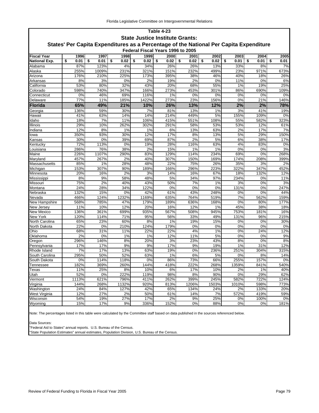|                      |                                                                                        |            |            |                                        | Table 4-23 |            |            |            |            |            |
|----------------------|----------------------------------------------------------------------------------------|------------|------------|----------------------------------------|------------|------------|------------|------------|------------|------------|
|                      |                                                                                        |            |            | <b>State Justice Institute Grants:</b> |            |            |            |            |            |            |
|                      | States' Per Capita Expenditures as a Percentage of the National Per Capita Expenditure |            |            |                                        |            |            |            |            |            |            |
|                      |                                                                                        |            |            | Federal Fiscal Years 1996 to 2005      |            |            |            |            |            |            |
| <b>Fiscal Year</b>   | 1996                                                                                   | 1997       | 1998       | 1999                                   | 2000       | 2001       | 2002       | 2003       | 2004       | 2005       |
| <b>National Exp.</b> | \$<br>0.01                                                                             | 0.01<br>\$ | \$<br>0.02 | 0.02<br>\$                             | 0.02<br>\$ | 0.02<br>\$ | \$<br>0.02 | 0.01<br>\$ | \$<br>0.01 | \$<br>0.01 |
| Alabama              | 87%                                                                                    | 123%       | 4%         | 34%                                    | 26%        | 26%        | 13%        | 33%        | 8%         | 7%         |
| Alaska               | 255%                                                                                   | 1009%      | 231%       | 321%                                   | 151%       | 232%       | 499%       | 23%        | 971%       | 673%       |
| Arizona              | 176%                                                                                   | 210%       | 225%       | 173%                                   | 395%       | 38%        | 46%        | 40%        | 18%        | 26%        |
| Arkansas             | 8%                                                                                     | 3%         | 0%         | 2%                                     | 19%        | 2%         | 0%         | 11%        | 0%         | 6%         |
| California           | 53%                                                                                    | 80%        | 32%        | 43%                                    | 20%        | 68%        | 55%        | 1%         | 19%        | 25%        |
| Colorado             | 598%                                                                                   | 740%       | 347%       | 166%                                   | 273%       | 453%       | 301%       | 86%        | 690%       | 109%       |
| Connecticut          | 0%                                                                                     | 46%        | 69%        | 116%                                   | 1%         | 0%         | 0%         | 0%         | 0%         | 0%         |
| Delaware             | 77%                                                                                    | 11%        | 185%       | 1422%                                  | 273%       | 23%        | 156%       | 0%         | 21%        | 146%       |
| <b>Florida</b>       | 65%                                                                                    | 49%        | 21%        | 10%                                    | 26%        | 13%        | 12%        | 2%         | 2%         | 78%        |
| Georgia              | 136%                                                                                   | 59%        | 30%        | 7%                                     | 81%        | 13%        | 1%         | 3%         | 41%        | 19%        |
| Hawaii               | 41%                                                                                    | 63%        | 14%        | 14%                                    | 214%       | 449%       | 5%         | 155%       | 109%       | 0%         |
| ldaho                | 18%                                                                                    | 7%         | 11%        | 106%                                   | 415%       | 551%       | 108%       | 55%        | 582%       | 323%       |
| <b>Illinois</b>      | 29%                                                                                    | 10%        | 262%       | 302%                                   | 291%       | 58%        | 53%        | 53%        | 12%        | 61%        |
| Indiana              | 12%                                                                                    | 8%         | 1%         | 1%                                     | 6%         | 13%        | 63%        | 2%         | 17%        | 7%         |
| lowa                 | 350%                                                                                   | 93%        | 30%        | 12%                                    | 17%        | 8%         | 13%        | 5%         | 29%        | 150%       |
| Kansas               | 30%                                                                                    | 0%         | 39%        | 69%                                    | 87%        | 2%         | 5%         | 6%         | 38%        | 17%        |
| Kentucky             | 72%                                                                                    | 113%       | 0%         | 19%                                    | 28%        | 116%       | 63%        | 4%         | 83%        | 0%         |
| _ouisiana            | 286%                                                                                   | 76%        | 38%        | 2%                                     | 15%        | 1%         | 1%         | 0%         | 0%         | 3%         |
| Maine                | 226%                                                                                   | 1107%      | 290%       | 83%                                    | 129%       | 114%       | 234%       | 69%        | 0%         | 268%       |
| Maryland             | 457%                                                                                   | 267%       | 2%         | 40%                                    | 307%       | 150%       | 169%       | 174%       | 208%       | 399%       |
| Massachusetts        | 85%                                                                                    | 1%         | 28%        | 48%                                    | 22%        | 75%        | 26%        | 35%        | 3%         | 2%         |
| Michigan             | 153%                                                                                   | 307%       | 90%        | 189%                                   | 166%       | 296%       | 223%       | 322%       | 347%       | 452%       |
| Minnesota            | 20%                                                                                    | 16%        | 2%         | 3%                                     | 14%        | 16%        | 67%        | 18%        | 132%       | 12%        |
| Mississippi          | 8%                                                                                     | 9%         | 58%        | 48%                                    | 5%         | 34%        | 97%        | 234%       | 0%         | 11%        |
| Missouri             | 75%                                                                                    | 2%         | 40%        | 43%                                    | 50%        | 7%         | 1%         | 3%         | 0%         | 3%         |
| Montana              | 24%                                                                                    | 28%        | 34%        | 122%                                   | 0%         | 0%         | 0%         | 131%       | 0%         | 247%       |
| Nebraska             | 132%                                                                                   | 15%        | 0%         | 42%                                    | 61%        | 43%        | 248%       | 0%         | 0%         | 44%        |
| Nevada               | 466%                                                                                   | 124%       | 1232%      | 1169%                                  | 635%       | 764%       | 519%       | 7%         | 562%       | 159%       |
| New Hampshire        | 568%                                                                                   | 785%       | 47%        | 179%                                   | 189%       | 636%       | 168%       | 0%         | 80%        | 177%       |
| New Jersey           | 11%                                                                                    | 10%        | 12%        | 20%                                    | 16%        | 12%        | 1%         | 45%        | 38%        | 18%        |
| <b>New Mexico</b>    | 136%                                                                                   | 361%       | 699%       | 935%                                   | 567%       | 508%       | 945%       | 753%       | 181%       | 16%        |
| New York             | 120%                                                                                   | 114%       | 71%        | 95%                                    | 56%        | 33%        | 49%        | 131%       | 96%        | 215%       |
| North Carolina       | 65%                                                                                    | 23%        | 60%        | 8%                                     | 1%         | 19%        | 15%        | 0%         | 0%         | 30%        |
| North Dakota         | 22%                                                                                    | 0%         | 210%       | 124%                                   | 179%       | 0%         | 0%         | 0%         | 0%         | 0%         |
| Ohio                 | 68%                                                                                    | 31%        | 11%        | 22%                                    | 22%        | 4%         | 1%         | 0%         | 24%        | 12%        |
| Oklahoma             | 2%                                                                                     | 0%         | 1%         | 1%                                     | 12%        | 11%        | 5%         | 0%         | 0%         | 9%         |
| Oregon               | 296%                                                                                   | 146%       | 8%         | 20%                                    | 3%         | 23%        | 43%        | 8%         | 0%         | 8%         |
| Pennsylvania         | 17%                                                                                    | 17%        | 9%         | 9%                                     | 17%        | 9%         | 19%        | 1%         | 31%        | 12%        |
| Rhode Island         | 7%                                                                                     | 17%        | 13%        | 63%                                    | 19%        | 0%         | 236%       | 251%       | 304%       | 315%       |
| South Carolina       | 295%                                                                                   | 50%        | 52%        | 63%                                    | 1%         | 6%         | 5%         | 0%         | 8%         | 14%        |
| South Dakota         | 0%                                                                                     | 114%       | 118%       | 0%                                     | 86%        | 73%        | 66%        | 255%       | 157%       | 0%         |
| Tennessee            | 182%                                                                                   | 369%       | 260%       | 144%                                   | 418%       | 222%       | 268%       | 1359%      | 841%       | 540%       |
| Texas                | 11%                                                                                    | 25%        | 8%         | 10%                                    | 6%         | 17%        | 10%        | 2%         | 1%         | 40%        |
| Utah                 | 52%                                                                                    | 0%         | 222%       | 119%                                   | 98%        | 8%         | 90%        | 0%         | 29%        | 62%        |
| Vermont              | 1113%                                                                                  | 621%       | 796%       | 411%                                   | 262%       | 399%       | 245%       | 582%       | 722%       | 124%       |
| Virginia             | 144%                                                                                   | 268%       | 1132%      | 920%                                   | 813%       | 1206%      | 1503%      | 1010%      | 598%       | 773%       |
| Washington           | 24%                                                                                    | 84%        | 127%       | 42%                                    | 65%        | 134%       | 24%        | 2%         | 133%       | 20%        |
| West Virginia        | 12%                                                                                    | 27%        | 2%         | 50%                                    | 61%        | 14%        | 7%         | 572%       | 419%       | 59%        |
| Wisconsin            | 54%                                                                                    | 19%        | 27%        | 17%                                    | 2%         | 9%         | 25%        | 0%         | 100%       | 0%         |
| Wyoming              | 15%                                                                                    | 17%        | 9%         | 336%                                   | 152%       | 0%         | 88%        | 0%         | 0%         | 181%       |

Data Sources:

"Federal Aid to States" annual reports. U.S. Bureau of the Census.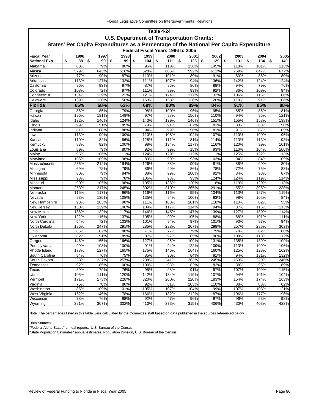|                             |                                                  |             |    |              |    |             |                                   | Table 4-24 |              |                                                                                        |             |             |              |             |
|-----------------------------|--------------------------------------------------|-------------|----|--------------|----|-------------|-----------------------------------|------------|--------------|----------------------------------------------------------------------------------------|-------------|-------------|--------------|-------------|
|                             | <b>U.S. Department of Transportation Grants:</b> |             |    |              |    |             |                                   |            |              |                                                                                        |             |             |              |             |
|                             |                                                  |             |    |              |    |             |                                   |            |              | States' Per Capita Expenditures as a Percentage of the National Per Capita Expenditure |             |             |              |             |
|                             |                                                  |             |    |              |    |             | Federal Fiscal Years 1996 to 2005 |            |              |                                                                                        |             |             |              |             |
| <b>Fiscal Year</b>          |                                                  | 1996        |    | 1997         |    | 1998        | 1999                              |            | 2000         | 2001                                                                                   | 2002        | 2003        | 2004         | 2005        |
| <b>National Exp.</b>        | \$                                               | 88          | \$ | 99           | \$ | 99          | 104<br>\$                         | \$         | 111          | 126<br>\$                                                                              | \$<br>129   | \$<br>131   | \$<br>134    | \$<br>140   |
| Alabama                     |                                                  | 88%         |    | 79%          |    | 80%         | 96%                               |            | 118%         | 136%                                                                                   | 145%        | 118%        | 101%         | 113%        |
| Alaska                      |                                                  | 579%        |    | 643%         |    | 518%        | 528%                              |            | 605%         | 592%                                                                                   | 611%        | 759%        | 647%         | 677%        |
| Arizona                     |                                                  | 77%         |    | 90%          |    | 87%         | 113%                              |            | 101%         | 89%                                                                                    | 91%         | 83%         | 88%          | 80%         |
| Arkansas                    |                                                  | 113%        |    | 127%         |    | 132%        | 111%                              |            | 107%         | 94%                                                                                    | 136%        | 142%        | 124%         | 124%        |
| California                  |                                                  | 86%         |    | 93%          |    | 87%         | 87%                               |            | 86%          | 86%                                                                                    | 88%         | 94%         | 79%          | 76%         |
| Colorado                    |                                                  | 108%        |    | 72%          |    | 97%         | 111%                              |            | 89%          | 93%                                                                                    | 92%         | 86%         | 109%         | 94%         |
| Connecticut                 |                                                  | 134%        |    | 139%         |    | 122%        | 121%                              |            | 124%         | 117%                                                                                   | 132%        | 106%        | 115%         | 86%         |
| Delaware                    |                                                  | 139%        |    | 130%         |    | 150%        | 153%                              |            | 153%         | 136%                                                                                   | 126%        | 119%        | 91%          | 106%        |
| Florida                     |                                                  | 66%         |    | 68%          |    | 63%         | 69%                               |            | 80%          | 89%                                                                                    | 84%         | 91%         | 85%          | 88%         |
| Georgia                     |                                                  | 86%         |    | 85%          |    | 79%         | 98%                               |            | 100%         | 96%                                                                                    | 95%         | 85%         | 85%          | 81%         |
| Hawaii                      |                                                  | 196%        |    | 191%         |    | 149%        | 97%                               |            | 98%          | 156%                                                                                   | 110%        | 94%         | 95%          | 121%        |
| Idaho                       |                                                  | 132%        |    | 146%         |    | 124%        | 143%                              |            | 139%         | 146%                                                                                   | 151%        | 155%        | 158%         | 138%        |
| Illinois                    |                                                  | 99%         |    | 91%          |    | 85%         | 79%                               |            | 91%          | 87%                                                                                    | 81%         | 83%         | 63%          | 90%         |
| Indiana                     |                                                  | 81%         |    | 88%          |    | 88%         | 94%                               |            | 99%          | 96%                                                                                    | 81%         | 91%         | 87%          | 85%         |
| lowa                        |                                                  | 113%        |    | 99%          |    | 109%        | 110%                              |            | 108%         | 102%                                                                                   | 107%        | 110%        | 100%         | 96%         |
| Kansas                      |                                                  | 110%        |    | 82%          |    | 86%         | 128%                              |            | 111%         | 81%                                                                                    | 114%        | 113%        | 113%         | 98%         |
| Kentucky                    |                                                  | 83%         |    | 92%          |    | 100%        | 98%                               |            | 134%         | 117%                                                                                   | 116%        | 120%        | 99%          | 101%        |
| Louisiana                   |                                                  | 89%         |    | 79%          |    | 80%         | 92%                               |            | 99%          | 15%                                                                                    | 93%         | 110%        | 104%         | 100%        |
| Maine                       |                                                  | 95%         |    | 106%         |    | 111%        | 124%                              |            | 129%         | 112%                                                                                   | 111%        | 125%        | 122%         | 113%        |
| Maryland                    |                                                  | 105%        |    | 109%         |    | 98%         | 83%                               |            | 90%          | 93%                                                                                    | 103%        | 94%         | 84%          | 109%        |
| Massachusetts               |                                                  | 256%        |    | 212%         |    | 194%        | 126%                              |            | 88%          | 90%                                                                                    | 81%         | 88%         | 99%          | 80%         |
| Michigan                    |                                                  | 69%         |    | 78%          |    | 79%         | 86%                               |            | 90%          | 86%                                                                                    | 78%         | 72%         | 75%          | 83%         |
| Minnesota                   |                                                  | 80%         |    | 79%          |    | 84%         | 88%                               |            | 99%          | 100%                                                                                   | 92%         | 84%         | 98%          | 87%         |
| Mississippi                 |                                                  | 93%         |    | 79%          |    | 78%         | 105%                              |            | 93%          | 93%                                                                                    | 124%        | 124%        | 119%         | 114%        |
| Missouri                    |                                                  | 90%         |    | 105%         |    | 98%         | 105%                              |            | 136%         | 120%                                                                                   | 118%        | 119%        | 120%         | 113%        |
| Montana                     |                                                  | 253%        |    | 217%         |    | 245%        | 302%                              |            | 310%         | 265%                                                                                   | 291%        | 55%         | 305%         | 238%        |
| Nebraska                    |                                                  | 115%<br>93% |    | 117%<br>135% |    | 96%<br>108% | 116%<br>135%                      |            | 116%<br>94%  | 95%<br>100%                                                                            | 104%<br>83% | 113%<br>98% | 127%<br>102% | 119%<br>84% |
| Nevada                      |                                                  | 93%         |    | 103%         |    | 98%         |                                   |            |              | 101%                                                                                   | 118%        |             | 82%          | 95%         |
| New Hampshire<br>New Jersey |                                                  | 130%        |    | 129%         |    | 106%        | 111%<br>104%                      |            | 103%<br>117% | 114%                                                                                   | 94%         | 110%<br>87% | 116%         | 113%        |
| New Mexico                  |                                                  | 136%        |    | 132%         |    | 117%        | 146%                              |            | 145%         | 147%                                                                                   | 139%        | 127%        | 130%         | 114%        |
| New York                    |                                                  | 122%        |    | 116%         |    | 137%        | 105%                              |            | 99%          | 105%                                                                                   | 88%         | 88%         | 101%         | 111%        |
| North Carolina              |                                                  | 54%         |    | 72%          |    | 103%        | 101%                              |            | 94%          | 97%                                                                                    | 101%        | 90%         | 97%          | 94%         |
| North Dakota                |                                                  | 186%        |    | 247%         |    | 291%        | 285%                              |            | 298%         | 267%                                                                                   | 298%        | 257%        | 286%         | 303%        |
| Ohio                        |                                                  | 86%         |    | 82%          |    | 88%         | 71%                               |            | 77%          | 79%                                                                                    | 79%         | 79%         | 82%          | 86%         |
| Oklahoma                    |                                                  | 82%         |    | 91%          |    | 89%         | 87%                               |            | 97%          | 85%                                                                                    | 96%         | 108%        | 118%         | 112%        |
| Oregon                      |                                                  | 146%        |    | 165%         |    | 166%        | 127%                              |            | 95%          | 109%                                                                                   | 131%        | 135%        | 139%         | 109%        |
| Pennsylvania                |                                                  | 99%         |    | 108%         |    | 100%        | 91%                               |            | 94%          | 122%                                                                                   | 109%        | 113%        | 109%         | 106%        |
| Rhode Island                |                                                  | 173%        |    | 127%         |    | 165%        | 175%                              |            | 146%         | 164%                                                                                   | 160%        | 125%        | 128%         | 162%        |
| South Carolina              |                                                  | 84%         |    | 76%          |    | 75%         | 85%                               |            | 90%          | 84%                                                                                    | 91%         | 94%         | 131%         | 132%        |
| South Dakota                |                                                  | 233%        |    | 237%         |    | 257%        | 238%                              |            | 241%         | 263%                                                                                   | 245%        | 253%        | 220%         | 246%        |
| Tennessee                   |                                                  | 92%         |    | 85%          |    | 100%        | 100%                              |            | 93%          | 82%                                                                                    | 82%         | 88%         | 95%          | 89%         |
| Texas                       |                                                  | 89%         |    | 79%          |    | 76%         | 95%                               |            | 98%          | 91%                                                                                    | 97%         | 107%        | 109%         | 115%        |
| Utah                        |                                                  | 105%        |    | 111%         |    | 120%        | 142%                              |            | 134%         | 119%                                                                                   | 107%        | 94%         | 101%         | 104%        |
| Vermont                     |                                                  | 171%        |    | 173%         |    | 228%        | 320%                              |            | 200%         | 220%                                                                                   | 183%        | 154%        | 174%         | 163%        |
| Virginia                    |                                                  | 75%         |    | 78%          |    | 86%         | 92%                               |            | 81%          | 103%                                                                                   | 110%        | 88%         | 83%          | 62%         |
| Washington                  |                                                  | 85%         |    | 109%         |    | 101%        | 105%                              |            | 107%         | 104%                                                                                   | 99%         | 107%        | 108%         | 121%        |
| <b>West Virginia</b>        |                                                  | 162%        |    | 145%         |    | 178%        | 166%                              |            | 182%         | 212%                                                                                   | 187%        | 196%        | 177%         | 196%        |
| Wisconsin                   |                                                  | 78%         |    | 76%          |    | 88%         | 92%                               |            | 47%          | 96%                                                                                    | 97%         | 96%         | 93%          | 92%         |
| Wyoming                     |                                                  | 321%        |    | 307%         |    | 302%        | 410%                              |            | 373%         | 315%                                                                                   | 406%        | 430%        | 403%         | 423%        |

Data Sources:

"Federal Aid to States" annual reports. U.S. Bureau of the Census.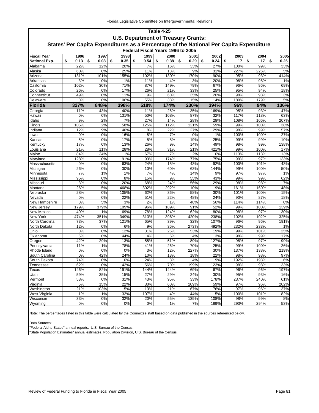|                      |                                                                                        |            |            |                                   | Table 4-25 |                                            |            |          |          |            |
|----------------------|----------------------------------------------------------------------------------------|------------|------------|-----------------------------------|------------|--------------------------------------------|------------|----------|----------|------------|
|                      | States' Per Capita Expenditures as a Percentage of the National Per Capita Expenditure |            |            |                                   |            | <b>U.S. Department of Treasury Grants:</b> |            |          |          |            |
|                      |                                                                                        |            |            | Federal Fiscal Years 1996 to 2005 |            |                                            |            |          |          |            |
| <b>Fiscal Year</b>   | 1996                                                                                   | 1997       | 1998       | 1999                              | 2000       | 2001                                       | 2002       | 2003     | 2004     | 2005       |
| <b>National Exp.</b> | \$<br>0.13                                                                             | \$<br>0.08 | \$<br>0.35 | 0.54<br>\$                        | 0.38<br>\$ | 0.29<br>\$                                 | \$<br>0.24 | \$<br>17 | \$<br>17 | \$<br>0.25 |
| Alabama              | 22%                                                                                    | 12%        | 20%        | 7%                                | 16%        | 33%                                        | 27%        | 100%     | 99%      | 33%        |
| Alaska               | 60%                                                                                    | 0%         | 25%        | 11%                               | 13%        | 9%                                         | 31%        | 227%     | 226%     | 5%         |
| Arizona              | 131%                                                                                   | 101%       | 155%       | 102%                              | 130%       | 170%                                       | 90%        | 95%      | 93%      | 414%       |
| Arkansas             | 3%                                                                                     | 0%         | 1%         | 11%                               | 4%         | 3%                                         | 20%        | 98%      | 98%      | 1%         |
| California           | 102%                                                                                   | 30%        | 71%        | 87%                               | 149%       | 79%                                        | 67%        | 96%      | 96%      | 69%        |
| Colorado             | 26%                                                                                    | 0%         | 17%        | 26%                               | 21%        | 33%                                        | 25%        | 95%      | 94%      | 18%        |
| Connecticut          | 49%                                                                                    | 0%         | 11%        | 9%                                | 60%        | 35%                                        | 20%        | 98%      | 98%      | 3%         |
| Delaware             | 0%                                                                                     | 0%         | 106%       | 55%                               | 38%        | 15%                                        | 14%        | 180%     | 179%     | 5%         |
| <b>Florida</b>       | 327%                                                                                   | 848%       | 398%       | 518%                              | 174%       | 230%                                       | 394%       | 96%      | 94%      | 136%       |
| Georgia              | 11%                                                                                    | 43%        | 40%        | 11%                               | 26%        | 35%                                        | 169%       | 95%      | 93%      | 47%        |
| Hawaii               | 0%                                                                                     | 0%         | 131%       | 50%                               | 108%       | 87%                                        | 32%        | 117%     | 118%     | 63%        |
| Idaho                | 9%                                                                                     | 2%         | 7%         | 27%                               | 14%        | 28%                                        | 28%        | 108%     | 106%     | 207%       |
| <b>Illinois</b>      | 105%                                                                                   | 2%         | 58%        | 125%                              | 112%       | 121%                                       | 59%        | 99%      | 100%     | 38%        |
| Indiana              | 12%                                                                                    | 9%         | 40%        | 8%                                | 22%        | 27%                                        | 29%        | 98%      | 99%      | 57%        |
| <b>Towa</b>          | 0%                                                                                     | 0%         | 16%        | 8%                                | 7%         | 0%                                         | 1%         | 100%     | 100%     | 27%        |
| Kansas               | 5%                                                                                     | 0%         | 17%        | 5%                                | 8%         | 19%                                        | 25%        | 99%      | 99%      | 10%        |
| Kentucky             | 17%                                                                                    | 0%         | 13%        | 26%                               | 9%         | 14%                                        | 49%        | 98%      | 99%      | 138%       |
| _ouisiana            | 21%                                                                                    | 11%        | 28%        | 28%                               | 31%        | 21%                                        | 421%       | 99%      | 100%     | 17%        |
| Maine                | 84%                                                                                    | 34%        | 1%         | 67%                               | 7%         | 2%                                         | 0%         | 113%     | 113%     | 13%        |
| Maryland             | 128%                                                                                   | 0%         | 91%        | 93%                               | 174%       | 77%                                        | 75%        | 99%      | 97%      | 133%       |
| Massachusetts        | 0%                                                                                     | 0%         | 63%        | 24%                               | 15%        | 43%                                        | 92%        | 100%     | 101%     | 43%        |
| Michigan             | 26%                                                                                    | 0%         | 30%        | 10%                               | 60%        | 63%                                        | 144%       | 99%      | 100%     | 50%        |
| Minnesota            | 7%                                                                                     | 1%         | 1%         | 7%                                | 4%         | 14%                                        | 9%         | 97%      | 97%      | 1%         |
| Mississippi          | 95%                                                                                    | 0%         | 8%         | 15%                               | 9%         | 55%                                        | 43%        | 99%      | 99%      | 62%        |
| Missouri             | 3%                                                                                     | 0%         | 20%        | 68%                               | 24%        | 56%                                        | 29%        | 98%      | 98%      | 7%         |
| Montana              | 26%                                                                                    | 5%         | 468%       | 302%                              | 292%       | 10%                                        | 19%        | 161%     | 160%     | 48%        |
| Nebraska             | 28%                                                                                    | 0%         | 105%       | 62%                               | 36%        | 58%                                        | 30%        | 101%     | 100%     | 15%        |
| Nevada               | 0%                                                                                     | 0%         | 22%        | 51%                               | 22%        | 48%                                        | 24%        | 90%      | 87%      | 18%        |
| New Hampshire        | 0%                                                                                     | 5%         | 3%         | 2%                                | 1%         | 48%                                        | 56%        | 114%     | 114%     | 0%         |
| New Jersey           | 179%                                                                                   | 379%       | 109%       | 96%                               | 189%       | 91%                                        | 52%        | 99%      | 100%     | 139%       |
| <b>New Mexico</b>    | 49%                                                                                    | 1%         | 69%        | 78%                               | 124%       | 62%                                        | 80%        | 98%      | 97%      | 30%        |
| New York             | 474%                                                                                   | 351%       | 349%       | 313%                              | 396%       | 420%                                       | 238%       | 102%     | 102%     | 325%       |
| North Carolina       | 73%                                                                                    | 37%        | 121%       | 65%                               | 39%        | 32%                                        | 107%       | 96%      | 96%      | 191%       |
| North Dakota         | 12%                                                                                    | 0%         | 6%         | 9%                                | 36%        | 273%                                       | 492%       | 232%     | 233%     | 1%         |
| Ohio                 | 0%                                                                                     | 0%         | 12%        | 31%                               | 25%        | 53%                                        | 19%        | 99%      | 101%     | 25%        |
| Oklahoma             | 5%                                                                                     | 0%         | 44%        | 4%                                | 5%         | 4%                                         | 3%         | 98%      | 99%      | 17%        |
| Oregon               | 42%                                                                                    | 29%        | 13%        | 55%                               | 51%        | 89%                                        | 127%       | 98%      | 97%      | 99%        |
| Pennsylvania         | 11%                                                                                    | 1%         | 78%        | 41%                               | 26%        | 70%                                        | 25%        | 99%      | 100%     | 26%        |
| Rhode Island         | 0%                                                                                     | 0%         | 0%         | 3%                                | 12%        | 227%                                       | 30%        | 137%     | 138%     | 219%       |
| South Carolina       | 0%                                                                                     | 42%        | 24%        | 10%                               | 13%        | 18%                                        | 22%        | 98%      | 98%      | 97%        |
| South Dakota         | 74%                                                                                    | 0%         | 0%         | 24%                               | 3%         | 4%                                         | 9%         | 192%     | 193%     | 6%         |
| Tennessee            | 62%                                                                                    | 0%         | 42%        | 56%                               | 70%        | 199%                                       | 123%       | 98%      | 98%      | 33%        |
| Texas                | 146%                                                                                   | 82%        | 191%       | 144%                              | 144%       | 69%                                        | 67%        | 96%      | 96%      | 197%       |
| Utah                 | 59%                                                                                    | 35%        | 15%        | 27%                               | 29%        | 24%                                        | 30%        | 95%      | 93%      | 16%        |
| Vermont              | 53%                                                                                    | 0%         | 31%        | 43%                               | 95%        | 33%                                        | 178%       | 237%     | 240%     | 61%        |
| Virginia             | 5%                                                                                     | 15%        | 22%        | 30%                               | 60%        | 109%                                       | 59%        | 97%      | 96%      | 202%       |
| Washington           | 21%                                                                                    | 103%       | 15%        | 13%                               | 21%        | 67%                                        | 76%        | 97%      | 96%      | 37%        |
| <b>West Virginia</b> | 1%                                                                                     | 1%         | 32%        | 107%                              | 4%         | 44%                                        | 5%         | 100%     | 101%     | 82%        |
| Wisconsin            | 33%                                                                                    | 0%         | 32%        | 20%                               | 55%        | 139%                                       | 108%       | 98%      | 99%      | 8%         |
| Wyoming              | 0%                                                                                     | 0%         | $0\%$      | 0%                                | 1%         | 7%                                         | 189%       | 293%     | 294%     | 53%        |

Data Sources:

"Federal Aid to States" annual reports. U.S. Bureau of the Census.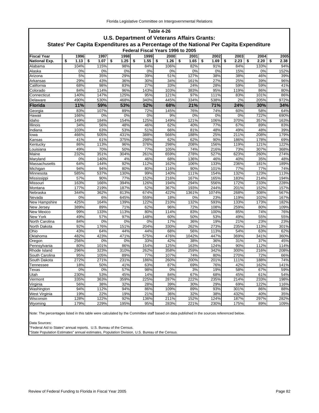|                      |            |            |            |            | Table 4-26                        |                                                                                        |            |            |            |            |
|----------------------|------------|------------|------------|------------|-----------------------------------|----------------------------------------------------------------------------------------|------------|------------|------------|------------|
|                      |            |            |            |            |                                   | <b>U.S. Department of Veterans Affairs Grants:</b>                                     |            |            |            |            |
|                      |            |            |            |            |                                   | States' Per Capita Expenditures as a Percentage of the National Per Capita Expenditure |            |            |            |            |
|                      |            |            |            |            | Federal Fiscal Years 1996 to 2005 |                                                                                        |            |            |            |            |
| <b>Fiscal Year</b>   | 1996       | 1997       | 1998       | 1999       | 2000                              | 2001                                                                                   | 2002       | 2003       | 2004       | 2005       |
| <b>National Exp.</b> | \$<br>1.13 | \$<br>1.07 | 1.25<br>\$ | 1.55<br>\$ | 1.26<br>\$                        | 1.65<br>\$                                                                             | 1.69<br>\$ | \$<br>2.23 | \$<br>2.20 | \$<br>2.38 |
| Alabama              | 104%       | 115%       | 98%        | 84%        | 106%                              | 82%                                                                                    | 91%        | 84%        | 133%       | 94%        |
| Alaska               | 0%         | 0%         | 0%         | 0%         | 0%                                | 0%                                                                                     | 0%         | 15%        | 0%         | 152%       |
| Arizona              | 5%         | 35%        | 29%        | 39%        | 51%                               | 127%                                                                                   | 38%        | 38%        | 46%        | 39%        |
| Arkansas             | 29%        | 43%        | 36%        | 30%        | 34%                               | 161%                                                                                   | 27%        | 25%        | 39%        | 96%        |
| California           | 68%        | 98%        | 83%        | 27%        | 33%                               | 24%                                                                                    | 28%        | 59%        | 59%        | 41%        |
| Colorado             | 84%        | 114%       | 96%        | 143%       | 103%                              | 383%                                                                                   | 95%        | 119%       | 86%        | 80%        |
| Connecticut          | 140%       | 147%       | 125%       | 95%        | 121%                              | 97%                                                                                    | 111%       | 83%        | 101%       | 86%        |
| Delaware             | 490%       | 530%       | 468%       | 340%       | 445%                              | 334%                                                                                   | 538%       | 2%         | 205%       | 972%       |
| Florida              | 11%        | 59%        | 53%        | 52%        | 68%                               | 21%                                                                                    | 71%        | 24%        | 30%        | 34%        |
| Georgia              | 83%        | 107%       | 89%        | 72%        | 145%                              | 76%                                                                                    | 74%        | 60%        | 58%        | 64%        |
| Hawaii               | 166%       | 0%         | 0%         | 0%         | 9%                                | 0%                                                                                     | 0%         | 0%         | 722%       | 690%       |
| Idaho                | 149%       | 184%       | 154%       | 125%       | 149%                              | 121%                                                                                   | 106%       | 370%       | 357%       | 163%       |
| Illinois             | 34%        | 56%        | 48%        | 46%        | 62%                               | 40%                                                                                    | 77%        | 67%        | 89%        | 83%        |
| Indiana              | 103%       | 63%        | 53%        | 51%        | 66%                               | 81%                                                                                    | 48%        | 49%        | 48%        | 39%        |
| lowa                 | 466%       | 505%       | 431%       | 388%       | 566%                              | 188%                                                                                   | 25%        | 211%       | 208%       | 179%       |
| Kansas               | 41%        | 61%        | 375%       | 298%       | 62%                               | 62%                                                                                    | 90%        | 186%       | 178%       | 69%        |
| Kentucky             | 86%        | 113%       | 96%        | 376%       | 298%                              | 208%                                                                                   | 156%       | 119%       | 121%       | 122%       |
| Louisiana            | 49%        | 70%        | 50%        | 77%        | 105%                              | 74%                                                                                    | 216%       | 73%        | 307%       | 368%       |
| Maine                | 232%       | 351%       | 304%       | 261%       | 659%                              | 278%                                                                                   | 527%       | 623%       | 260%       | 274%       |
| Maryland             | 0%         | 140%       | 4%         | 46%        | 68%                               | 136%                                                                                   | 46%        | 40%        | 35%        | 48%        |
| Massachusetts        | 64%        | 144%       | 92%        | 112%       | 162%                              | 106%                                                                                   | 133%       | 236%       | 181%       | 189%       |
| Michigan             | 94%        | 94%        | 80%        | 80%        | 116%                              | 90%                                                                                    | 101%       | 77%        | 77%        | 74%        |
| Minnesota            | 585%       | 537%       | 130%       | 99%        | 140%                              | 111%                                                                                   | 154%       | 132%       | 123%       | 113%       |
| Mississippi          | 57%        | 90%        | 77%        | 152%       | 216%                              | 167%                                                                                   | 165%       | 183%       | 214%       | 194%       |
| Missouri             | 163%       | 166%       | 394%       | 126%       | 194%                              | 294%                                                                                   | 556%       | 172%       | 233%       | 228%       |
| Montana              | 177%       | 219%       | 187%       | 52%        | 367%                              | 193%                                                                                   | 244%       | 201%       | 152%       | 157%       |
| Nebraska             | 344%       | 362%       | 813%       | 674%       | 422%                              | 1361%                                                                                  | 1074%      | 268%       | 308%       | 567%       |
| Nevada               | 0%         | 6%         | 645%       | 559%       | 18%                               | 0%                                                                                     | 23%        | 119%       | 102%       | 167%       |
| New Hampshire        | 425%       | 164%       | 139%       | 122%       | 210%                              | 132%                                                                                   | 593%       | 133%       | 173%       | 182%       |
| New Jersey           | 389%       | 89%        | 71%        | 62%        | 96%                               | 72%                                                                                    | 108%       | 259%       | 80%        | 109%       |
| New Mexico           | 99%        | 133%       | 113%       | 80%        | 114%                              | 83%                                                                                    | 100%       | 85%        | 74%        | 76%        |
| New York             | 49%        | 57%        | 97%        | 148%       | 60%                               | 50%                                                                                    | 53%        | 49%        | 55%        | 55%        |
| North Carolina       | 84%        | 0%         | 0%         | 0%         | 17%                               | 36%                                                                                    | 19%        | 21%        | 23%        | 23%        |
| North Dakota         | 92%        | 176%       | 151%       | 204%       | 330%                              | 262%                                                                                   | 273%       | 235%       | 113%       | 301%       |
| Ohio                 | 43%        | 64%        | 44%        | 44%        | 68%                               | 56%                                                                                    | 113%       | 54%        | 63%        | 62%        |
| Oklahoma             | 482%       | 423%       | 471%       | 575%       | 476%                              | 1042%                                                                                  | 447%       | 369%       | 341%       | 360%       |
| Oregon               | 256%       | 0%         | 0%         | 33%        | 42%                               | 38%                                                                                    | 36%        | 31%        | 37%        | 45%        |
| Pennsylvania         | 80%        | 101%       | 86%        | 154%       | 125%                              | 163%                                                                                   | 124%       | 90%        | 112%       | 114%       |
| Rhode Island         | 296%       | 323%       | 310%       | 262%       | 358%                              | 259%                                                                                   | 342%       | 300%       | 216%       | 208%       |
| South Carolina       | 95%        | 105%       | 89%        | 77%        | 107%                              | 74%                                                                                    | 80%        | 270%       | 72%        | 66%        |
| South Dakota         | 272%       | 271%       | 231%       | 186%       | 260%                              | 200%                                                                                   | 201%       | 111%       | 188%       | 74%        |
| Tennessee            | 18%        | 50%        | 41%        | 63%        | 87%                               | 69%                                                                                    | 76%        | 42%        | 162%       | 141%       |
| Texas                | 0%         | 0%         | 57%        | 98%        | 0%                                | 3%                                                                                     | 19%        | 58%        | 67%        | 59%        |
| Utah                 | 230%       | 53%        | 45%        | 14%        | 84%                               | 67%                                                                                    | 68%        | 45%        | 61%        | 54%        |
| Vermont              | 335%       | 363%       | 359%       | 225%       | 287%                              | 222%                                                                                   | 235%       | 214%       | 233%       | 198%       |
| Virginia             | 56%        | 38%        | 32%        | 28%        | 39%                               | 30%                                                                                    | 29%        | 69%        | 122%       | 116%       |
| Washington           | 94%        | 112%       | 94%        | 86%        | 109%                              | 89%                                                                                    | 93%        | 301%       | 86%        | 88%        |
| West Virginia        | 19%        | 22%        | 19%        | 21%        | 36%                               | 32%                                                                                    | 38%        | 432%       | 40%        | 35%        |
| Wisconsin            | 128%       | 122%       | 92%        | 136%       | 211%                              | 152%                                                                                   | 124%       | 187%       | 297%       | 282%       |
| Wyoming              | 179%       | 229%       | 195%       | 95%        | 283%                              | 221%                                                                                   | 230%       | 175%       | 89%        | 109%       |

Data Sources:

"Federal Aid to States" annual reports. U.S. Bureau of the Census.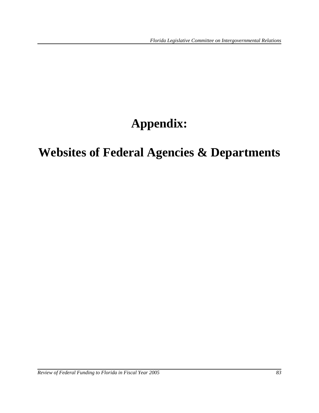## **Appendix:**

## **Websites of Federal Agencies & Departments**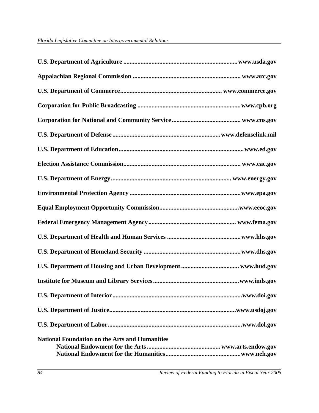| <b>National Foundation on the Arts and Humanities</b> |
|-------------------------------------------------------|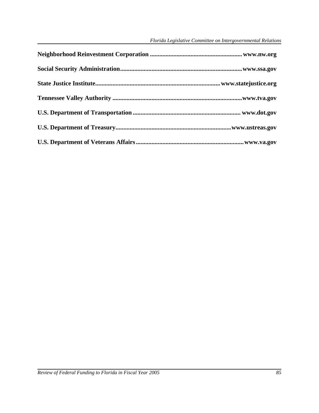*Florida Legislative Committee on Intergovernmental Relations*